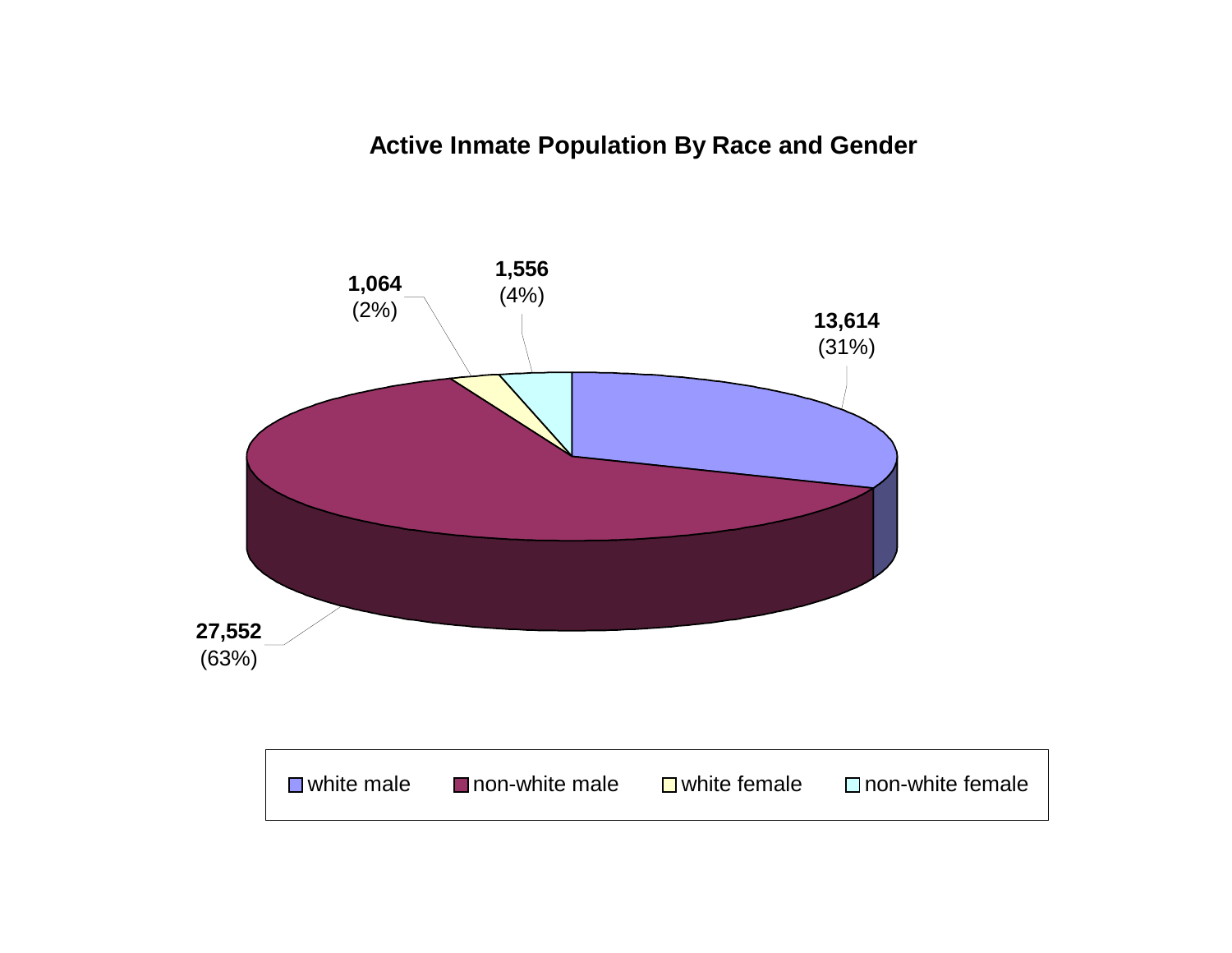# **Active Inmate Population By Race and Gender**

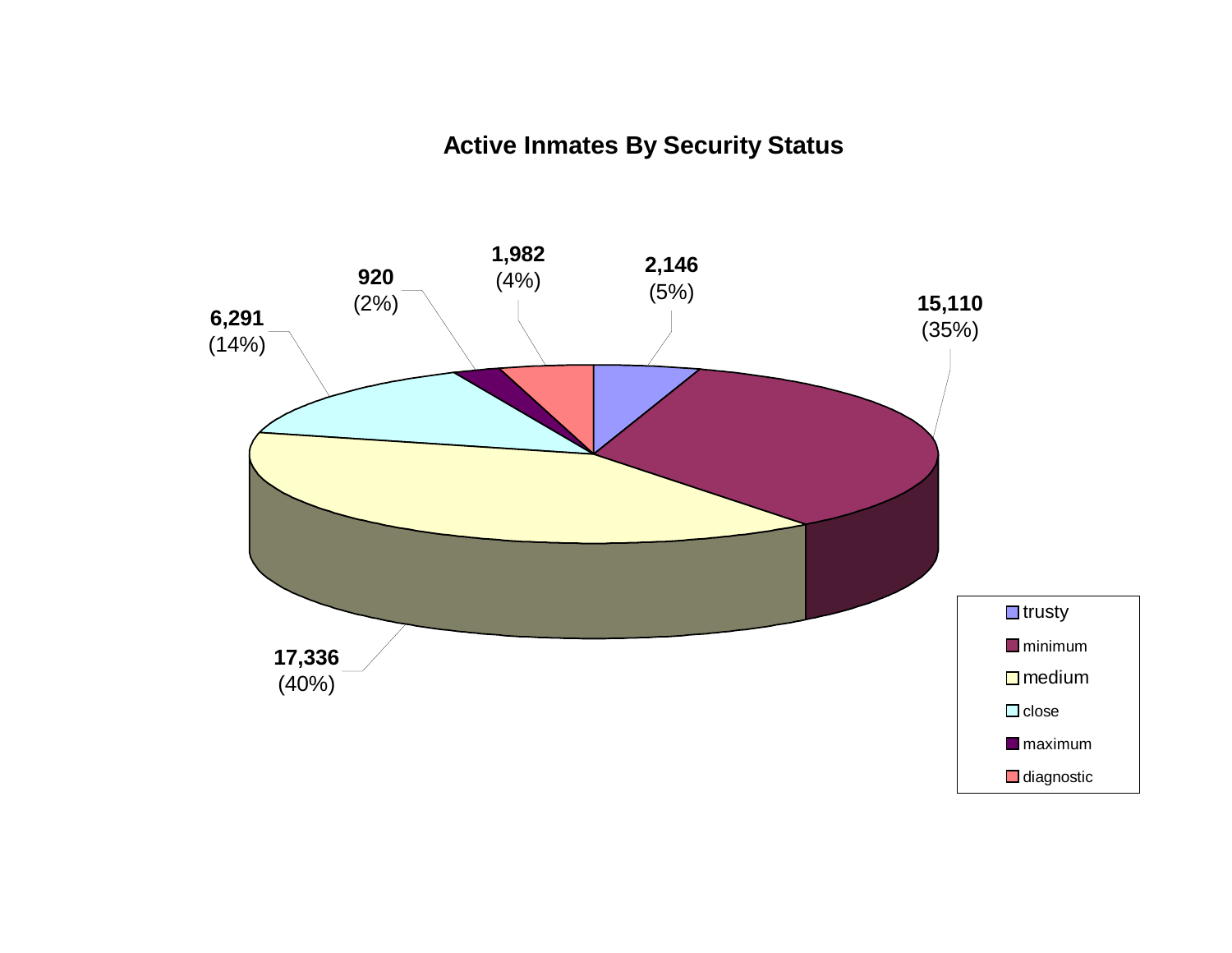# **Active Inmates By Security Status**

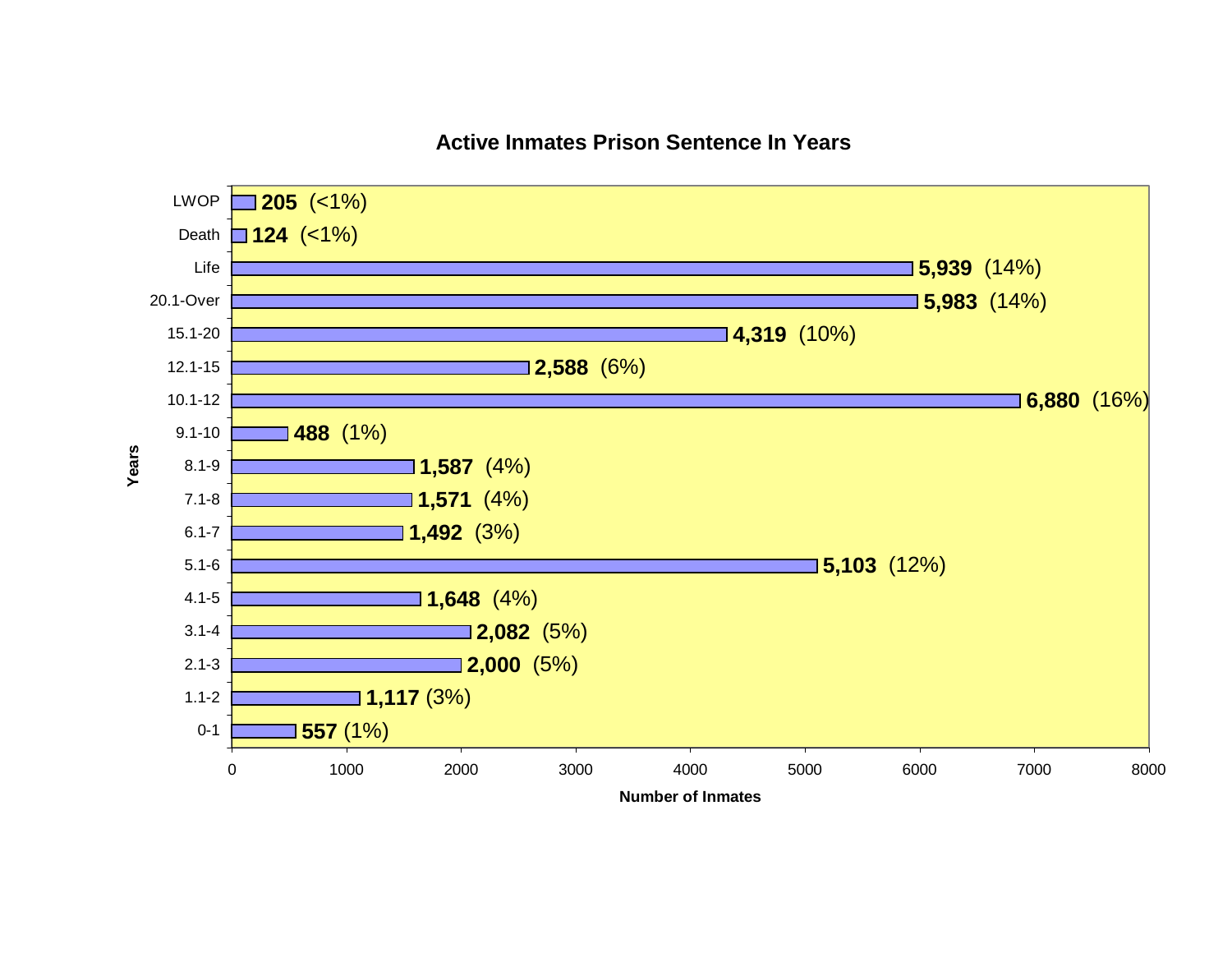# **Active Inmates Prison Sentence In Years**

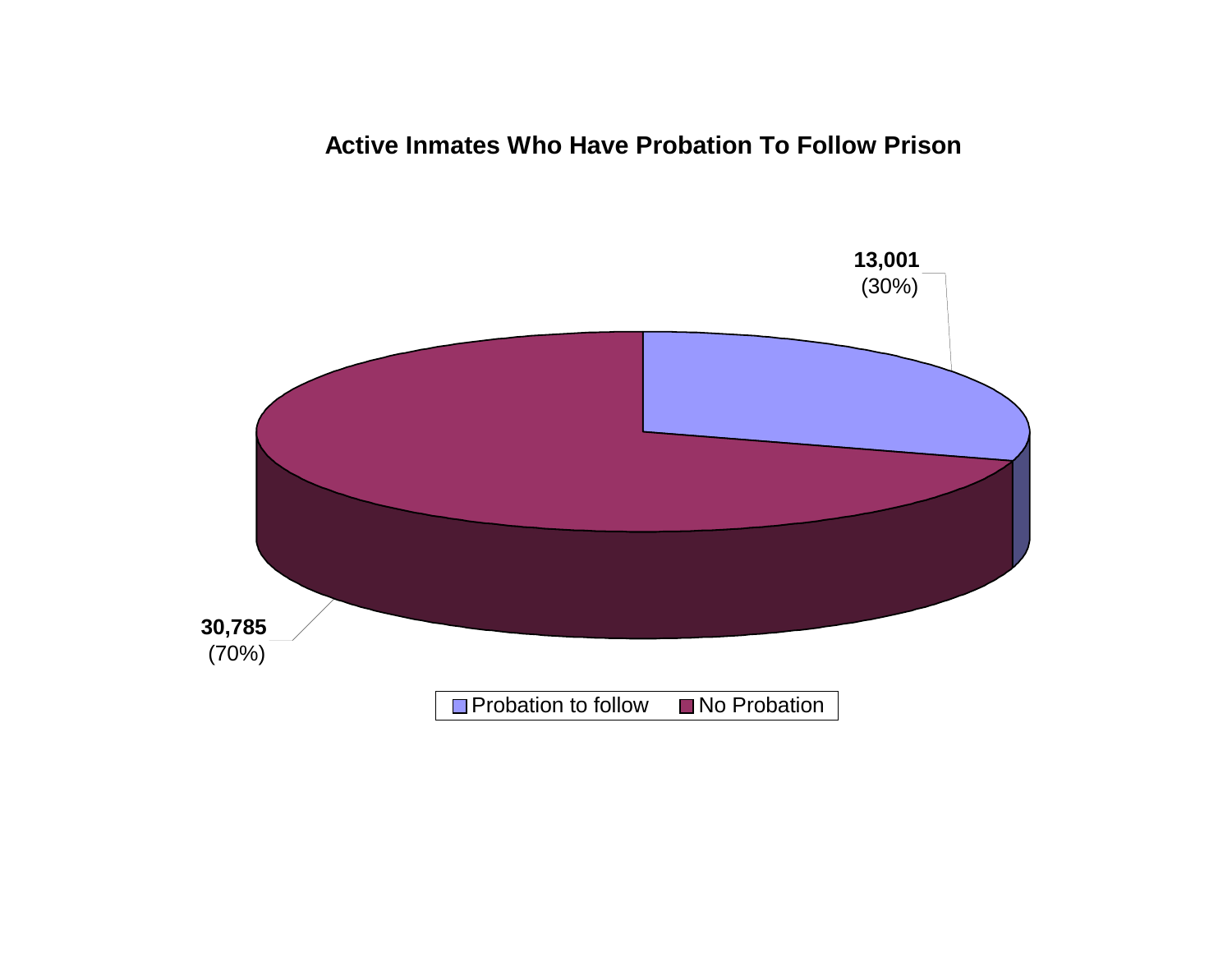# **Active Inmates Who Have Probation To Follow Prison**

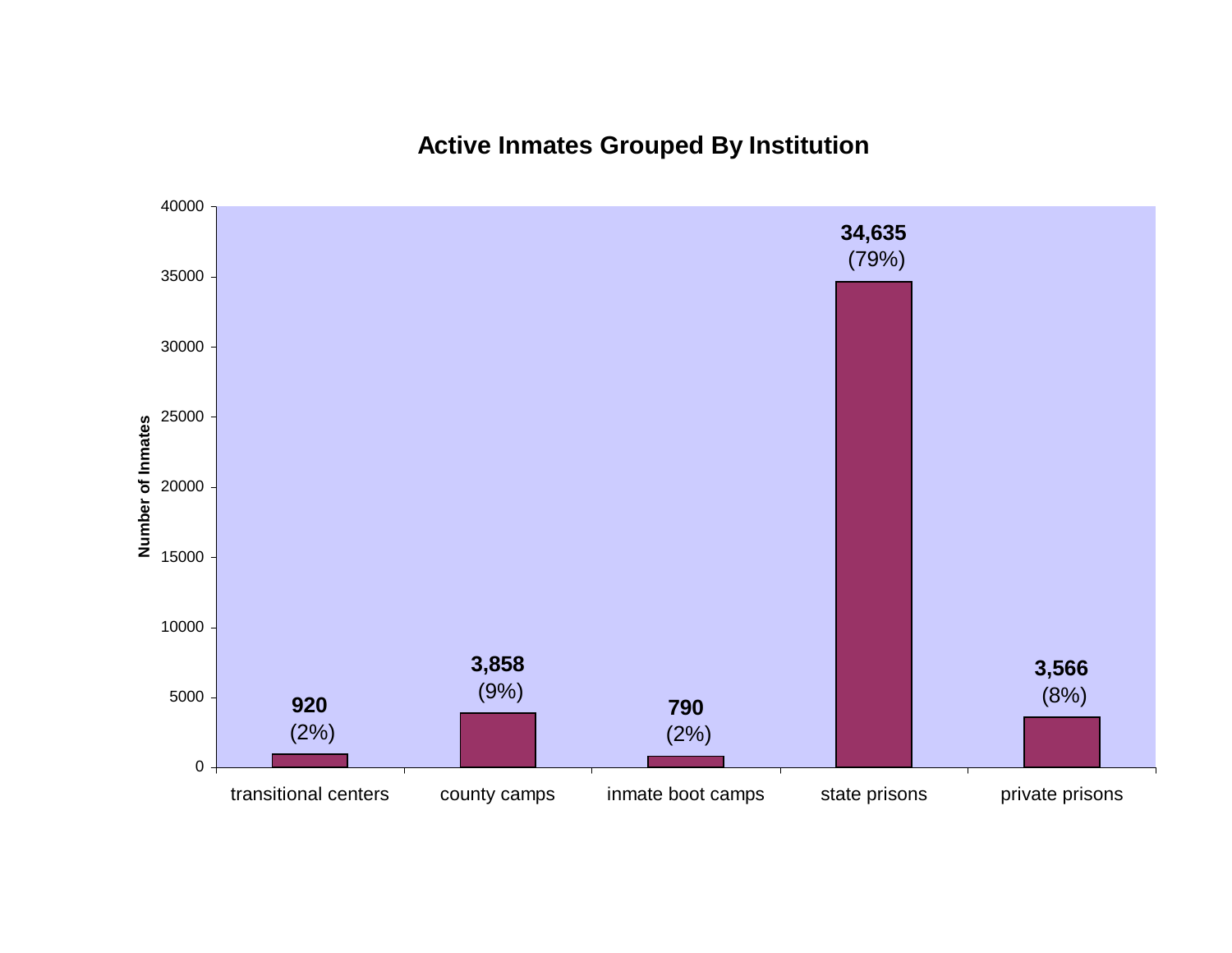# **Active Inmates Grouped By Institution**

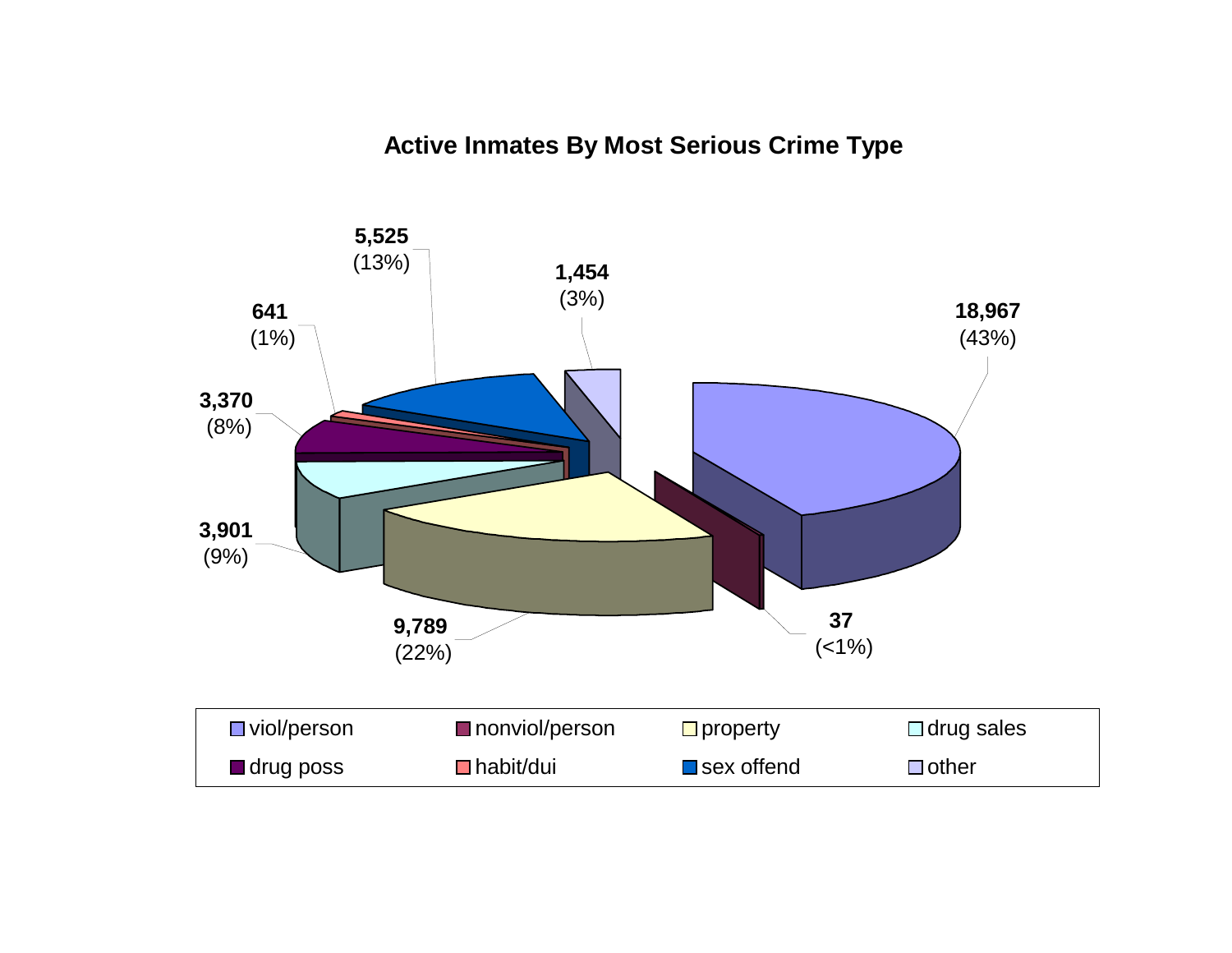# **Active Inmates By Most Serious Crime Type**

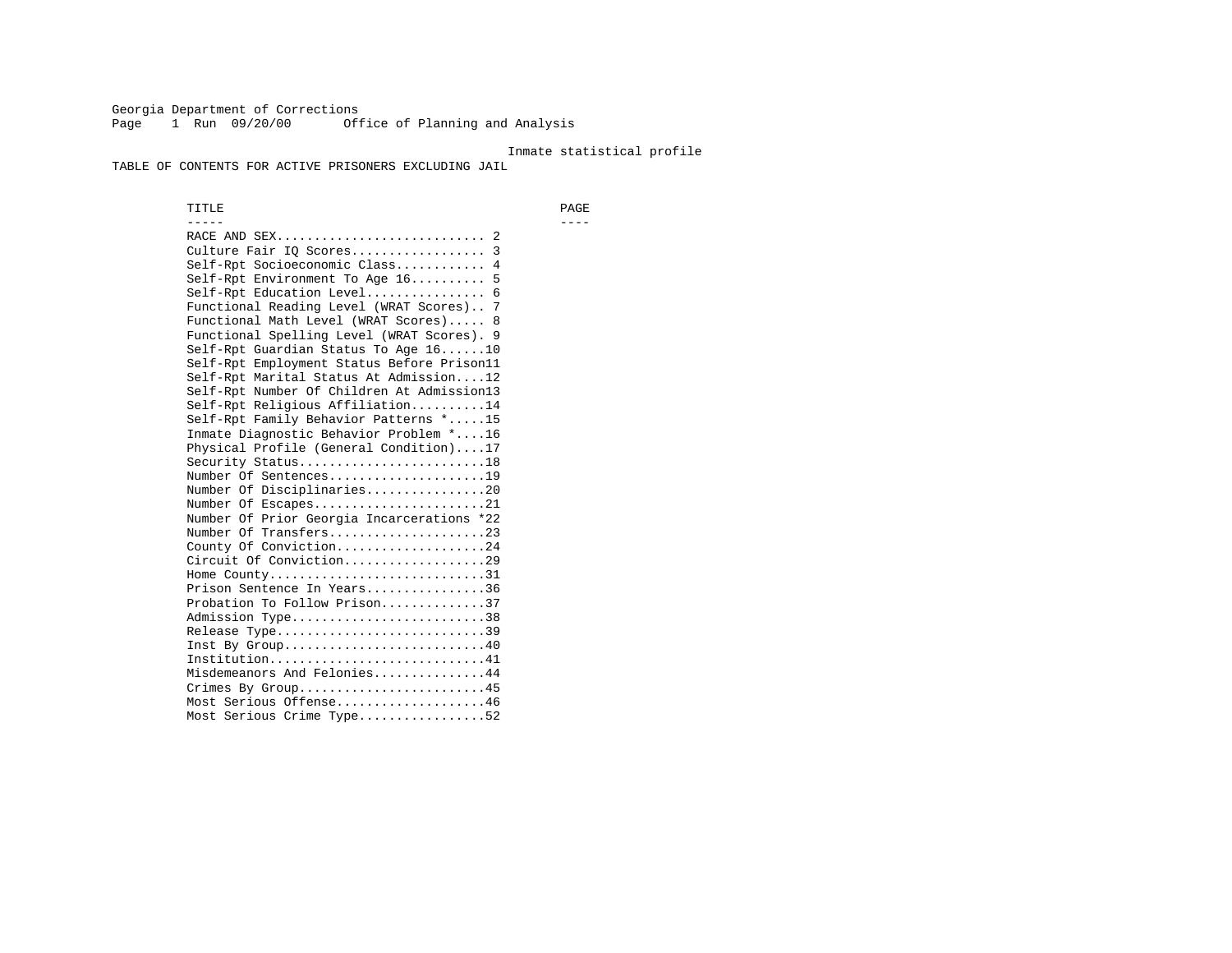Georgia Department of Corrections Page 1 Run 09/20/00 Office of Planning and Analysis

#### Inmate statistical profile

TABLE OF CONTENTS FOR ACTIVE PRISONERS EXCLUDING JAIL

 TITLE PAGE ----- ---- RACE AND SEX............................ 2 Culture Fair IQ Scores.................. 3 Self-Rpt Socioeconomic Class............ 4 Self-Rpt Environment To Age 16.......... 5 Self-Rpt Education Level................ 6 Functional Reading Level (WRAT Scores).. 7 Functional Math Level (WRAT Scores)..... 8 Functional Spelling Level (WRAT Scores). 9 Self-Rpt Guardian Status To Age 16......10 Self-Rpt Employment Status Before Prison11 Self-Rpt Marital Status At Admission....12 Self-Rpt Number Of Children At Admission13 Self-Rpt Religious Affiliation..........14 Self-Rpt Family Behavior Patterns \*.....15 Inmate Diagnostic Behavior Problem \*....16 Physical Profile (General Condition)....17 Security Status...........................18 Number Of Sentences.....................19 Number Of Disciplinaries................20 Number Of Escapes........................21 Number Of Prior Georgia Incarcerations \*22 Number Of Transfers.....................23 County Of Conviction....................24 Circuit Of Conviction...................29 Home County.............................31 Prison Sentence In Years................36 Probation To Follow Prison..............37Admission Type.............................38 Release Type...............................39 Inst By Group.............................40 Institution.............................41 Misdemeanors And Felonies...............44 Crimes By Group.........................45 Most Serious Offense....................46 Most Serious Crime Type.................52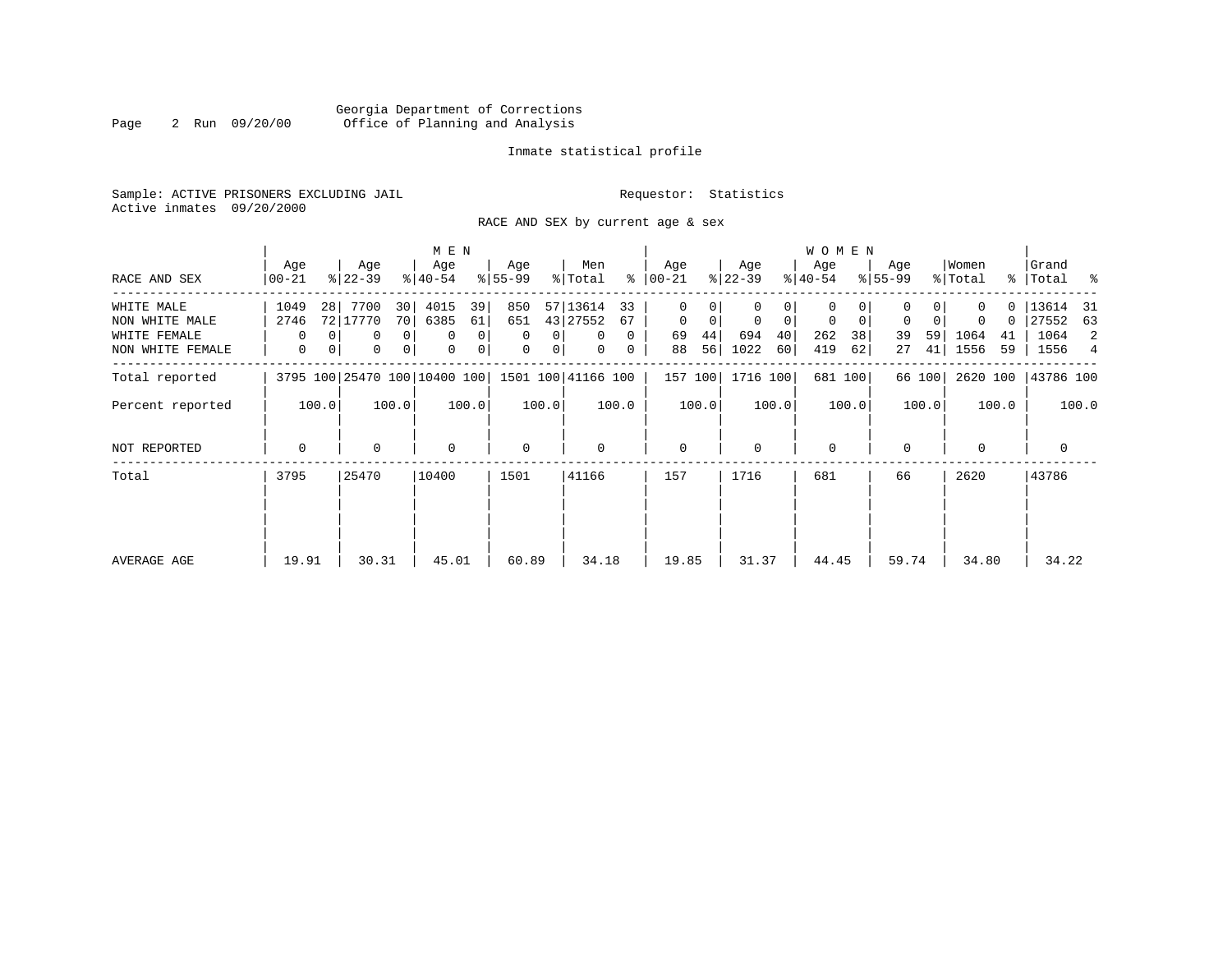# Georgia Department of Corrections Page 2 Run 09/20/00 Office of Planning and Analysis

# Inmate statistical profile

Sample: ACTIVE PRISONERS EXCLUDING JAIL **Requestor:** Statistics Active inmates 09/20/2000

RACE AND SEX by current age & sex

|                  |                  |                              | M E N                         |           |                               |                    |             |                  |       |                  |       | <b>WOMEN</b>     |       |                  |        |                  |          |                      |       |
|------------------|------------------|------------------------------|-------------------------------|-----------|-------------------------------|--------------------|-------------|------------------|-------|------------------|-------|------------------|-------|------------------|--------|------------------|----------|----------------------|-------|
| RACE AND SEX     | Age<br>$00 - 21$ | Age<br>$ 22-39 $             | Age<br>$ 40-54 $              | $8 55-99$ | Age                           | Men<br>% Total     | ፟ዼ          | Age<br>$ 00-21 $ |       | Age<br>$ 22-39 $ |       | Age<br>$ 40-54 $ |       | Age<br>$8 55-99$ |        | Women<br>% Total |          | Grand<br>%   Total % |       |
| WHITE MALE       | 1049             | 7700<br>28                   | 4015<br>30                    | 39        | 850                           | 57 13614           | 33          | 0                |       |                  |       | 0                |       |                  |        |                  | $\Omega$ | 13614 31             |       |
| NON WHITE MALE   | 2746             | 72 17770                     | 70 <br>6385                   | 61        | 651                           | 43 27552           | 67          | $\mathbf 0$      | 0     | $\mathbf 0$      | 0     | 0                | 0     | 0                | 0      |                  | 0        | 27552                | 63    |
| WHITE FEMALE     | 0                | 0                            | 0 <sup>1</sup><br>0           | 0         | $\Omega$<br>0                 | $\Omega$           | $\Omega$    | 69               | 44    | 694              | 40    | 262              | 38    | 39               | 59     | 1064             | 41       | 1064                 | 2     |
| NON WHITE FEMALE | 0                | 0<br>0                       | 0 <sup>1</sup><br>$\mathbf 0$ | 0         | $\mathbf 0$<br>$\overline{0}$ | $\mathbf{0}$       | $\mathbf 0$ | 88               | 56    | 1022             | 60    | 419              | 62    | 27               | 41     | 1556             | 59       | 1556                 | 4     |
| Total reported   |                  | 3795 100 25470 100 10400 100 |                               |           |                               | 1501 100 41166 100 |             | 157 100          |       | 1716 100         |       | 681 100          |       |                  | 66 100 | 2620 100         |          | 43786 100            |       |
| Percent reported | 100.0            | 100.0                        |                               | 100.0     | 100.0                         |                    | 100.0       |                  | 100.0 |                  | 100.0 |                  | 100.0 |                  | 100.0  |                  | 100.0    |                      | 100.0 |
| NOT REPORTED     | $\mathbf 0$      | 0                            | $\mathbf 0$                   |           | $\mathbf 0$                   | $\Omega$           |             | $\mathbf 0$      |       | $\Omega$         |       | $\mathbf 0$      |       | $\Omega$         |        | $\Omega$         |          | $\mathbf 0$          |       |
| Total            | 3795             | 25470                        | 10400                         | 1501      |                               | 41166              |             | 157              |       | 1716             |       | 681              |       | 66               |        | 2620             |          | 43786                |       |
|                  |                  |                              |                               |           |                               |                    |             |                  |       |                  |       |                  |       |                  |        |                  |          |                      |       |
|                  |                  |                              |                               |           |                               |                    |             |                  |       |                  |       |                  |       |                  |        |                  |          |                      |       |
| AVERAGE AGE      | 19.91            | 30.31                        | 45.01                         |           | 60.89                         | 34.18              |             | 19.85            |       | 31.37            |       | 44.45            |       | 59.74            |        | 34.80            |          | 34.22                |       |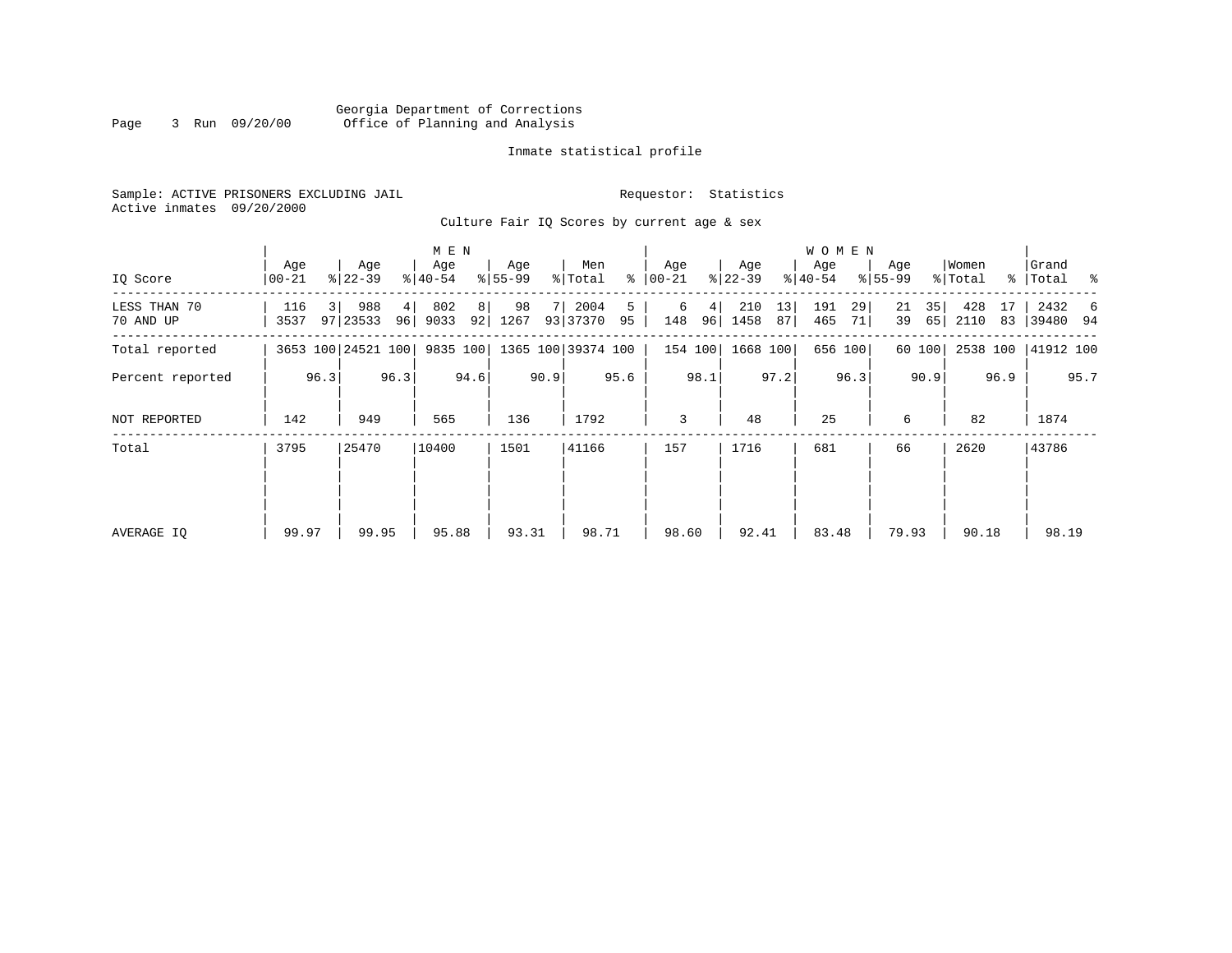# Georgia Department of Corrections Page 3 Run 09/20/00 Office of Planning and Analysis

# Inmate statistical profile

Sample: ACTIVE PRISONERS EXCLUDING JAIL **Requestor:** Statistics Active inmates 09/20/2000

Culture Fair IQ Scores by current age & sex

|                           |                  | M E N |                    |      |                  |                      |                  |      |                    |         |                  |         |                  |          | <b>WOMEN</b>     |          |                  |          |                  |          |                      |      |
|---------------------------|------------------|-------|--------------------|------|------------------|----------------------|------------------|------|--------------------|---------|------------------|---------|------------------|----------|------------------|----------|------------------|----------|------------------|----------|----------------------|------|
| IQ Score                  | Age<br>$00 - 21$ |       | Age<br>$ 22-39 $   |      | Age<br>$ 40-54 $ |                      | Age<br>$8 55-99$ |      | Men<br>% Total     | ွေ      | Age<br>$00 - 21$ |         | Age<br>$ 22-39 $ |          | Age<br>$ 40-54 $ |          | Age<br>$8 55-99$ |          | Women<br>% Total |          | Grand<br>%   Total % |      |
| LESS THAN 70<br>70 AND UP | 116<br>3537      | -3 I  | 988<br>97 23533    | 4    | 802<br>$96$ 9033 | 8 <sup>1</sup><br>92 | 98<br>1267       |      | 2004<br>93 37370   | 5<br>95 | 6<br>148         | 4<br>96 | 210<br>1458      | 13<br>87 | 191<br>465       | 29<br>71 | 21<br>39         | 35<br>65 | 428<br>2110      | 17<br>83 | 2432 6<br>39480 94   |      |
| Total reported            |                  |       | 3653 100 24521 100 |      | 9835 100         |                      |                  |      | 1365 100 39374 100 |         |                  | 154 100 | 1668 100         |          |                  | 656 100  |                  | 60 100   | 2538 100         |          | 41912 100            |      |
| Percent reported          |                  | 96.3  |                    | 96.3 |                  | 94.6                 |                  | 90.9 |                    | 95.6    |                  | 98.1    |                  | 97.2     |                  | 96.3     |                  | 90.9     |                  | 96.9     |                      | 95.7 |
| NOT REPORTED              | 142              |       | 949                |      | 565              |                      | 136              |      | 1792               |         | 3                |         | 48               |          | 25               |          | 6                |          | 82               |          | 1874                 |      |
| Total                     | 3795             |       | 25470              |      | 10400            |                      | 1501             |      | 41166              |         | 157              |         | 1716             |          | 681              |          | 66               |          | 2620             |          | 43786                |      |
|                           |                  |       |                    |      |                  |                      |                  |      |                    |         |                  |         |                  |          |                  |          |                  |          |                  |          |                      |      |
|                           |                  |       |                    |      |                  |                      |                  |      |                    |         |                  |         |                  |          |                  |          |                  |          |                  |          |                      |      |
| AVERAGE IQ                | 99.97            |       | 99.95              |      | 95.88            |                      | 93.31            |      | 98.71              |         | 98.60            |         | 92.41            |          | 83.48            |          | 79.93            |          | 90.18            |          | 98.19                |      |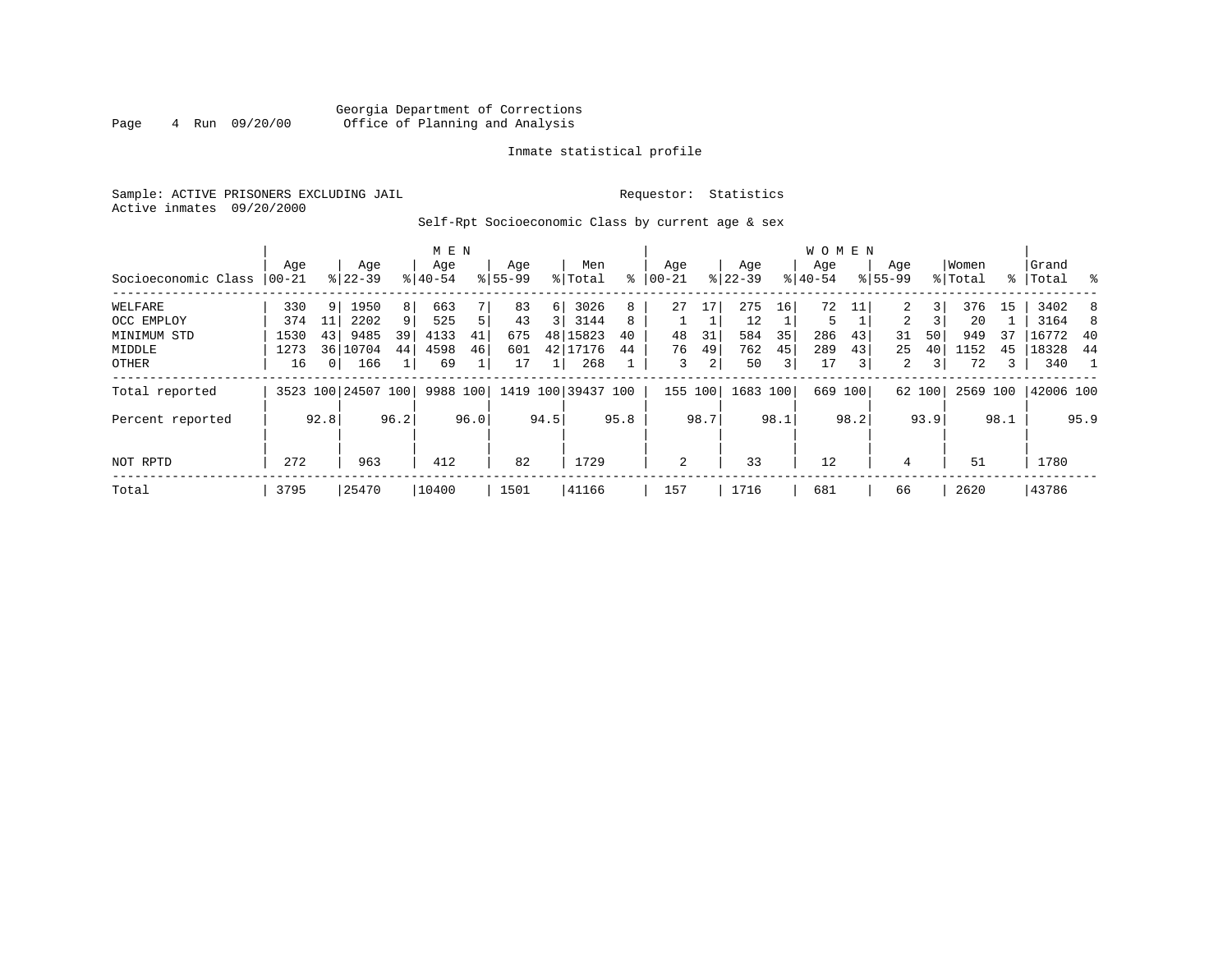# Georgia Department of Corrections<br>4 Run 09/20/00 Office of Planning and Analysis Page 4 Run 09/20/00 Office of Planning and Analysis

# Inmate statistical profile

Sample: ACTIVE PRISONERS EXCLUDING JAIL **Requestor:** Statistics Active inmates 09/20/2000

# Self-Rpt Socioeconomic Class by current age & sex

|                     |       |                |                    |                | M E N     |      |             |          |                    |      |             |      |             |      | <b>WOMEN</b> |                |                |        |          |      |           |      |
|---------------------|-------|----------------|--------------------|----------------|-----------|------|-------------|----------|--------------------|------|-------------|------|-------------|------|--------------|----------------|----------------|--------|----------|------|-----------|------|
|                     | Age   |                | Age                |                | Age       |      | Age         |          | Men                |      | Age         |      | Age         |      | Age          |                | Age            |        | Women    |      | Grand     |      |
| Socioeconomic Class | 00-21 |                | $8 22-39$          |                | $8 40-54$ |      | $8155 - 99$ |          | % Total            | ి    | $ 00 - 21 $ |      | $8$   22-39 |      | $ 40-54 $    |                | $8155 - 99$    |        | % Total  |      | %   Total | - 왕  |
| WELFARE             | 330   | 9 <sup>1</sup> | 1950               | 8 <sup>1</sup> | 663       |      | 83          | $6 \mid$ | 3026               | 8    | 27          | 17   | 275         | 16   | 72           |                |                | 3      | 376      | 15   | 3402      | 8    |
| OCC EMPLOY          | 374   | 11             | 2202               | 9              | 525       |      | 43          | 3 I      | 3144               | 8    |             |      | 12          |      | 5            |                | $\overline{a}$ |        | 20       |      | 3164      | 8    |
| MINIMUM STD         | 1530  | 43             | 9485               | 39             | 4133      | 41   | 675         |          | 48 15823           | 40   | 48          | 31   | 584         | 35   | 286          | 43             | 31             | 50     | 949      | 37   | 16772     | -40  |
| MIDDLE              | 1273  |                | 36 10704           | 44             | 4598      | 46   | 601         |          | 42 17176           | 44   | 76          | 49   | 762         | 45   | 289          | 43             | 25             | 40     | 1152     | 45   | 18328     | -44  |
| OTHER               | 16    | 0 <sup>1</sup> | 166                |                | 69        |      | 17          |          | 268                |      | 3           | 2    | 50          | 31   | 17           | $\overline{3}$ | $\overline{2}$ | 3      | 72       | 3    | 340       |      |
| Total reported      |       |                | 3523 100 24507 100 |                | 9988      | 100  |             |          | 1419 100 39437 100 |      | 155         | 100  | 1683 100    |      | 669          | 100            |                | 62 100 | 2569 100 |      | 42006 100 |      |
| Percent reported    |       | 92.8           |                    | 96.2           |           | 96.0 |             | 94.5     |                    | 95.8 |             | 98.7 |             | 98.1 |              | 98.2           |                | 93.9   |          | 98.1 |           | 95.9 |
|                     |       |                |                    |                |           |      |             |          |                    |      |             |      |             |      |              |                |                |        |          |      |           |      |
| NOT RPTD            | 272   |                | 963                |                | 412       |      | 82          |          | 1729               |      | 2           |      | 33          |      | 12           |                | 4              |        | 51       |      | 1780      |      |
| Total               | 3795  |                | 25470              |                | 10400     |      | 1501        |          | 41166              |      | 157         |      | 1716        |      | 681          |                | 66             |        | 2620     |      | 43786     |      |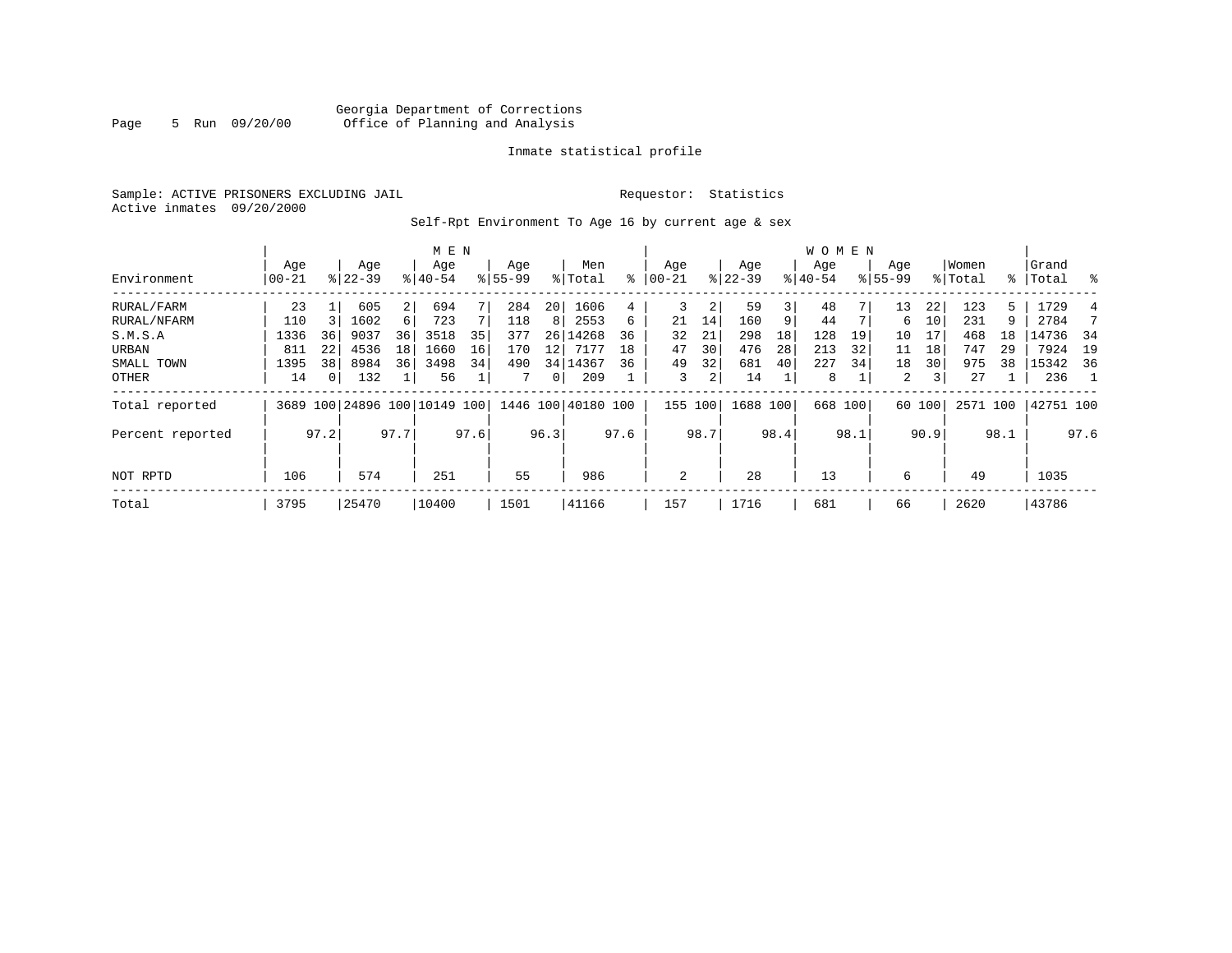# Georgia Department of Corrections Page 5 Run 09/20/00 Office of Planning and Analysis

# Inmate statistical profile

Sample: ACTIVE PRISONERS EXCLUDING JAIL **Requestor:** Statistics Active inmates 09/20/2000

Self-Rpt Environment To Age 16 by current age & sex

|                  |                  |          |                  |      | M E N                        |      |                    |          |                    |      |                   |      |                  |      | <b>WOMEN</b>    |      |                    |        |                  |      |                 |      |
|------------------|------------------|----------|------------------|------|------------------------------|------|--------------------|----------|--------------------|------|-------------------|------|------------------|------|-----------------|------|--------------------|--------|------------------|------|-----------------|------|
| Environment      | Age<br>$00 - 21$ |          | Age<br>$8 22-39$ |      | Age<br>$8140 - 54$           |      | Age<br>$8155 - 99$ |          | Men<br>% Total     | ႜ    | Age<br>$ 00 - 21$ |      | Age<br>$ 22-39 $ |      | Age<br>$ 40-54$ |      | Age<br>$8155 - 99$ |        | Women<br>% Total | ႜ    | Grand<br> Total | ွေ   |
| RURAL/FARM       | 23               |          | 605              | 2    | 694                          |      | 284                | 20       | 1606               | 4    | 3                 | 2    | 59               | 3    | 48              |      | 13                 | 22     | 123              | 5    | 1729            | 4    |
| RURAL/NFARM      | 110              |          | 1602             | 6    | 723                          |      | 118                | 8        | 2553               | 6    | 21                | 14   | 160              | 9    | 44              |      | 6                  | 10     | 231              | 9    | 2784            |      |
| S.M.S.A          | 1336             | 36       | 9037             | 36   | 3518                         | 35   | 377                | 26       | 14268              | 36   | 32                | 21   | 298              | 18   | 128             | 19   | 10                 | 17     | 468              | 18   | 14736           | 34   |
| URBAN            | 811              | 22       | 4536             | 18   | 1660                         | 16   | 170                | 12       | 7177               | 18   | 47                | 30   | 476              | 28   | 213             | 32   | 11                 | 18     | 747              | 29   | 7924            | 19   |
| SMALL TOWN       | 1395             | 38       | 8984             | 36   | 3498                         | 34   | 490                |          | 34 14367           | 36   | 49                | 32   | 681              | 40   | 227             | 34   | 18                 | 30     | 975              | 38   | 15342           | 36   |
| OTHER            | 14               | $\Omega$ | 132              |      | 56                           |      |                    | $\Omega$ | 209                |      | 3                 | 2    | 14               |      | 8               |      | $\overline{a}$     | 3      | 27               |      | 236             |      |
| Total reported   |                  |          |                  |      | 3689 100 24896 100 10149 100 |      |                    |          | 1446 100 40180 100 |      | 155 100           |      | 1688 100         |      | 668 100         |      |                    | 60 100 | 2571 100         |      | 42751 100       |      |
| Percent reported |                  | 97.2     |                  | 97.7 |                              | 97.6 |                    | 96.3     |                    | 97.6 |                   | 98.7 |                  | 98.4 |                 | 98.1 |                    | 90.9   |                  | 98.1 |                 | 97.6 |
| NOT RPTD         | 106              |          | 574              |      | 251                          |      | 55                 |          | 986                |      | 2                 |      | 28               |      | 13              |      | 6                  |        | 49               |      | 1035            |      |
| Total            | 3795             |          | 25470            |      | 10400                        |      | 1501               |          | 41166              |      | 157               |      | 1716             |      | 681             |      | 66                 |        | 2620             |      | 43786           |      |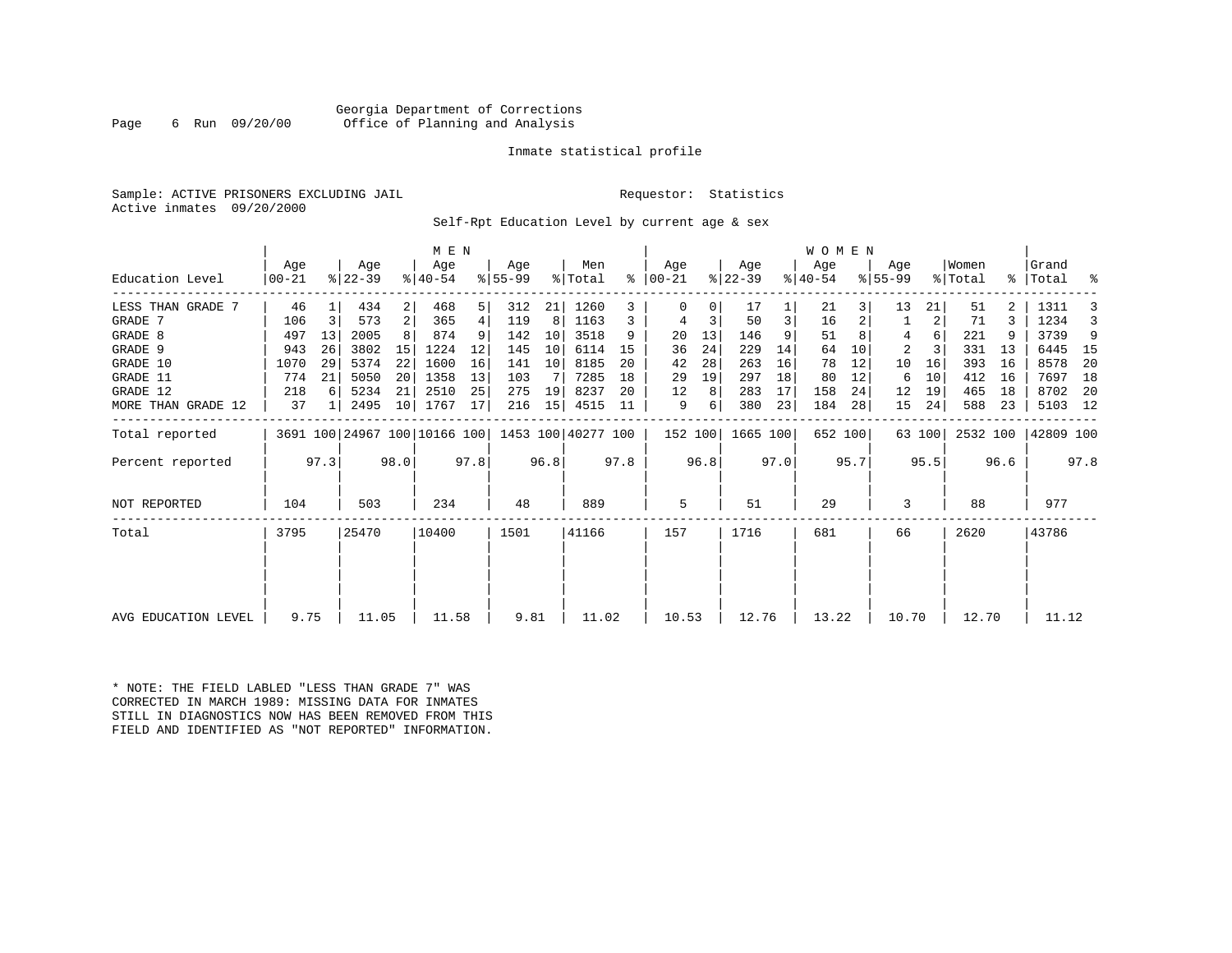# Georgia Department of Corrections Page 6 Run 09/20/00 Office of Planning and Analysis

# Inmate statistical profile

Sample: ACTIVE PRISONERS EXCLUDING JAIL **Requestor:** Statistics Active inmates 09/20/2000

Self-Rpt Education Level by current age & sex

|                     |                |      |                              |                | M E N              |      |                  |      |                    |      |                      |      |                  |      | WOMEN            |         |                  |        |                  |      |                    |      |
|---------------------|----------------|------|------------------------------|----------------|--------------------|------|------------------|------|--------------------|------|----------------------|------|------------------|------|------------------|---------|------------------|--------|------------------|------|--------------------|------|
| Education Level     | Age<br>  00-21 |      | Age<br>$ 22-39 $             |                | Age<br>$8140 - 54$ |      | Age<br>$8 55-99$ |      | Men<br>% Total     |      | Age<br>$8   00 - 21$ |      | Age<br>$ 22-39 $ |      | Age<br>$ 40-54 $ |         | Age<br>$8 55-99$ |        | Women<br>% Total |      | Grand<br>%   Total | ್ಠಿ  |
| LESS THAN GRADE 7   | 46             |      | 434                          | $\overline{2}$ | 468                | 5    | 312              | 21   | 1260               |      |                      | 0    | 17               |      | 21               |         | 13               | 21     | 51               |      | 1311               |      |
| GRADE 7             | 106            | 3    | 573                          | 2 <sup>1</sup> | 365                | 4    | 119              | 8    | 1163               | 3    | 4                    | 3    | 50               | 3    | 16               |         |                  | 2      | 71               |      | 1234               |      |
| GRADE 8             | 497            | 13   | 2005                         |                | 874                | 9    | 142              | 10   | 3518               | 9    | 20                   | 13   | 146              | 9    | 51               |         | 4                | 6      | 221              |      | 3739               | 9    |
| GRADE 9             | 943            | 26   | 3802                         | 15             | 1224               | 12   | 145              | 10   | 6114               | 15   | 36                   | 24   | 229              | 14   | 64               | 10      | 2                |        | 331              | 13   | 6445               | 15   |
| GRADE 10            | 1070           | 29   | 5374                         | 22             | 1600               | 16   | 141              | 10   | 8185               | 20   | 42                   | 28   | 263              | 16   | 78               | 12      | 10               | 16     | 393              | 16   | 8578               | 20   |
| GRADE 11            | 774            | 21   | 5050                         | 20             | 1358               | 13   | 103              |      | 7285               | 18   | 29                   | 19   | 297              | 18   | 80               | 12      | 6                | 10     | 412              | 16   | 7697               | 18   |
| GRADE 12            | 218            | 6    | 5234                         | 21             | 2510               | 25   | 275              | 19   | 8237               | 20   | 12                   | 8    | 283              | 17   | 158              | 24      | 12               | 19     | 465              | 18   | 8702               | -20  |
| MORE THAN GRADE 12  | 37             | 1    | 2495                         | 10             | 1767               | 17   | 216              | 15   | 4515               | 11   | 9                    | 6    | 380              | 23   | 184              | 28      | 15               | 24     | 588              | 23   | 5103 12            |      |
| Total reported      |                |      | 3691 100 24967 100 10166 100 |                |                    |      |                  |      | 1453 100 40277 100 |      | 152 100              |      | 1665 100         |      |                  | 652 100 |                  | 63 100 | 2532 100         |      | 42809 100          |      |
| Percent reported    |                | 97.3 |                              | 98.0           |                    | 97.8 |                  | 96.8 |                    | 97.8 |                      | 96.8 |                  | 97.0 |                  | 95.7    |                  | 95.5   |                  | 96.6 |                    | 97.8 |
| NOT REPORTED        | 104            |      | 503                          |                | 234                |      | 48               |      | 889                |      | 5                    |      | 51               |      | 29               |         | 3                |        | 88               |      | 977                |      |
| Total               | 3795           |      | 25470                        |                | 10400              |      | 1501             |      | 41166              |      | 157                  |      | 1716             |      | 681              |         | 66               |        | 2620             |      | 43786              |      |
|                     |                |      |                              |                |                    |      |                  |      |                    |      |                      |      |                  |      |                  |         |                  |        |                  |      |                    |      |
|                     |                |      |                              |                |                    |      |                  |      |                    |      |                      |      |                  |      |                  |         |                  |        |                  |      |                    |      |
| AVG EDUCATION LEVEL | 9.75           |      | 11.05                        |                | 11.58              |      | 9.81             |      | 11.02              |      | 10.53                |      | 12.76            |      | 13.22            |         | 10.70            |        | 12.70            |      | 11.12              |      |

\* NOTE: THE FIELD LABLED "LESS THAN GRADE 7" WAS CORRECTED IN MARCH 1989: MISSING DATA FOR INMATES STILL IN DIAGNOSTICS NOW HAS BEEN REMOVED FROM THIS FIELD AND IDENTIFIED AS "NOT REPORTED" INFORMATION.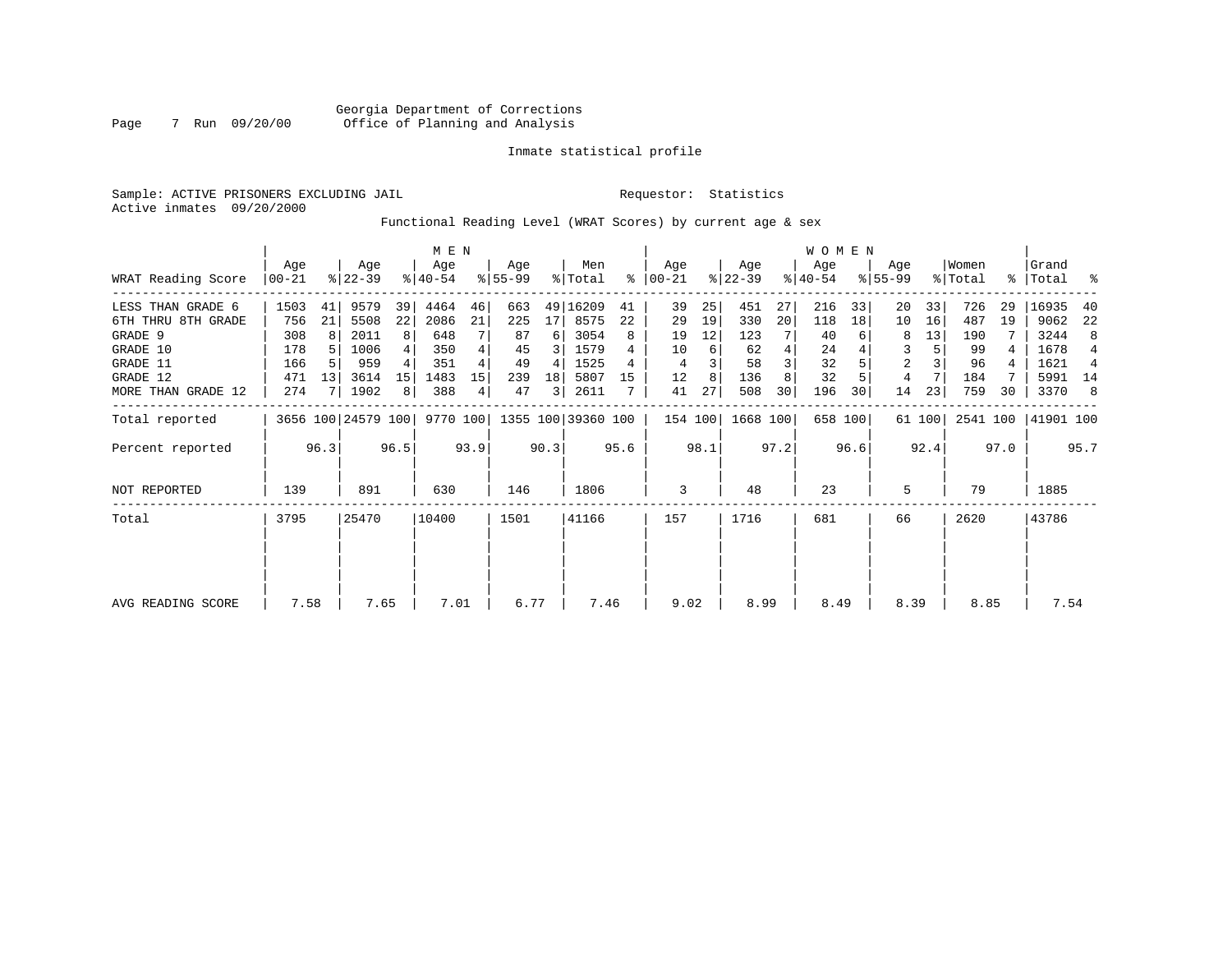Sample: ACTIVE PRISONERS EXCLUDING JAIL **Requestor:** Statistics Active inmates 09/20/2000

Functional Reading Level (WRAT Scores) by current age & sex

|                    |                |      |                    |      | M E N              |      |                 |      |                    |      |                 |      |                  |      | WOMEN            |         |                    |        |                  |      |                    |      |
|--------------------|----------------|------|--------------------|------|--------------------|------|-----------------|------|--------------------|------|-----------------|------|------------------|------|------------------|---------|--------------------|--------|------------------|------|--------------------|------|
| WRAT Reading Score | Age<br>  00-21 |      | Age<br>$ 22-39 $   |      | Age<br>$8140 - 54$ |      | Age<br>$ 55-99$ |      | Men<br>% Total     | ి    | Age<br>$ 00-21$ |      | Age<br>$ 22-39 $ |      | Age<br>$ 40-54 $ |         | Age<br>$8155 - 99$ |        | Women<br>% Total |      | Grand<br>%   Total | ್ಠಿ  |
| LESS THAN GRADE 6  | 1503           | 41   | 9579               | 39   | 4464               | 46   | 663             |      | 49 16209           | 41   | 39              | 25   | 451              | 27   | 216              | 33      | 20                 | 33     | 726              | 29   | 16935              | 40   |
| 6TH THRU 8TH GRADE | 756            | 21   | 5508               | 22   | 2086               | 21   | 225             | 17   | 8575               | 22   | 29              | 19   | 330              | 20   | 118              | 18      | 10                 | 16     | 487              | 19   | 9062               | 22   |
| GRADE 9            | 308            | 8    | 2011               | 8    | 648                |      | 87              | 6    | 3054               | 8    | 19              | 12   | 123              |      | 40               |         | 8                  | 13     | 190              |      | 3244               | 8    |
| GRADE 10           | 178            |      | 1006               | 4    | 350                | 4    | 45              |      | 1579               |      | 10              | 6    | 62               | 4    | 24               |         | 3                  |        | 99               |      | 1678               | 4    |
| GRADE 11           | 166            |      | 959                |      | 351                |      | 49              | 4    | 1525               |      | 4               |      | 58               |      | 32               |         | 2                  |        | 96               |      | 1621               | 4    |
| GRADE 12           | 471            | 13   | 3614               | 15   | 1483               | 15   | 239             | 18   | 5807               | 15   | 12              | 8    | 136              |      | 32               |         | 4                  |        | 184              |      | 5991               | 14   |
| MORE THAN GRADE 12 | 274            |      | 1902               | 8    | 388                | 4    | 47              | 3    | 2611               |      | 41              | 27   | 508              | 30   | 196              | 30      | 14                 | 23     | 759              | 30   | 3370               | 8    |
| Total reported     |                |      | 3656 100 24579 100 |      | 9770 100           |      |                 |      | 1355 100 39360 100 |      | 154 100         |      | 1668 100         |      |                  | 658 100 |                    | 61 100 | 2541 100         |      | 41901 100          |      |
| Percent reported   |                | 96.3 |                    | 96.5 |                    | 93.9 |                 | 90.3 |                    | 95.6 |                 | 98.1 |                  | 97.2 |                  | 96.6    |                    | 92.4   |                  | 97.0 |                    | 95.7 |
| NOT REPORTED       | 139            |      | 891                |      | 630                |      | 146             |      | 1806               |      | 3               |      | 48               |      | 23               |         | 5                  |        | 79               |      | 1885               |      |
| Total              | 3795           |      | 25470              |      | 10400              |      | 1501            |      | 41166              |      | 157             |      | 1716             |      | 681              |         | 66                 |        | 2620             |      | 43786              |      |
|                    |                |      |                    |      |                    |      |                 |      |                    |      |                 |      |                  |      |                  |         |                    |        |                  |      |                    |      |
|                    |                |      |                    |      |                    |      |                 |      |                    |      |                 |      |                  |      |                  |         |                    |        |                  |      |                    |      |
| AVG READING SCORE  | 7.58           |      | 7.65               |      | 7.01               |      | 6.77            |      | 7.46               |      | 9.02            |      | 8.99             |      | 8.49             |         | 8.39               |        | 8.85             |      | 7.54               |      |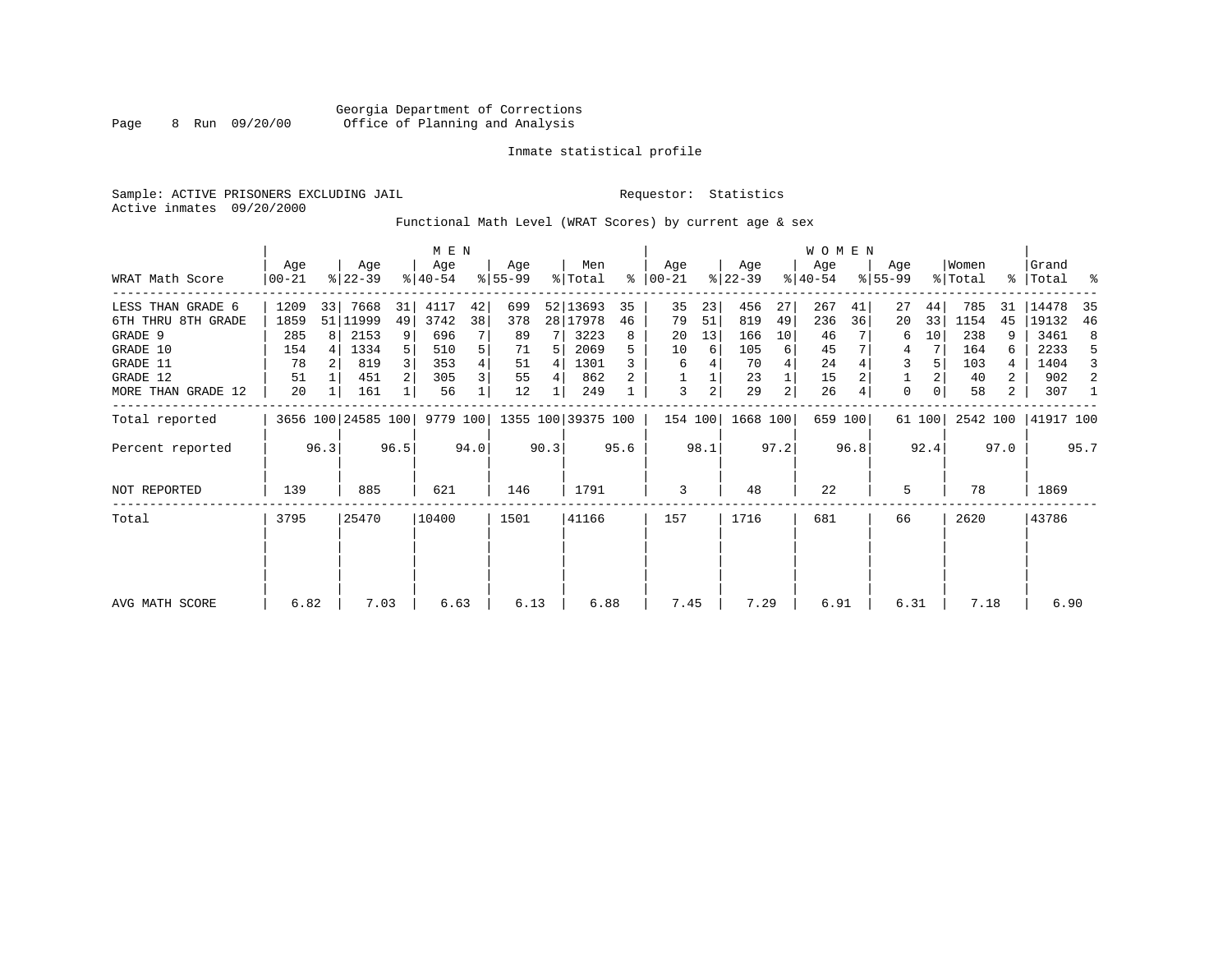Sample: ACTIVE PRISONERS EXCLUDING JAIL **Requestor:** Statistics Active inmates 09/20/2000

Functional Math Level (WRAT Scores) by current age & sex

|                                |                  | M E N |                    |                |                  |        |                 |        |                    |         |                      |                |                  |          | <b>WOMEN</b>     |         |                    |          |                  |        |                    |         |
|--------------------------------|------------------|-------|--------------------|----------------|------------------|--------|-----------------|--------|--------------------|---------|----------------------|----------------|------------------|----------|------------------|---------|--------------------|----------|------------------|--------|--------------------|---------|
| WRAT Math Score                | Age<br>$00 - 21$ |       | Age<br>$ 22-39 $   |                | Age<br>$8 40-54$ |        | Aqe<br>$ 55-99$ |        | Men<br>% Total     |         | Aqe<br>$8   00 - 21$ |                | Age<br>$ 22-39 $ |          | Age<br>$ 40-54 $ |         | Age<br>$8155 - 99$ |          | Women<br>% Total |        | Grand<br>% Total % |         |
| LESS THAN GRADE 6              | 1209             | 33    | 7668               | 31             | 4117             | 42     | 699             |        | 52 13693           | 35      | 35                   | 23             | 456              | 27       | 267              | 41      | 27                 | 44       | 785              | 31     | 14478              | 35      |
| 6TH THRU 8TH GRADE<br>GRADE 9  | 1859<br>285      | 8     | 51   11999<br>2153 | 49<br>9        | 3742<br>696      | 38     | 378<br>89       |        | 28   17978<br>3223 | 46<br>8 | 79<br>20             | 51<br>13       | 819<br>166       | 49<br>10 | 236<br>46        | 36      | 20<br>6            | 33<br>10 | 1154<br>238      | 45     | 19132<br>3461      | 46<br>8 |
| GRADE 10<br>GRADE 11           | 154<br>78        |       | 1334<br>819        | 5 <sup>1</sup> | 510<br>353       | 5<br>4 | 71<br>51        | 5<br>4 | 2069<br>1301       |         | 10<br>6              | 6              | 105<br>70        | 6        | 45<br>24         |         | 4<br>3             |          | 164<br>103       | 6      | 2233<br>1404       | 5<br>3  |
| GRADE 12<br>MORE THAN GRADE 12 | 51<br>20         |       | 451<br>161         | 2 <sup>1</sup> | 305<br>56        | 3      | 55<br>12        | 4      | 862<br>249         |         | 3                    | $\overline{a}$ | 23<br>29         | 2        | 15<br>26         |         | $\mathbf 0$        |          | 40<br>58         | 2<br>2 | 902<br>307         | 2<br>1  |
| Total reported                 |                  |       | 3656 100 24585 100 |                | 9779 100         |        |                 |        | 1355 100 39375 100 |         | 154 100              |                | 1668 100         |          |                  | 659 100 |                    | 61 100   | 2542 100         |        | 41917 100          |         |
| Percent reported               |                  | 96.3  |                    | 96.5           |                  | 94.0   |                 | 90.3   |                    | 95.6    |                      | 98.1           |                  | 97.2     |                  | 96.8    |                    | 92.4     |                  | 97.0   |                    | 95.7    |
| NOT REPORTED                   | 139              |       | 885                |                | 621              |        | 146             |        | 1791               |         | 3                    |                | 48               |          | 22               |         | 5                  |          | 78               |        | 1869               |         |
| Total                          | 3795             |       | 25470              |                | 10400            |        | 1501            |        | 41166              |         | 157                  |                | 1716             |          | 681              |         | 66                 |          | 2620             |        | 43786              |         |
|                                |                  |       |                    |                |                  |        |                 |        |                    |         |                      |                |                  |          |                  |         |                    |          |                  |        |                    |         |
|                                |                  |       |                    |                |                  |        |                 |        |                    |         |                      |                |                  |          |                  |         |                    |          |                  |        |                    |         |
| AVG MATH SCORE                 | 6.82             |       | 7.03               |                | 6.63             |        | 6.13            |        | 6.88               |         | 7.45                 |                | 7.29             |          | 6.91             |         | 6.31               |          | 7.18             |        | 6.90               |         |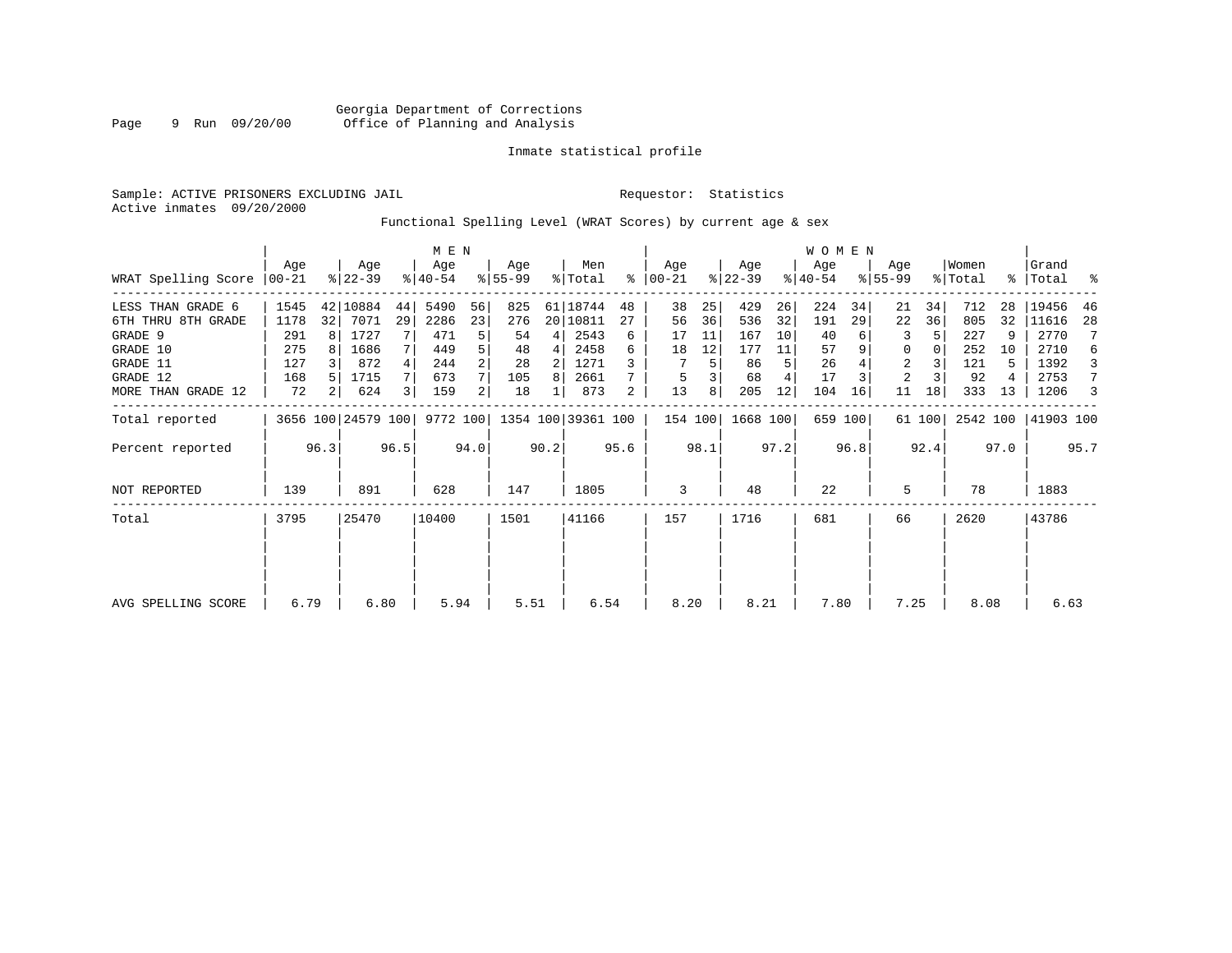Sample: ACTIVE PRISONERS EXCLUDING JAIL **Requestor:** Statistics Active inmates 09/20/2000

Functional Spelling Level (WRAT Scores) by current age & sex

|                     |                 | M E N          |                    |      |                  |                |                    |      |                |      |                  |      |                  |      | <b>WOMEN</b>     |         |                    |        |                  |      |                    |      |
|---------------------|-----------------|----------------|--------------------|------|------------------|----------------|--------------------|------|----------------|------|------------------|------|------------------|------|------------------|---------|--------------------|--------|------------------|------|--------------------|------|
| WRAT Spelling Score | Aqe<br>$ 00-21$ |                | Age<br>$ 22-39 $   |      | Age<br>$8 40-54$ |                | Aqe<br>$ 55-99$    |      | Men<br>% Total | ႜ    | Age<br>$00 - 21$ |      | Age<br>$ 22-39 $ |      | Age<br>$ 40-54 $ |         | Age<br>$8155 - 99$ |        | Women<br>% Total |      | Grand<br>%   Total | ႜ    |
| LESS THAN GRADE 6   | 1545            |                | 42 10884           | 44   | 5490             | 56             | 825                |      | 61 18744       | 48   | 38               | 25   | 429              | 26   | 224              | 34      | 21                 | 34     | 712              | 28   | 19456              | 46   |
| 6TH THRU 8TH GRADE  | 1178            | 32             | 7071               | 29   | 2286             | 23             | 276                |      | 20   10811     | 27   | 56               | 36   | 536              | 32   | 191              | 29      | 22                 | 36     | 805              | 32   | 11616              | 28   |
| GRADE 9             | 291             |                | 1727               |      | 471              | 5              | 54                 | 4    | 2543           | 6    | 17               | 11   | 167              | 10   | 40               |         | 3                  |        | 227              | 9    | 2770               |      |
| GRADE 10            | 275             |                | 1686               |      | 449              |                | 48                 | 4    | 2458           | 6    | 18               | 12   | 177              | 11   | 57               |         | 0                  |        | 252              | 10   | 2710               | 6    |
| GRADE 11            | 127             |                | 872                |      | 244              |                | 28                 | 2    | 1271           |      |                  | 5    | 86               | 5    | 26               |         | 2                  |        | 121              | 5    | 1392               | 3    |
| GRADE 12            | 168             |                | 1715               |      | 673              |                | 105                | 8    | 2661           |      | 5                |      | 68               |      | 17               |         | 2                  |        | 92               |      | 2753               | 7    |
| MORE THAN GRADE 12  | 72              | 2 <sup>1</sup> | 624                |      | 159              | $\overline{2}$ | 18                 |      | 873            | 2    | 13               | 8    | 205              | 12   | 104              | 16      | 11                 | 18     | 333              | 13   | 1206               | 3    |
| Total reported      |                 |                | 3656 100 24579 100 |      | 9772 100         |                | 1354 100 39361 100 |      |                |      | 154 100          |      | 1668 100         |      |                  | 659 100 |                    | 61 100 | 2542 100         |      | 41903 100          |      |
| Percent reported    |                 | 96.3           |                    | 96.5 |                  | 94.0           |                    | 90.2 |                | 95.6 |                  | 98.1 |                  | 97.2 |                  | 96.8    |                    | 92.4   |                  | 97.0 |                    | 95.7 |
| <b>NOT REPORTED</b> | 139             |                | 891                |      | 628              |                | 147                |      | 1805           |      | 3                |      | 48               |      | 22               |         | 5                  |        | 78               |      | 1883               |      |
| Total               | 3795            |                | 25470              |      | 10400            |                | 1501               |      | 41166          |      | 157              |      | 1716             |      | 681              |         | 66                 |        | 2620             |      | 43786              |      |
|                     |                 |                |                    |      |                  |                |                    |      |                |      |                  |      |                  |      |                  |         |                    |        |                  |      |                    |      |
|                     |                 |                |                    |      |                  |                |                    |      |                |      |                  |      |                  |      |                  |         |                    |        |                  |      |                    |      |
| AVG SPELLING SCORE  | 6.79            |                | 6.80               |      | 5.94             |                | 5.51               |      | 6.54           |      | 8.20             |      | 8.21             |      | 7.80             |         | 7.25               |        | 8.08             |      | 6.63               |      |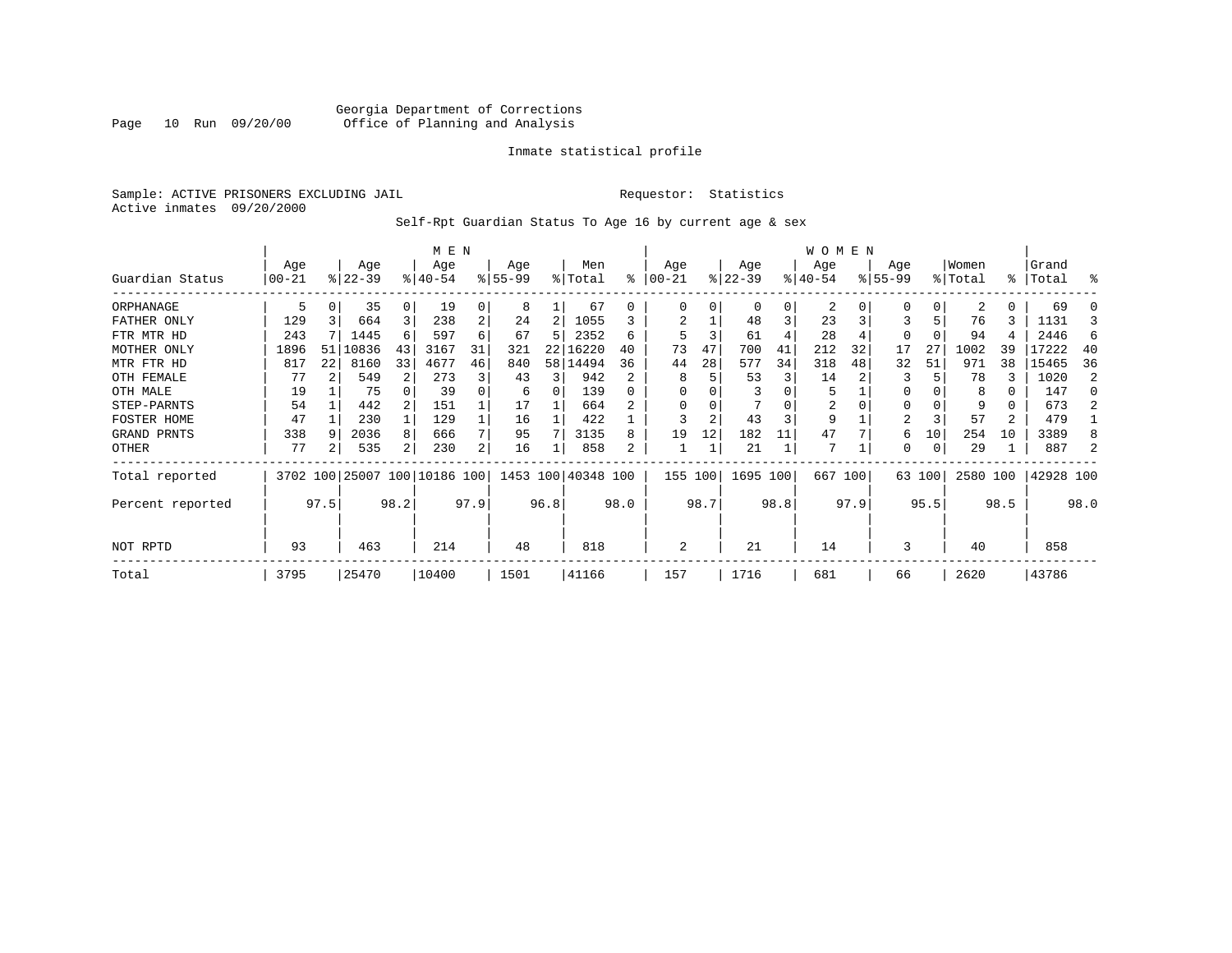# Georgia Department of Corrections Page 10 Run 09/20/00 Office of Planning and Analysis

# Inmate statistical profile

Sample: ACTIVE PRISONERS EXCLUDING JAIL **Requestor:** Statistics Active inmates 09/20/2000

# Self-Rpt Guardian Status To Age 16 by current age & sex

|                  |          |      |                              |          | M E N    |                |           |      |                    |              |          |      |           |      | <b>WOMEN</b> |         |          |          |          |      |           |      |
|------------------|----------|------|------------------------------|----------|----------|----------------|-----------|------|--------------------|--------------|----------|------|-----------|------|--------------|---------|----------|----------|----------|------|-----------|------|
|                  | Age      |      | Age                          |          | Age      |                | Age       |      | Men                |              | Age      |      | Age       |      | Age          |         | Age      |          | Women    |      | Grand     |      |
| Guardian Status  | $ 00-21$ |      | $ 22-39 $                    |          | $ 40-54$ |                | $8 55-99$ |      | % Total            | ి            | $ 00-21$ |      | $ 22-39 $ |      | $ 40-54$     |         | $ 55-99$ |          | % Total  |      | %   Total | ႜ    |
| ORPHANAGE        | 5        |      | 35                           | $\Omega$ | 19       | 0              | 8         |      | 67                 | 0            | O        |      | $\Omega$  | 0    | 2            |         | O        | $\Omega$ | 2        | 0    | 69        |      |
| FATHER ONLY      | 129      |      | 664                          | 3        | 238      | 2              | 24        | 2    | 1055               |              | 2        |      | 48        | 3    | 23           |         |          | 5        | 76       | 3    | 1131      | 3    |
| FTR MTR HD       | 243      |      | 1445                         | 6        | 597      | 6              | 67        | 5    | 2352               | 6            | 5        |      | 61        |      | 28           |         | 0        |          | 94       |      | 2446      | 6    |
| MOTHER ONLY      | 1896     | 51   | 10836                        | 43       | 3167     | 31             | 321       | 22   | 16220              | 40           | 73       | 47   | 700       | 41   | 212          | 32      | 17       | 27       | 1002     | 39   | 17222     | 40   |
| MTR FTR HD       | 817      | 22   | 8160                         | 33       | 4677     | 46             | 840       | 58   | 14494              | 36           | 44       | 28   | 577       | 34   | 318          | 48      | 32       | 51       | 971      | 38   | 15465     | 36   |
| OTH FEMALE       | 77       |      | 549                          | 2        | 273      | 3              | 43        | 3    | 942                | $\mathbf{2}$ | 8        |      | 53        | 3    | 14           |         | 3        |          | 78       |      | 1020      | 2    |
| OTH MALE         | 19       |      | 75                           |          | 39       |                | 6         | 0    | 139                | $\Omega$     |          |      |           |      | 5            |         | 0        |          | 8        |      | 147       |      |
| STEP-PARNTS      | 54       |      | 442                          |          | 151      |                | 17        |      | 664                |              |          |      |           |      | 2            |         | 0        |          | 9        | 0    | 673       |      |
| FOSTER HOME      | 47       |      | 230                          |          | 129      |                | 16        |      | 422                |              |          |      | 43        | 3    | 9            |         | 2        |          | 57       | 2    | 479       |      |
| GRAND PRNTS      | 338      |      | 2036                         | 8        | 666      | 7              | 95        |      | 3135               | 8            | 19       | 12   | 182       | 11   | 47           |         | 6        | 10       | 254      | 10   | 3389      |      |
| OTHER            | 77       |      | 535                          | 2        | 230      | 2 <sub>1</sub> | 16        |      | 858                |              |          |      | 21        |      | 7            |         | 0        | 0        | 29       |      | 887       |      |
| Total reported   |          |      | 3702 100 25007 100 10186 100 |          |          |                |           |      | 1453 100 40348 100 |              | 155 100  |      | 1695 100  |      |              | 667 100 |          | 63 100   | 2580 100 |      | 42928 100 |      |
| Percent reported |          | 97.5 |                              | 98.2     |          | 97.9           |           | 96.8 |                    | 98.0         |          | 98.7 |           | 98.8 |              | 97.9    |          | 95.5     |          | 98.5 |           | 98.0 |
| NOT RPTD         | 93       |      | 463                          |          | 214      |                | 48        |      | 818                |              | 2        |      | 21        |      | 14           |         | 3        |          | 40       |      | 858       |      |
| Total            | 3795     |      | 25470                        |          | 10400    |                | 1501      |      | 41166              |              | 157      |      | 1716      |      | 681          |         | 66       |          | 2620     |      | 43786     |      |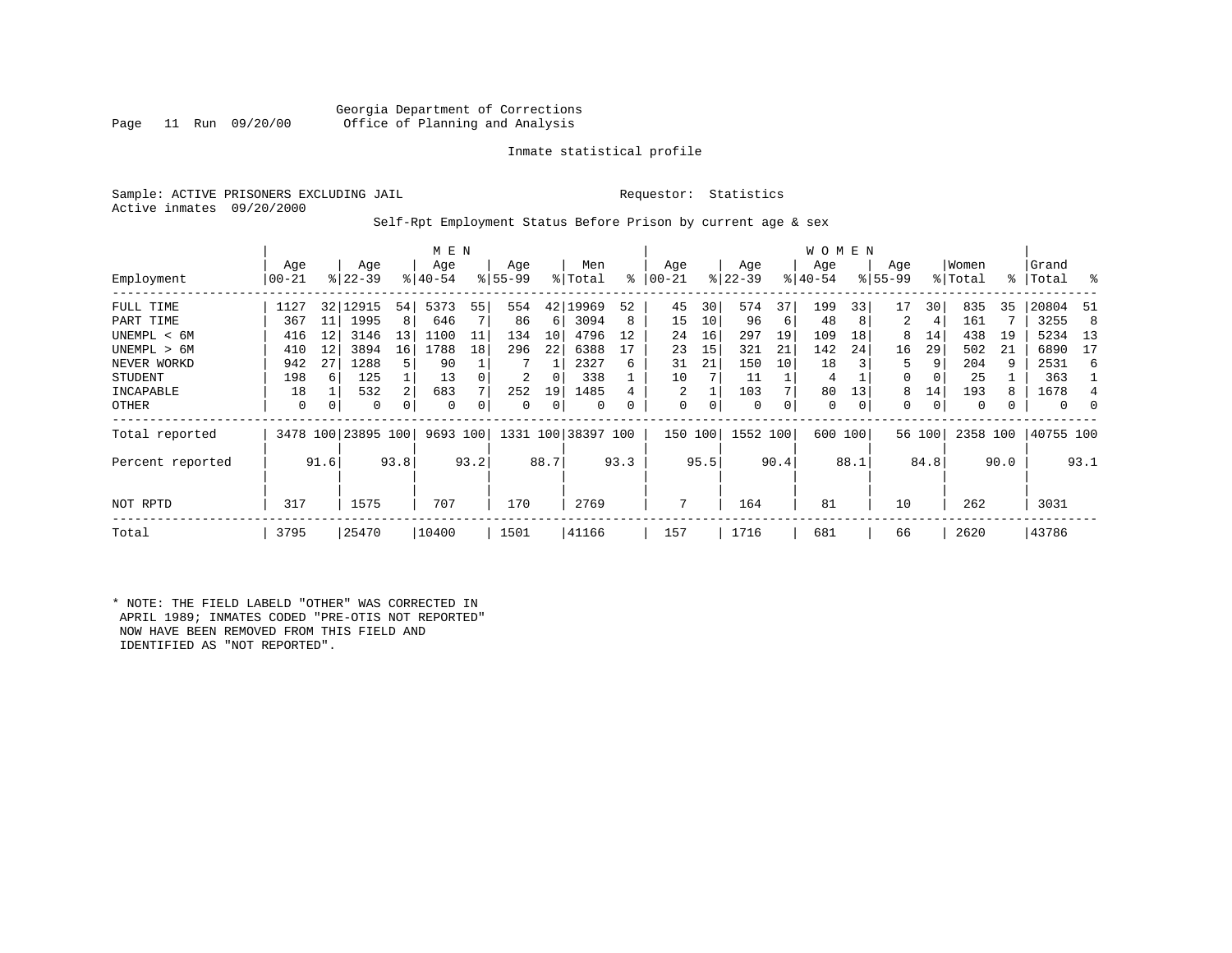# Georgia Department of Corrections<br>Page 11 Run 09/20/00 Office of Planning and Analysis Office of Planning and Analysis

# Inmate statistical profile

Sample: ACTIVE PRISONERS EXCLUDING JAIL **Requestor:** Statistics Active inmates 09/20/2000

# Self-Rpt Employment Status Before Prison by current age & sex

|                  |           |      |                    |      | M E N     |      |           |      |           |      |           |      |           |      | W O M E N |      |             |        |          |      |           |          |
|------------------|-----------|------|--------------------|------|-----------|------|-----------|------|-----------|------|-----------|------|-----------|------|-----------|------|-------------|--------|----------|------|-----------|----------|
|                  | Age       |      | Age                |      | Age       |      | Age       |      | Men       |      | Age       |      | Age       |      | Age       |      | Age         |        | Women    |      | Grand     |          |
| Employment       | $00 - 21$ |      | $ 22 - 39 $        |      | $8 40-54$ |      | $8 55-99$ |      | % Total   | ፠    | $00 - 21$ |      | $ 22-39 $ |      | $ 40-54 $ |      | $8155 - 99$ |        | % Total  |      | %   Total | ႜ        |
| FULL TIME        | 1127      | 32   | 12915              | 54   | 5373      | 55   | 554       | 42   | 9969.     | 52   | 45        | 30   | 574       | 37   | 199       | 33   | 17          | 30     | 835      | 35   | 20804     | -51      |
| PART TIME        | 367       | 11   | 1995               | 8    | 646       |      | 86        | 6    | 3094      | 8    | 15        | 10   | 96        | 6    | 48        | 8    | 2           | 4      | 161      |      | 3255      | 8        |
| UNEMPL < 6M      | 416       | 12   | 3146               | 13   | 1100      | 11   | 134       | 10   | 4796      | 12   | 24        | 16   | 297       | 19   | 109       | 18   | 8           | 14     | 438      | 19   | 5234      | 13       |
| UNEMPL > 6M      | 410       | 12   | 3894               | 16   | 1788      | 18   | 296       | 22   | 6388      |      | 23        | 15   | 321       | 21   | 142       | 24   | 16          | 29     | 502      | 21   | 6890      | 17       |
| NEVER WORKD      | 942       | 27   | 1288               | 5.   | 90        |      | 7         |      | 2327      | 6    | 31        | 21   | 150       | 10   | 18        |      | 5           | 9      | 204      | 9    | 2531      | 6        |
| <b>STUDENT</b>   | 198       | 6    | 125                |      | 13        |      | 2         | 0    | 338       |      | 10        |      | 11        |      | 4         |      | 0           |        | 25       |      | 363       |          |
| INCAPABLE        | 18        |      | 532                | 2    | 683       |      | 252       | 19   | 1485      |      | 2         |      | 103       |      | 80        | 13   | 8           | 14     | 193      |      | 1678      | 4        |
| OTHER            | 0         | 0    | 0                  | 0    | 0         |      | 0         | 0    | $\Omega$  |      | 0         | 0    | 0         | 0    | 0         | 0    | 0           | 0      | $\Omega$ |      | $\Omega$  | $\Omega$ |
| Total reported   |           |      | 3478 100 23895 100 |      | 9693 100  |      | 1331 100  |      | 38397 100 |      | 150       | 100  | 1552 100  |      | 600       | 100  |             | 56 100 | 2358 100 |      | 40755 100 |          |
| Percent reported |           | 91.6 |                    | 93.8 |           | 93.2 |           | 88.7 |           | 93.3 |           | 95.5 |           | 90.4 |           | 88.1 |             | 84.8   |          | 90.0 |           | 93.1     |
| NOT RPTD         | 317       |      | 1575               |      | 707       |      | 170       |      | 2769      |      | 7         |      | 164       |      | 81        |      | 10          |        | 262      |      | 3031      |          |
| Total            | 3795      |      | 25470              |      | 10400     |      | 1501      |      | 41166     |      | 157       |      | 1716      |      | 681       |      | 66          |        | 2620     |      | 43786     |          |

\* NOTE: THE FIELD LABELD "OTHER" WAS CORRECTED IN APRIL 1989; INMATES CODED "PRE-OTIS NOT REPORTED" NOW HAVE BEEN REMOVED FROM THIS FIELD AND IDENTIFIED AS "NOT REPORTED".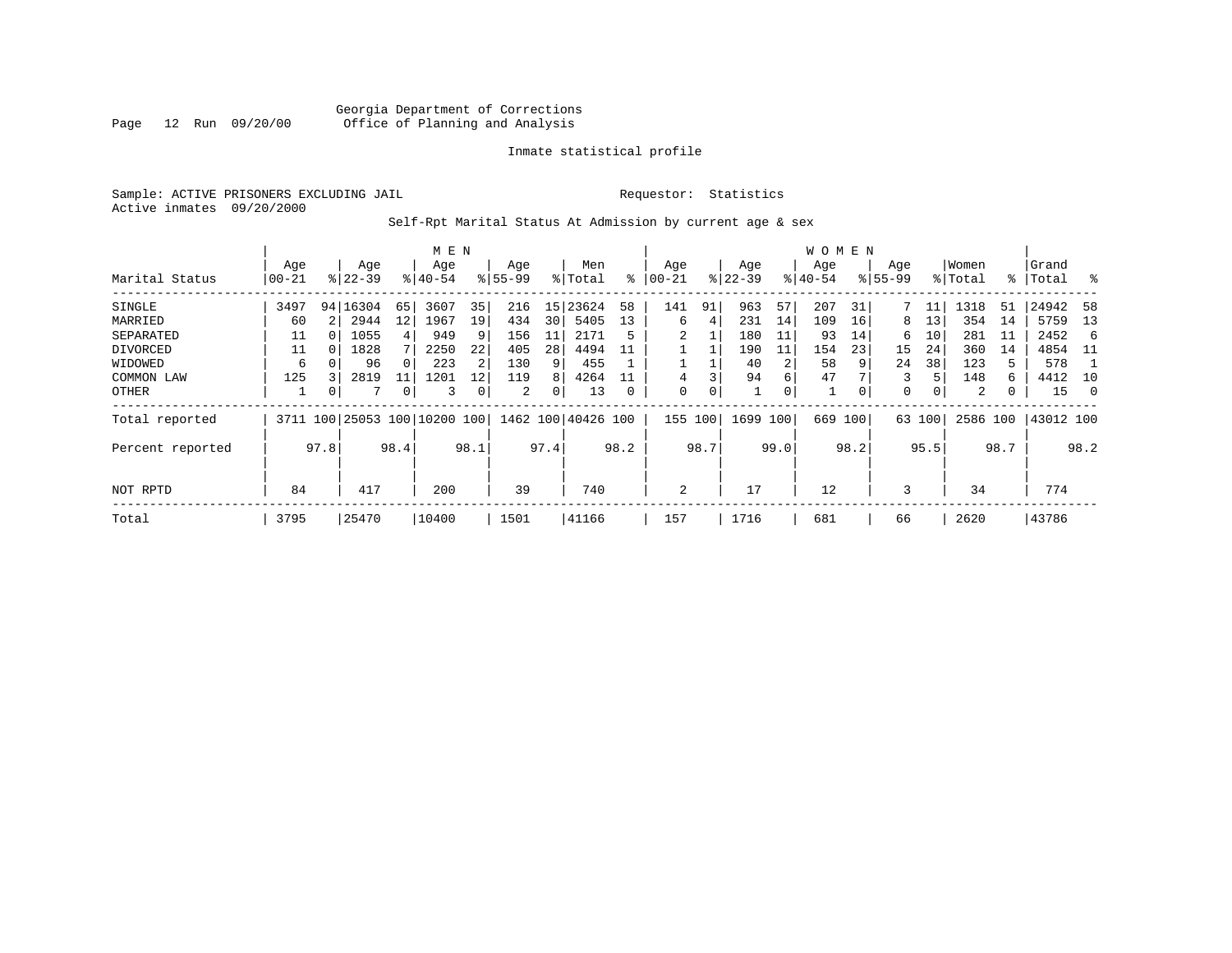Sample: ACTIVE PRISONERS EXCLUDING JAIL **Requestor:** Statistics Active inmates 09/20/2000

# Self-Rpt Marital Status At Admission by current age & sex

|                  |       |      |            |                   | M E N                        |      |          |      |                    |      |       |      |           |      | W O M E N |      |             |        |          |      |           |         |
|------------------|-------|------|------------|-------------------|------------------------------|------|----------|------|--------------------|------|-------|------|-----------|------|-----------|------|-------------|--------|----------|------|-----------|---------|
|                  | Age   |      | Age        |                   | Age                          |      | Age      |      | Men                |      | Age   |      | Age       |      | Age       |      | Age         |        | Women    |      | Grand     |         |
| Marital Status   | 00-21 |      | $8 22-39$  |                   | $8 40-54$                    |      | $ 55-99$ |      | % Total            | ៖    | 00-21 |      | $ 22-39 $ |      | $ 40-54 $ |      | $8155 - 99$ |        | % Total  |      | %   Total | ႜ       |
| SINGLE           | 3497  |      | 94   16304 | 65                | 3607                         | 35   | 216      | 15   | 23624              | 58   | 141   | 91   | 963       | 57   | 207       | 31   |             | 11     | 1318     | 51   | 24942     | 58      |
| MARRIED          | 60    |      | 2944       | $12 \overline{ }$ | 1967                         | 19   | 434      | 30   | 5405               | 13   | 6     | 4    | 231       | 14   | 109       | 16   | 8           | 13     | 354      | 14   | 5759      | 13      |
| SEPARATED        | 11    | O    | 1055       | 4                 | 949                          |      | 156      | 11   | 2171               | 5    |       |      | 180       | 11   | 93        | 14   | 6           | 10     | 281      | 11   | 2452      | - 6     |
| DIVORCED         | 11    |      | 1828       |                   | 2250                         | 22   | 405      | 28   | 4494               |      |       |      | 190       | 11   | 154       | 23   | 15          | 24     | 360      | 14   | 4854      | - 11    |
| WIDOWED          | 6     |      | 96         |                   | 223                          |      | 130      | 9    | 455                |      |       |      | 40        | 2    | 58        | 9    | 24          | 38     | 123      |      | 578       |         |
| COMMON LAW       | 125   |      | 2819       |                   | 1201                         | 12   | 119      | 8    | 4264               |      | 4     |      | 94        | 6    | 47        |      | 3           | 5      | 148      | 6    | 4412      | 10      |
| OTHER            |       | 0    |            | 0                 | 3                            |      | 2        | 0    | 13                 |      | 0     | 0    |           | 0    |           | 0    | 0           | 0      | 2        | 0    | 15        | $\circ$ |
| Total reported   |       |      |            |                   | 3711 100 25053 100 10200 100 |      |          |      | 1462 100 40426 100 |      | 155   | 100  | 1699      | 100  | 669       | 100  |             | 63 100 | 2586 100 |      | 43012 100 |         |
| Percent reported |       | 97.8 |            | 98.4              |                              | 98.1 |          | 97.4 |                    | 98.2 |       | 98.7 |           | 99.0 |           | 98.2 |             | 95.5   |          | 98.7 |           | 98.2    |
|                  |       |      |            |                   |                              |      |          |      |                    |      |       |      |           |      |           |      |             |        |          |      |           |         |
| NOT RPTD         | 84    |      | 417        |                   | 200                          |      | 39       |      | 740                |      | 2     |      | 17        |      | 12        |      | 3           |        | 34       |      | 774       |         |
| Total            | 3795  |      | 25470      |                   | 10400                        |      | 1501     |      | 41166              |      | 157   |      | 1716      |      | 681       |      | 66          |        | 2620     |      | 43786     |         |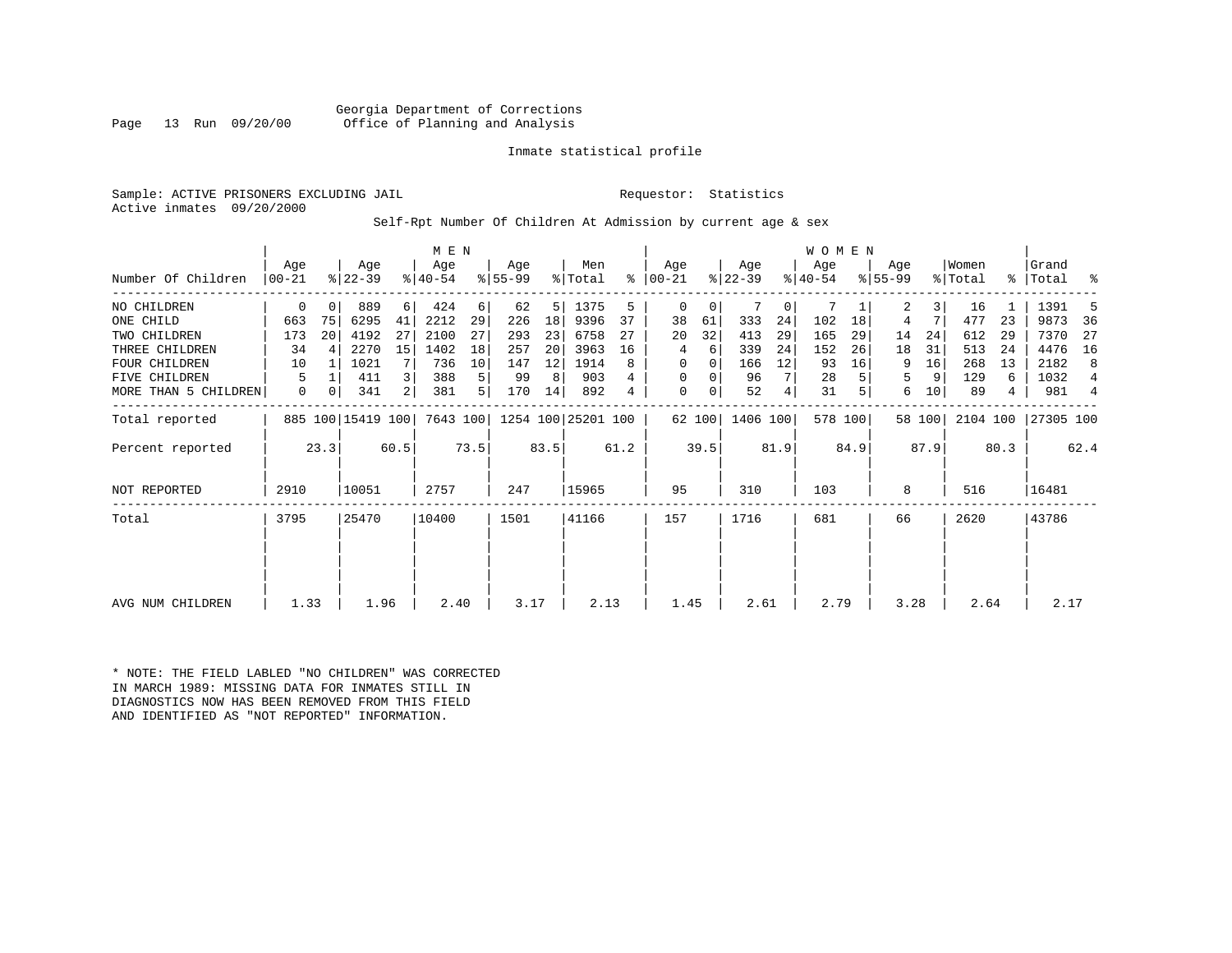Georgia Department of Corrections Office of Planning and Analysis

# Inmate statistical profile

Sample: ACTIVE PRISONERS EXCLUDING JAIL **Requestor:** Statistics Active inmates 09/20/2000

Self-Rpt Number Of Children At Admission by current age & sex

|                      |             |      |                   |      | M E N     |      |           |      |                    |      |           |        |           |      | <b>WOMEN</b> |         |             |        |          |      |           |      |
|----------------------|-------------|------|-------------------|------|-----------|------|-----------|------|--------------------|------|-----------|--------|-----------|------|--------------|---------|-------------|--------|----------|------|-----------|------|
|                      | Aqe         |      | Age               |      | Age       |      | Age       |      | Men                |      | Aqe       |        | Age       |      | Aqe          |         | Aqe         |        | Women    |      | Grand     |      |
| Number Of Children   | $ 00-21$    |      | $8 22-39$         |      | $ 40-54 $ |      | $ 55-99 $ |      | % Total            | %    | $ 00-21 $ |        | $ 22-39 $ |      | $8 40-54$    |         | $8155 - 99$ |        | % Total  | န္   | Total     | န္   |
| NO CHILDREN          | 0           |      | 889               | 6    | 424       | 6    | 62        | 5    | 1375               | 5    | 0         | 0      |           | 0    | 7            |         | 2           | 3      | 16       |      | 1391      |      |
| ONE CHILD            | 663         | 75   | 6295              | 41   | 2212      | 29   | 226       | 18   | 9396               | 37   | 38        | 61     | 333       | 24   | 102          | 18      | 4           | 7      | 477      | 23   | 9873      | 36   |
| TWO CHILDREN         | 173         | 20   | 4192              | 27   | 2100      | 27   | 293       | 23   | 6758               | 27   | 20        | 32     | 413       | 29   | 165          | 29      | 14          | 24     | 612      | 29   | 7370      | -27  |
| THREE CHILDREN       | 34          | 4    | 2270              | 15   | 1402      | 18   | 257       | 20   | 3963               | 16   | 4         | 6      | 339       | 24   | 152          | 26      | 18          | 31     | 513      | 24   | 4476      | 16   |
| <b>FOUR CHILDREN</b> | 10          |      | 1021              |      | 736       | 10   | 147       | 12   | 1914               | 8    | 0         | 0      | 166       | 12   | 93           | 16      | 9           | 16     | 268      | 13   | 2182      | 8    |
| FIVE CHILDREN        | 5           |      | 411               | 3    | 388       | 5    | 99        | 8    | 903                |      | 0         | 0      | 96        | 7    | 28           |         | 5           | 9      | 129      | 6    | 1032      | 4    |
| MORE THAN 5 CHILDREN | $\mathbf 0$ | 0    | 341               | 2    | 381       | 5    | 170       | 14   | 892                | 4    | $\Omega$  | 0      | 52        | 4    | 31           |         | 6           | 10     | 89       | 4    | 981       | 4    |
| Total reported       |             |      | 885 100 15419 100 |      | 7643 100  |      |           |      | 1254 100 25201 100 |      |           | 62 100 | 1406 100  |      |              | 578 100 |             | 58 100 | 2104 100 |      | 27305 100 |      |
| Percent reported     |             | 23.3 |                   | 60.5 |           | 73.5 |           | 83.5 |                    | 61.2 |           | 39.5   |           | 81.9 |              | 84.9    |             | 87.9   |          | 80.3 |           | 62.4 |
| <b>NOT REPORTED</b>  | 2910        |      | 10051             |      | 2757      |      | 247       |      | 15965              |      | 95        |        | 310       |      | 103          |         | 8           |        | 516      |      | 16481     |      |
| Total                | 3795        |      | 25470             |      | 10400     |      | 1501      |      | 41166              |      | 157       |        | 1716      |      | 681          |         | 66          |        | 2620     |      | 43786     |      |
|                      |             |      |                   |      |           |      |           |      |                    |      |           |        |           |      |              |         |             |        |          |      |           |      |
|                      |             |      |                   |      |           |      |           |      |                    |      |           |        |           |      |              |         |             |        |          |      |           |      |
| AVG NUM CHILDREN     | 1.33        |      | 1.96              |      | 2.40      |      | 3.17      |      | 2.13               |      | 1.45      |        | 2.61      |      | 2.79         |         | 3.28        |        | 2.64     |      | 2.17      |      |

\* NOTE: THE FIELD LABLED "NO CHILDREN" WAS CORRECTED IN MARCH 1989: MISSING DATA FOR INMATES STILL IN DIAGNOSTICS NOW HAS BEEN REMOVED FROM THIS FIELD AND IDENTIFIED AS "NOT REPORTED" INFORMATION.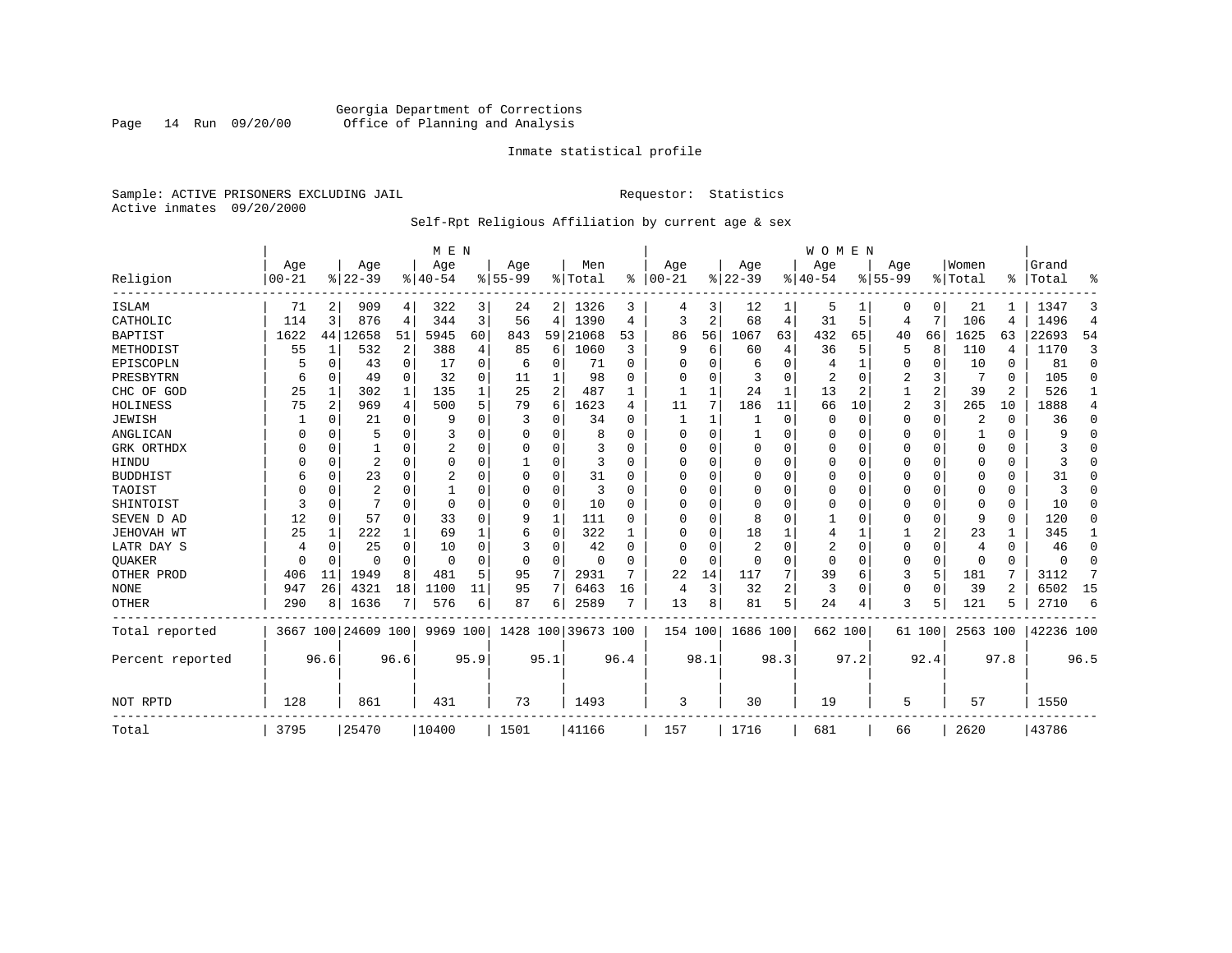# Georgia Department of Corrections Page 14 Run 09/20/00 Office of Planning and Analysis

# Inmate statistical profile

Sample: ACTIVE PRISONERS EXCLUDING JAIL **Requestor:** Statistics Active inmates 09/20/2000

# Self-Rpt Religious Affiliation by current age & sex

|                  |                   |          |                  |             | M E N           |          |                  |      |                  |           |                   |          |                 |      | <b>WOMEN</b>     |          |                  |             |                  |          |                |                |
|------------------|-------------------|----------|------------------|-------------|-----------------|----------|------------------|------|------------------|-----------|-------------------|----------|-----------------|------|------------------|----------|------------------|-------------|------------------|----------|----------------|----------------|
| Religion         | Age<br>$ 00 - 21$ |          | Age<br>$8 22-39$ |             | Age<br>$ 40-54$ |          | Age<br>$8 55-99$ |      | Men<br>%   Total | $\approx$ | Age<br>$ 00 - 21$ |          | Age<br>$ 22-39$ |      | Aqe<br>$8 40-54$ |          | Age<br>$8 55-99$ |             | Women<br>% Total | ፠        | Grand<br>Total | ዱ              |
| <b>ISLAM</b>     | 71                | 2        | 909              | 4           | 322             | 3        | 24               | 2    | 1326             | 3         | 4                 | 3        | 12              |      | 5                |          | 0                | 0           | 21               |          | 1347           | 3              |
| CATHOLIC         | 114               | 3        | 876              | 4           | 344             | 3        | 56               | 4    | 1390             | 4         | 3                 | 2        | 68              | 4    | 31               | 5        | 4                | 7           | 106              | 4        | 1496           | $\overline{4}$ |
| <b>BAPTIST</b>   | 1622              |          | 44 12658         | 51          | 5945            | 60       | 843              | 59   | 21068            | 53        | 86                | 56       | 1067            | 63   | 432              | 65       | 40               | 66          | 1625             | 63       | 22693          | 54             |
| METHODIST        | 55                | 1        | 532              | 2           | 388             | 4        | 85               | 6    | 1060             | 3         | 9                 | 6        | 60              | 4    | 36               | 5        | 5                | 8           | 110              | 4        | 1170           | 3              |
| EPISCOPLN        |                   | 0        | 43               | $\mathbf 0$ | 17              | 0        | 6                | 0    | 71               | $\Omega$  | O                 | O        | 6               | U    |                  | 1        | 0                | 0           | 10               | 0        | 81             | 0              |
| PRESBYTRN        | 6                 | 0        | 49               | 0           | 32              | 0        | 11               |      | 98               | $\Omega$  | 0                 | O        | 3               | 0    | 2                | $\Omega$ | 2                | 3           | 7                | $\Omega$ | 105            | $\Omega$       |
| CHC OF GOD       | 25                | 1        | 302              | 1           | 135             |          | 25               | 2    | 487              |           | 1                 | 1        | 24              | 1    | 13               | 2        |                  | 2           | 39               | 2        | 526            | 1              |
| HOLINESS         | 75                | 2        | 969              | 4           | 500             | 5        | 79               | 6    | 1623             | 4         | 11                | 7        | 186             | 11   | 66               | 10       | $\overline{2}$   | 3           | 265              | 10       | 1888           | 4              |
| <b>JEWISH</b>    |                   | $\Omega$ | 21               | 0           | 9               | $\Omega$ | 3                | 0    | 34               | $\Omega$  | $\mathbf{1}$      | 1        |                 | 0    | 0                | $\Omega$ | 0                | 0           | 2                | $\Omega$ | 36             | 0              |
| ANGLICAN         | O                 | $\Omega$ | 5                | $\Omega$    | 3               |          | O                | 0    | 8                | $\Omega$  | 0                 | O        |                 | 0    | 0                | $\Omega$ | 0                | $\Omega$    |                  | $\Omega$ | 9              | $\Omega$       |
| GRK ORTHDX       |                   | $\Omega$ |                  | $\Omega$    | 2               | 0        | n                | 0    |                  | $\Omega$  | 0                 | U        | 0               | U    | $\Omega$         | 0        | 0                | $\Omega$    | $\Omega$         | $\Omega$ |                | $\Omega$       |
| HINDU            |                   | $\Omega$ | 2                | $\Omega$    | $\Omega$        | O        |                  | 0    | 3                | $\Omega$  | O                 | O        | $\mathbf 0$     | U    | 0                | $\Omega$ | 0                | $\Omega$    | $\Omega$         | $\Omega$ |                | $\Omega$       |
| <b>BUDDHIST</b>  |                   | $\Omega$ | 23               | $\Omega$    | 2               | O        | $\Omega$         | 0    | 31               | $\Omega$  | $\Omega$          | $\Omega$ | $\mathbf 0$     | U    | $\Omega$         | $\Omega$ | O                | $\Omega$    | $\Omega$         | $\Omega$ | 31             | $\Omega$       |
| TAOIST           |                   | $\Omega$ | 2                | 0           |                 |          | 0                | 0    | 3                | $\Omega$  | 0                 | O        | $\mathbf 0$     | U    | 0                | $\Omega$ | 0                | $\Omega$    | $\Omega$         | $\Omega$ | κ              | $\Omega$       |
| SHINTOIST        | 3                 | $\Omega$ |                  | $\Omega$    | $\Omega$        | O        | O                | 0    | 10               | $\Omega$  | O                 | $\Omega$ | $\mathbf 0$     | U    | O                | $\Omega$ | 0                | $\Omega$    | $\Omega$         | $\Omega$ | 10             | $\Omega$       |
| SEVEN D AD       | 12                | $\Omega$ | 57               | 0           | 33              | U        | 9                | 1    | 111              | $\Omega$  | O                 | $\Omega$ | 8               | U    |                  | $\Omega$ | 0                | $\mathbf 0$ | 9                | $\Omega$ | 120            | $\Omega$       |
| JEHOVAH WT       | 25                | 1        | 222              | 1           | 69              |          | 6                | 0    | 322              |           | O                 | $\Omega$ | 18              |      | 4                |          |                  | 2           | 23               |          | 345            | 1              |
| LATR DAY S       |                   | 0        | 25               | $\Omega$    | 10              | O        | 3                | 0    | 42               | $\Omega$  | 0                 | O        | $\overline{2}$  | 0    | 2                | $\Omega$ | 0                | 0           | 4                | $\Omega$ | 46             | 0              |
| <b>OUAKER</b>    | U                 | 0        | U                | 0           | $\Omega$        | O        | 0                | 0    | 0                | $\Omega$  | 0                 | $\Omega$ | $\mathbf 0$     | 0    | $\mathbf 0$      | 0        | 0                | 0           | $\Omega$         | 0        | $\Omega$       | 0              |
| OTHER PROD       | 406               | 11       | 1949             | 8           | 481             | 5        | 95               | 7    | 2931             | 7         | 22                | 14       | 117             |      | 39               | 6        | 3                | 5           | 181              |          | 3112           | 7              |
| <b>NONE</b>      | 947               | 26       | 4321             | 18          | 1100            | 11       | 95               | 7    | 6463             | 16        | 4                 | 3        | 32              | 2    | 3                | $\Omega$ | 0                | $\mathbf 0$ | 39               | 2        | 6502           | 15             |
| <b>OTHER</b>     | 290               | 8        | 1636             | 7           | 576             | 6        | 87               | 6    | 2589             |           | 13                | 8        | 81              | 5    | 24               | 4        | 3                | 5           | 121              |          | 2710           | 6              |
| Total reported   |                   |          | 3667 100 24609   | 100         | 9969 100        |          | 1428             | 100  | 39673 100        |           | 154 100           |          | 1686 100        |      | 662 100          |          |                  | 61 100      | 2563 100         |          | 42236 100      |                |
| Percent reported |                   | 96.6     |                  | 96.6        |                 | 95.9     |                  | 95.1 |                  | 96.4      |                   | 98.1     |                 | 98.3 |                  | 97.2     |                  | 92.4        |                  | 97.8     |                | 96.5           |
| NOT RPTD         | 128               |          | 861              |             | 431             |          | 73               |      | 1493             |           | 3                 |          | 30              |      | 19               |          | 5                |             | 57               |          | 1550           |                |
| Total            | 3795              |          | 25470            |             | 10400           |          | 1501             |      | 41166            |           | 157               |          | 1716            |      | 681              |          | 66               |             | 2620             |          | 43786          |                |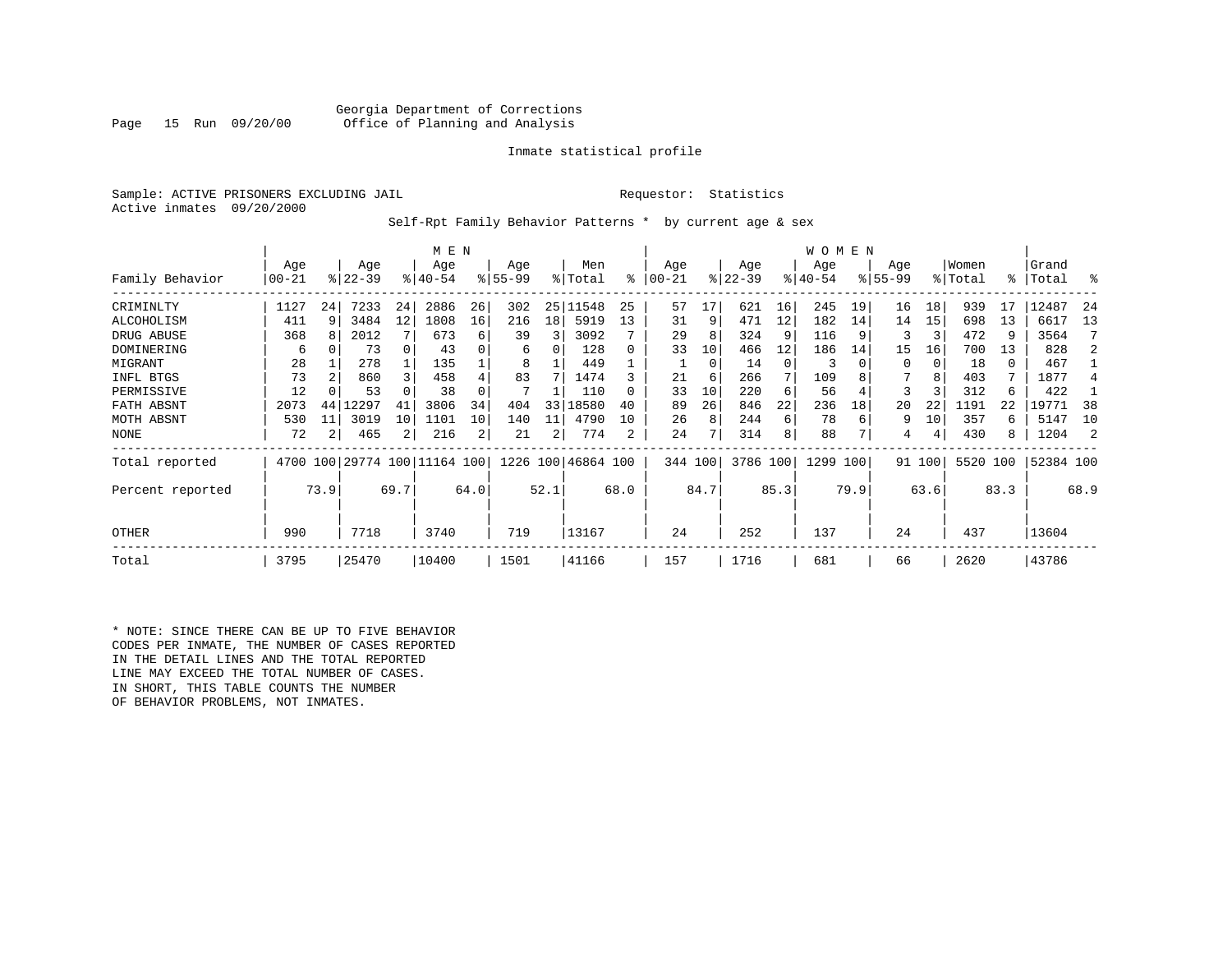# Georgia Department of Corrections Office of Planning and Analysis

# Inmate statistical profile

Sample: ACTIVE PRISONERS EXCLUDING JAIL **Requestor:** Statistics Active inmates 09/20/2000

Self-Rpt Family Behavior Patterns \* by current age & sex

|                  |          |      |                         |      | M E N       |                |           |      |                    |          |           |               |           |      | <b>WOMEN</b> |      |             |        |          |      |           |      |
|------------------|----------|------|-------------------------|------|-------------|----------------|-----------|------|--------------------|----------|-----------|---------------|-----------|------|--------------|------|-------------|--------|----------|------|-----------|------|
|                  | Age      |      | Age                     |      | Age         |                | Age       |      | Men                |          | Age       |               | Age       |      | Age          |      | Age         |        | Women    |      | Grand     |      |
| Family Behavior  | $ 00-21$ |      | $ 22-39 $               |      | $8140 - 54$ |                | $8 55-99$ |      | % Total            | ి        | $00 - 21$ | $\frac{8}{3}$ | $22 - 39$ |      | $ 40-54 $    |      | $8155 - 99$ |        | % Total  | ႜ    | Total     | °    |
| CRIMINLTY        | 1127     | 24   | 7233                    | 24   | 2886        | 26             | 302       | 25   | 11548              | 25       | 57        | 17            | 621       | 16   | 245          | 19   | 16          | 18     | 939      | 17   | 12487     | 24   |
| ALCOHOLISM       | 411      | 9    | 3484                    | 12   | 1808        | 16             | 216       | 18   | 5919               | 13       | 31        | 9             | 471       | 12   | 182          | 14   | 14          | 15     | 698      | 13   | 6617      | 13   |
| DRUG ABUSE       | 368      | 8    | 2012                    |      | 673         | 6              | 39        | 3    | 3092               |          | 29        | 8             | 324       |      | 116          |      | 3           | 3      | 472      |      | 3564      |      |
| DOMINERING       | 6        |      | 73                      | 0    | 43          |                | 6         | 0    | 128                | 0        | 33        | 10            | 466       | 12   | 186          | 14   | 15          | 16     | 700      | 13   | 828       |      |
| MIGRANT          | 28       |      | 278                     |      | 135         |                | 8         |      | 449                |          |           | 0             | 14        | 0    | 3            |      | $\Omega$    | 0      | 18       | 0    | 467       |      |
| INFL BTGS        | 73       |      | 860                     | 3    | 458         |                | 83        |      | 1474               |          | 21        | 6             | 266       | 7    | 109          |      |             | 8      | 403      |      | 1877      |      |
| PERMISSIVE       | 12       |      | 53                      |      | 38          |                |           |      | 110                | $\Omega$ | 33        | 10            | 220       | 6    | 56           |      | 3           |        | 312      | 6    | 422       |      |
| FATH ABSNT       | 2073     | 44   | 12297                   | 41   | 3806        | 34             | 404       | 33   | 18580              | 40       | 89        | 26            | 846       | 22   | 236          | 18   | 20          | 22     | 1191     | 22   | 19771     | -38  |
| MOTH ABSNT       | 530      | 11   | 3019                    | 10   | 1101        | 10             | 140       | 11   | 4790               | 10       | 26        | 8             | 244       | 6    | 78           | 6    | 9           | 10     | 357      | 6    | 5147      | 10   |
| NONE             | 72       | 2    | 465                     | 2    | 216         | $\overline{2}$ | 21        | 2    | 774                | 2        | 24        |               | 314       | 8    | 88           |      | 4           |        | 430      | 8    | 1204      |      |
| Total reported   | 4700     |      | 100 29774 100 11164 100 |      |             |                |           |      | 1226 100 46864 100 |          | 344 100   |               | 3786 100  |      | 1299 100     |      |             | 91 100 | 5520 100 |      | 52384 100 |      |
| Percent reported |          | 73.9 |                         | 69.7 |             | 64.0           |           | 52.1 |                    | 68.0     |           | 84.7          |           | 85.3 |              | 79.9 |             | 63.6   |          | 83.3 |           | 68.9 |
| <b>OTHER</b>     | 990      |      | 7718                    |      | 3740        |                | 719       |      | 13167              |          | 24        |               | 252       |      | 137          |      | 24          |        | 437      |      | 13604     |      |
| Total            | 3795     |      | 25470                   |      | 10400       |                | 1501      |      | 41166              |          | 157       |               | 1716      |      | 681          |      | 66          |        | 2620     |      | 43786     |      |

\* NOTE: SINCE THERE CAN BE UP TO FIVE BEHAVIOR CODES PER INMATE, THE NUMBER OF CASES REPORTED IN THE DETAIL LINES AND THE TOTAL REPORTED LINE MAY EXCEED THE TOTAL NUMBER OF CASES. IN SHORT, THIS TABLE COUNTS THE NUMBER OF BEHAVIOR PROBLEMS, NOT INMATES.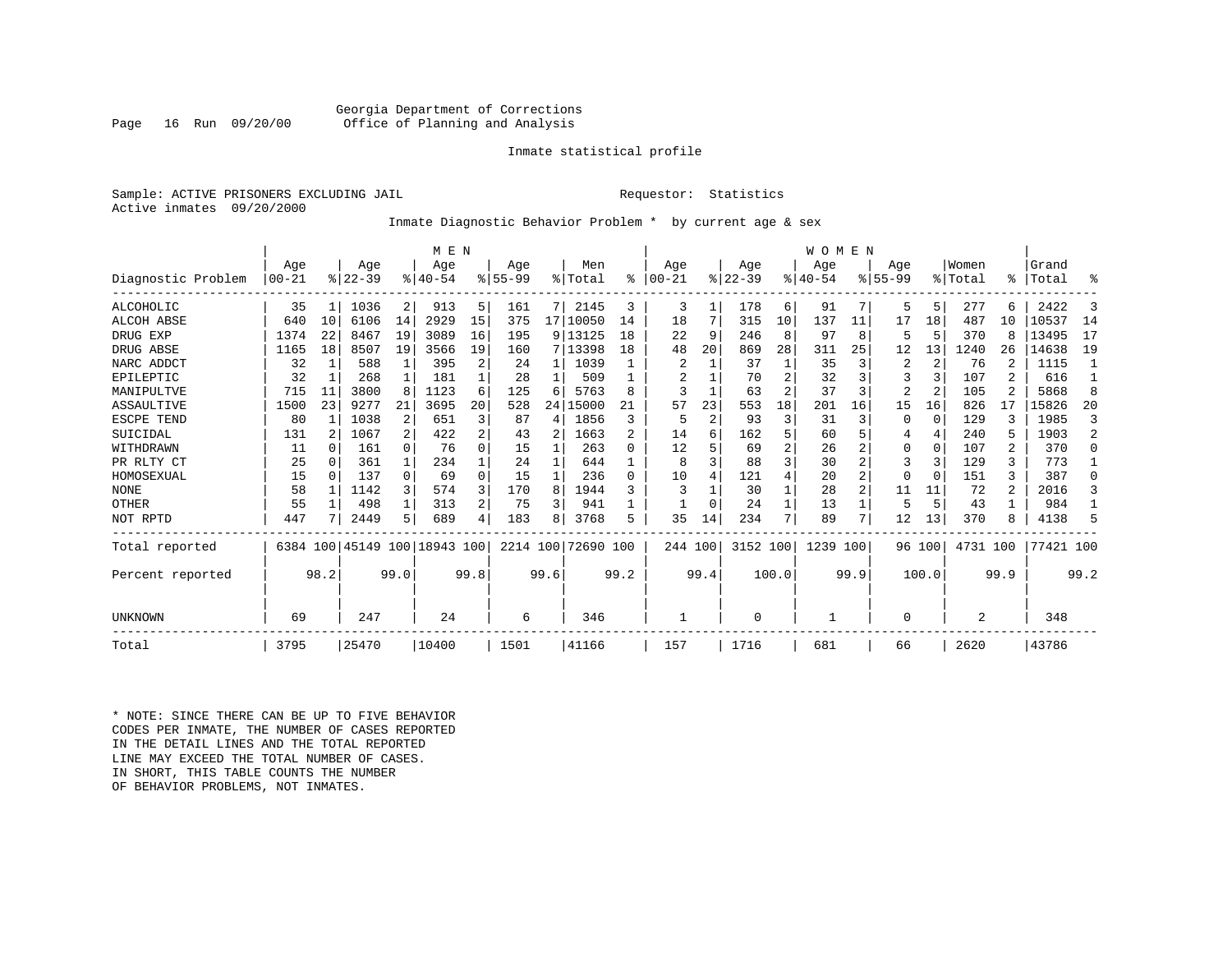# Georgia Department of Corrections Office of Planning and Analysis

# Inmate statistical profile

Sample: ACTIVE PRISONERS EXCLUDING JAIL **Requestor:** Statistics Active inmates 09/20/2000

# Inmate Diagnostic Behavior Problem \* by current age & sex

|                    |           |              |           |              | M E N                        |      |           |      |            |                |           |      |          |                | WOMEN    |                |                |                |          |                |           |                |
|--------------------|-----------|--------------|-----------|--------------|------------------------------|------|-----------|------|------------|----------------|-----------|------|----------|----------------|----------|----------------|----------------|----------------|----------|----------------|-----------|----------------|
|                    | Age       |              | Age       |              | Age                          |      | Age       |      | Men        |                | Age       |      | Age      |                | Age      |                | Age            |                | Women    |                | Grand     |                |
| Diagnostic Problem | $00 - 21$ |              | $ 22-39 $ |              | $ 40-54$                     |      | $8 55-99$ |      | % Total    | ి              | $00 - 21$ |      | $ 22-39$ |                | $ 40-54$ |                | $8 55-99$      |                | % Total  | ⊱              | Total     | ႜ              |
| <b>ALCOHOLIC</b>   | 35        | 1            | 1036      | 2            | 913                          | 5.   | 161       | 7    | 2145       | 3              | 3         | 1    | 178      | 6              | 91       | 7              | 5              | 5 <sup>1</sup> | 277      | 6              | 2422      | 3              |
| <b>ALCOH ABSE</b>  | 640       | 10           | 6106      | 14           | 2929                         | 15   | 375       |      | 17   10050 | 14             | 18        |      | 315      | 10             | 137      | 11             | 17             | 18             | 487      | 10             | 10537     | 14             |
| DRUG EXP           | 1374      | 22           | 8467      | 19           | 3089                         | 16   | 195       |      | 9 13125    | 18             | 22        | 9    | 246      | 8              | 97       | 8              |                | .5             | 370      | 8              | 13495     | 17             |
| DRUG ABSE          | 1165      | 18           | 8507      | 19           | 3566                         | 19   | 160       |      | 7 13398    | 18             | 48        | 20   | 869      | 28             | 311      | 25             | 12             | 13             | 1240     | 26             | 14638     | 19             |
| NARC ADDCT         | 32        | 1            | 588       |              | 395                          |      | 24        |      | 1039       |                | 2         |      | 37       |                | 35       | 3              | 2              | 2              | 76       |                | 1115      |                |
| EPILEPTIC          | 32        | 1            | 268       | $\mathbf{1}$ | 181                          |      | 28        |      | 509        |                | 2         |      | 70       |                | 32       | 3              |                | 3              | 107      | 2              | 616       |                |
| MANIPULTVE         | 715       | 11           | 3800      | 8            | 1123                         | 6    | 125       | 6    | 5763       | 8              | 3         |      | 63       | $\overline{2}$ | 37       | 3              | $\overline{2}$ | 2              | 105      |                | 5868      | 8              |
| ASSAULTIVE         | 1500      | 23           | 9277      | 21           | 3695                         | 20   | 528       | 24   | 15000      | 21             | 57        | 23   | 553      | 18             | 201      | 16             | 15             | 16             | 826      | 17             | 15826     | 20             |
| ESCPE TEND         | 80        |              | 1038      | 2            | 651                          |      | 87        | 4    | 1856       | 3              | 5         | 2    | 93       | 3              | 31       | 3              |                | 0              | 129      | 3              | 1985      | 3              |
| SUICIDAL           | 131       | 2            | 1067      | 2            | 422                          | 2    | 43        | 2    | 1663       | $\mathfrak{D}$ | 14        | 6    | 162      |                | 60       | 5              |                | 4              | 240      | 5              | 1903      | $\overline{a}$ |
| WITHDRAWN          | 11        | <sup>0</sup> | 161       | $\Omega$     | 76                           | 0    | 15        |      | 263        | 0              | 12        |      | 69       |                | 26       |                |                | $\Omega$       | 107      | 2              | 370       | $\Omega$       |
| PR RLTY CT         | 25        | 0            | 361       | $\mathbf{1}$ | 234                          |      | 24        |      | 644        |                | 8         |      | 88       |                | 30       |                | 3              | 3              | 129      | 3              | 773       |                |
| HOMOSEXUAL         | 15        | $\Omega$     | 137       | $\Omega$     | 69                           | O    | 15        |      | 236        | $\Omega$       | 10        | 4    | 121      |                | 20       | $\overline{a}$ |                | $\Omega$       | 151      | ζ              | 387       | $\Omega$       |
| <b>NONE</b>        | 58        |              | 1142      | 3            | 574                          |      | 170       | 8    | 1944       |                | 3         |      | 30       |                | 28       | $\overline{a}$ | 11             | 11             | 72       | $\overline{a}$ | 2016      | ζ              |
| OTHER              | 55        |              | 498       | $\mathbf{1}$ | 313                          |      | 75        | 3    | 941        |                |           |      | 24       |                | 13       |                | 5              | 5              | 43       |                | 984       |                |
| NOT RPTD           | 447       |              | 2449      | 5            | 689                          | 4    | 183       | 8    | 3768       | 5              | 35        | 14   | 234      |                | 89       | 7              | 12             | 13             | 370      |                | 4138      | 5              |
| Total reported     |           |              |           |              | 6384 100 45149 100 18943 100 |      | 2214 100  |      | 72690 100  |                | 244 100   |      | 3152 100 |                | 1239     | 100            |                | 96 100         | 4731 100 |                | 77421 100 |                |
| Percent reported   |           | 98.2         |           | 99.0         |                              | 99.8 |           | 99.6 |            | 99.2           |           | 99.4 |          | 100.0          |          | 99.9           |                | 100.0          |          | 99.9           |           | 99.2           |
| UNKNOWN            | 69        |              | 247       |              | 24                           |      | 6         |      | 346        |                |           |      | $\Omega$ |                |          |                | $\Omega$       |                | 2        |                | 348       |                |
| Total              | 3795      |              | 25470     |              | 10400                        |      | 1501      |      | 41166      |                | 157       |      | 1716     |                | 681      |                | 66             |                | 2620     |                | 43786     |                |

\* NOTE: SINCE THERE CAN BE UP TO FIVE BEHAVIOR CODES PER INMATE, THE NUMBER OF CASES REPORTED IN THE DETAIL LINES AND THE TOTAL REPORTED LINE MAY EXCEED THE TOTAL NUMBER OF CASES.IN SHORT, THIS TABLE COUNTS THE NUMBER OF BEHAVIOR PROBLEMS, NOT INMATES.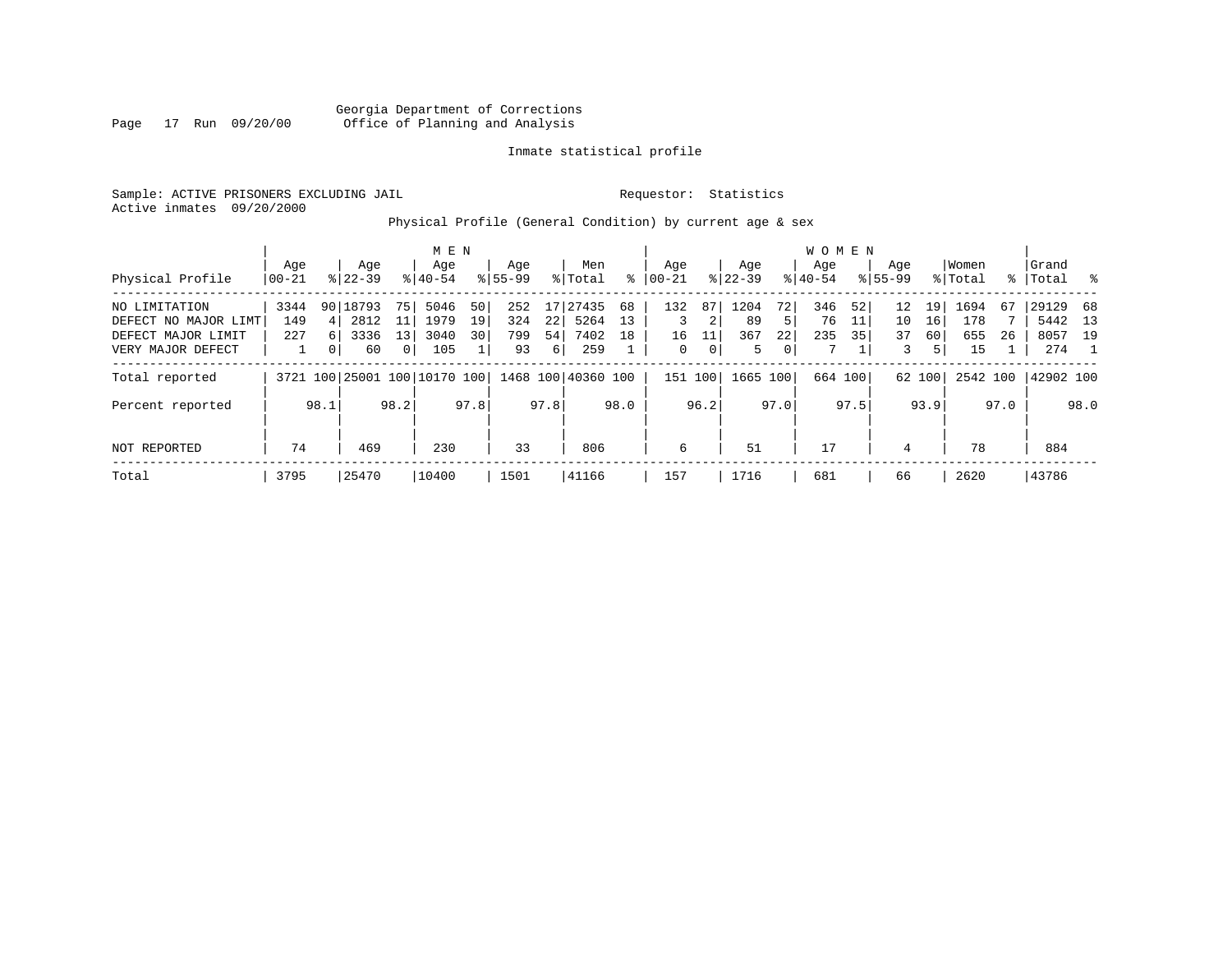Georgia Department of Corrections Page 17 Run 09/20/00 Office of Planning and Analysis

# Inmate statistical profile

Sample: ACTIVE PRISONERS EXCLUDING JAIL **Requestor:** Statistics Active inmates 09/20/2000

Physical Profile (General Condition) by current age & sex

|                      |       |              |           |                | M E N                        |      |             |      |                    |      |           |             |           |             | W O M E N |      |             |                 |          |      |           |      |
|----------------------|-------|--------------|-----------|----------------|------------------------------|------|-------------|------|--------------------|------|-----------|-------------|-----------|-------------|-----------|------|-------------|-----------------|----------|------|-----------|------|
|                      | Age   |              | Age       |                | Age                          |      | Age         |      | Men                |      | Aqe       |             | Age       |             | Aqe       |      | Age         |                 | Women    |      | Grand     |      |
| Physical Profile     | 00-21 |              | $8 22-39$ |                | $8 40-54$                    |      | $8155 - 99$ |      | % Total            | ႜ    | $00 - 21$ |             | $ 22-39 $ |             | $8 40-54$ |      | $8155 - 99$ |                 | % Total  | န္   | Total     | ိ    |
| NO LIMITATION        | 3344  |              | 90 18793  | 75             | 5046                         | 50   | 252         | 17   | 27435              | 68   | 132       | 87          | 1204      | 72          | 346       | 52   | 12          | 19 <sup>1</sup> | 1694     | 67   | 29129     | - 68 |
| DEFECT NO MAJOR LIMT | 149   | 4 I          | 2812      | 11             | 1979                         | 19   | 324         | 22   | 5264               | 13   | 3         | 2           | 89        | 5           | 76        | 11   | 10          | 16              | 178      |      | 5442      | 13   |
| DEFECT MAJOR LIMIT   | 227   | <sup>6</sup> | 3336      | 13             | 3040                         | 30   | 799         | 54   | 7402               | 18   | 16        |             | 367       | 22          | 235       | 35   | 37          | 60              | 655      | 26   | 8057      | 19   |
| VERY MAJOR DEFECT    |       | $\Omega$     | 60        | $\overline{0}$ | 105                          |      | 93          | 6    | 259                |      | 0         | $\mathbf 0$ | 5.        | $\mathbf 0$ | 7         |      | 3           | 51              | 15       |      | 274       |      |
| Total reported       |       |              |           |                | 3721 100 25001 100 10170 100 |      |             |      | 1468 100 40360 100 |      | 151 100   |             | 1665      | 100         | 664 100   |      |             | 62 100          | 2542 100 |      | 42902 100 |      |
| Percent reported     |       | 98.1         |           | 98.2           |                              | 97.8 |             | 97.8 |                    | 98.0 |           | 96.2        |           | 97.0        |           | 97.5 |             | 93.9            |          | 97.0 |           | 98.0 |
| NOT REPORTED         | 74    |              | 469       |                | 230                          |      | 33          |      | 806                |      | 6         |             | 51        |             | 17        |      | 4           |                 | 78       |      | 884       |      |
| Total                | 3795  |              | 25470     |                | 10400                        |      | 1501        |      | 41166              |      | 157       |             | 1716      |             | 681       |      | 66          |                 | 2620     |      | 43786     |      |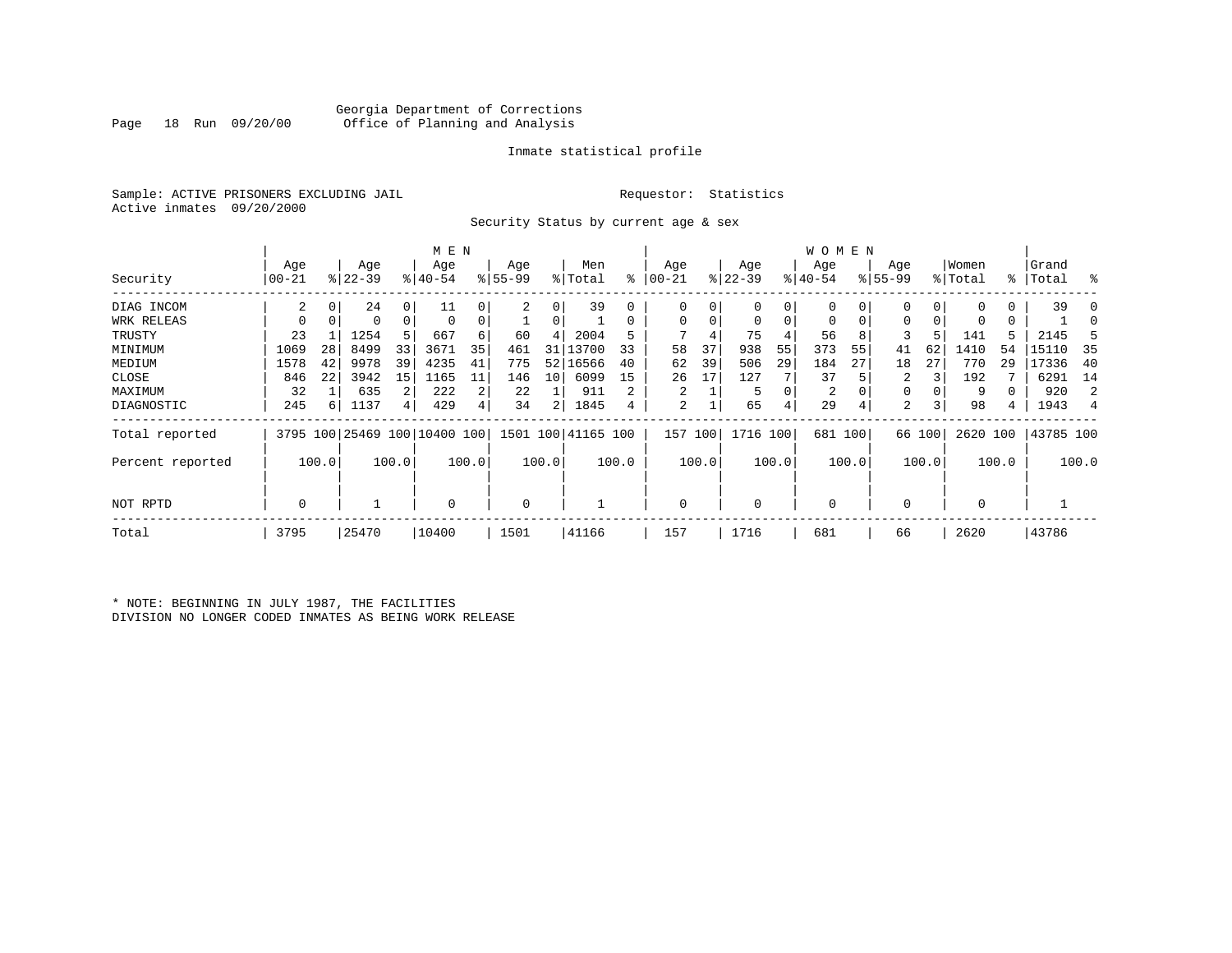# Georgia Department of Corrections Office of Planning and Analysis

# Inmate statistical profile

Sample: ACTIVE PRISONERS EXCLUDING JAIL **Requestor:** Statistics Active inmates 09/20/2000

Security Status by current age & sex

|                  |          |       |           |          | M E N                        |       |          |                 |                    |       |           |       |           |       | W O M E N   |       |             |        |             |       |           |                |
|------------------|----------|-------|-----------|----------|------------------------------|-------|----------|-----------------|--------------------|-------|-----------|-------|-----------|-------|-------------|-------|-------------|--------|-------------|-------|-----------|----------------|
|                  | Age      |       | Age       |          | Age                          |       | Age      |                 | Men                |       | Age       |       | Age       |       | Age         |       | Age         |        | Women       |       | Grand     |                |
| Security         | $ 00-21$ |       | $ 22-39 $ |          | $8 40-54$                    |       | $ 55-99$ |                 | % Total            | ႜ     | $00 - 21$ |       | $ 22-39 $ |       | $ 40-54$    |       | $8155 - 99$ |        | % Total     |       | %   Total | း              |
| DIAG INCOM       | 2        | 0     | 24        | $\Omega$ | 11                           |       | 2        | 0               | 39                 |       | $\Omega$  |       | 0         | 0     |             |       |             | 0      | $\Omega$    | 0     | 39        |                |
| WRK RELEAS       |          |       | 0         | 0        | $\Omega$                     |       |          |                 |                    |       | 0         |       | 0         | 0     | $\mathbf 0$ | 0     | 0           |        | 0           | 0     |           |                |
| TRUSTY           | 23       |       | 1254      | 5        | 667                          | 6     | 60       | 4               | 2004               |       |           |       | 75        | 4     | 56          | 8     |             |        | 141         |       | 2145      |                |
| MINIMUM          | 1069     | 28    | 8499      | 33       | 3671                         | 35    | 461      | 31 I            | 13700              | 33    | 58        | 37    | 938       | 55    | 373         | 55    | 41          | 62     | 1410        | 54    | 15110     | 35             |
| MEDIUM           | 1578     | 42    | 9978      | 39       | 4235                         | 41    | 775      | 521             | 16566              | 40    | 62        | 39    | 506       | 29    | 184         | 27    | 18          | 27     | 770         | 29    | 17336     | 40             |
| CLOSE            | 846      | 22    | 3942      | 15       | 1165                         | 11    | 146      | 10 <sup>1</sup> | 6099               | 15    | 26        | 17    | 127       |       | 37          |       | 2           |        | 192         |       | 6291      | 14             |
| MAXIMUM          | 32       |       | 635       |          | 222                          | 2     | 22       |                 | 911                | 2     |           |       | 5         | 0     | 2           |       | 0           |        | 9           |       | 920       | 2              |
| DIAGNOSTIC       | 245      | 6     | 1137      | 4        | 429                          | 4     | 34       | 2               | 1845               | 4     | 2         |       | 65        | 4     | 29          | 4     | 2           |        | 98          | 4     | 1943      | $\overline{4}$ |
| Total reported   |          |       |           |          | 3795 100 25469 100 10400 100 |       |          |                 | 1501 100 41165 100 |       | 157       | 100   | 1716 100  |       | 681         | 100   |             | 66 100 | 2620 100    |       | 43785 100 |                |
| Percent reported |          | 100.0 |           | 100.0    |                              | 100.0 |          | 100.0           |                    | 100.0 |           | 100.0 |           | 100.0 |             | 100.0 |             | 100.0  |             | 100.0 |           | 100.0          |
| NOT RPTD         | 0        |       |           |          | $\Omega$                     |       | 0        |                 |                    |       | $\Omega$  |       | $\Omega$  |       | $\mathbf 0$ |       |             |        | $\mathbf 0$ |       |           |                |
| Total            | 3795     |       | 25470     |          | 10400                        |       | 1501     |                 | 41166              |       | 157       |       | 1716      |       | 681         |       | 66          |        | 2620        |       | 43786     |                |

\* NOTE: BEGINNING IN JULY 1987, THE FACILITIES DIVISION NO LONGER CODED INMATES AS BEING WORK RELEASE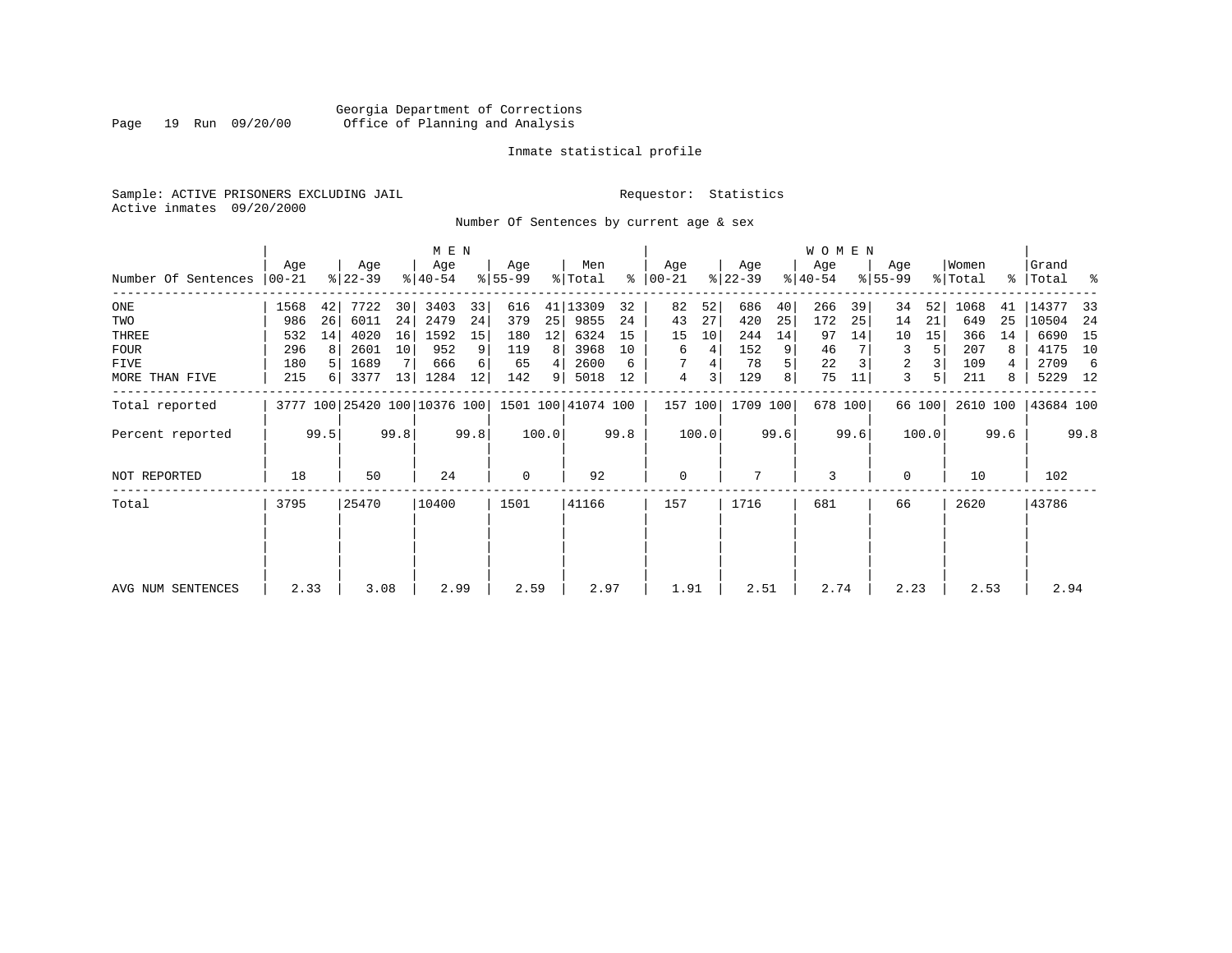# Georgia Department of Corrections Page 19 Run 09/20/00 Office of Planning and Analysis

# Inmate statistical profile

Sample: ACTIVE PRISONERS EXCLUDING JAIL **Requestor:** Statistics Active inmates 09/20/2000

Number Of Sentences by current age & sex

|                     |                  |      |                  |      | M E N                        |      |                  |       |                    |      |                      |       |                  |      | <b>WOMEN</b>     |      |                    |        |                  |      |                    |      |
|---------------------|------------------|------|------------------|------|------------------------------|------|------------------|-------|--------------------|------|----------------------|-------|------------------|------|------------------|------|--------------------|--------|------------------|------|--------------------|------|
| Number Of Sentences | Age<br>$00 - 21$ |      | Age<br>$ 22-39 $ |      | Age<br>$ 40-54 $             |      | Age<br>$8 55-99$ |       | Men<br>% Total     |      | Age<br>$8   00 - 21$ |       | Age<br>$ 22-39 $ |      | Age<br>$ 40-54 $ |      | Age<br>$8155 - 99$ |        | Women<br>% Total |      | Grand<br>%   Total | ႜ    |
|                     |                  |      |                  |      |                              |      |                  |       |                    |      |                      |       |                  |      |                  |      |                    |        |                  |      |                    |      |
| ONE                 | 1568             | 42   | 7722             | 30   | 3403                         | 33   | 616              | 41    | 13309              | 32   | 82                   | 52    | 686              | 40   | 266              | 39   | 34                 | 52     | 1068             | 41   | 14377              | 33   |
| TWO                 | 986              | 26   | 6011             | 24   | 2479                         | 24   | 379              | 25    | 9855               | 24   | 43                   | 27    | 420              | 25   | 172              | 25   | 14                 | 21     | 649              | 25   | 10504              | -24  |
| THREE               | 532              | 14   | 4020             | 16   | 1592                         | 15   | 180              | 12    | 6324               | 15   | 15                   | 10    | 244              | 14   | 97               | 14   | 10                 | 15     | 366              | 14   | 6690               | 15   |
| <b>FOUR</b>         | 296              | 8    | 2601             | 10   | 952                          | 9    | 119              | 8     | 3968               | 10   | 6                    | 4     | 152              | 9    | 46               |      | 3                  | 5      | 207              | 8    | 4175               | 10   |
| FIVE                | 180              |      | 1689             |      | 666                          | 6    | 65               | 4     | 2600               | 6    |                      |       | 78               | 5    | 22               |      | 2                  |        | 109              | 4    | 2709               | -6   |
| MORE THAN FIVE      | 215              | 6    | 3377             | 13   | 1284                         | 12   | 142              | 9     | 5018               | 12   | 4                    | 3     | 129              | 8    | 75               | 11   | 3                  | 5      | 211              | 8    | 5229 12            |      |
| Total reported      |                  |      |                  |      | 3777 100 25420 100 10376 100 |      |                  |       | 1501 100 41074 100 |      | 157 100              |       | 1709 100         |      | 678 100          |      |                    | 66 100 | 2610 100         |      | 43684 100          |      |
| Percent reported    |                  | 99.5 |                  | 99.8 |                              | 99.8 |                  | 100.0 |                    | 99.8 |                      | 100.0 |                  | 99.6 |                  | 99.6 |                    | 100.0  |                  | 99.6 |                    | 99.8 |
| NOT REPORTED        | 18               |      | 50               |      | 24                           |      | $\mathbf 0$      |       | 92                 |      | $\mathbf 0$          |       | 7                |      | 3                |      | 0                  |        | 10               |      | 102                |      |
| Total               | 3795             |      | 25470            |      | 10400                        |      | 1501             |       | 41166              |      | 157                  |       | 1716             |      | 681              |      | 66                 |        | 2620             |      | 43786              |      |
|                     |                  |      |                  |      |                              |      |                  |       |                    |      |                      |       |                  |      |                  |      |                    |        |                  |      |                    |      |
|                     |                  |      |                  |      |                              |      |                  |       |                    |      |                      |       |                  |      |                  |      |                    |        |                  |      |                    |      |
| AVG NUM SENTENCES   | 2.33             |      | 3.08             |      | 2.99                         |      | 2.59             |       | 2.97               |      | 1.91                 |       | 2.51             |      | 2.74             |      | 2.23               |        | 2.53             |      | 2.94               |      |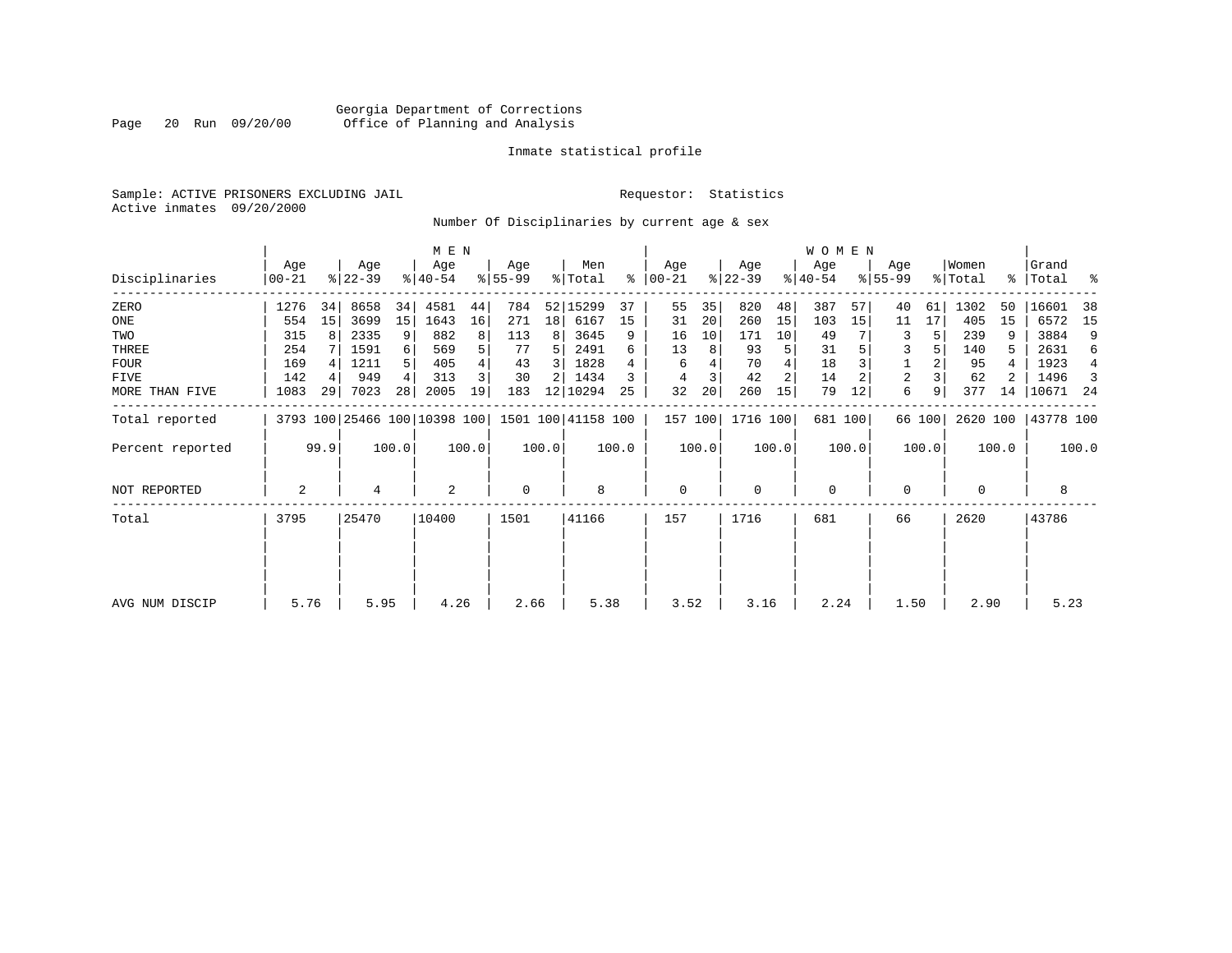# Georgia Department of Corrections Page 20 Run 09/20/00 Office of Planning and Analysis

# Inmate statistical profile

Sample: ACTIVE PRISONERS EXCLUDING JAIL **Requestor:** Statistics Active inmates 09/20/2000

Number Of Disciplinaries by current age & sex

|                  |                |      |                  |       | M E N            |       |                  |       |                                                 |       |                  |       |                  |       | W O M E N        |         |                  |        |                  |       |                      |       |
|------------------|----------------|------|------------------|-------|------------------|-------|------------------|-------|-------------------------------------------------|-------|------------------|-------|------------------|-------|------------------|---------|------------------|--------|------------------|-------|----------------------|-------|
| Disciplinaries   | Age<br>  00-21 |      | Age<br>$ 22-39 $ |       | Age<br>$8 40-54$ |       | Age<br>$ 55-99 $ |       | Men<br>% Total                                  | ႜ     | Age<br>$ 00-21 $ |       | Age<br>$ 22-39 $ |       | Age<br>$ 40-54 $ |         | Age<br>$ 55-99 $ |        | Women<br>% Total |       | Grand<br>%   Total % |       |
| ZERO             | 1276           | 34   | 8658             | 34    | 4581             | 44    | 784              |       | 52 15299                                        | 37    | 55               | 35    | 820              | 48    | 387              | 57      | 40               | 61     | 1302             | 50    | 16601                | -38   |
| ONE              | 554            | 15   | 3699             | 15    | 1643             | 16    | 271              | 18    | 6167                                            | 15    | 31               | 20    | 260              | 15    | 103              | 15      | 11               | 17     | 405              | 15    | 6572                 | 15    |
| TWO              | 315            | 8    | 2335             | 9     | 882              |       | 113              | 8     | 3645                                            | 9     | 16               | 10    | 171              | 10    | 49               |         | 3                |        | 239              | 9     | 3884                 | 9     |
| THREE            | 254            |      | 1591             | 6     | 569              |       | 77               | 5.    | 2491                                            | 6     | 13               | 8     | 93               | 5     | 31               |         | 3                |        | 140              | 5.    | 2631                 | 6     |
| <b>FOUR</b>      | 169            |      | 1211             | 5     | 405              |       | 43               | 3     | 1828                                            |       | 6                |       | 70               |       | 18               |         |                  |        | 95               |       | 1923                 | 4     |
| FIVE             | 142            | 4    | 949              | 4     | 313              |       | 30               | 2     | 1434                                            |       |                  |       | 42               | 2     | 14               |         | 2                |        | 62               |       | 1496                 | 3     |
| MORE THAN FIVE   | 1083           | 29   | 7023             | 28    | 2005             | 19    | 183              | 12    | 10294                                           | 25    | 32               | 20    | 260              | 15    | 79               | 12      | 6                | 9      | 377              | 14    | 10671 24             |       |
| Total reported   |                |      |                  |       |                  |       |                  |       | 3793 100 25466 100 10398 100 1501 100 41158 100 |       | 157 100          |       | 1716 100         |       |                  | 681 100 |                  | 66 100 | 2620 100         |       | 43778 100            |       |
| Percent reported |                | 99.9 |                  | 100.0 |                  | 100.0 |                  | 100.0 |                                                 | 100.0 |                  | 100.0 |                  | 100.0 |                  | 100.0   |                  | 100.0  |                  | 100.0 |                      | 100.0 |
| NOT REPORTED     | 2              |      | 4                |       | 2                |       | 0                |       | 8                                               |       | 0                |       | $\mathbf 0$      |       | 0                |         | 0                |        | 0                |       | 8                    |       |
| Total            | 3795           |      | 25470            |       | 10400            |       | 1501             |       | 41166                                           |       | 157              |       | 1716             |       | 681              |         | 66               |        | 2620             |       | 43786                |       |
|                  |                |      |                  |       |                  |       |                  |       |                                                 |       |                  |       |                  |       |                  |         |                  |        |                  |       |                      |       |
| AVG NUM DISCIP   | 5.76           |      | 5.95             |       | 4.26             |       | 2.66             |       | 5.38                                            |       | 3.52             |       | 3.16             |       | 2.24             |         | 1.50             |        | 2.90             |       | 5.23                 |       |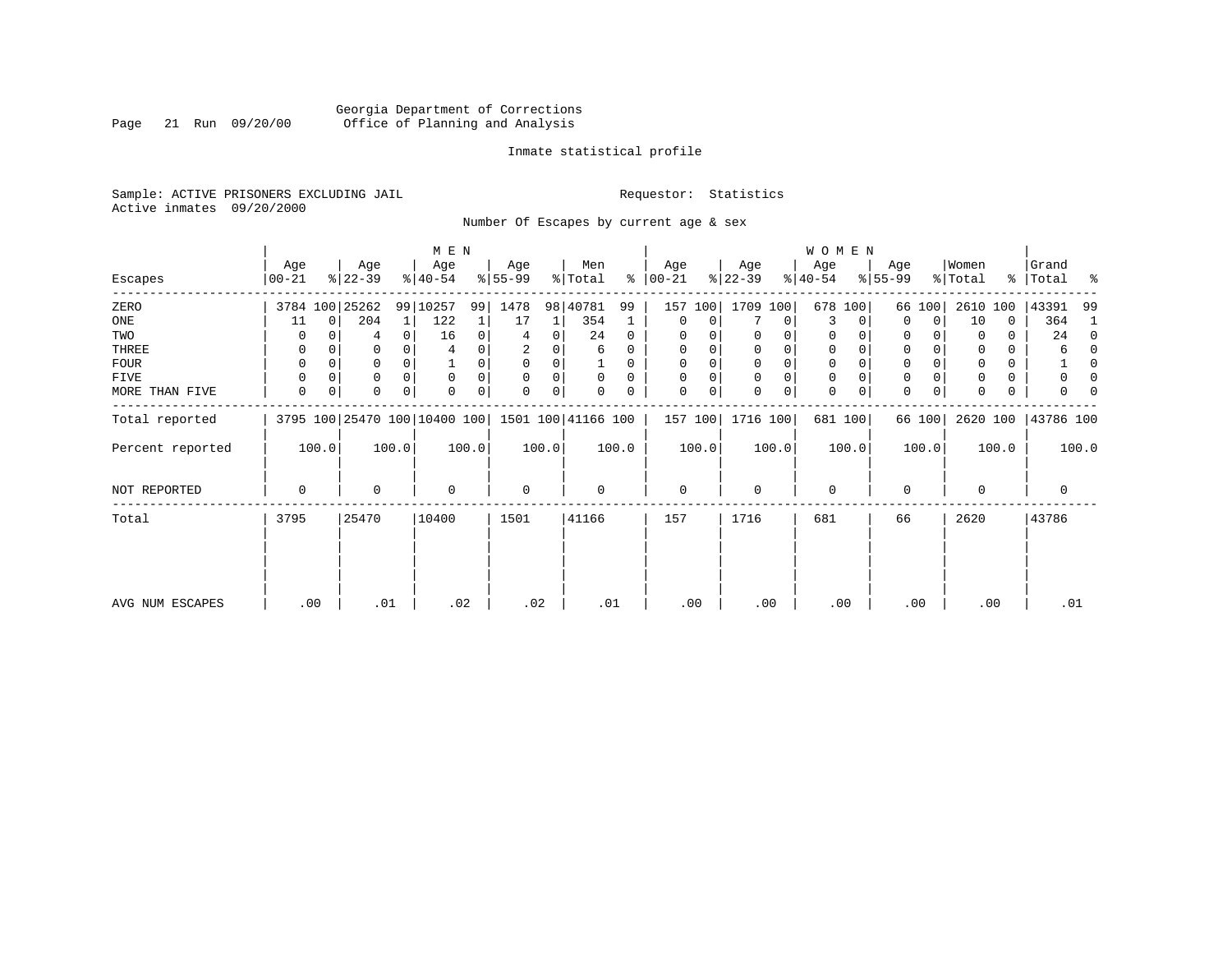# Georgia Department of Corrections Page 21 Run 09/20/00 Office of Planning and Analysis

# Inmate statistical profile

Sample: ACTIVE PRISONERS EXCLUDING JAIL **Requestor:** Statistics Active inmates 09/20/2000

Number Of Escapes by current age & sex

|                  |                  |             |                  |                | M E N                        |       |                 |       |                    |          |                   |       |                  |       | WOMEN            |          |                  |          |                  |       |                      |              |
|------------------|------------------|-------------|------------------|----------------|------------------------------|-------|-----------------|-------|--------------------|----------|-------------------|-------|------------------|-------|------------------|----------|------------------|----------|------------------|-------|----------------------|--------------|
| Escapes          | Age<br>$00 - 21$ |             | Age<br>$ 22-39 $ |                | Age<br>$ 40-54 $             |       | Age<br>$ 55-99$ |       | Men<br>% Total     | ៖        | Age<br>$ 00 - 21$ |       | Age<br>$ 22-39 $ |       | Age<br>$ 40-54 $ |          | Age<br>$8 55-99$ |          | Women<br>% Total |       | Grand<br>%   Total % |              |
| ZERO             |                  |             | 3784 100 25262   |                | 99 10257                     | 99    | 1478            |       | 98 40781           | 99       | 157               | 100   | 1709 100         |       |                  | 678 100  |                  | 66 100   | 2610             | 100   | 43391                | -99          |
| ONE              | 11               | $\mathbf 0$ | 204              | 1 <sup>1</sup> | 122                          |       | 17              | 1     | 354                |          | 0                 | 0     |                  | 0     | 3                | 0        | 0                | 0        | 10               | 0     | 364                  | 1            |
| TWO              | O                |             | 4                | 0              | 16                           |       |                 | 0     | 24                 | 0        | $\Omega$          |       |                  |       | 0                | $\Omega$ | 0                |          | $\Omega$         | 0     | 24                   | $\Omega$     |
| THREE            | 0                |             |                  |                |                              |       | 2               |       | 6                  | 0        | $\Omega$          |       | 0                | 0     | $\mathbf 0$      |          | 0                |          |                  |       | 6                    | $\Omega$     |
| <b>FOUR</b>      | $\Omega$         |             | 0                | 0              |                              | 0     | $\Omega$        | 0     |                    | $\Omega$ | $\Omega$          | 0     | $\Omega$         | 0     | $\Omega$         | $\Omega$ | 0                |          | <sup>0</sup>     | 0     |                      | <sup>0</sup> |
| FIVE             |                  |             | 0                |                | $\Omega$                     |       | $\mathbf 0$     | 0     | 0                  | $\Omega$ |                   |       | 0                | 0     | 0                | $\Omega$ | 0                |          |                  | 0     |                      |              |
| MORE THAN FIVE   | 0                | 0           | O                | 0              | $\Omega$                     | 0     | $\Omega$        | 0     |                    | 0        | $\Omega$          | 0     | $\Omega$         | 0     | 0                | 0        | 0                | $\Omega$ |                  | 0     | U                    |              |
| Total reported   |                  |             |                  |                | 3795 100 25470 100 10400 100 |       |                 |       | 1501 100 41166 100 |          | 157 100           |       | 1716 100         |       |                  | 681 100  |                  | 66 100   | 2620 100         |       | 43786 100            |              |
| Percent reported |                  | 100.0       |                  | 100.0          |                              | 100.0 |                 | 100.0 |                    | 100.0    |                   | 100.0 |                  | 100.0 |                  | 100.0    |                  | 100.0    |                  | 100.0 |                      | 100.0        |
| NOT REPORTED     | 0                |             | 0                |                | 0                            |       | $\mathbf 0$     |       | 0                  |          | 0                 |       | 0                |       | 0                |          | 0                |          | $\Omega$         |       | 0                    |              |
| Total            | 3795             |             | 25470            |                | 10400                        |       | 1501            |       | 41166              |          | 157               |       | 1716             |       | 681              |          | 66               |          | 2620             |       | 43786                |              |
|                  |                  |             |                  |                |                              |       |                 |       |                    |          |                   |       |                  |       |                  |          |                  |          |                  |       |                      |              |
|                  |                  |             |                  |                |                              |       |                 |       |                    |          |                   |       |                  |       |                  |          |                  |          |                  |       |                      |              |
| AVG NUM ESCAPES  |                  | .00         | .01              |                | .02                          |       | .02             |       |                    | .01      | .00               |       | .00              |       | .00              |          |                  | .00      | .00              |       | .01                  |              |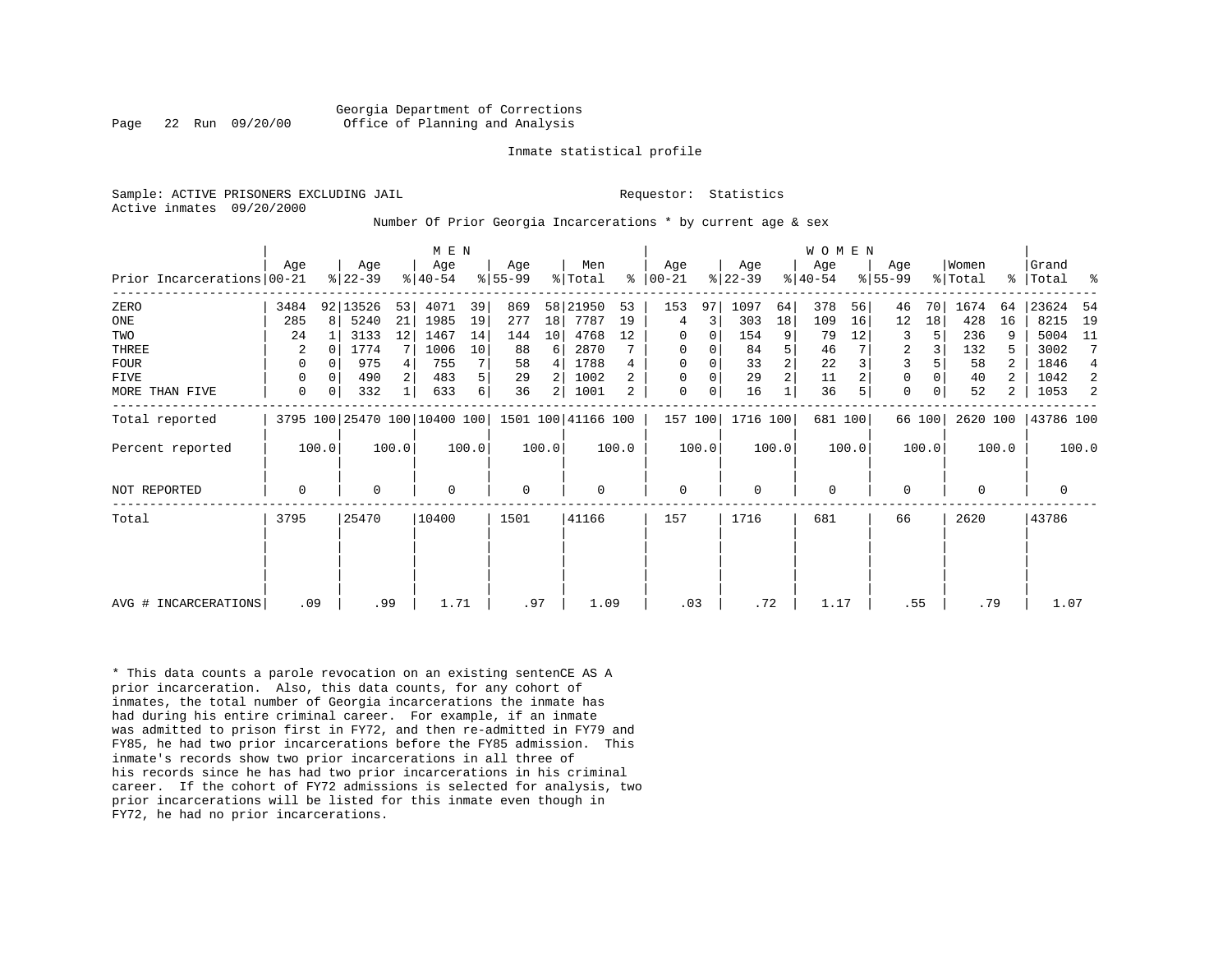Georgia Department of Corrections Page 22 Run 09/20/00 Office of Planning and Analysis

#### Inmate statistical profile

Active inmates 09/20/2000

Sample: ACTIVE PRISONERS EXCLUDING JAIL **Requestor:** Statistics

#### Number Of Prior Georgia Incarcerations \* by current age & sex

|                            |             |              |           |       | M E N                        |       |                    |       |         |       |             |       |           |                | <b>WOMEN</b> |       |                |        |          |       |             |       |
|----------------------------|-------------|--------------|-----------|-------|------------------------------|-------|--------------------|-------|---------|-------|-------------|-------|-----------|----------------|--------------|-------|----------------|--------|----------|-------|-------------|-------|
|                            | Age         |              | Age       |       | Age                          |       | Age                |       | Men     |       | Age         |       | Age       |                | Age          |       | Age            |        | Women    |       | Grand       |       |
| Prior Incarcerations 00-21 |             |              | $ 22-39 $ |       | $ 40-54 $                    |       | $ 55-99 $          |       | % Total | ႜ     | $ 00-21 $   |       | $ 22-39 $ |                | $ 40-54 $    |       | $8155 - 99$    |        | % Total  |       | %   Total % |       |
| ZERO                       | 3484        |              | 92 13526  | 53    | 4071                         | 39    | 869                | 58    | 21950   | 53    | 153         | 97    | 1097      | 64             | 378          | 56    | 46             | 70     | 1674     | 64    | 23624       | -54   |
| ONE                        | 285         | $\mathsf{R}$ | 5240      | 21    | 1985                         | 19    | 277                | 18    | 7787    | 19    | 4           | 3     | 303       | 18             | 109          | 16    | 12             | 18     | 428      | 16    | 8215        | 19    |
| TWO                        | 24          |              | 3133      | 12    | 1467                         | 14    | 144                | 10    | 4768    | 12    | 0           | 0     | 154       | 9              | 79           | 12    | 3              |        | 236      |       | 5004        | -11   |
| THREE                      | 2           |              | 1774      |       | 1006                         | 10    | 88                 | 6     | 2870    |       | 0           | 0     | 84        | 5              | 46           |       | $\overline{2}$ |        | 132      | 5     | 3002        | 7     |
| <b>FOUR</b>                | 0           |              | 975       |       | 755                          | 7     | 58                 | 4     | 1788    |       | 0           |       | 33        | $\overline{2}$ | 22           |       |                |        | 58       |       | 1846        | 4     |
| FIVE                       | 0           | $\Omega$     | 490       |       | 483                          | 5     | 29                 |       | 1002    |       | $\Omega$    | 0     | 29        | $\overline{2}$ | 11           |       | 0              |        | 40       | 2     | 1042        | 2     |
| MORE THAN FIVE             | $\mathbf 0$ | 0            | 332       |       | 633                          | 6     | 36                 | 2     | 1001    | 2     | 0           | 0     | 16        |                | 36           |       | 0              |        | 52       | 2     | 1053        | 2     |
| Total reported             |             |              |           |       | 3795 100 25470 100 10400 100 |       | 1501 100 41166 100 |       |         |       | 157 100     |       | 1716 100  |                | 681 100      |       |                | 66 100 | 2620 100 |       | 43786 100   |       |
| Percent reported           |             | 100.0        |           | 100.0 |                              | 100.0 |                    | 100.0 |         | 100.0 |             | 100.0 |           | 100.0          |              | 100.0 |                | 100.0  |          | 100.0 |             | 100.0 |
| <b>NOT REPORTED</b>        | 0           |              | 0         |       | $\Omega$                     |       | 0                  |       | 0       |       | $\mathbf 0$ |       | $\Omega$  |                | 0            |       | <sup>0</sup>   |        | $\Omega$ |       | 0           |       |
| Total                      | 3795        |              | 25470     |       | 10400                        |       | 1501               |       | 41166   |       | 157         |       | 1716      |                | 681          |       | 66             |        | 2620     |       | 43786       |       |
|                            |             |              |           |       |                              |       |                    |       |         |       |             |       |           |                |              |       |                |        |          |       |             |       |
|                            |             |              |           |       |                              |       |                    |       |         |       |             |       |           |                |              |       |                |        |          |       |             |       |
| AVG # INCARCERATIONS       |             | .09          | .99       |       | 1.71                         |       | .97                |       | 1.09    |       | .03         |       | .72       |                | 1.17         |       | .55            |        | .79      |       | 1.07        |       |

\* This data counts a parole revocation on an existing sentenCE AS A prior incarceration. Also, this data counts, for any cohort of inmates, the total number of Georgia incarcerations the inmate has had during his entire criminal career. For example, if an inmate was admitted to prison first in FY72, and then re-admitted in FY79 and FY85, he had two prior incarcerations before the FY85 admission. This inmate's records show two prior incarcerations in all three of his records since he has had two prior incarcerations in his criminal career. If the cohort of FY72 admissions is selected for analysis, two prior incarcerations will be listed for this inmate even though in FY72, he had no prior incarcerations.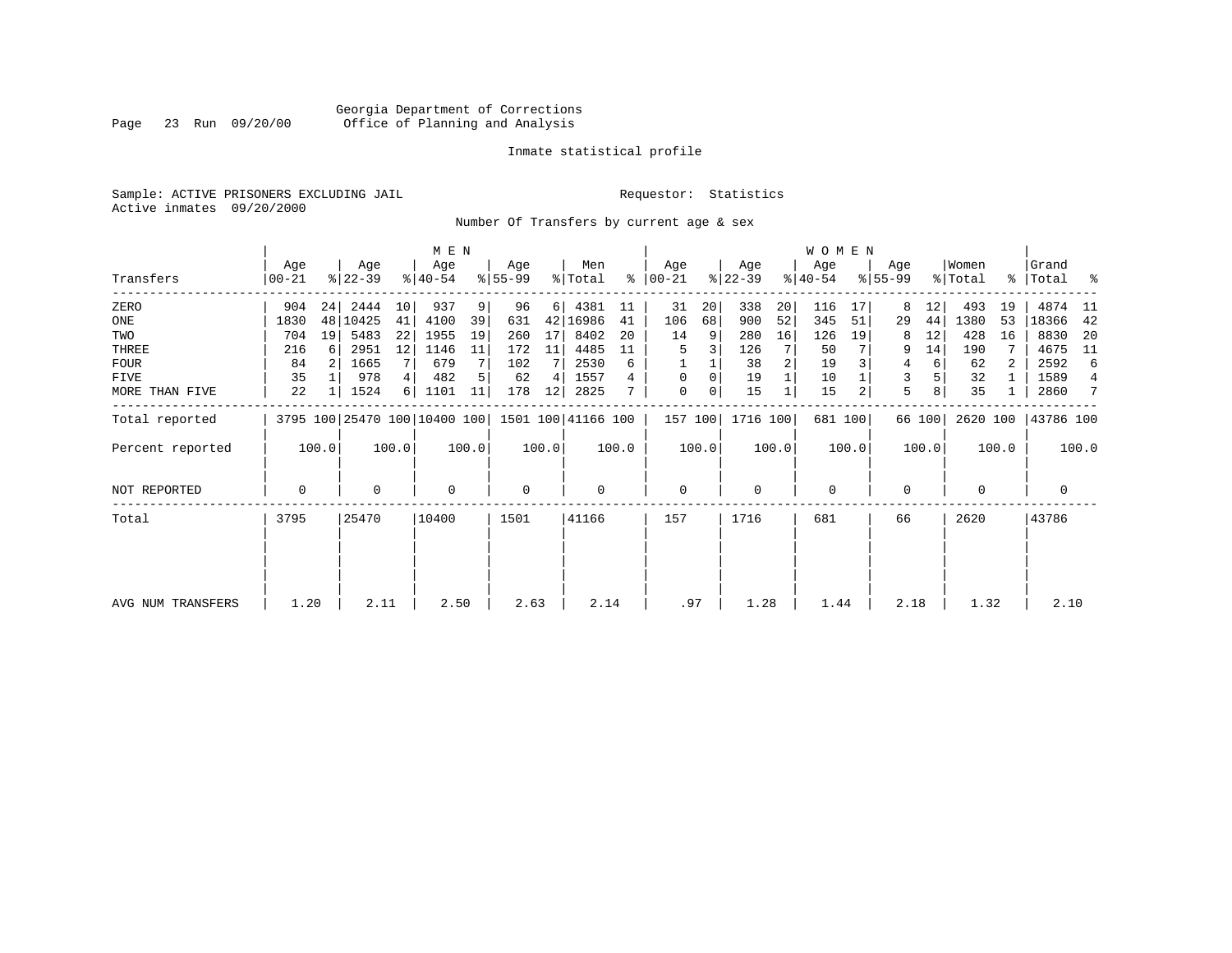# Georgia Department of Corrections Page 23 Run 09/20/00 Office of Planning and Analysis

# Inmate statistical profile

Sample: ACTIVE PRISONERS EXCLUDING JAIL **Requestor:** Statistics Active inmates 09/20/2000

Number Of Transfers by current age & sex

|                   |                |       |                  |       | M E N            |       |                 |       |                                                 |       |                  |       |                  |       | WOMEN            |         |                  |        |                              |       |                      |                 |
|-------------------|----------------|-------|------------------|-------|------------------|-------|-----------------|-------|-------------------------------------------------|-------|------------------|-------|------------------|-------|------------------|---------|------------------|--------|------------------------------|-------|----------------------|-----------------|
| Transfers         | Age<br>  00-21 |       | Age<br>$ 22-39 $ |       | Age<br>$8 40-54$ |       | Age<br>$ 55-99$ |       | Men<br>% Total                                  | ∻     | Age<br>$ 00-21 $ |       | Age<br>$ 22-39 $ |       | Age<br>$ 40-54 $ |         | Age<br>$ 55-99 $ |        | Women<br>$\frac{1}{2}$ Total |       | Grand<br>%   Total % |                 |
| ZERO              | 904            | 24    | 2444             | 10    | 937              | 9     | 96              | 6     | 4381                                            | 11    | 31               | 20    | 338              | 20    | 116              | 17      | 8                | 12     | 493                          | 19    | 4874                 | - 11            |
| ONE               | 1830           |       | 48 10425         | 41    | 4100             | 39    | 631             | 42    | 16986                                           | 41    | 106              | 68    | 900              | 52    | 345              | 51      | 29               | 44     | 1380                         | 53    | 18366                | -42             |
| TWO               | 704            | 19    | 5483             | 22    | 1955             | 19    | 260             | 17    | 8402                                            | 20    | 14               | 9     | 280              | 16    | 126              | 19      | 8                | 12     | 428                          | 16    | 8830                 | -20             |
| THREE             | 216            | 6     | 2951             | 12    | 1146             | 11    | 172             | 11    | 4485                                            |       | 5                |       | 126              |       | 50               |         | 9                | 14     | 190                          |       | 4675                 | - 11            |
| FOUR              | 84             |       | 1665             |       | 679              |       | 102             |       | 2530                                            | 6     |                  |       | 38               |       | 19               |         | 4                | 6      | 62                           |       | 2592                 | 6               |
| FIVE              | 35             |       | 978              | 4     | 482              |       | 62              | 4     | 1557                                            | 4     | $\Omega$         | 0     | 19               |       | 10               |         | 3                |        | 32                           |       | 1589                 | $\overline{4}$  |
| MORE THAN FIVE    | 22             |       | 1524             | 6     | 1101             | 11    | 178             | 12    | 2825                                            |       | 0                | 0     | 15               |       | 15               |         | 5                |        | 35                           |       | 2860                 | $7\phantom{.0}$ |
| Total reported    |                |       |                  |       |                  |       |                 |       | 3795 100 25470 100 10400 100 1501 100 41166 100 |       | 157 100          |       | 1716 100         |       |                  | 681 100 |                  | 66 100 | 2620 100                     |       | 43786 100            |                 |
| Percent reported  |                | 100.0 |                  | 100.0 |                  | 100.0 |                 | 100.0 |                                                 | 100.0 |                  | 100.0 |                  | 100.0 |                  | 100.0   |                  | 100.0  |                              | 100.0 |                      | 100.0           |
| NOT REPORTED      | 0              |       | 0                |       | $\mathbf 0$      |       | 0               |       | $\mathbf 0$                                     |       | 0                |       | $\mathbf 0$      |       | $\mathbf{0}$     |         | 0                |        | 0                            |       | 0                    |                 |
| Total             | 3795           |       | 25470            |       | 10400            |       | 1501            |       | 41166                                           |       | 157              |       | 1716             |       | 681              |         | 66               |        | 2620                         |       | 43786                |                 |
|                   |                |       |                  |       |                  |       |                 |       |                                                 |       |                  |       |                  |       |                  |         |                  |        |                              |       |                      |                 |
|                   |                |       |                  |       |                  |       |                 |       |                                                 |       |                  |       |                  |       |                  |         |                  |        |                              |       |                      |                 |
| AVG NUM TRANSFERS | 1.20           |       | 2.11             |       | 2.50             |       | 2.63            |       | 2.14                                            |       | .97              |       | 1.28             |       | 1.44             |         | 2.18             |        | 1.32                         |       | 2.10                 |                 |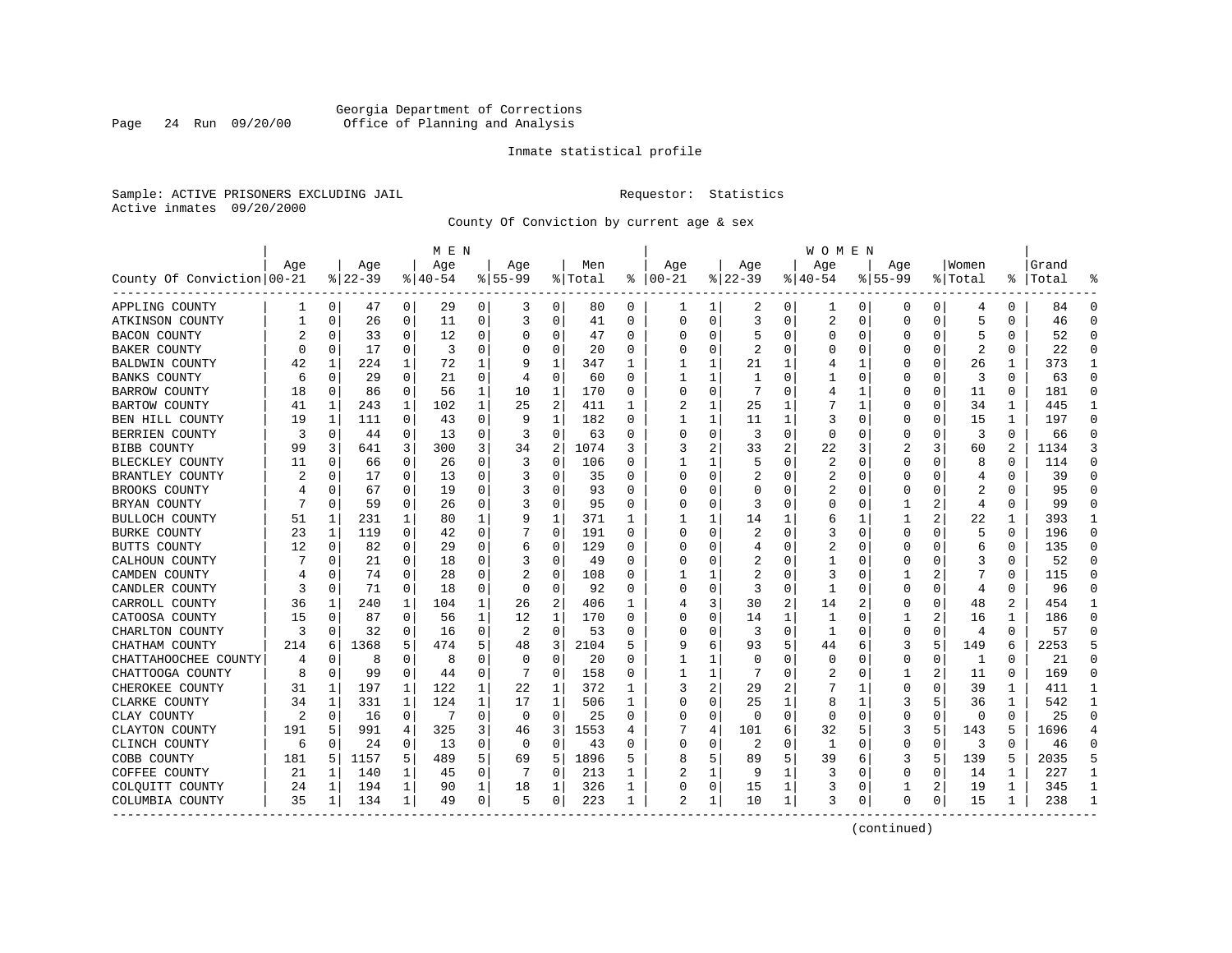# Georgia Department of Corrections Page 24 Run 09/20/00 Office of Planning and Analysis

# Inmate statistical profile

Sample: ACTIVE PRISONERS EXCLUDING JAIL **Requestor:** Statistics Active inmates 09/20/2000

County Of Conviction by current age & sex

| Age<br>Age<br>Age<br>Age<br>Men<br>Age<br>Age<br>Women<br>Grand<br>Age<br>Aqe<br>County Of Conviction 00-21<br>$ 22-39$<br>$8 40-54$<br>% Total<br>$ 00-21$<br>$ 22-39$<br>$ 40-54$<br>$8155 - 99$<br>နွ<br>$8155 - 99$<br>% Total<br>Total<br>ႜ<br>29<br>0<br>80<br>$\overline{0}$<br>APPLING COUNTY<br>0<br>0<br>0<br>0<br>2<br>0<br>0<br>0<br>84<br>0<br>1<br>47<br>3<br>1<br>0<br>4<br>ı<br>26<br>11<br>$\mathbf 0$<br>41<br>$\Omega$<br>$\Omega$<br>3<br>$\Omega$<br>1<br>$\mathbf 0$<br>0<br>3<br>0<br>$\Omega$<br>$\Omega$<br>2<br>0<br>0<br>0<br>5<br>$\Omega$<br>ATKINSON COUNTY<br>46<br>33<br>12<br>47<br>5<br>52<br>$\Omega$<br><b>BACON COUNTY</b><br>0<br>0<br>0<br>0<br>0<br>0<br>0<br>5<br>0<br>U<br>O<br>U<br>O<br>17<br>3<br>0<br>2<br>2<br>22<br>$\Omega$<br>0<br>0<br>0<br>20<br>U<br>U<br>U<br>BAKER COUNTY<br>O<br>0<br>O<br>0<br>224<br>1<br>1<br>373<br>1<br><b>BALDWIN COUNTY</b><br>42<br>1<br>72<br>1<br>347<br>21<br>U<br>26<br>1<br>-1<br>29<br>0<br>60<br>63<br>$\Omega$<br><b>BANKS COUNTY</b><br>0<br>$\Omega$<br>21<br>0<br>U<br>$\Omega$<br>0<br>3<br>0<br>6<br>4<br>$\Omega$<br>-1<br>U<br>86<br>0<br>56<br>1<br>0<br>181<br>$\Omega$<br>1<br>10<br>170<br>7<br>0<br>0<br>11<br>0<br><b>BARROW COUNTY</b><br>18<br>0<br>0<br>0<br>2<br>$\mathbf{1}$<br>411<br>34<br>$\mathbf{1}$<br>445<br>$\mathbf{1}$<br><b>BARTOW COUNTY</b><br>41<br>1<br>243<br>102<br>1<br>25<br>$\mathbf{1}$<br>$\mathbf{1}$<br>25<br>$\mathbf{1}$<br>0<br>1<br>U<br>$\mathbf 1$<br>182<br>197<br>$\Omega$<br>BEN HILL COUNTY<br>19<br>111<br>$\Omega$<br>43<br>0<br>9<br>11<br>1<br>3<br>15<br>1<br>$\Omega$<br>$\Omega$<br>0<br>0<br>1<br>1<br>$\mathbf 0$<br>0<br>$\Omega$<br>63<br>3<br>0<br>3<br>$\Omega$<br>$\Omega$<br>BERRIEN COUNTY<br>3<br>0<br>44<br>13<br>0<br>0<br>0<br>$\Omega$<br>0<br>0<br>66<br>ζ<br>3<br>3<br>300<br>3<br>34<br>2<br>1074<br>33<br>2<br>3<br>2<br>1134<br><b>BIBB COUNTY</b><br>99<br>641<br>3<br>3<br>2<br>22<br>3<br>60<br>0<br>0<br>106<br>8<br>114<br>$\Omega$<br>BLECKLEY COUNTY<br>0<br>66<br>0<br>26<br>3<br>5<br>U<br>2<br>$\Omega$<br>U<br>0<br>0<br>11<br>O<br>17<br>$\Omega$<br>0<br>35<br>$\Omega$<br>39<br>$\Omega$<br>BRANTLEY COUNTY<br>0<br>0<br>13<br>2<br>2<br>$\Omega$<br>0<br>0<br>O<br>U<br>0<br>4<br>0<br>95<br>$\Omega$<br>BROOKS COUNTY<br>0<br>67<br>0<br>19<br>0<br>93<br>$\Omega$<br>U<br>2<br>0<br>O<br>O<br>U<br>O<br>U<br>99<br>$\Omega$<br>BRYAN COUNTY<br>0<br>59<br>0<br>26<br>0<br>0<br>95<br>O<br>3<br>2<br>0<br>0<br>U<br>U<br>0<br>$\overline{4}$<br>231<br>1<br>1<br>371<br>2<br>22<br>393<br>$\mathbf{1}$<br>BULLOCH COUNTY<br>51<br>1<br>80<br>1<br>9<br>14<br>6<br>23<br>119<br>$\Omega$<br>42<br>$\Omega$<br>$\Omega$<br>191<br>$\Omega$<br>2<br>$\Omega$<br>196<br>$\Omega$<br><b>BURKE COUNTY</b><br>1<br>O<br>0<br>3<br>$\Omega$<br>U<br>0<br>5<br>135<br>12<br>82<br>$\Omega$<br>29<br>0<br>0<br>129<br>$\Omega$<br>BUTTS COUNTY<br>$\Omega$<br>O<br>U<br>2<br>$\Omega$<br>0<br>0<br>6<br>0<br>0<br>4<br>6<br>21<br>0<br>$\Omega$<br>0<br>49<br>0<br>52<br>$\Omega$<br>CALHOUN COUNTY<br>0<br>18<br>$\Omega$<br>O<br>2<br>U<br>$\Omega$<br>3<br>0<br>74<br>28<br>0<br>0<br>108<br>2<br>2<br>7<br>$\Omega$<br>CAMDEN COUNTY<br>0<br>$\Omega$<br>$\Omega$<br>3<br>$\Omega$<br>0<br>115<br>1<br>U<br>0<br>0<br>92<br>96<br>$\Omega$<br>CANDLER COUNTY<br>3<br>0<br>71<br>0<br>18<br>$\Omega$<br>0<br>3<br>U<br>$\Omega$<br>U<br>$\overline{4}$<br>O<br>0<br>U<br>2<br>2<br>2<br>454<br>CARROLL COUNTY<br>36<br>240<br>1<br>104<br>1<br>26<br>406<br>3<br>30<br>2<br>0<br>1<br>14<br>48<br>186<br>CATOOSA COUNTY<br>15<br>87<br>0<br>1<br>12<br>1<br>170<br>$\Omega$<br>14<br>1<br>2<br>1<br>$\Omega$<br>0<br>56<br>O<br>1<br>$\Omega$<br>16<br>0<br>3<br>32<br>0<br>16<br>0<br>2<br>53<br>$\Omega$<br>3<br>0<br>0<br>0<br>4<br>0<br>57<br>$\Omega$<br>CHARLTON COUNTY<br>0<br>0<br>$\Omega$<br>1<br>3<br>2104<br>2253<br>5<br>214<br>1368<br>5<br>474<br>5<br>5<br>6<br>93<br>5<br>3<br>5<br>149<br>6<br>CHATHAM COUNTY<br>6<br>48<br>6<br>44<br>$\mathbf 0$<br>21<br>$\Omega$<br>CHATTAHOOCHEE COUNTY<br>8<br>8<br>$\Omega$<br>20<br>0<br>0<br>$\Omega$<br>0<br>U<br>0<br>0<br>O<br>0<br>0<br>1<br>$\Omega$<br>4<br>1<br>99<br>0<br>0<br>0<br>158<br>2<br>169<br>$\Omega$<br>CHATTOOGA COUNTY<br>8<br>0<br>44<br>0<br>2<br>0<br>11<br>0<br>0<br>1<br>197<br>1<br>122<br>372<br>2<br>29<br>411<br>CHEROKEE COUNTY<br>1<br>22<br>1<br>0<br>0<br>39<br>1<br>31<br>1<br>1<br>25<br>1<br>CLARKE COUNTY<br>34<br>1<br>331<br>124<br>1<br>17<br>1<br>506<br>1<br>O<br>1<br>3<br>5.<br>36<br>1<br>542<br>O<br>8<br>1<br>0<br>0<br>25<br>0<br>$\Omega$<br>CLAY COUNTY<br>2<br>0<br>16<br>0<br>0<br>0<br>0<br>$\Omega$<br>$\Omega$<br>0<br>0<br>0<br>25<br>0<br>0<br>0<br>991<br>325<br>3<br>3<br>1696<br>CLAYTON COUNTY<br>191<br>5<br>4<br>1553<br>101<br>6<br>32<br>3<br>5<br>143<br>4<br>4<br>5<br>5<br>46<br>4<br>24<br>0<br>2<br>CLINCH COUNTY<br>6<br>$\mathbf 0$<br>0<br>13<br>0<br>43<br>$\Omega$<br>O<br>1<br>0<br>0<br>3<br>$\Omega$<br>46<br>$\Omega$<br>0<br>O<br>0<br>0<br>5<br>5<br>5<br>2035<br>5<br>181<br>-5<br>1157<br>489<br>69<br>1896<br>5<br>5<br>89<br>5<br>39<br>3<br>5<br>139<br>COBB COUNTY<br>8<br>6<br>5<br>21<br>1<br>0<br>0<br>213<br>0<br>227<br>$\mathbf{1}$<br>COFFEE COUNTY<br>1<br>140<br>45<br>9<br>1<br>3<br>0<br>14<br>0<br>326<br>345<br>1<br>COLQUITT COUNTY<br>24<br>1<br>194<br>1<br>90<br>1<br>18<br>1<br>1<br>0<br>15<br>1<br>3<br>0<br>2<br>19<br>1<br>0<br>35<br>134<br>0<br>0<br>223<br>10<br>3<br>15<br>238<br>1<br>COLUMBIA COUNTY<br>1<br>1<br>49<br>5<br>2<br>1<br>0<br>O<br>0<br>1<br>1<br>1 |  |  | M E N |  |  |  |  | W O M E N |  |  |  |  |
|---------------------------------------------------------------------------------------------------------------------------------------------------------------------------------------------------------------------------------------------------------------------------------------------------------------------------------------------------------------------------------------------------------------------------------------------------------------------------------------------------------------------------------------------------------------------------------------------------------------------------------------------------------------------------------------------------------------------------------------------------------------------------------------------------------------------------------------------------------------------------------------------------------------------------------------------------------------------------------------------------------------------------------------------------------------------------------------------------------------------------------------------------------------------------------------------------------------------------------------------------------------------------------------------------------------------------------------------------------------------------------------------------------------------------------------------------------------------------------------------------------------------------------------------------------------------------------------------------------------------------------------------------------------------------------------------------------------------------------------------------------------------------------------------------------------------------------------------------------------------------------------------------------------------------------------------------------------------------------------------------------------------------------------------------------------------------------------------------------------------------------------------------------------------------------------------------------------------------------------------------------------------------------------------------------------------------------------------------------------------------------------------------------------------------------------------------------------------------------------------------------------------------------------------------------------------------------------------------------------------------------------------------------------------------------------------------------------------------------------------------------------------------------------------------------------------------------------------------------------------------------------------------------------------------------------------------------------------------------------------------------------------------------------------------------------------------------------------------------------------------------------------------------------------------------------------------------------------------------------------------------------------------------------------------------------------------------------------------------------------------------------------------------------------------------------------------------------------------------------------------------------------------------------------------------------------------------------------------------------------------------------------------------------------------------------------------------------------------------------------------------------------------------------------------------------------------------------------------------------------------------------------------------------------------------------------------------------------------------------------------------------------------------------------------------------------------------------------------------------------------------------------------------------------------------------------------------------------------------------------------------------------------------------------------------------------------------------------------------------------------------------------------------------------------------------------------------------------------------------------------------------------------------------------------------------------------------------------------------------------------------------------------------------------------------------------------------------------------------------------------------------------------------------------------------------------------------------------------------------------------------------------------------------------------------------------------------------------------------------------------------------------------------------------------------------------------------------------------------------------------------------------------------------------------------------------------------------------------------------------------------------------------------------------------------------------------------------------------------------------------------------------------------------------------------------------------------------------------------------------------------------------------------------------------------------------------------------------------------------------------------|--|--|-------|--|--|--|--|-----------|--|--|--|--|
|                                                                                                                                                                                                                                                                                                                                                                                                                                                                                                                                                                                                                                                                                                                                                                                                                                                                                                                                                                                                                                                                                                                                                                                                                                                                                                                                                                                                                                                                                                                                                                                                                                                                                                                                                                                                                                                                                                                                                                                                                                                                                                                                                                                                                                                                                                                                                                                                                                                                                                                                                                                                                                                                                                                                                                                                                                                                                                                                                                                                                                                                                                                                                                                                                                                                                                                                                                                                                                                                                                                                                                                                                                                                                                                                                                                                                                                                                                                                                                                                                                                                                                                                                                                                                                                                                                                                                                                                                                                                                                                                                                                                                                                                                                                                                                                                                                                                                                                                                                                                                                                                                                                                                                                                                                                                                                                                                                                                                                                                                                                                                                                                                                 |  |  |       |  |  |  |  |           |  |  |  |  |
|                                                                                                                                                                                                                                                                                                                                                                                                                                                                                                                                                                                                                                                                                                                                                                                                                                                                                                                                                                                                                                                                                                                                                                                                                                                                                                                                                                                                                                                                                                                                                                                                                                                                                                                                                                                                                                                                                                                                                                                                                                                                                                                                                                                                                                                                                                                                                                                                                                                                                                                                                                                                                                                                                                                                                                                                                                                                                                                                                                                                                                                                                                                                                                                                                                                                                                                                                                                                                                                                                                                                                                                                                                                                                                                                                                                                                                                                                                                                                                                                                                                                                                                                                                                                                                                                                                                                                                                                                                                                                                                                                                                                                                                                                                                                                                                                                                                                                                                                                                                                                                                                                                                                                                                                                                                                                                                                                                                                                                                                                                                                                                                                                                 |  |  |       |  |  |  |  |           |  |  |  |  |
|                                                                                                                                                                                                                                                                                                                                                                                                                                                                                                                                                                                                                                                                                                                                                                                                                                                                                                                                                                                                                                                                                                                                                                                                                                                                                                                                                                                                                                                                                                                                                                                                                                                                                                                                                                                                                                                                                                                                                                                                                                                                                                                                                                                                                                                                                                                                                                                                                                                                                                                                                                                                                                                                                                                                                                                                                                                                                                                                                                                                                                                                                                                                                                                                                                                                                                                                                                                                                                                                                                                                                                                                                                                                                                                                                                                                                                                                                                                                                                                                                                                                                                                                                                                                                                                                                                                                                                                                                                                                                                                                                                                                                                                                                                                                                                                                                                                                                                                                                                                                                                                                                                                                                                                                                                                                                                                                                                                                                                                                                                                                                                                                                                 |  |  |       |  |  |  |  |           |  |  |  |  |
|                                                                                                                                                                                                                                                                                                                                                                                                                                                                                                                                                                                                                                                                                                                                                                                                                                                                                                                                                                                                                                                                                                                                                                                                                                                                                                                                                                                                                                                                                                                                                                                                                                                                                                                                                                                                                                                                                                                                                                                                                                                                                                                                                                                                                                                                                                                                                                                                                                                                                                                                                                                                                                                                                                                                                                                                                                                                                                                                                                                                                                                                                                                                                                                                                                                                                                                                                                                                                                                                                                                                                                                                                                                                                                                                                                                                                                                                                                                                                                                                                                                                                                                                                                                                                                                                                                                                                                                                                                                                                                                                                                                                                                                                                                                                                                                                                                                                                                                                                                                                                                                                                                                                                                                                                                                                                                                                                                                                                                                                                                                                                                                                                                 |  |  |       |  |  |  |  |           |  |  |  |  |
|                                                                                                                                                                                                                                                                                                                                                                                                                                                                                                                                                                                                                                                                                                                                                                                                                                                                                                                                                                                                                                                                                                                                                                                                                                                                                                                                                                                                                                                                                                                                                                                                                                                                                                                                                                                                                                                                                                                                                                                                                                                                                                                                                                                                                                                                                                                                                                                                                                                                                                                                                                                                                                                                                                                                                                                                                                                                                                                                                                                                                                                                                                                                                                                                                                                                                                                                                                                                                                                                                                                                                                                                                                                                                                                                                                                                                                                                                                                                                                                                                                                                                                                                                                                                                                                                                                                                                                                                                                                                                                                                                                                                                                                                                                                                                                                                                                                                                                                                                                                                                                                                                                                                                                                                                                                                                                                                                                                                                                                                                                                                                                                                                                 |  |  |       |  |  |  |  |           |  |  |  |  |
|                                                                                                                                                                                                                                                                                                                                                                                                                                                                                                                                                                                                                                                                                                                                                                                                                                                                                                                                                                                                                                                                                                                                                                                                                                                                                                                                                                                                                                                                                                                                                                                                                                                                                                                                                                                                                                                                                                                                                                                                                                                                                                                                                                                                                                                                                                                                                                                                                                                                                                                                                                                                                                                                                                                                                                                                                                                                                                                                                                                                                                                                                                                                                                                                                                                                                                                                                                                                                                                                                                                                                                                                                                                                                                                                                                                                                                                                                                                                                                                                                                                                                                                                                                                                                                                                                                                                                                                                                                                                                                                                                                                                                                                                                                                                                                                                                                                                                                                                                                                                                                                                                                                                                                                                                                                                                                                                                                                                                                                                                                                                                                                                                                 |  |  |       |  |  |  |  |           |  |  |  |  |
|                                                                                                                                                                                                                                                                                                                                                                                                                                                                                                                                                                                                                                                                                                                                                                                                                                                                                                                                                                                                                                                                                                                                                                                                                                                                                                                                                                                                                                                                                                                                                                                                                                                                                                                                                                                                                                                                                                                                                                                                                                                                                                                                                                                                                                                                                                                                                                                                                                                                                                                                                                                                                                                                                                                                                                                                                                                                                                                                                                                                                                                                                                                                                                                                                                                                                                                                                                                                                                                                                                                                                                                                                                                                                                                                                                                                                                                                                                                                                                                                                                                                                                                                                                                                                                                                                                                                                                                                                                                                                                                                                                                                                                                                                                                                                                                                                                                                                                                                                                                                                                                                                                                                                                                                                                                                                                                                                                                                                                                                                                                                                                                                                                 |  |  |       |  |  |  |  |           |  |  |  |  |
|                                                                                                                                                                                                                                                                                                                                                                                                                                                                                                                                                                                                                                                                                                                                                                                                                                                                                                                                                                                                                                                                                                                                                                                                                                                                                                                                                                                                                                                                                                                                                                                                                                                                                                                                                                                                                                                                                                                                                                                                                                                                                                                                                                                                                                                                                                                                                                                                                                                                                                                                                                                                                                                                                                                                                                                                                                                                                                                                                                                                                                                                                                                                                                                                                                                                                                                                                                                                                                                                                                                                                                                                                                                                                                                                                                                                                                                                                                                                                                                                                                                                                                                                                                                                                                                                                                                                                                                                                                                                                                                                                                                                                                                                                                                                                                                                                                                                                                                                                                                                                                                                                                                                                                                                                                                                                                                                                                                                                                                                                                                                                                                                                                 |  |  |       |  |  |  |  |           |  |  |  |  |
|                                                                                                                                                                                                                                                                                                                                                                                                                                                                                                                                                                                                                                                                                                                                                                                                                                                                                                                                                                                                                                                                                                                                                                                                                                                                                                                                                                                                                                                                                                                                                                                                                                                                                                                                                                                                                                                                                                                                                                                                                                                                                                                                                                                                                                                                                                                                                                                                                                                                                                                                                                                                                                                                                                                                                                                                                                                                                                                                                                                                                                                                                                                                                                                                                                                                                                                                                                                                                                                                                                                                                                                                                                                                                                                                                                                                                                                                                                                                                                                                                                                                                                                                                                                                                                                                                                                                                                                                                                                                                                                                                                                                                                                                                                                                                                                                                                                                                                                                                                                                                                                                                                                                                                                                                                                                                                                                                                                                                                                                                                                                                                                                                                 |  |  |       |  |  |  |  |           |  |  |  |  |
|                                                                                                                                                                                                                                                                                                                                                                                                                                                                                                                                                                                                                                                                                                                                                                                                                                                                                                                                                                                                                                                                                                                                                                                                                                                                                                                                                                                                                                                                                                                                                                                                                                                                                                                                                                                                                                                                                                                                                                                                                                                                                                                                                                                                                                                                                                                                                                                                                                                                                                                                                                                                                                                                                                                                                                                                                                                                                                                                                                                                                                                                                                                                                                                                                                                                                                                                                                                                                                                                                                                                                                                                                                                                                                                                                                                                                                                                                                                                                                                                                                                                                                                                                                                                                                                                                                                                                                                                                                                                                                                                                                                                                                                                                                                                                                                                                                                                                                                                                                                                                                                                                                                                                                                                                                                                                                                                                                                                                                                                                                                                                                                                                                 |  |  |       |  |  |  |  |           |  |  |  |  |
|                                                                                                                                                                                                                                                                                                                                                                                                                                                                                                                                                                                                                                                                                                                                                                                                                                                                                                                                                                                                                                                                                                                                                                                                                                                                                                                                                                                                                                                                                                                                                                                                                                                                                                                                                                                                                                                                                                                                                                                                                                                                                                                                                                                                                                                                                                                                                                                                                                                                                                                                                                                                                                                                                                                                                                                                                                                                                                                                                                                                                                                                                                                                                                                                                                                                                                                                                                                                                                                                                                                                                                                                                                                                                                                                                                                                                                                                                                                                                                                                                                                                                                                                                                                                                                                                                                                                                                                                                                                                                                                                                                                                                                                                                                                                                                                                                                                                                                                                                                                                                                                                                                                                                                                                                                                                                                                                                                                                                                                                                                                                                                                                                                 |  |  |       |  |  |  |  |           |  |  |  |  |
|                                                                                                                                                                                                                                                                                                                                                                                                                                                                                                                                                                                                                                                                                                                                                                                                                                                                                                                                                                                                                                                                                                                                                                                                                                                                                                                                                                                                                                                                                                                                                                                                                                                                                                                                                                                                                                                                                                                                                                                                                                                                                                                                                                                                                                                                                                                                                                                                                                                                                                                                                                                                                                                                                                                                                                                                                                                                                                                                                                                                                                                                                                                                                                                                                                                                                                                                                                                                                                                                                                                                                                                                                                                                                                                                                                                                                                                                                                                                                                                                                                                                                                                                                                                                                                                                                                                                                                                                                                                                                                                                                                                                                                                                                                                                                                                                                                                                                                                                                                                                                                                                                                                                                                                                                                                                                                                                                                                                                                                                                                                                                                                                                                 |  |  |       |  |  |  |  |           |  |  |  |  |
|                                                                                                                                                                                                                                                                                                                                                                                                                                                                                                                                                                                                                                                                                                                                                                                                                                                                                                                                                                                                                                                                                                                                                                                                                                                                                                                                                                                                                                                                                                                                                                                                                                                                                                                                                                                                                                                                                                                                                                                                                                                                                                                                                                                                                                                                                                                                                                                                                                                                                                                                                                                                                                                                                                                                                                                                                                                                                                                                                                                                                                                                                                                                                                                                                                                                                                                                                                                                                                                                                                                                                                                                                                                                                                                                                                                                                                                                                                                                                                                                                                                                                                                                                                                                                                                                                                                                                                                                                                                                                                                                                                                                                                                                                                                                                                                                                                                                                                                                                                                                                                                                                                                                                                                                                                                                                                                                                                                                                                                                                                                                                                                                                                 |  |  |       |  |  |  |  |           |  |  |  |  |
|                                                                                                                                                                                                                                                                                                                                                                                                                                                                                                                                                                                                                                                                                                                                                                                                                                                                                                                                                                                                                                                                                                                                                                                                                                                                                                                                                                                                                                                                                                                                                                                                                                                                                                                                                                                                                                                                                                                                                                                                                                                                                                                                                                                                                                                                                                                                                                                                                                                                                                                                                                                                                                                                                                                                                                                                                                                                                                                                                                                                                                                                                                                                                                                                                                                                                                                                                                                                                                                                                                                                                                                                                                                                                                                                                                                                                                                                                                                                                                                                                                                                                                                                                                                                                                                                                                                                                                                                                                                                                                                                                                                                                                                                                                                                                                                                                                                                                                                                                                                                                                                                                                                                                                                                                                                                                                                                                                                                                                                                                                                                                                                                                                 |  |  |       |  |  |  |  |           |  |  |  |  |
|                                                                                                                                                                                                                                                                                                                                                                                                                                                                                                                                                                                                                                                                                                                                                                                                                                                                                                                                                                                                                                                                                                                                                                                                                                                                                                                                                                                                                                                                                                                                                                                                                                                                                                                                                                                                                                                                                                                                                                                                                                                                                                                                                                                                                                                                                                                                                                                                                                                                                                                                                                                                                                                                                                                                                                                                                                                                                                                                                                                                                                                                                                                                                                                                                                                                                                                                                                                                                                                                                                                                                                                                                                                                                                                                                                                                                                                                                                                                                                                                                                                                                                                                                                                                                                                                                                                                                                                                                                                                                                                                                                                                                                                                                                                                                                                                                                                                                                                                                                                                                                                                                                                                                                                                                                                                                                                                                                                                                                                                                                                                                                                                                                 |  |  |       |  |  |  |  |           |  |  |  |  |
|                                                                                                                                                                                                                                                                                                                                                                                                                                                                                                                                                                                                                                                                                                                                                                                                                                                                                                                                                                                                                                                                                                                                                                                                                                                                                                                                                                                                                                                                                                                                                                                                                                                                                                                                                                                                                                                                                                                                                                                                                                                                                                                                                                                                                                                                                                                                                                                                                                                                                                                                                                                                                                                                                                                                                                                                                                                                                                                                                                                                                                                                                                                                                                                                                                                                                                                                                                                                                                                                                                                                                                                                                                                                                                                                                                                                                                                                                                                                                                                                                                                                                                                                                                                                                                                                                                                                                                                                                                                                                                                                                                                                                                                                                                                                                                                                                                                                                                                                                                                                                                                                                                                                                                                                                                                                                                                                                                                                                                                                                                                                                                                                                                 |  |  |       |  |  |  |  |           |  |  |  |  |
|                                                                                                                                                                                                                                                                                                                                                                                                                                                                                                                                                                                                                                                                                                                                                                                                                                                                                                                                                                                                                                                                                                                                                                                                                                                                                                                                                                                                                                                                                                                                                                                                                                                                                                                                                                                                                                                                                                                                                                                                                                                                                                                                                                                                                                                                                                                                                                                                                                                                                                                                                                                                                                                                                                                                                                                                                                                                                                                                                                                                                                                                                                                                                                                                                                                                                                                                                                                                                                                                                                                                                                                                                                                                                                                                                                                                                                                                                                                                                                                                                                                                                                                                                                                                                                                                                                                                                                                                                                                                                                                                                                                                                                                                                                                                                                                                                                                                                                                                                                                                                                                                                                                                                                                                                                                                                                                                                                                                                                                                                                                                                                                                                                 |  |  |       |  |  |  |  |           |  |  |  |  |
|                                                                                                                                                                                                                                                                                                                                                                                                                                                                                                                                                                                                                                                                                                                                                                                                                                                                                                                                                                                                                                                                                                                                                                                                                                                                                                                                                                                                                                                                                                                                                                                                                                                                                                                                                                                                                                                                                                                                                                                                                                                                                                                                                                                                                                                                                                                                                                                                                                                                                                                                                                                                                                                                                                                                                                                                                                                                                                                                                                                                                                                                                                                                                                                                                                                                                                                                                                                                                                                                                                                                                                                                                                                                                                                                                                                                                                                                                                                                                                                                                                                                                                                                                                                                                                                                                                                                                                                                                                                                                                                                                                                                                                                                                                                                                                                                                                                                                                                                                                                                                                                                                                                                                                                                                                                                                                                                                                                                                                                                                                                                                                                                                                 |  |  |       |  |  |  |  |           |  |  |  |  |
|                                                                                                                                                                                                                                                                                                                                                                                                                                                                                                                                                                                                                                                                                                                                                                                                                                                                                                                                                                                                                                                                                                                                                                                                                                                                                                                                                                                                                                                                                                                                                                                                                                                                                                                                                                                                                                                                                                                                                                                                                                                                                                                                                                                                                                                                                                                                                                                                                                                                                                                                                                                                                                                                                                                                                                                                                                                                                                                                                                                                                                                                                                                                                                                                                                                                                                                                                                                                                                                                                                                                                                                                                                                                                                                                                                                                                                                                                                                                                                                                                                                                                                                                                                                                                                                                                                                                                                                                                                                                                                                                                                                                                                                                                                                                                                                                                                                                                                                                                                                                                                                                                                                                                                                                                                                                                                                                                                                                                                                                                                                                                                                                                                 |  |  |       |  |  |  |  |           |  |  |  |  |
|                                                                                                                                                                                                                                                                                                                                                                                                                                                                                                                                                                                                                                                                                                                                                                                                                                                                                                                                                                                                                                                                                                                                                                                                                                                                                                                                                                                                                                                                                                                                                                                                                                                                                                                                                                                                                                                                                                                                                                                                                                                                                                                                                                                                                                                                                                                                                                                                                                                                                                                                                                                                                                                                                                                                                                                                                                                                                                                                                                                                                                                                                                                                                                                                                                                                                                                                                                                                                                                                                                                                                                                                                                                                                                                                                                                                                                                                                                                                                                                                                                                                                                                                                                                                                                                                                                                                                                                                                                                                                                                                                                                                                                                                                                                                                                                                                                                                                                                                                                                                                                                                                                                                                                                                                                                                                                                                                                                                                                                                                                                                                                                                                                 |  |  |       |  |  |  |  |           |  |  |  |  |
|                                                                                                                                                                                                                                                                                                                                                                                                                                                                                                                                                                                                                                                                                                                                                                                                                                                                                                                                                                                                                                                                                                                                                                                                                                                                                                                                                                                                                                                                                                                                                                                                                                                                                                                                                                                                                                                                                                                                                                                                                                                                                                                                                                                                                                                                                                                                                                                                                                                                                                                                                                                                                                                                                                                                                                                                                                                                                                                                                                                                                                                                                                                                                                                                                                                                                                                                                                                                                                                                                                                                                                                                                                                                                                                                                                                                                                                                                                                                                                                                                                                                                                                                                                                                                                                                                                                                                                                                                                                                                                                                                                                                                                                                                                                                                                                                                                                                                                                                                                                                                                                                                                                                                                                                                                                                                                                                                                                                                                                                                                                                                                                                                                 |  |  |       |  |  |  |  |           |  |  |  |  |
|                                                                                                                                                                                                                                                                                                                                                                                                                                                                                                                                                                                                                                                                                                                                                                                                                                                                                                                                                                                                                                                                                                                                                                                                                                                                                                                                                                                                                                                                                                                                                                                                                                                                                                                                                                                                                                                                                                                                                                                                                                                                                                                                                                                                                                                                                                                                                                                                                                                                                                                                                                                                                                                                                                                                                                                                                                                                                                                                                                                                                                                                                                                                                                                                                                                                                                                                                                                                                                                                                                                                                                                                                                                                                                                                                                                                                                                                                                                                                                                                                                                                                                                                                                                                                                                                                                                                                                                                                                                                                                                                                                                                                                                                                                                                                                                                                                                                                                                                                                                                                                                                                                                                                                                                                                                                                                                                                                                                                                                                                                                                                                                                                                 |  |  |       |  |  |  |  |           |  |  |  |  |
|                                                                                                                                                                                                                                                                                                                                                                                                                                                                                                                                                                                                                                                                                                                                                                                                                                                                                                                                                                                                                                                                                                                                                                                                                                                                                                                                                                                                                                                                                                                                                                                                                                                                                                                                                                                                                                                                                                                                                                                                                                                                                                                                                                                                                                                                                                                                                                                                                                                                                                                                                                                                                                                                                                                                                                                                                                                                                                                                                                                                                                                                                                                                                                                                                                                                                                                                                                                                                                                                                                                                                                                                                                                                                                                                                                                                                                                                                                                                                                                                                                                                                                                                                                                                                                                                                                                                                                                                                                                                                                                                                                                                                                                                                                                                                                                                                                                                                                                                                                                                                                                                                                                                                                                                                                                                                                                                                                                                                                                                                                                                                                                                                                 |  |  |       |  |  |  |  |           |  |  |  |  |
|                                                                                                                                                                                                                                                                                                                                                                                                                                                                                                                                                                                                                                                                                                                                                                                                                                                                                                                                                                                                                                                                                                                                                                                                                                                                                                                                                                                                                                                                                                                                                                                                                                                                                                                                                                                                                                                                                                                                                                                                                                                                                                                                                                                                                                                                                                                                                                                                                                                                                                                                                                                                                                                                                                                                                                                                                                                                                                                                                                                                                                                                                                                                                                                                                                                                                                                                                                                                                                                                                                                                                                                                                                                                                                                                                                                                                                                                                                                                                                                                                                                                                                                                                                                                                                                                                                                                                                                                                                                                                                                                                                                                                                                                                                                                                                                                                                                                                                                                                                                                                                                                                                                                                                                                                                                                                                                                                                                                                                                                                                                                                                                                                                 |  |  |       |  |  |  |  |           |  |  |  |  |
|                                                                                                                                                                                                                                                                                                                                                                                                                                                                                                                                                                                                                                                                                                                                                                                                                                                                                                                                                                                                                                                                                                                                                                                                                                                                                                                                                                                                                                                                                                                                                                                                                                                                                                                                                                                                                                                                                                                                                                                                                                                                                                                                                                                                                                                                                                                                                                                                                                                                                                                                                                                                                                                                                                                                                                                                                                                                                                                                                                                                                                                                                                                                                                                                                                                                                                                                                                                                                                                                                                                                                                                                                                                                                                                                                                                                                                                                                                                                                                                                                                                                                                                                                                                                                                                                                                                                                                                                                                                                                                                                                                                                                                                                                                                                                                                                                                                                                                                                                                                                                                                                                                                                                                                                                                                                                                                                                                                                                                                                                                                                                                                                                                 |  |  |       |  |  |  |  |           |  |  |  |  |
|                                                                                                                                                                                                                                                                                                                                                                                                                                                                                                                                                                                                                                                                                                                                                                                                                                                                                                                                                                                                                                                                                                                                                                                                                                                                                                                                                                                                                                                                                                                                                                                                                                                                                                                                                                                                                                                                                                                                                                                                                                                                                                                                                                                                                                                                                                                                                                                                                                                                                                                                                                                                                                                                                                                                                                                                                                                                                                                                                                                                                                                                                                                                                                                                                                                                                                                                                                                                                                                                                                                                                                                                                                                                                                                                                                                                                                                                                                                                                                                                                                                                                                                                                                                                                                                                                                                                                                                                                                                                                                                                                                                                                                                                                                                                                                                                                                                                                                                                                                                                                                                                                                                                                                                                                                                                                                                                                                                                                                                                                                                                                                                                                                 |  |  |       |  |  |  |  |           |  |  |  |  |
|                                                                                                                                                                                                                                                                                                                                                                                                                                                                                                                                                                                                                                                                                                                                                                                                                                                                                                                                                                                                                                                                                                                                                                                                                                                                                                                                                                                                                                                                                                                                                                                                                                                                                                                                                                                                                                                                                                                                                                                                                                                                                                                                                                                                                                                                                                                                                                                                                                                                                                                                                                                                                                                                                                                                                                                                                                                                                                                                                                                                                                                                                                                                                                                                                                                                                                                                                                                                                                                                                                                                                                                                                                                                                                                                                                                                                                                                                                                                                                                                                                                                                                                                                                                                                                                                                                                                                                                                                                                                                                                                                                                                                                                                                                                                                                                                                                                                                                                                                                                                                                                                                                                                                                                                                                                                                                                                                                                                                                                                                                                                                                                                                                 |  |  |       |  |  |  |  |           |  |  |  |  |
|                                                                                                                                                                                                                                                                                                                                                                                                                                                                                                                                                                                                                                                                                                                                                                                                                                                                                                                                                                                                                                                                                                                                                                                                                                                                                                                                                                                                                                                                                                                                                                                                                                                                                                                                                                                                                                                                                                                                                                                                                                                                                                                                                                                                                                                                                                                                                                                                                                                                                                                                                                                                                                                                                                                                                                                                                                                                                                                                                                                                                                                                                                                                                                                                                                                                                                                                                                                                                                                                                                                                                                                                                                                                                                                                                                                                                                                                                                                                                                                                                                                                                                                                                                                                                                                                                                                                                                                                                                                                                                                                                                                                                                                                                                                                                                                                                                                                                                                                                                                                                                                                                                                                                                                                                                                                                                                                                                                                                                                                                                                                                                                                                                 |  |  |       |  |  |  |  |           |  |  |  |  |
|                                                                                                                                                                                                                                                                                                                                                                                                                                                                                                                                                                                                                                                                                                                                                                                                                                                                                                                                                                                                                                                                                                                                                                                                                                                                                                                                                                                                                                                                                                                                                                                                                                                                                                                                                                                                                                                                                                                                                                                                                                                                                                                                                                                                                                                                                                                                                                                                                                                                                                                                                                                                                                                                                                                                                                                                                                                                                                                                                                                                                                                                                                                                                                                                                                                                                                                                                                                                                                                                                                                                                                                                                                                                                                                                                                                                                                                                                                                                                                                                                                                                                                                                                                                                                                                                                                                                                                                                                                                                                                                                                                                                                                                                                                                                                                                                                                                                                                                                                                                                                                                                                                                                                                                                                                                                                                                                                                                                                                                                                                                                                                                                                                 |  |  |       |  |  |  |  |           |  |  |  |  |
|                                                                                                                                                                                                                                                                                                                                                                                                                                                                                                                                                                                                                                                                                                                                                                                                                                                                                                                                                                                                                                                                                                                                                                                                                                                                                                                                                                                                                                                                                                                                                                                                                                                                                                                                                                                                                                                                                                                                                                                                                                                                                                                                                                                                                                                                                                                                                                                                                                                                                                                                                                                                                                                                                                                                                                                                                                                                                                                                                                                                                                                                                                                                                                                                                                                                                                                                                                                                                                                                                                                                                                                                                                                                                                                                                                                                                                                                                                                                                                                                                                                                                                                                                                                                                                                                                                                                                                                                                                                                                                                                                                                                                                                                                                                                                                                                                                                                                                                                                                                                                                                                                                                                                                                                                                                                                                                                                                                                                                                                                                                                                                                                                                 |  |  |       |  |  |  |  |           |  |  |  |  |
|                                                                                                                                                                                                                                                                                                                                                                                                                                                                                                                                                                                                                                                                                                                                                                                                                                                                                                                                                                                                                                                                                                                                                                                                                                                                                                                                                                                                                                                                                                                                                                                                                                                                                                                                                                                                                                                                                                                                                                                                                                                                                                                                                                                                                                                                                                                                                                                                                                                                                                                                                                                                                                                                                                                                                                                                                                                                                                                                                                                                                                                                                                                                                                                                                                                                                                                                                                                                                                                                                                                                                                                                                                                                                                                                                                                                                                                                                                                                                                                                                                                                                                                                                                                                                                                                                                                                                                                                                                                                                                                                                                                                                                                                                                                                                                                                                                                                                                                                                                                                                                                                                                                                                                                                                                                                                                                                                                                                                                                                                                                                                                                                                                 |  |  |       |  |  |  |  |           |  |  |  |  |
|                                                                                                                                                                                                                                                                                                                                                                                                                                                                                                                                                                                                                                                                                                                                                                                                                                                                                                                                                                                                                                                                                                                                                                                                                                                                                                                                                                                                                                                                                                                                                                                                                                                                                                                                                                                                                                                                                                                                                                                                                                                                                                                                                                                                                                                                                                                                                                                                                                                                                                                                                                                                                                                                                                                                                                                                                                                                                                                                                                                                                                                                                                                                                                                                                                                                                                                                                                                                                                                                                                                                                                                                                                                                                                                                                                                                                                                                                                                                                                                                                                                                                                                                                                                                                                                                                                                                                                                                                                                                                                                                                                                                                                                                                                                                                                                                                                                                                                                                                                                                                                                                                                                                                                                                                                                                                                                                                                                                                                                                                                                                                                                                                                 |  |  |       |  |  |  |  |           |  |  |  |  |
|                                                                                                                                                                                                                                                                                                                                                                                                                                                                                                                                                                                                                                                                                                                                                                                                                                                                                                                                                                                                                                                                                                                                                                                                                                                                                                                                                                                                                                                                                                                                                                                                                                                                                                                                                                                                                                                                                                                                                                                                                                                                                                                                                                                                                                                                                                                                                                                                                                                                                                                                                                                                                                                                                                                                                                                                                                                                                                                                                                                                                                                                                                                                                                                                                                                                                                                                                                                                                                                                                                                                                                                                                                                                                                                                                                                                                                                                                                                                                                                                                                                                                                                                                                                                                                                                                                                                                                                                                                                                                                                                                                                                                                                                                                                                                                                                                                                                                                                                                                                                                                                                                                                                                                                                                                                                                                                                                                                                                                                                                                                                                                                                                                 |  |  |       |  |  |  |  |           |  |  |  |  |
|                                                                                                                                                                                                                                                                                                                                                                                                                                                                                                                                                                                                                                                                                                                                                                                                                                                                                                                                                                                                                                                                                                                                                                                                                                                                                                                                                                                                                                                                                                                                                                                                                                                                                                                                                                                                                                                                                                                                                                                                                                                                                                                                                                                                                                                                                                                                                                                                                                                                                                                                                                                                                                                                                                                                                                                                                                                                                                                                                                                                                                                                                                                                                                                                                                                                                                                                                                                                                                                                                                                                                                                                                                                                                                                                                                                                                                                                                                                                                                                                                                                                                                                                                                                                                                                                                                                                                                                                                                                                                                                                                                                                                                                                                                                                                                                                                                                                                                                                                                                                                                                                                                                                                                                                                                                                                                                                                                                                                                                                                                                                                                                                                                 |  |  |       |  |  |  |  |           |  |  |  |  |
|                                                                                                                                                                                                                                                                                                                                                                                                                                                                                                                                                                                                                                                                                                                                                                                                                                                                                                                                                                                                                                                                                                                                                                                                                                                                                                                                                                                                                                                                                                                                                                                                                                                                                                                                                                                                                                                                                                                                                                                                                                                                                                                                                                                                                                                                                                                                                                                                                                                                                                                                                                                                                                                                                                                                                                                                                                                                                                                                                                                                                                                                                                                                                                                                                                                                                                                                                                                                                                                                                                                                                                                                                                                                                                                                                                                                                                                                                                                                                                                                                                                                                                                                                                                                                                                                                                                                                                                                                                                                                                                                                                                                                                                                                                                                                                                                                                                                                                                                                                                                                                                                                                                                                                                                                                                                                                                                                                                                                                                                                                                                                                                                                                 |  |  |       |  |  |  |  |           |  |  |  |  |
|                                                                                                                                                                                                                                                                                                                                                                                                                                                                                                                                                                                                                                                                                                                                                                                                                                                                                                                                                                                                                                                                                                                                                                                                                                                                                                                                                                                                                                                                                                                                                                                                                                                                                                                                                                                                                                                                                                                                                                                                                                                                                                                                                                                                                                                                                                                                                                                                                                                                                                                                                                                                                                                                                                                                                                                                                                                                                                                                                                                                                                                                                                                                                                                                                                                                                                                                                                                                                                                                                                                                                                                                                                                                                                                                                                                                                                                                                                                                                                                                                                                                                                                                                                                                                                                                                                                                                                                                                                                                                                                                                                                                                                                                                                                                                                                                                                                                                                                                                                                                                                                                                                                                                                                                                                                                                                                                                                                                                                                                                                                                                                                                                                 |  |  |       |  |  |  |  |           |  |  |  |  |
|                                                                                                                                                                                                                                                                                                                                                                                                                                                                                                                                                                                                                                                                                                                                                                                                                                                                                                                                                                                                                                                                                                                                                                                                                                                                                                                                                                                                                                                                                                                                                                                                                                                                                                                                                                                                                                                                                                                                                                                                                                                                                                                                                                                                                                                                                                                                                                                                                                                                                                                                                                                                                                                                                                                                                                                                                                                                                                                                                                                                                                                                                                                                                                                                                                                                                                                                                                                                                                                                                                                                                                                                                                                                                                                                                                                                                                                                                                                                                                                                                                                                                                                                                                                                                                                                                                                                                                                                                                                                                                                                                                                                                                                                                                                                                                                                                                                                                                                                                                                                                                                                                                                                                                                                                                                                                                                                                                                                                                                                                                                                                                                                                                 |  |  |       |  |  |  |  |           |  |  |  |  |
|                                                                                                                                                                                                                                                                                                                                                                                                                                                                                                                                                                                                                                                                                                                                                                                                                                                                                                                                                                                                                                                                                                                                                                                                                                                                                                                                                                                                                                                                                                                                                                                                                                                                                                                                                                                                                                                                                                                                                                                                                                                                                                                                                                                                                                                                                                                                                                                                                                                                                                                                                                                                                                                                                                                                                                                                                                                                                                                                                                                                                                                                                                                                                                                                                                                                                                                                                                                                                                                                                                                                                                                                                                                                                                                                                                                                                                                                                                                                                                                                                                                                                                                                                                                                                                                                                                                                                                                                                                                                                                                                                                                                                                                                                                                                                                                                                                                                                                                                                                                                                                                                                                                                                                                                                                                                                                                                                                                                                                                                                                                                                                                                                                 |  |  |       |  |  |  |  |           |  |  |  |  |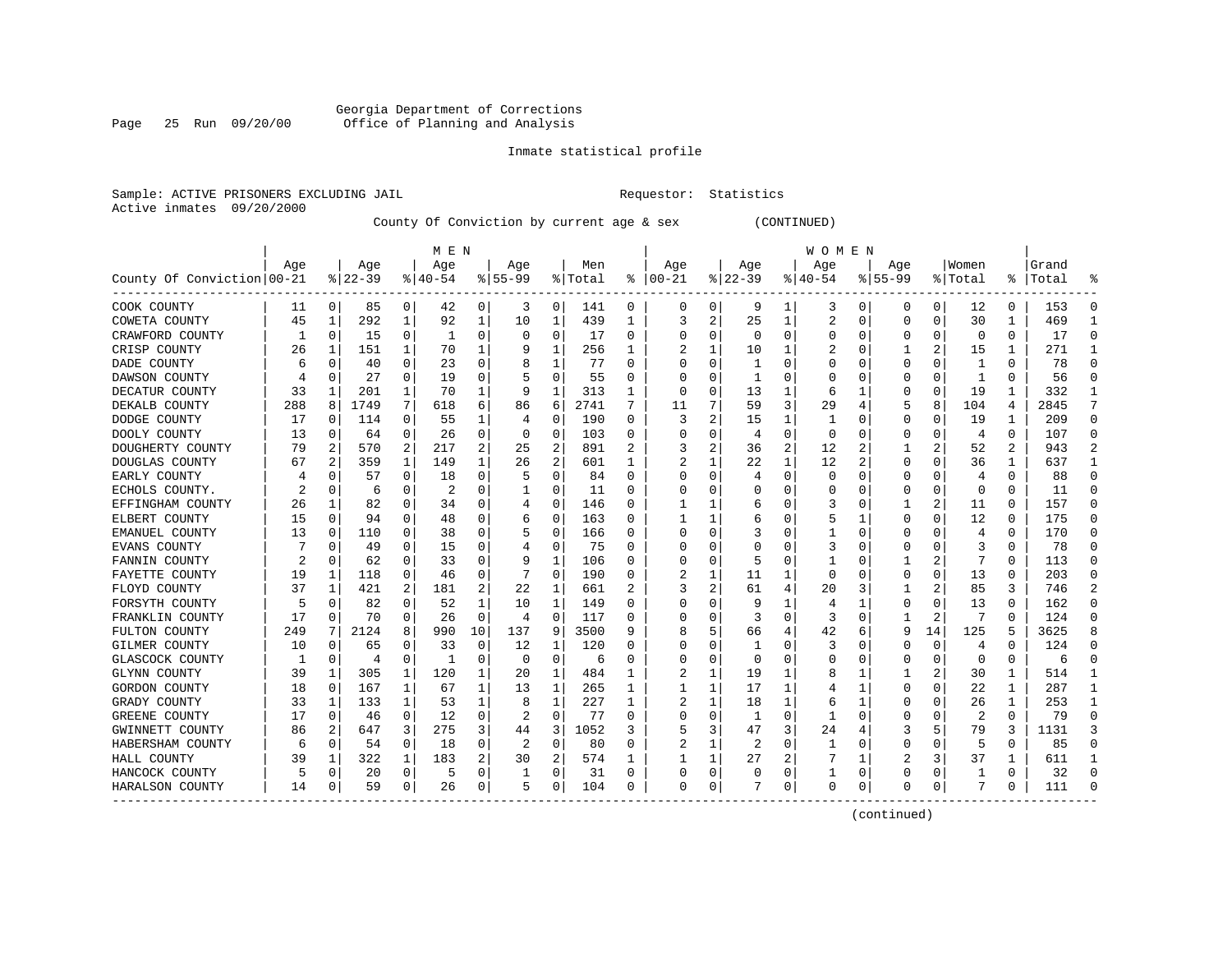# Georgia Department of Corrections Page 25 Run 09/20/00 Office of Planning and Analysis

# Inmate statistical profile

|                           | Sample: ACTIVE PRISONERS EXCLUDING JAIL | Requestor: Statistics |  |
|---------------------------|-----------------------------------------|-----------------------|--|
| Active inmates 09/20/2000 |                                         |                       |  |

County Of Conviction by current age & sex (CONTINUED)

|                            |     |             |          |              | M E N    |                |           |             |         |   |           |                |              |                | W O M E N |             |             |          |                |          |           |          |
|----------------------------|-----|-------------|----------|--------------|----------|----------------|-----------|-------------|---------|---|-----------|----------------|--------------|----------------|-----------|-------------|-------------|----------|----------------|----------|-----------|----------|
|                            | Age |             | Age      |              | Age      |                | Age       |             | Men     |   | Age       |                | Age          |                | Age       |             | Aqe         |          | Women          |          | Grand     |          |
| County Of Conviction 00-21 |     |             | $ 22-39$ |              | $ 40-54$ |                | $8 55-99$ |             | % Total | ႜ | $00 - 21$ |                | $ 22-39$     |                | $ 40-54$  |             | $8155 - 99$ |          | % Total        |          | %   Total |          |
| COOK COUNTY                | 11  | 0           | 85       | 0            | 42       | 0              | 3         | 0           | 141     | 0 | 0         | 0              | 9            | 1              | 3         | 0           | 0           | 0        | 12             | 0        | 153       |          |
| COWETA COUNTY              | 45  | 1           | 292      | 1            | 92       | 1              | 10        | 1           | 439     | 1 | 3         | $\overline{a}$ | 25           | 1              | 2         | 0           | 0           | $\Omega$ | 30             | 1        | 469       | -1       |
| CRAWFORD COUNTY            | 1   | $\Omega$    | 15       | 0            | -1       | 0              | O         | $\Omega$    | 17      | 0 | C         | 0              | $\Omega$     | 0              | $\Omega$  | 0           | O           | O        | 0              | $\Omega$ | 17        | $\Omega$ |
| CRISP COUNTY               | 26  | 1           | 151      | 1            | 70       | 1              |           | 1           | 256     | 1 |           | 1              | 10           | 1              |           | 0           |             | 2        | 15             | 1        | 271       |          |
| DADE COUNTY                |     | $\mathbf 0$ | 40       | 0            | 23       | 0              | 8         | 1           | 77      | U |           | 0              | 1            | $\Omega$       |           | 0           | 0           | O        | 1              | $\Omega$ | 78        |          |
| DAWSON COUNTY              |     | $\Omega$    | 27       | 0            | 19       | 0              |           | 0           | 55      | U |           | 0              | 1            | O              |           | C           | O           | $\Omega$ | $\mathbf{1}$   | $\Omega$ | 56        | $\Omega$ |
| DECATUR COUNTY             | 33  | 1           | 201      | 1            | 70       | 1              | 9         | 1           | 313     | 1 | $\cap$    | 0              | 13           | 1              | 6         | 1           | O           | $\Omega$ | 19             | 1        | 332       | -1       |
| DEKALB COUNTY              | 288 | 8           | 1749     | 7            | 618      | 6              | 86        | 6           | 2741    | 7 | 11        | 7              | 59           | 3              | 29        | 4           | 5           | 8        | 104            | 4        | 2845      | 7        |
| DODGE COUNTY               | 17  | $\Omega$    | 114      | 0            | 55       | 1              | 4         | 0           | 190     | 0 | 3         | 2              | 15           | 1              |           | $\Omega$    | 0           | 0        | 19             | 1        | 209       | $\Omega$ |
| DOOLY COUNTY               | 13  | 0           | 64       | 0            | 26       | 0              | $\Omega$  | 0           | 103     | 0 |           | 0              | 4            | 0              | 0         | 0           | 0           | 0        | $\overline{4}$ | 0        | 107       | $\Omega$ |
| DOUGHERTY COUNTY           | 79  |             | 570      | 2            | 217      | 2              | 25        | 2           | 891     |   |           | 2              | 36           | 2              | 12        |             |             |          | 52             | 2        | 943       |          |
| DOUGLAS COUNTY             | 67  | 2           | 359      | $\mathbf{1}$ | 149      | 1              | 26        | 2           | 601     | 1 |           | 1              | 22           | 1              | 12        | 2           | 0           | O        | 36             | 1        | 637       | -1       |
| EARLY COUNTY               |     | $\Omega$    | 57       | $\Omega$     | 18       | 0              | 5         | $\Omega$    | 84      | O |           | $\Omega$       | 4            | $\Omega$       | $\Omega$  | $\Omega$    | $\Omega$    | $\Omega$ | 4              | $\Omega$ | 88        | ∩        |
| ECHOLS COUNTY.             | 2   | $\Omega$    | 6        | $\Omega$     | 2        | O              |           | 0           | 11      | U |           | 0              |              | $\Omega$       | O         | 0           | O           | $\Omega$ | $\mathbf 0$    | O        | 11        |          |
| EFFINGHAM COUNTY           | 26  | 1           | 82       | 0            | 34       | 0              | 4         | 0           | 146     | O |           | 1              | 6            | $\Omega$       | 3         | 0           |             | 2        | 11             | $\Omega$ | 157       | $\Omega$ |
| ELBERT COUNTY              | 15  | 0           | 94       | 0            | 48       | 0              | 6         | 0           | 163     | U |           | 1              | 6            | 0              | 5         | 1           | O           | O        | 12             | $\Omega$ | 175       | ∩        |
| EMANUEL COUNTY             | 13  | 0           | 110      | 0            | 38       | 0              |           | 0           | 166     | U | n         | 0              |              | 0              |           | 0           | 0           | O        | 4              | 0        | 170       | $\cap$   |
| EVANS COUNTY               |     | 0           | 49       | 0            | 15       | 0              |           | 0           | 75      | 0 |           | 0              | O            | 0              | 3         | 0           | 0           | O        | 3              | 0        | 78        | ∩        |
| FANNIN COUNTY              |     | 0           | 62       |              | 33       | 0              | 9         | 1           | 106     | 0 |           | 0              | 5            | 0              |           | C           |             |          |                | 0        | 113       |          |
| FAYETTE COUNTY             | 19  | 1           | 118      | 0            | 46       | 0              |           | $\Omega$    | 190     | 0 |           | 1              | 11           | 1              | $\Omega$  | C           | O           | O        | 13             | 0        | 203       |          |
| FLOYD COUNTY               | 37  | 1           | 421      | 2            | 181      | $\overline{a}$ | 22        | 1           | 661     | 2 |           | 2              | 61           | 4              | 20        | 3           |             | 2        | 85             | 3        | 746       |          |
| FORSYTH COUNTY             | 5   | $\Omega$    | 82       | $\Omega$     | 52       | 1              | 10        | 1           | 149     | U |           | $\Omega$       | 9            | 1              | 4         |             | O           | $\Omega$ | 13             | 0        | 162       |          |
| FRANKLIN COUNTY            | 17  | $\Omega$    | 70       | 0            | 26       | 0              | 4         | 0           | 117     | 0 |           | O              | 3            | $\Omega$       | 3         | $\mathbf 0$ | 1           | 2        | 7              | O        | 124       |          |
| FULTON COUNTY              | 249 | 7           | 2124     | 8            | 990      | 10             | 137       | 9           | 3500    | 9 |           | 5              | 66           | 4              | 42        | 6           | 9           | 14       | 125            | 5        | 3625      |          |
| GILMER COUNTY              | 10  | $\Omega$    | 65       | O            | 33       | $\Omega$       | 12        | 1           | 120     | U |           | $\Omega$       | $\mathbf{1}$ | O              | 3         | C           | $\Omega$    | $\Omega$ | 4              | $\Omega$ | 124       | ∩        |
| GLASCOCK COUNTY            |     | 0           | 4        | 0            | -1       | 0              | $\Omega$  | 0           | 6       | U |           | 0              | $\Omega$     | 0              | 0         | 0           | 0           | 0        | 0              | 0        | 6         | $\Omega$ |
| GLYNN COUNTY               | 39  | 1           | 305      | 1            | 120      | 1              | 20        | 1           | 484     |   | 2         | 1              | 19           | 1              | 8         | 1           |             |          | 30             | 1        | 514       | -1       |
| GORDON COUNTY              | 18  | 0           | 167      |              | 67       | 1              | 13        | 1           | 265     | 1 |           | 1              | 17           | 1              | 4         | 1           | 0           | O        | 22             | 1        | 287       | -1       |
| GRADY COUNTY               | 33  | 1           | 133      | 1            | 53       | 1              | 8         | 1           | 227     | 1 |           | 1              | 18           | 1              | 6         | 1           | 0           | O        | 26             | 1        | 253       | -1       |
| GREENE COUNTY              | 17  | $\Omega$    | 46       | 0            | 12       | 0              | 2         | $\Omega$    | 77      | 0 |           | $\Omega$       | -1           | 0              | 1         | $\Omega$    | O           | O        | 2              | $\Omega$ | 79        |          |
| GWINNETT COUNTY            | 86  | 2           | 647      | 3            | 275      | 3              | 44        | 3           | 1052    | 3 |           | 3              | 47           | 3              | 24        | 4           |             |          | 79             | 3        | 1131      |          |
| HABERSHAM COUNTY           | 6   | 0           | 54       | 0            | 18       | 0              | 2         | $\mathbf 0$ | 80      | U | 2         | 1              | 2            | $\Omega$       | 1         | 0           | O           | 0        | 5              | 0        | 85        |          |
| HALL COUNTY                | 39  | 1           | 322      | 1            | 183      | 2              | 30        | 2           | 574     |   |           | 1              | 27           | $\overline{2}$ |           | 1           | 2           | 3        | 37             |          | 611       |          |
| HANCOCK COUNTY             | 5   | $\mathbf 0$ | 20       | 0            | 5        | 0              |           | 0           | 31      | 0 | O         | 0              | 0            | $\Omega$       |           | 0           | $\Omega$    | $\Omega$ |                | 0        | 32        | $\cap$   |
| HARALSON COUNTY            | 14  | 0           | 59       | 0            | 26       | 0              | 5         | 0           | 104     | 0 | $\Omega$  | 0              | 7            | 0              | $\Omega$  | 0           | O           | 0        | 7              | 0        | 111       | ∩        |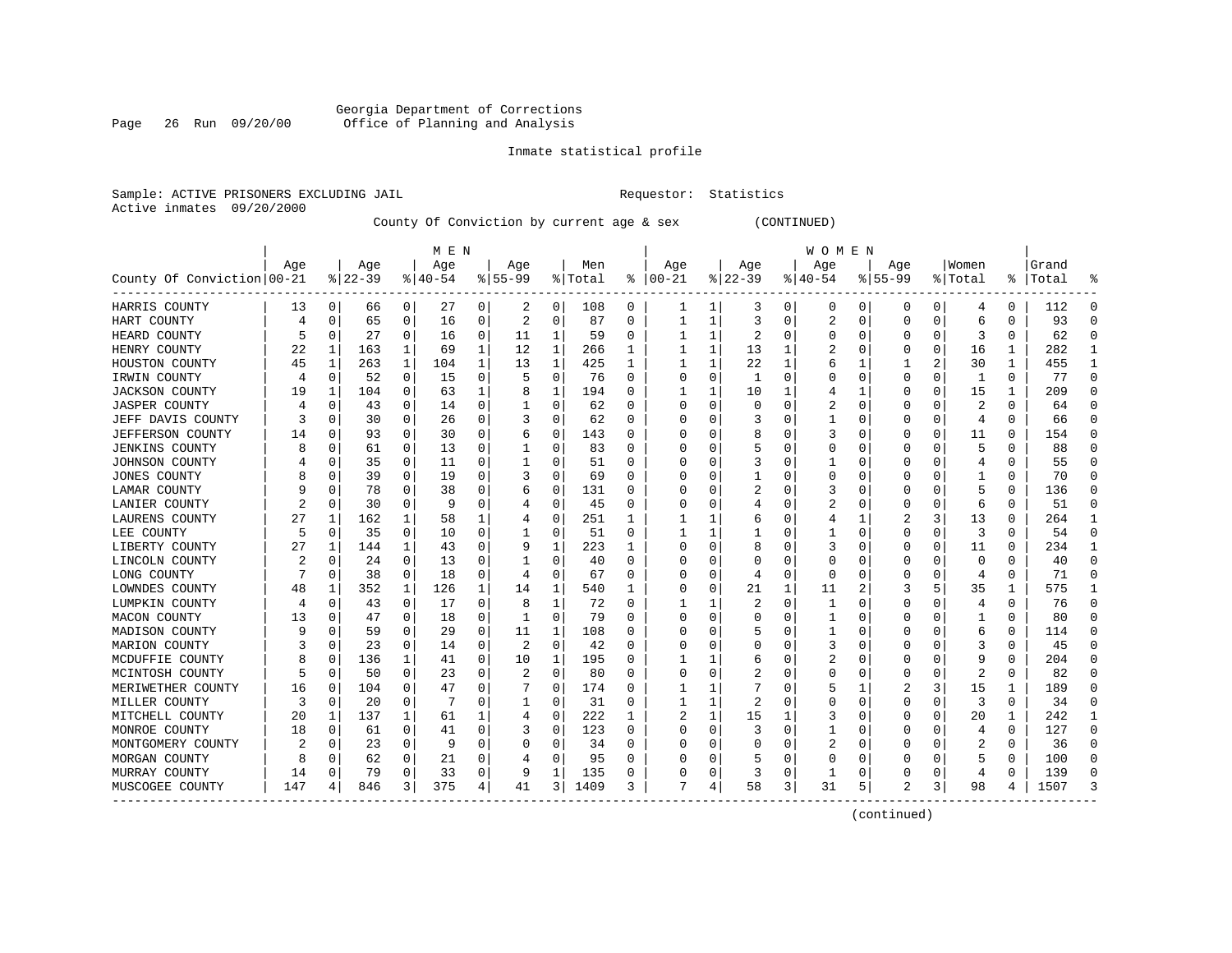# Georgia Department of Corrections Page 26 Run 09/20/00 Office of Planning and Analysis

# Inmate statistical profile

|  |                           | Sample: ACTIVE PRISONERS EXCLUDING JAI |  |
|--|---------------------------|----------------------------------------|--|
|  | Active inmates 09/20/2000 |                                        |  |

IL Requestor: Statistics

County Of Conviction by current age & sex (CONTINUED)

|                            |     |             |          |          | M E N     |          |           |          |         |          |          |          |          |          | W O M E N |          |                |   |          |               |       |           |
|----------------------------|-----|-------------|----------|----------|-----------|----------|-----------|----------|---------|----------|----------|----------|----------|----------|-----------|----------|----------------|---|----------|---------------|-------|-----------|
|                            | Age |             | Age      |          | Age       |          | Age       |          | Men     |          | Age      |          | Age      |          | Age       |          | Age            |   | Women    |               | Grand |           |
| County Of Conviction 00-21 |     |             | $ 22-39$ |          | $8 40-54$ |          | $8 55-99$ |          | % Total | ៖        | $ 00-21$ |          | $ 22-39$ |          | $ 40-54$  |          | $8155 - 99$    |   | % Total  | $\frac{8}{6}$ | Total |           |
| HARRIS COUNTY              | 13  | 0           | 66       | 0        | 27        | 0        | 2         | 0        | 108     | 0        |          | 1        | 3        | 0        | 0         | 0        | 0              | 0 | 4        | 0             | 112   | 0         |
| HART COUNTY                | 4   | 0           | 65       | 0        | 16        | 0        | 2         | 0        | 87      | 0        |          | 1        | 3        | 0        | 2         | 0        | $\Omega$       | 0 | 6        | 0             | 93    | $\cap$    |
| HEARD COUNTY               |     | $\Omega$    | 27       | $\Omega$ | 16        | 0        | 11        | 1        | 59      | 0        |          | 1        | 2        | 0        | 0         | $\Omega$ | $\Omega$       | 0 | 3        | 0             | 62    | C         |
| HENRY COUNTY               | 22  | 1           | 163      | 1        | 69        | 1        | 12        | 1        | 266     | 1        |          | 1        | 13       | 1        |           | $\Omega$ | O              | 0 | 16       | 1             | 282   |           |
| HOUSTON COUNTY             | 45  | 1           | 263      | 1        | 104       | 1        | 13        | 1        | 425     | 1        | 1        | 1        | 22       | 1        | 6         | 1        |                | 2 | 30       | 1             | 455   | -1        |
| IRWIN COUNTY               | 4   | $\mathbf 0$ | 52       | 0        | 15        | 0        | 5         | 0        | 76      | U        | O        | 0        | 1        | $\Omega$ |           | $\Omega$ | $\Omega$       | 0 | 1        | 0             | 77    | $\Omega$  |
| JACKSON COUNTY             | 19  | 1           | 104      | 0        | 63        | 1        | 8         | 1        | 194     | 0        |          | 1        | 10       | 1        |           | -1       | $\Omega$       | 0 | 15       | 1             | 209   | $\Omega$  |
| JASPER COUNTY              |     | 0           | 43       | $\Omega$ | 14        | 0        |           | 0        | 62      | 0        | O        | $\Omega$ | 0        | 0        | 2         | $\Omega$ | $\Omega$       | 0 | 2        | 0             | 64    | $\Omega$  |
| JEFF DAVIS COUNTY          |     | 0           | 30       | $\Omega$ | 26        | 0        |           | 0        | 62      | $\Omega$ | 0        | $\Omega$ |          | 0        |           | $\Omega$ | $\Omega$       | 0 | 4        | 0             | 66    | $\Omega$  |
| JEFFERSON COUNTY           | 14  | 0           | 93       | 0        | 30        | 0        | b         | 0        | 143     | 0        |          | 0        | 8        | 0        | 3         | 0        | $\Omega$       | 0 | 11       | 0             | 154   | $\Omega$  |
| JENKINS COUNTY             |     | $\Omega$    | 61       | 0        | 13        | 0        |           | 0        | 83      | U        |          | O        |          | O        | 0         | C        | $\Omega$       | O | 5        | 0             | 88    |           |
| JOHNSON COUNTY             |     | $\Omega$    | 35       | $\Omega$ | 11        | 0        |           | 0        | 51      | U        |          | 0        |          | 0        |           | $\Omega$ | n              | O |          | 0             | 55    |           |
| <b>JONES COUNTY</b>        |     | 0           | 39       | 0        | 19        | 0        | 3         | 0        | 69      | 0        |          | 0        |          | 0        | 0         | 0        | O              | 0 |          | 0             | 70    | -C        |
| LAMAR COUNTY               |     | 0           | 78       | 0        | 38        | 0        |           | 0        | 131     | 0        |          | 0        | 2        | 0        | 3         | 0        | 0              | 0 | 5        | 0             | 136   | O         |
| LANIER COUNTY              |     | 0           | 30       | 0        | 9         | 0        |           | 0        | 45      | 0        |          | 0        | 4        | O        |           | $\Omega$ | $\Omega$       | 0 | 6        | 0             | 51    | $\bigcap$ |
| LAURENS COUNTY             | 27  | 1           | 162      | 1        | 58        | 1        |           | 0        | 251     | 1        |          | 1        | 6        | 0        |           | 1        | 2              | 3 | 13       | 0             | 264   | -1        |
| LEE COUNTY                 | 5   | 0           | 35       | 0        | 10        | 0        |           | 0        | 51      | 0        |          | 1        |          | 0        |           | $\Omega$ | $\Omega$       | 0 | 3        | 0             | 54    | $\Omega$  |
| LIBERTY COUNTY             | 27  | 1           | 144      | 1        | 43        | 0        | 9         | 1        | 223     |          |          | $\Omega$ | 8        | 0        | 3         | $\Omega$ | $\Omega$       | 0 | 11       | 0             | 234   | 1         |
| LINCOLN COUNTY             |     | $\Omega$    | 24       | 0        | 13        | 0        |           | $\Omega$ | 40      | 0        |          | 0        |          | 0        | 0         | C        | $\Omega$       |   | $\Omega$ | 0             | 40    | $\cap$    |
| LONG COUNTY                |     | $\Omega$    | 38       | $\Omega$ | 18        | 0        | 4         | $\Omega$ | 67      | 0        |          | $\Omega$ | 4        | 0        | $\Omega$  | $\Omega$ | $\Omega$       | 0 | 4        | 0             | 71    | $\cap$    |
| LOWNDES COUNTY             | 48  | 1           | 352      | 1        | 126       | 1        | 14        | 1        | 540     | 1        | 0        | $\Omega$ | 21       | 1        | 11        | 2        |                | 5 | 35       | 1             | 575   |           |
| LUMPKIN COUNTY             |     | 0           | 43       | $\Omega$ | 17        | $\Omega$ | 8         | 1        | 72      | 0        |          |          |          | 0        | 1         | $\Omega$ | $\Omega$       | 0 | 4        | 0             | 76    | $\Omega$  |
| MACON COUNTY               | 13  | 0           | 47       | 0        | 18        | 0        |           | 0        | 79      | 0        | 0        | $\Omega$ |          | 0        | 1         | $\Omega$ | 0              | 0 |          | 0             | 80    | $\cap$    |
| MADISON COUNTY             |     | 0           | 59       | 0        | 29        | 0        | 11        | 1        | 108     | 0        |          | O        |          | 0        |           | $\Omega$ | $\Omega$       |   | 6        | 0             | 114   | $\cap$    |
| MARION COUNTY              |     | 0           | 23       | 0        | 14        | 0        | 2         | 0        | 42      | $\Omega$ |          | $\Omega$ | O        | 0        |           | $\Omega$ | $\Omega$       | O |          | 0             | 45    | $\Omega$  |
| MCDUFFIE COUNTY            |     | 0           | 136      | 1        | 41        | 0        | 10        | 1        | 195     | $\Omega$ |          | 1        | 6        | 0        | 2         | 0        | $\Omega$       | 0 | 9        | 0             | 204   | $\Omega$  |
| MCINTOSH COUNTY            |     | 0           | 50       | 0        | 23        | 0        | 2         | 0        | 80      | 0        |          | 0        |          | 0        | 0         | $\Omega$ | $\Omega$       | 0 | 2        | 0             | 82    | $\Omega$  |
| MERIWETHER COUNTY          | 16  | 0           | 104      | $\Omega$ | 47        | O        |           | $\Omega$ | 174     | U        |          |          |          | O        | 5         |          |                | 3 | 15       | 1             | 189   |           |
| MILLER COUNTY              | З   | $\Omega$    | 20       | 0        |           | 0        |           | 0        | 31      | 0        |          | 1        | 2        | O        | 0         | C        | $\Omega$       | 0 | 3        | 0             | 34    | n         |
| MITCHELL COUNTY            | 20  | 1           | 137      | 1        | 61        | 1        |           | 0        | 222     | 1        |          | 1        | 15       |          |           | $\Omega$ | $\Omega$       | 0 | 20       | 1             | 242   |           |
| MONROE COUNTY              | 18  | 0           | 61       | 0        | 41        | 0        | 3         | 0        | 123     | 0        | O        | $\Omega$ | 3        | 0        |           | $\Omega$ | $\Omega$       | 0 | 4        | 0             | 127   | $\Omega$  |
| MONTGOMERY COUNTY          |     | 0           | 23       | 0        | 9         | 0        |           | 0        | 34      | 0        |          | 0        |          | 0        | 2         | $\Omega$ | 0              | 0 | 2        | 0             | 36    | $\cap$    |
| MORGAN COUNTY              | Я   | $\Omega$    | 62       | $\Omega$ | 21        | 0        |           | 0        | 95      | U        |          | $\Omega$ |          | O        | Ω         | $\Omega$ | $\Omega$       | O | 5        | 0             | 100   | $\bigcap$ |
| MURRAY COUNTY              | 14  | 0           | 79       | $\Omega$ | 33        | 0        | 9         | 1        | 135     | U        |          | 0        | 3        | 0        | 1         | $\Omega$ | $\Omega$       | O | 4        | 0             | 139   | $\cap$    |
| MUSCOGEE COUNTY            | 147 | 4           | 846      | 3        | 375       | 4        | 41        | 3        | 1409    | 3        | 7        | 4        | 58       | 3        | 31        | 5        | $\mathfrak{D}$ | 3 | 98       | 4             | 1507  |           |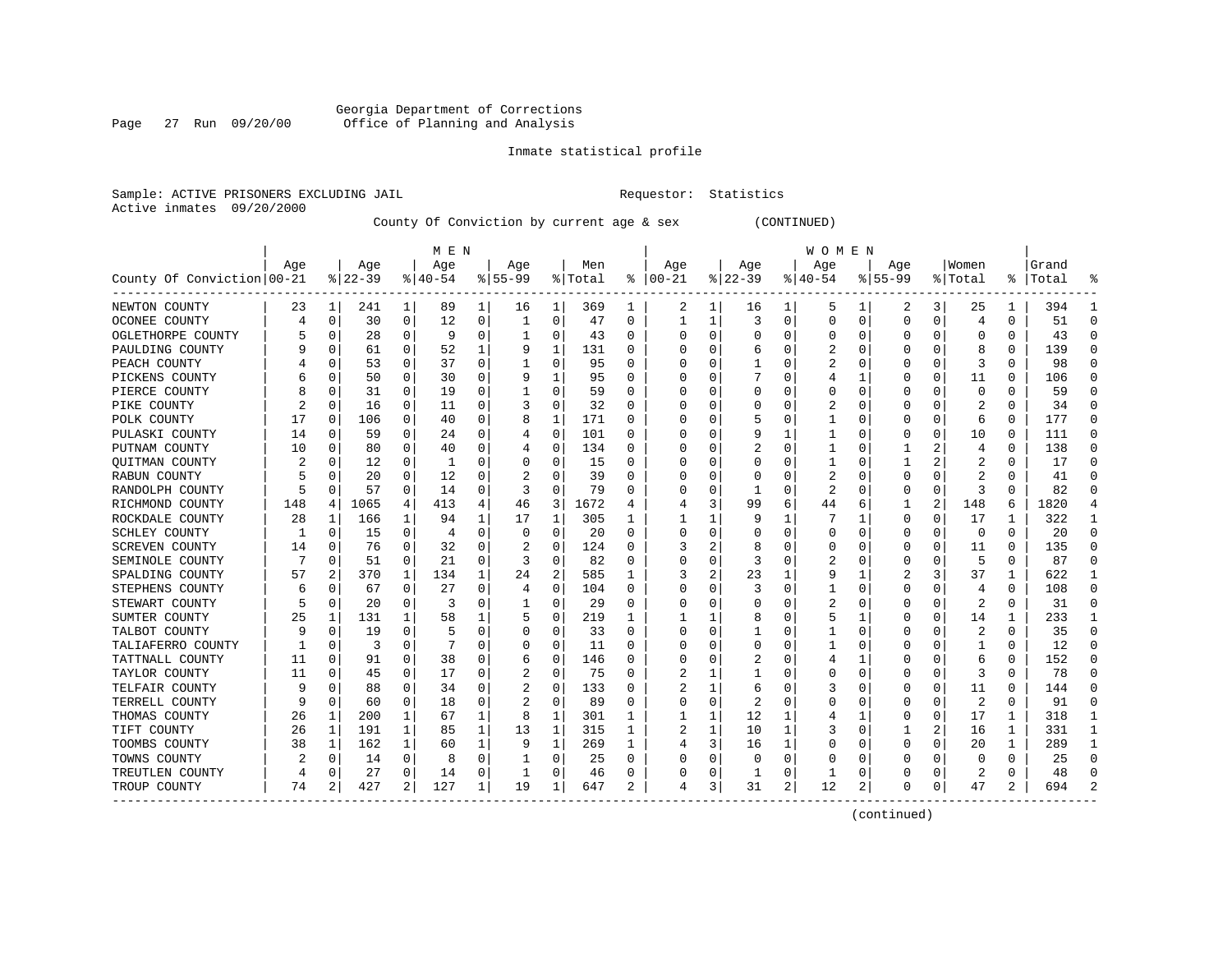# Georgia Department of Corrections Page 27 Run 09/20/00 Office of Planning and Analysis

# Inmate statistical profile

|  |                           | Sample: ACTIVE PRISONERS EXCLUDING JAI |  |
|--|---------------------------|----------------------------------------|--|
|  | Active inmates 09/20/2000 |                                        |  |

IL Requestor: Statistics

County Of Conviction by current age & sex (CONTINUED)

|                            |     |             |          |              | M E N     |          |           |             |         |          |              |          |              |                | W O M E N |             |             |          |          |          |           |               |
|----------------------------|-----|-------------|----------|--------------|-----------|----------|-----------|-------------|---------|----------|--------------|----------|--------------|----------------|-----------|-------------|-------------|----------|----------|----------|-----------|---------------|
|                            | Age |             | Age      |              | Age       |          | Age       |             | Men     |          | Age          |          | Age          |                | Age       |             | Aqe         |          | Women    |          | Grand     |               |
| County Of Conviction 00-21 |     |             | $ 22-39$ |              | $8 40-54$ |          | $8 55-99$ |             | % Total | ႜ        | $ 00-21$     |          | $ 22-39$     |                | $ 40-54$  |             | $8155 - 99$ |          | % Total  |          | %   Total |               |
| NEWTON COUNTY              | 23  | 1           | 241      | 1            | 89        | 1        | 16        | 1           | 369     | 1        | 2            | 1        | 16           | 1              | 5         | 1           | 2           | 3        | 25       | 1        | 394       |               |
| OCONEE COUNTY              | 4   | 0           | 30       | 0            | 12        | 0        | 1         | 0           | 47      | 0        |              | 1        | 3            | 0              | U         | 0           | 0           | $\Omega$ | 4        | $\Omega$ | 51        | ∩             |
| OGLETHORPE COUNTY          |     | $\mathbf 0$ | 28       | $\Omega$     | 9         | 0        |           | 0           | 43      | 0        |              | $\Omega$ | $\Omega$     | 0              |           | 0           | U           | O        | $\Omega$ | 0        | 43        | ∩             |
| PAULDING COUNTY            |     | $\mathbf 0$ | 61       | $\Omega$     | 52        |          |           | 1           | 131     | 0        |              | O        | 6            | 0              | ∠         | $\mathbf 0$ |             | O        | 8        | 0        | 139       |               |
| PEACH COUNTY               |     | 0           | 53       | 0            | 37        | 0        |           | 0           | 95      | 0        |              | U        |              | 0              | 2         | 0           | 0           | $\Omega$ | 3        | 0        | 98        |               |
| PICKENS COUNTY             |     | 0           | 50       | 0            | 30        | 0        |           | 1           | 95      | $\Omega$ |              | U        |              | U              |           | 1           | 0           | O        | 11       | $\Omega$ | 106       |               |
| PIERCE COUNTY              |     | 0           | 31       | 0            | 19        | 0        |           | 0           | 59      | 0        |              | 0        | 0            | 0              | C         | 0           | 0           | 0        | 0        | 0        | 59        | ∩             |
| PIKE COUNTY                |     | 0           | 16       | $\Omega$     | 11        | 0        |           | 0           | 32      | $\Omega$ |              | U        | 0            | 0              |           | 0           | 0           | O        | 2        | $\Omega$ | 34        | ∩             |
| POLK COUNTY                | 17  | 0           | 106      | $\Omega$     | 40        | 0        | 8         | 1           | 171     | 0        |              |          | 5            | 0              |           | 0           | 0           | 0        | 6        | 0        | 177       | $\Omega$      |
| PULASKI COUNTY             | 14  | $\Omega$    | 59       | U            | 24        | 0        |           | 0           | 101     | O        |              |          | 9            | 1              |           | $\Omega$    | 0           | O        | 10       | O        | 111       |               |
| PUTNAM COUNTY              | 10  | $\Omega$    | 80       | O            | 40        | 0        |           | 0           | 134     | O        |              |          |              | U              |           | $\Omega$    |             |          | 4        | $\Omega$ | 138       | ∩             |
| QUITMAN COUNTY             |     | $\Omega$    | 12       | $\Omega$     | -1        | 0        |           | 0           | 15      | 0        |              | U        | Ω            | U              |           | 0           |             |          | 2        | 0        | 17        | ∩             |
| RABUN COUNTY               |     | $\Omega$    | 20       | 0            | 12        | 0        |           | 0           | 39      | O        |              | U        |              | U              | 2         | 0           | 0           | O        | 2        | 0        | 41        |               |
| RANDOLPH COUNTY            |     | 0           | 57       | 0            | 14        | 0        |           | 0           | 79      | O        |              | 0        |              | 0              | 2         | 0           | 0           | $\Omega$ | 3        | O        | 82        |               |
| RICHMOND COUNTY            | 148 | 4           | 1065     | 4            | 413       | 4        | 46        | 3           | 1672    | 4        |              | 3        | 99           | 6              | 44        | 6           | 1           | 2        | 148      | 6        | 1820      |               |
| ROCKDALE COUNTY            | 28  | 1           | 166      | $\mathbf{1}$ | 94        | 1        | 17        | 1           | 305     | 1        |              | 1        | 9            | 1              |           | 1           | 0           | $\Omega$ | 17       | 1        | 322       | -1            |
| SCHLEY COUNTY              |     | 0           | 15       | $\Omega$     | 4         | 0        | $\Omega$  | 0           | 20      | $\Omega$ |              | 0        |              | 0              | O         | 0           | 0           | $\Omega$ | 0        | $\Omega$ | 20        | ∩             |
| SCREVEN COUNTY             | 14  | 0           | 76       | 0            | 32        | 0        |           | 0           | 124     | O        |              | 2        | 8            | U              |           | 0           | U           | $\Omega$ | 11       | $\Omega$ | 135       |               |
| SEMINOLE COUNTY            |     | 0           | 51       | O            | 21        | 0        |           | 0           | 82      | 0        |              |          |              | 0              | 2         | 0           | 0           | 0        | 5        | $\Omega$ | 87        |               |
| SPALDING COUNTY            | 57  | 2           | 370      | 1            | 134       | 1        | 24        | 2           | 585     |          |              | 2        | 23           | 1              |           |             |             | 3        | 37       | 1        | 622       |               |
| STEPHENS COUNTY            |     | 0           | 67       | 0            | 27        | 0        |           | 0           | 104     | 0        |              |          |              | 0              |           | 0           | O           | O        | 4        | 0        | 108       | ∩             |
| STEWART COUNTY             |     | 0           | 20       | 0            | 3         | 0        |           | 0           | 29      | 0        |              | U        | 0            | 0              | 2         | 0           | 0           | 0        | 2        | 0        | 31        |               |
| SUMTER COUNTY              | 25  | 1           | 131      | $\mathbf{1}$ | 58        | 1        | 5         | 0           | 219     | 1        |              |          | 8            | 0              |           | 1           | 0           | 0        | 14       | 1        | 233       |               |
| TALBOT COUNTY              |     | $\mathbf 0$ | 19       | $\Omega$     |           | 0        |           | 0           | 33      | $\Omega$ |              | $\Omega$ |              | 0              |           | 0           | 0           | 0        | 2        | $\Omega$ | 35        | $\cap$        |
| TALIAFERRO COUNTY          |     | 0           | 3        | $\Omega$     |           | $\Omega$ | O         | $\Omega$    | 11      | 0        |              | U        |              | 0              |           | 0           | 0           | 0        |          | $\Omega$ | 12        | ∩             |
| TATTNALL COUNTY            | 11  | $\mathbf 0$ | 91       | 0            | 38        | 0        | 6         | 0           | 146     | O        |              | U        | 2            | 0              |           | -1          | 0           | O        | 6        | 0        | 152       | $\Omega$      |
| TAYLOR COUNTY              | 11  | 0           | 45       | 0            | 17        | 0        |           | 0           | 75      | 0        |              |          |              | 0              |           | 0           | 0           | O        | 3        | 0        | 78        | $\Omega$      |
| TELFAIR COUNTY             | q   | 0           | 88       | 0            | 34        | 0        | 2         | 0           | 133     | 0        |              |          | 6            | 0              | 3         | 0           | 0           | 0        | 11       | 0        | 144       |               |
| TERRELL COUNTY             |     | 0           | 60       | 0            | 18        | 0        |           | 0           | 89      | 0        | <sup>0</sup> | 0        |              | U              |           | 0           | 0           | 0        |          | 0        | 91        |               |
| THOMAS COUNTY              | 26  | 1           | 200      | 1            | 67        | 1        | 8         | 1           | 301     | 1        |              | 1        | 12           | 1              | 4         | -1          | 0           | O        | 17       | 1        | 318       | -1            |
| TIFT COUNTY                | 26  | 1           | 191      | 1            | 85        | 1        | 13        | 1           | 315     | 1        |              | 1        | 10           | 1              | 3         | $\Omega$    |             | 2        | 16       | 1        | 331       |               |
| TOOMBS COUNTY              | 38  | 1           | 162      | $\mathbf{1}$ | 60        | 1        | 9         | $\mathbf 1$ | 269     | 1        |              | 3        | 16           | 1              |           | 0           | 0           | 0        | 20       | 1        | 289       | -1            |
| TOWNS COUNTY               | 2   | 0           | 14       | 0            | 8         | 0        |           | 0           | 25      | O        |              | $\Omega$ | $\Omega$     | 0              |           | 0           | 0           | O        | 0        | 0        | 25        |               |
| TREUTLEN COUNTY            |     | 0           | 27       | 0            | 14        | 0        |           | 0           | 46      | 0        |              | 0        | $\mathbf{1}$ | 0              |           | 0           | U           | 0        | 2        | 0        | 48        |               |
| TROUP COUNTY               | 74  | 2           | 427      | 2            | 127       | 1        | 19        | 1           | 647     | 2        | 4            | 3        | 31           | $\overline{a}$ | 12        | 2           | O           | 0        | 47       | 2        | 694       | $\mathcal{D}$ |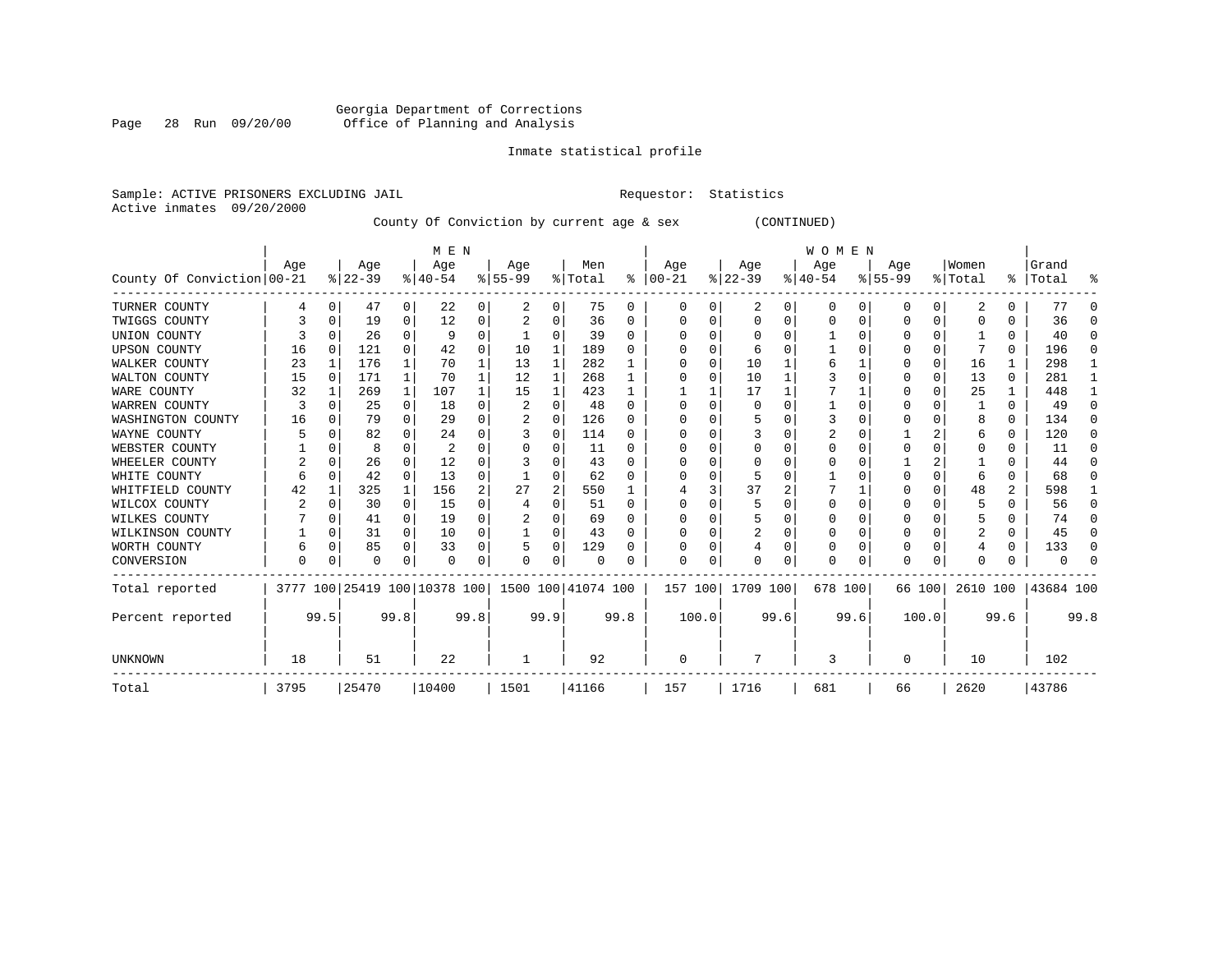# Georgia Department of Corrections Page 28 Run 09/20/00 Office of Planning and Analysis

# Inmate statistical profile

Sample: ACTIVE PRISONERS EXCLUDING JAIL **Requestor:** Statistics Active inmates 09/20/2000

County Of Conviction by current age & sex (CONTINUED)

|                            |      |          |          |              | M E N                        |          |                    |          |          |              |              |       |                |      | W O M E N |      |           |       |          |              |           |          |
|----------------------------|------|----------|----------|--------------|------------------------------|----------|--------------------|----------|----------|--------------|--------------|-------|----------------|------|-----------|------|-----------|-------|----------|--------------|-----------|----------|
|                            | Age  |          | Age      |              | Age                          |          | Age                |          | Men      |              | Age          |       | Age            |      | Age       |      | Age       |       | Women    |              | Grand     |          |
| County Of Conviction 00-21 |      |          | $ 22-39$ |              | $8140 - 54$                  |          | $8 55-99$          |          | % Total  | ႜ            | $ 00-21$     |       | $ 22-39 $      |      | $ 40-54$  |      | $8 55-99$ |       | % Total  | $\approx$ 1  | Total     | ႜ        |
| TURNER COUNTY              |      | 0        | 47       | 0            | 22                           | 0        | 2                  | 0        | 75       | 0            | 0            | 0     | 2              | 0    | $\Omega$  | 0    | 0         | 0     | 2        | 0            | 77        | ∩        |
| TWIGGS COUNTY              |      | 0        | 19       | 0            | 12                           | 0        |                    | 0        | 36       | 0            |              |       | $\Omega$       | U    |           | O    |           | 0     |          |              | 36        | $\Omega$ |
| UNION COUNTY               |      |          | 26       | 0            |                              | 0        |                    | 0        | 39       | $\Omega$     |              |       | n              | U    |           |      |           | 0     |          |              | 40        | $\Omega$ |
| <b>UPSON COUNTY</b>        | 16   | 0        | 121      | 0            | 42                           | 0        | 10                 | 1        | 189      | <sup>0</sup> |              |       | 6              |      |           |      |           | 0     |          | 0            | 196       | $\Omega$ |
| WALKER COUNTY              | 23   | 1        | 176      | $\mathbf{1}$ | 70                           | 1        | 13                 | 1        | 282      |              |              | O     | 10             |      |           |      |           | 0     | 16       |              | 298       |          |
| WALTON COUNTY              | 15   | $\Omega$ | 171      | $\mathbf{1}$ | 70                           | 1        | 12                 | 1        | 268      | 1            |              |       | 10             |      |           |      |           | 0     | 13       | $\Omega$     | 281       |          |
| WARE COUNTY                | 32   |          | 269      | 1            | 107                          |          | 15                 | 1        | 423      |              |              |       | 17             |      |           |      |           | 0     | 25       |              | 448       |          |
| WARREN COUNTY              | 3    |          | 25       | $\Omega$     | 18                           | $\Omega$ | 2                  | $\Omega$ | 48       | $\Omega$     |              |       | 0              |      |           |      |           |       |          | <sup>0</sup> | 49        | $\Omega$ |
| WASHINGTON COUNTY          | 16   |          | 79       | $\Omega$     | 29                           | 0        |                    | U        | 126      | $\Omega$     |              |       | 5              |      |           |      |           | U     |          | 0            | 134       | $\Omega$ |
| WAYNE COUNTY               |      |          | 82       | 0            | 24                           | 0        |                    | 0        | 114      | <sup>0</sup> |              |       |                |      |           |      |           |       |          | 0            | 120       | $\Omega$ |
| WEBSTER COUNTY             |      |          | 8        | U            | 2                            | 0        |                    | 0        | 11       | $\Omega$     |              |       | O              | U    |           |      |           | U     |          | U            | 11        | $\Omega$ |
| WHEELER COUNTY             | 2    | O        | 26       | 0            | 12                           | U        |                    | U        | 43       | $\Omega$     |              |       | n              |      |           |      |           |       |          | U            | 44        | ∩        |
| WHITE COUNTY               |      | $\Omega$ | 42       | $\Omega$     | 13                           | 0        |                    | U        | 62       |              |              |       | 5              |      |           |      |           | U     |          | U            | 68        | O        |
| WHITFIELD COUNTY           | 42   |          | 325      | 1            | 156                          | 2        | 27                 | 2        | 550      |              |              |       | 37             | 2    |           |      |           | 0     | 48       | 2            | 598       |          |
| WILCOX COUNTY              | 2    | O        | 30       | $\Omega$     | 15                           | 0        | 4                  | 0        | 51       | $\Omega$     |              |       | .5             |      | O         |      | U         | U     | 5        |              | 56        | ∩        |
| WILKES COUNTY              |      |          | 41       | 0            | 19                           | 0        |                    | 0        | 69       | <sup>0</sup> |              |       | 5              |      |           |      |           | U     |          |              | 74        | $\Omega$ |
| WILKINSON COUNTY           |      | 0        | 31       | 0            | 10                           | 0        |                    | 0        | 43       | $\Omega$     |              |       | $\overline{2}$ | U    |           |      |           | 0     | 2        | 0            | 45        | $\Omega$ |
| WORTH COUNTY               |      | 0        | 85       | $\Omega$     | 33                           | 0        |                    | 0        | 129      | U            |              |       |                | U    |           |      | U         | U     |          | 0            | 133       | $\Omega$ |
| CONVERSION                 | U    |          | U        | 0            | $\Omega$                     | 0        | O                  | 0        | $\Omega$ |              | <sup>0</sup> | O     | O              | U    | O         | O    | U         | 0     |          |              |           |          |
| Total reported             |      |          |          |              | 3777 100 25419 100 10378 100 |          | 1500 100 41074 100 |          |          |              | 157 100      |       | 1709 100       |      | 678 100   |      | 66 100    |       | 2610 100 |              | 43684 100 |          |
| Percent reported           |      | 99.5     |          | 99.8         |                              | 99.8     |                    | 99.9     |          | 99.8         |              | 100.0 |                | 99.6 |           | 99.6 |           | 100.0 |          | 99.6         |           | 99.8     |
| <b>UNKNOWN</b>             | 18   |          | 51       |              | 22                           |          | 1                  |          | 92       |              | <sup>0</sup> |       |                |      | 3         |      | O         |       | 10       |              | 102       |          |
| Total                      | 3795 |          | 25470    |              | 10400                        |          | 1501               |          | 41166    |              | 157          |       | 1716           |      | 681       |      | 66        |       | 2620     |              | 43786     |          |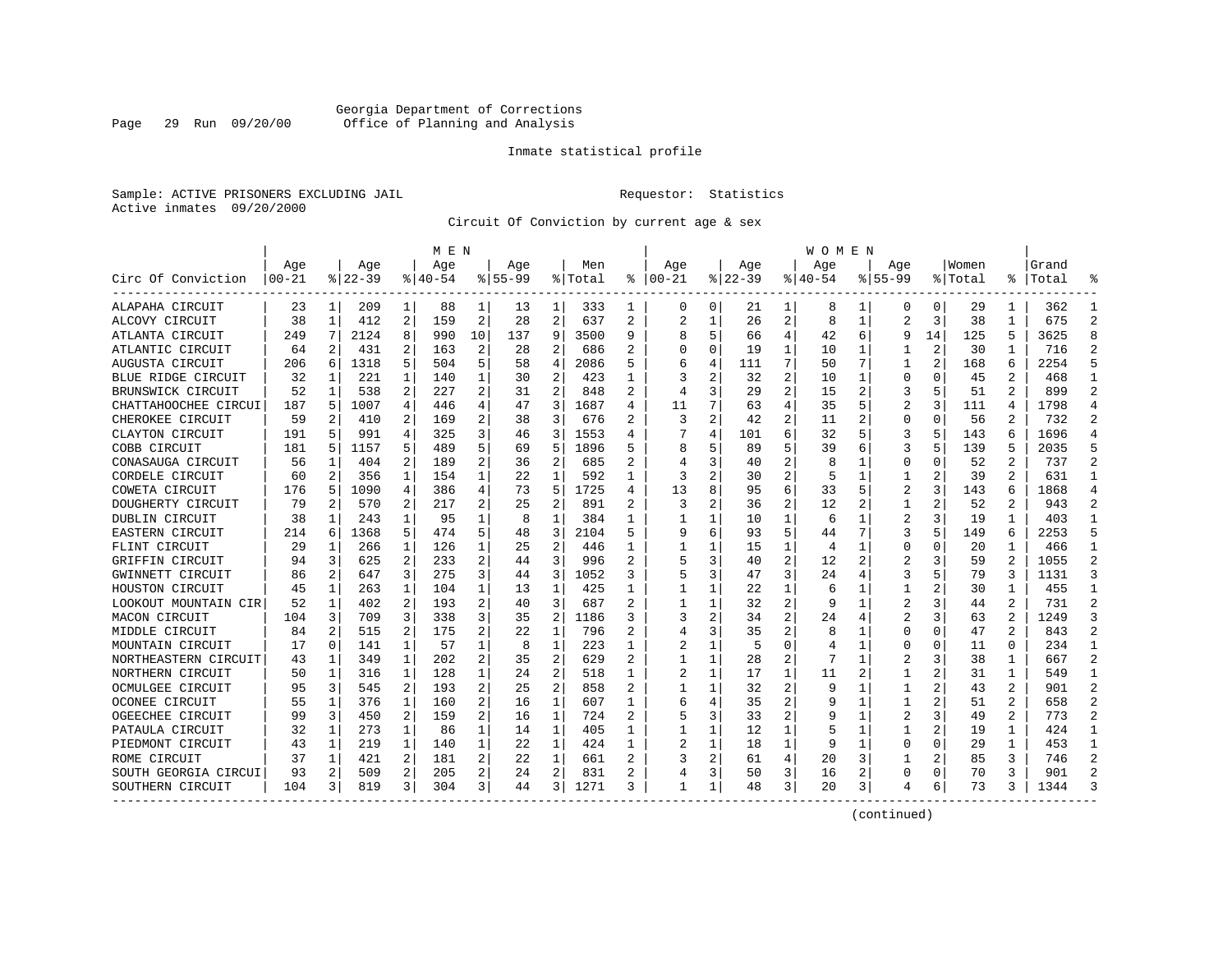# Georgia Department of Corrections Page 29 Run 09/20/00 Office of Planning and Analysis

# Inmate statistical profile

Sample: ACTIVE PRISONERS EXCLUDING JAIL **Requestor:** Statistics Active inmates 09/20/2000

Circuit Of Conviction by current age & sex

|                      |            |          |           |              | M E N     |                |             |                |         | W O M E N      |       |   |             |                |          |    |                |    |         |                |           |                |
|----------------------|------------|----------|-----------|--------------|-----------|----------------|-------------|----------------|---------|----------------|-------|---|-------------|----------------|----------|----|----------------|----|---------|----------------|-----------|----------------|
|                      | Age        |          | Age       |              | Age       |                | Aqe         |                | Men     |                | Age   |   | Age         |                | Aqe      |    | Aqe            |    | Women   |                | Grand     |                |
| Circ Of Conviction   | $ 00 - 21$ |          | $8 22-39$ |              | $8 40-54$ |                | $8155 - 99$ |                | % Total | ៖              | 00-21 |   | $8$   22-39 |                | $ 40-54$ |    | $8155 - 99$    |    | % Total |                | %   Total |                |
| ALAPAHA CIRCUIT      | 23         | 1        | 209       | $\mathbf{1}$ | 88        | 1              | 13          | 1              | 333     | 1              | 0     | 0 | 21          | 1              | 8        | 1  | 0              | 0  | 29      | 1              | 362       |                |
| ALCOVY CIRCUIT       | 38         | 1        | 412       | 2            | 159       | 2              | 28          | $\overline{2}$ | 637     | 2              | 2     | 1 | 26          | 2              | 8        | 1  | $\overline{a}$ | 3  | 38      | 1              | 675       | $\mathfrak{D}$ |
| ATLANTA CIRCUIT      | 249        | 7        | 2124      | 8            | 990       | 10             | 137         | 9              | 3500    | 9              |       |   | 66          | 4              | 42       | 6  | 9              | 14 | 125     | 5              | 3625      | 8              |
| ATLANTIC CIRCUIT     | 64         | 2        | 431       | 2            | 163       | 2              | 28          | 2              | 686     | 2              |       | 0 | 19          | 1              | 10       | 1  |                | 2  | 30      |                | 716       |                |
| AUGUSTA CIRCUIT      | 206        | 6        | 1318      | 5            | 504       | 5              | 58          | $\overline{4}$ | 2086    | 5              |       |   | 111         | 7              | 50       | 7  | 1              | 2  | 168     | 6              | 2254      |                |
| BLUE RIDGE CIRCUIT   | 32         | 1        | 221       | 1            | 140       | 1              | 30          | 2              | 423     | 1              |       | 2 | 32          | 2              | 10       | 1  | 0              | U  | 45      | 2              | 468       | -1             |
| BRUNSWICK CIRCUIT    | 52         | 1        | 538       | 2            | 227       | 2              | 31          | 2              | 848     | 2              |       | 3 | 29          | 2              | 15       | 2  | 3              | 5  | 51      | 2              | 899       | 2              |
| CHATTAHOOCHEE CIRCUI | 187        | 5        | 1007      | 4            | 446       | 4              | 47          | 3              | 1687    | 4              | 11    |   | 63          | 4              | 35       | 5  |                | 3  | 111     | 4              | 1798      | $\overline{4}$ |
| CHEROKEE CIRCUIT     | 59         | 2        | 410       | 2            | 169       | 2              | 38          | 3              | 676     | 2              | 3     | 2 | 42          | 2              | 11       | 2  | 0              | 0  | 56      | 2              | 732       | 2              |
| CLAYTON CIRCUIT      | 191        |          | 991       | 4            | 325       | 3              | 46          | 3              | 1553    | 4              |       | 4 | 101         | 6              | 32       | 5  | 3              | 5  | 143     | 6              | 1696      | $\overline{4}$ |
| COBB CIRCUIT         | 181        |          | 1157      | 5.           | 489       | 5              | 69          | 5              | 1896    |                |       |   | 89          | 5              | 39       | 6  | 3              |    | 139     |                | 2035      |                |
| CONASAUGA CIRCUIT    | 56         | 1        | 404       | 2            | 189       | 2              | 36          | 2              | 685     |                |       | 3 | 40          | 2              |          |    | 0              | O  | 52      | 2              | 737       | 2              |
| CORDELE CIRCUIT      | 60         | 2        | 356       | 1            | 154       | 1              | 22          | 1              | 592     | 1              | 3     | 2 | 30          | $\overline{2}$ | 5        | 1  | 1              |    | 39      | 2              | 631       |                |
| COWETA CIRCUIT       | 176        | 5        | 1090      | 4            | 386       | 4              | 73          | 5              | 1725    | 4              | 13    |   | 95          | 6              | 33       | 5  |                | 3  | 143     | 6              | 1868      | $\overline{4}$ |
| DOUGHERTY CIRCUIT    | 79         | 2        | 570       | 2            | 217       | 2              | 25          | 2              | 891     | 2              | 3     | 2 | 36          | 2              | 12       | 2  | 1              | 2  | 52      | $\mathbf{2}$   | 943       | 2              |
| DUBLIN CIRCUIT       | 38         | 1        | 243       | $\mathbf{1}$ | 95        | 1              | 8           | 1              | 384     | 1              |       |   | 10          | 1              | 6        | 1  | 2              | 3  | 19      | 1              | 403       | -1             |
| EASTERN CIRCUIT      | 214        | 6        | 1368      | 5            | 474       | 5.             | 48          | 3              | 2104    | 5              |       | 6 | 93          | 5              | 44       | 7  | 3              | 5  | 149     | 6              | 2253      | 5              |
| FLINT CIRCUIT        | 29         | 1        | 266       | 1            | 126       | 1              | 25          | 2              | 446     |                |       |   | 15          | 1              | 4        | 1  | U              | O  | 20      |                | 466       |                |
| GRIFFIN CIRCUIT      | 94         | 3        | 625       | 2            | 233       | 2              | 44          | 3              | 996     |                |       | 3 | 40          | 2              | 12       |    |                |    | 59      |                | 1055      | 2              |
| GWINNETT CIRCUIT     | 86         | 2        | 647       | 3            | 275       | 3              | 44          | 3              | 1052    | 3              |       | 3 | 47          | 3              | 24       |    | 3              |    | 79      | 3              | 1131      | 3              |
| HOUSTON CIRCUIT      | 45         | 1        | 263       | 1            | 104       | 1              | 13          | 1              | 425     | 1              |       | 1 | 22          | 1              | 6        |    | 1              | 2  | 30      | 1              | 455       |                |
| LOOKOUT MOUNTAIN CIR | 52         | 1        | 402       | 2            | 193       | 2              | 40          | 3              | 687     | $\overline{c}$ |       |   | 32          | 2              |          | -1 | 2              | 3  | 44      | 2              | 731       | 2              |
| MACON CIRCUIT        | 104        | 3        | 709       | 3            | 338       | 3              | 35          | 2              | 1186    |                |       | 2 | 34          | 2              | 24       |    | $\overline{2}$ | 3  | 63      | 2              | 1249      | 3              |
| MIDDLE CIRCUIT       | 84         | 2        | 515       | 2            | 175       | 2              | 22          | $\mathbf{1}$   | 796     | 2              |       | 3 | 35          | 2              |          |    | U              | U  | 47      | $\overline{a}$ | 843       | $\mathfrak{D}$ |
| MOUNTAIN CIRCUIT     | 17         | $\Omega$ | 141       | 1            | 57        | 1              | 8           | $\mathbf{1}$   | 223     | 1              |       |   | 5           | U              |          | -1 | 0              | O  | 11      | $\Omega$       | 234       | $\mathbf{1}$   |
| NORTHEASTERN CIRCUIT | 43         | 1        | 349       | 1            | 202       | 2              | 35          | $\overline{2}$ | 629     | 2              |       |   | 28          | 2              |          | -1 |                | 3  | 38      | 1              | 667       | 2              |
| NORTHERN CIRCUIT     | 50         | 1        | 316       | 1            | 128       | 1              | 24          | 2              | 518     |                |       |   | 17          | 1              | 11       |    |                |    | 31      | 1              | 549       | -1             |
| OCMULGEE CIRCUIT     | 95         | 3        | 545       | 2            | 193       | 2              | 25          | 2              | 858     |                |       |   | 32          | 2              |          |    |                |    | 43      | 2              | 901       | 2              |
| OCONEE CIRCUIT       | 55         | 1        | 376       | 1            | 160       | 2              | 16          | 1              | 607     | 1              | 6     | 4 | 35          | 2              |          |    |                | 2  | 51      | 2              | 658       | $\mathfrak{D}$ |
| OGEECHEE CIRCUIT     | 99         | 3        | 450       | 2            | 159       | $\overline{a}$ | 16          | 1              | 724     | $\overline{c}$ |       | 3 | 33          | $\overline{2}$ |          |    |                | 3  | 49      | 2              | 773       | 2              |
| PATAULA CIRCUIT      | 32         | 1        | 273       | 1            | 86        | 1              | 14          | 1              | 405     | 1              |       |   | 12          | 1              |          |    |                | 2  | 19      |                | 424       |                |
| PIEDMONT CIRCUIT     | 43         | 1        | 219       | $\mathbf{1}$ | 140       | 1              | 22          | 1              | 424     | 1              |       | 1 | 18          | 1              | 9        | 1  | 0              | 0  | 29      | 1              | 453       | -1             |
| ROME CIRCUIT         | 37         | 1        | 421       | 2            | 181       | 2              | 22          | 1              | 661     |                |       | 2 | 61          | 4              | 20       | 3  |                | 2  | 85      | 3              | 746       | 2              |
| SOUTH GEORGIA CIRCUI | 93         | 2        | 509       | 2            | 205       | 2              | 24          | $\overline{2}$ | 831     | 2              |       | 3 | 50          | 3              | 16       | 2  | 0              | 0  | 70      | 3              | 901       | $\mathcal{D}$  |
| SOUTHERN CIRCUIT     | 104        | 3        | 819       | 3            | 304       | 3              | 44          | 3              | 1271    | 3              | 1     |   | 48          | 3              | 20       | 3  | 4              | 6  | 73      | 3.             | 1344      |                |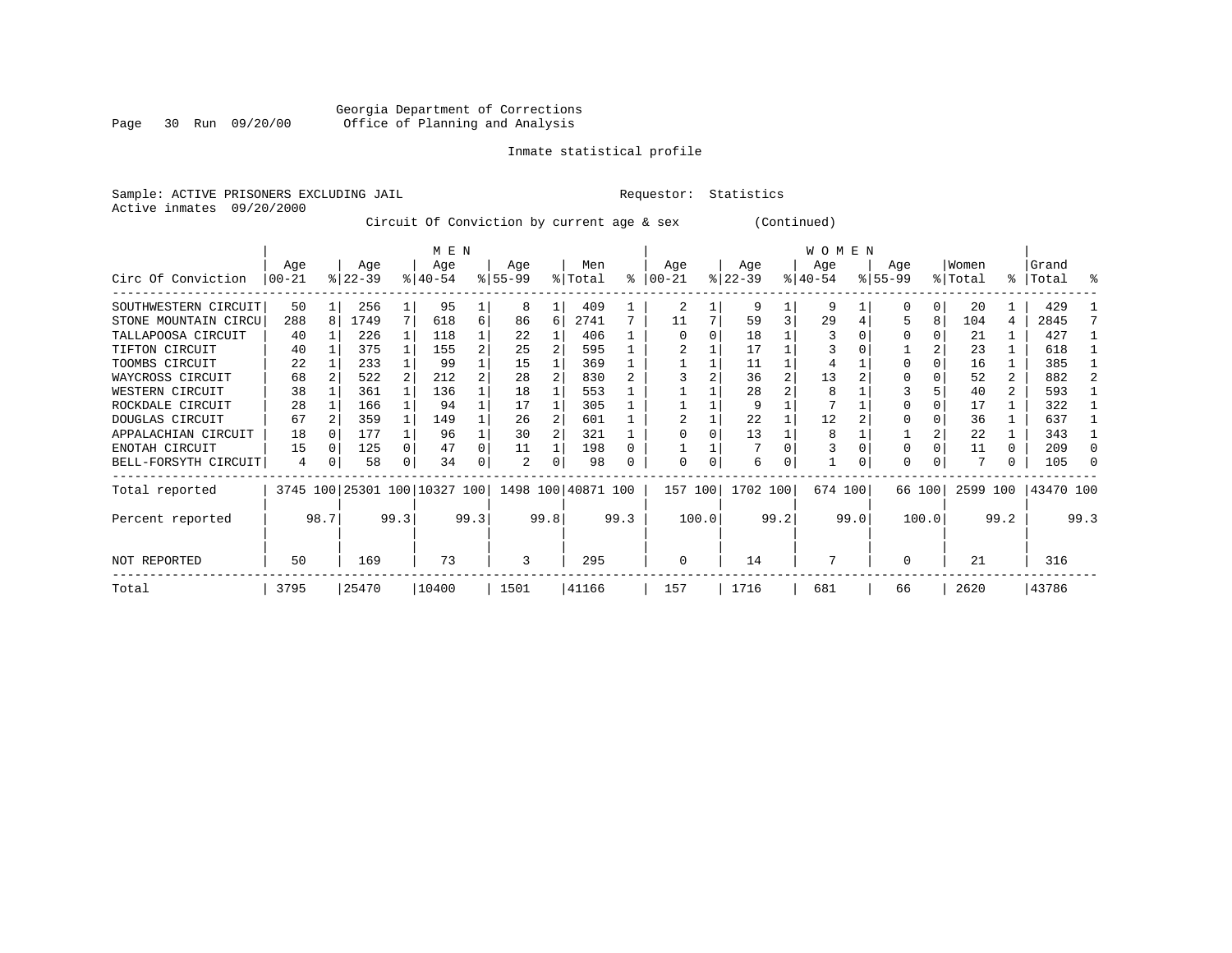# Georgia Department of Corrections Page 30 Run 09/20/00 Office of Planning and Analysis

# Inmate statistical profile

Sample: ACTIVE PRISONERS EXCLUDING JAIL **Requestor:** Statistics Active inmates 09/20/2000

Circuit Of Conviction by current age & sex (Continued)

|                      |          |   |           |      | M E N                   |      |          |      |                    |      |          |       |           |                | W O M E N |      |          |       |          |      |           |              |
|----------------------|----------|---|-----------|------|-------------------------|------|----------|------|--------------------|------|----------|-------|-----------|----------------|-----------|------|----------|-------|----------|------|-----------|--------------|
|                      | Age      |   | Age       |      | Age                     |      | Age      |      | Men                |      | Age      |       | Age       |                | Age       |      | Age      |       | Women    |      | Grand     |              |
| Circ Of Conviction   | $ 00-21$ |   | $ 22-39 $ |      | $8 40-54$               |      | $ 55-99$ |      | % Total            | ႜ    | $ 00-21$ |       | $ 22-39 $ |                | $ 40-54 $ |      | $ 55-99$ |       | % Total  |      | %   Total | ႜ            |
| SOUTHWESTERN CIRCUIT | 50       |   | 256       |      | 95                      |      | 8        |      | 409                |      | 2        |       | 9         |                | 9         |      | 0        | 0     | 20       |      | 429       |              |
| STONE MOUNTAIN CIRCU | 288      | 8 | 1749      | 7    | 618                     | 6    | 86       | 6    | 2741               |      | 11       |       | 59        | 3              | 29        |      | 5        | 8     | 104      | 4    | 2845      |              |
| TALLAPOOSA CIRCUIT   | 40       |   | 226       |      | 118                     |      | 22       |      | 406                |      |          |       | 18        |                |           |      | 0        |       | 21       |      | 427       |              |
| TIFTON CIRCUIT       | 40       |   | 375       |      | 155                     |      | 25       |      | 595                |      |          |       | 17        |                |           |      |          |       | 23       |      | 618       |              |
| TOOMBS CIRCUIT       | 22       |   | 233       |      | 99                      |      | 15       |      | 369                |      |          |       | 11        |                |           |      | $\Omega$ |       | 16       |      | 385       |              |
| WAYCROSS CIRCUIT     | 68       |   | 522       |      | 212                     |      | 28       |      | 830                |      |          |       | 36        | $\overline{2}$ | 13        |      |          |       | 52       | 2    | 882       |              |
| WESTERN CIRCUIT      | 38       |   | 361       |      | 136                     |      | 18       |      | 553                |      |          |       | 28        |                | 8         |      |          |       | 40       | 2    | 593       |              |
| ROCKDALE CIRCUIT     | 28       |   | 166       |      | 94                      |      | 17       |      | 305                |      |          |       | 9         |                |           |      |          |       | 17       |      | 322       |              |
| DOUGLAS CIRCUIT      | 67       |   | 359       |      | 149                     |      | 26       |      | 601                |      |          |       | 22        |                | 12        |      |          |       | 36       |      | 637       |              |
| APPALACHIAN CIRCUIT  | 18       |   | 177       |      | 96                      |      | 30       |      | 321                |      |          |       | 13        |                | 8         |      |          |       | 22       |      | 343       |              |
| ENOTAH CIRCUIT       | 15       | O | 125       |      | 47                      |      | 11       |      | 198                |      |          |       |           |                |           |      | $\Omega$ |       | 11       | 0    | 209       | <sup>0</sup> |
| BELL-FORSYTH CIRCUIT | 4        | 0 | 58        | 0    | 34                      |      | 2        | 0    | 98                 |      | U        | 0     | 6         | 0              |           | 0    | $\Omega$ |       |          | 0    | 105       |              |
| Total reported       | 3745     |   |           |      | 100 25301 100 10327 100 |      |          |      | 1498 100 40871 100 |      | 157 100  |       | 1702 100  |                | 674 100   |      | 66 100   |       | 2599 100 |      | 43470 100 |              |
| Percent reported     | 98.7     |   |           | 99.3 |                         | 99.3 |          | 99.8 |                    | 99.3 |          | 100.0 |           | 99.2           |           | 99.0 |          | 100.0 |          | 99.2 |           | 99.3         |
| NOT REPORTED         | 50       |   | 169       |      | 73                      |      | 3        |      | 295                |      | $\Omega$ |       | 14        |                |           |      | $\Omega$ |       | 21       |      | 316       |              |
| Total                | 3795     |   | 25470     |      | 10400                   |      | 1501     |      | 41166              |      | 157      |       | 1716      |                | 681       |      | 66       |       | 2620     |      | 43786     |              |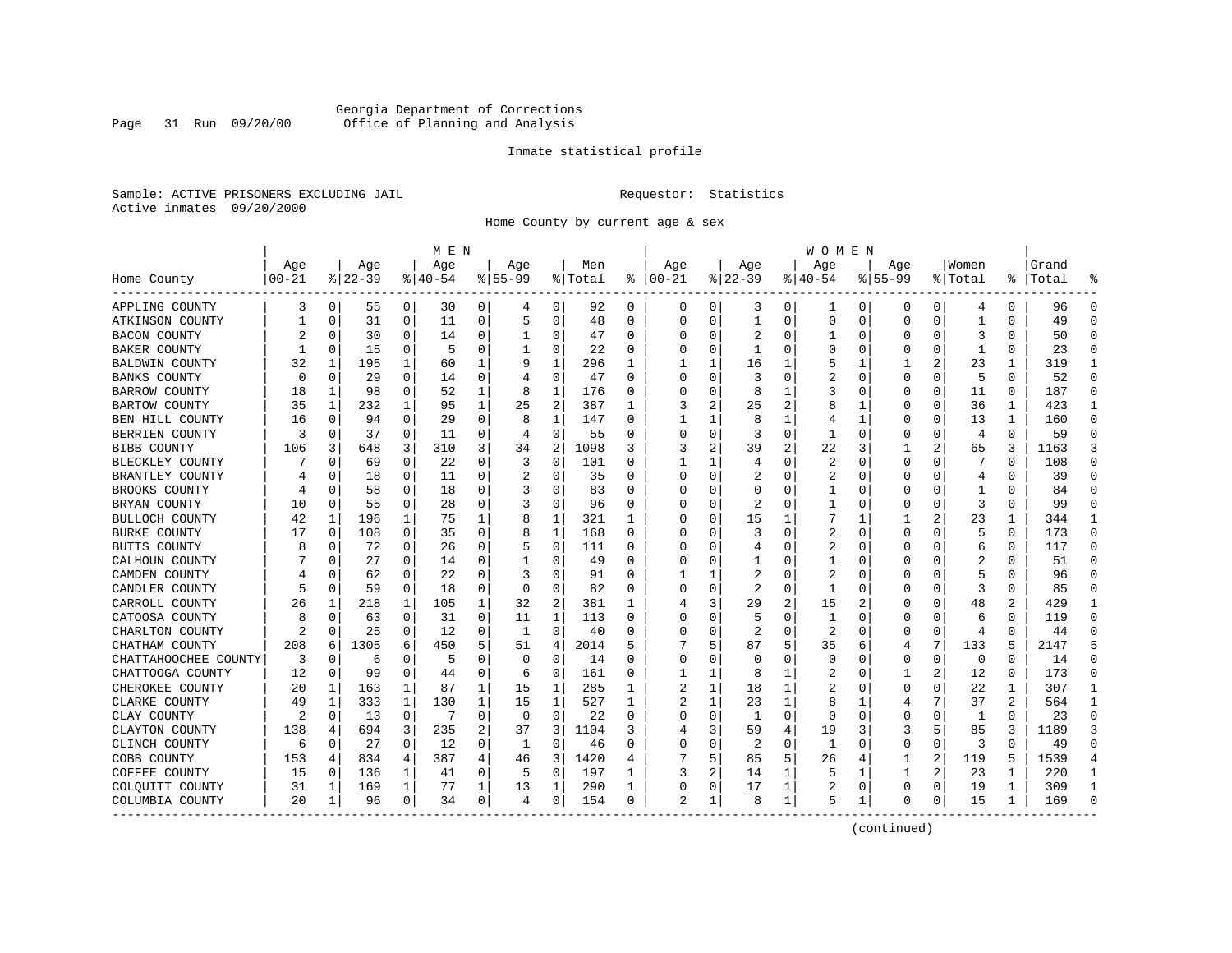# Georgia Department of Corrections Page 31 Run 09/20/00 Office of Planning and Analysis

# Inmate statistical profile

Sample: ACTIVE PRISONERS EXCLUDING JAIL **Requestor:** Statistics Active inmates 09/20/2000

Home County by current age & sex

|                      |           |             |          |             | M E N     |          |           |              |         |          |                |              |                |   | W O M E N      |             |             |             |              |              |           |                |
|----------------------|-----------|-------------|----------|-------------|-----------|----------|-----------|--------------|---------|----------|----------------|--------------|----------------|---|----------------|-------------|-------------|-------------|--------------|--------------|-----------|----------------|
|                      | Age       |             | Age      |             | Age       |          | Age       |              | Men     |          | Age            |              | Age            |   | Age            |             | Age         |             | Women        |              | Grand     |                |
| Home County          | $00 - 21$ |             | $ 22-39$ |             | $8 40-54$ |          | $8 55-99$ |              | % Total | ႜ        | $ 00-21$       |              | $ 22-39$       |   | $ 40-54$       |             | $8155 - 99$ |             | % Total      |              | %   Total |                |
| APPLING COUNTY       | 3         | 0           | 55       | 0           | 30        | 0        | 4         | 0            | 92      | 0        | 0              | 0            | 3              | 0 | ı              | 0           | 0           | 0           | 4            | 0            | 96        | n              |
| ATKINSON COUNTY      |           | 0           | 31       | 0           | 11        | 0        | 5         | 0            | 48      | 0        | $\Omega$       | 0            | 1              | 0 | $\Omega$       | 0           | $\Omega$    | 0           | $\mathbf{1}$ | $\Omega$     | 49        | $\Omega$       |
| <b>BACON COUNTY</b>  |           | $\mathbf 0$ | 30       | 0           | 14        | 0        |           | 0            | 47      | 0        |                | 0            | 2              | 0 |                | 0           | 0           | 0           | 3            | $\Omega$     | 50        | $\Omega$       |
| BAKER COUNTY         |           | $\mathbf 0$ | 15       | $\Omega$    | 5         | $\Omega$ |           | 0            | 22      | $\Omega$ | O              | 0            | -1             | 0 | C              | 0           | 0           | $\Omega$    | 1            | 0            | 23        | $\Omega$       |
| BALDWIN COUNTY       | 32        | 1           | 195      | 1           | 60        | 1        | 9         | 1            | 296     |          |                |              | 16             | 1 |                | 1           |             |             | 23           |              | 319       | -1             |
| <b>BANKS COUNTY</b>  | $\Omega$  | $\Omega$    | 29       | $\Omega$    | 14        | 0        |           | 0            | 47      | O        | O              | <sup>0</sup> | 3              | U | 2              | 0           | O           | O           | 5            | 0            | 52        | $\Omega$       |
| BARROW COUNTY        | 18        | 1           | 98       | 0           | 52        | 1        | 8         | 1            | 176     | 0        |                | 0            | 8              | 1 | 3              | 0           | 0           | 0           | 11           | 0            | 187       | ∩              |
| BARTOW COUNTY        | 35        | 1           | 232      | $\mathbf 1$ | 95        | 1        | 25        | 2            | 387     | 1        |                | 2            | 25             | 2 | 8              | 1           | 0           | 0           | 36           | 1            | 423       | -1             |
| BEN HILL COUNTY      | 16        | $\mathbf 0$ | 94       | $\Omega$    | 29        | $\Omega$ | 8         | $\mathbf{1}$ | 147     | 0        |                | 1            | 8              | 1 | 4              | 1           | $\Omega$    | $\Omega$    | 13           | $\mathbf{1}$ | 160       | $\Omega$       |
| BERRIEN COUNTY       | 3         | 0           | 37       | $\Omega$    | 11        | $\Omega$ | 4         | $\mathbf 0$  | 55      | O        |                | $\Omega$     | 3              | O | -1             | 0           | U           | O           | 4            | $\Omega$     | 59        | $\Omega$       |
| BIBB COUNTY          | 106       | 3           | 648      | 3           | 310       | 3        | 34        | 2            | 1098    | 3        |                | 2            | 39             | 2 | 22             | 3           |             | 2           | 65           | 3            | 1163      | 3              |
| BLECKLEY COUNTY      |           | 0           | 69       | U           | 22        | 0        | 3         | 0            | 101     | O        |                |              | 4              | 0 | 2              | 0           | O           | O           |              | $\Omega$     | 108       | ∩              |
| BRANTLEY COUNTY      |           | 0           | 18       | 0           | 11        | 0        |           | 0            | 35      | 0        |                | 0            | 2              | 0 | 2              | 0           | 0           | O           | 4            | 0            | 39        | ∩              |
| BROOKS COUNTY        |           | $\mathbf 0$ | 58       | 0           | 18        | 0        |           | 0            | 83      | O        |                | 0            | 0              | 0 |                | $\mathbf 0$ | $\Omega$    | $\Omega$    |              | $\Omega$     | 84        |                |
| BRYAN COUNTY         | 10        | 0           | 55       | 0           | 28        | 0        |           | 0            | 96      | 0        | ∩              | 0            | 2              | 0 |                | 0           | 0           | 0           | 3            | 0            | 99        | $\Omega$       |
| BULLOCH COUNTY       | 42        | 1           | 196      | 1           | 75        | 1        | 8         | 1            | 321     | ı        |                | <sup>0</sup> | 15             | 1 | 7              | 1           | 1           |             | 23           | 1            | 344       | -1             |
| <b>BURKE COUNTY</b>  | 17        | 0           | 108      | 0           | 35        | 0        | 8         | 1            | 168     | O        |                |              |                | 0 | 2              | 0           | 0           | O           | 5            | 0            | 173       | $\Omega$       |
| BUTTS COUNTY         | 8         | $\Omega$    | 72       | $\Omega$    | 26        | 0        | 5         | 0            | 111     | O        |                | U            | 4              | U | 2              | 0           | 0           | O           | 6            | 0            | 117       | ∩              |
| CALHOUN COUNTY       |           | 0           | 27       | $\Omega$    | 14        | 0        |           | 0            | 49      | 0        |                | $\Omega$     | 1              | 0 |                | 0           | $\Omega$    | $\Omega$    | 2            | 0            | 51        | $\Omega$       |
| CAMDEN COUNTY        |           | $\mathbf 0$ | 62       | 0           | 22        | 0        |           | 0            | 91      | 0        |                | 1            | 2              | 0 | 2              | $\mathbf 0$ | 0           | $\Omega$    | 5            | 0            | 96        | $\cap$         |
| CANDLER COUNTY       |           | $\mathbf 0$ | 59       | $\Omega$    | 18        | 0        | $\Omega$  | 0            | 82      | $\Omega$ | <sup>0</sup>   | $\Omega$     | $\overline{2}$ | 0 | 1              | 0           | 0           | 0           | 3            | $\Omega$     | 85        | $\Omega$       |
| CARROLL COUNTY       | 26        | 1           | 218      | 1           | 105       | 1        | 32        | 2            | 381     | 1        |                | 3            | 29             | 2 | 15             | 2           | 0           | 0           | 48           | 2            | 429       | -1             |
| CATOOSA COUNTY       | 8         | 0           | 63       | 0           | 31        | 0        | 11        | 1            | 113     | 0        |                | 0            | 5              | 0 | 1              | 0           | 0           | 0           | 6            | 0            | 119       | ∩              |
| CHARLTON COUNTY      | 2         | 0           | 25       | $\Omega$    | 12        | 0        | 1         | 0            | 40      | O        |                | U            | $\overline{2}$ | U | $\overline{2}$ | 0           | 0           | $\Omega$    | 4            | $\Omega$     | 44        |                |
| CHATHAM COUNTY       | 208       | 6           | 1305     | 6           | 450       | 5        | 51        | 4            | 2014    | 5        |                | 5            | 87             | 5 | 35             | 6           | 4           | 7           | 133          | 5            | 2147      | 5              |
| CHATTAHOOCHEE COUNTY | 3         | $\mathbf 0$ | 6        | 0           | 5         | $\Omega$ | $\Omega$  | $\mathbf 0$  | 14      | 0        | 0              | $\Omega$     | 0              | 0 |                | $\mathbf 0$ | $\Omega$    | $\mathbf 0$ | $\mathbf 0$  | $\Omega$     | 14        | $\Omega$       |
| CHATTOOGA COUNTY     | 12        | 0           | 99       | $\Omega$    | 44        | 0        | 6         | 0            | 161     | 0        |                | 1            | 8              | 1 | 2              | 0           | 1           | 2           | 12           | $\Omega$     | 173       | $\Omega$       |
| CHEROKEE COUNTY      | 20        | 1           | 163      | 1           | 87        | 1        | 15        | 1            | 285     | 1        |                | 1            | 18             | 1 |                | 0           | 0           | 0           | 22           | 1            | 307       | 1              |
| CLARKE COUNTY        | 49        | 1           | 333      | 1           | 130       | 1        | 15        | 1            | 527     |          |                |              | 23             | 1 | 8              |             | 4           |             | 37           | 2            | 564       | 1              |
| CLAY COUNTY          | 2         | 0           | 13       | 0           | 7         | 0        | 0         | 0            | 22      | O        |                | U            | 1              | O | $\Omega$       | 0           | U           | O           | 1            | $\Omega$     | 23        | $\Omega$       |
| CLAYTON COUNTY       | 138       | 4           | 694      | 3           | 235       | 2        | 37        | 3            | 1104    | 3        |                | 3            | 59             | 4 | 19             | 3           | 3           | 5           | 85           | 3            | 1189      | 3              |
| CLINCH COUNTY        | 6         | $\mathbf 0$ | 27       | 0           | 12        | $\Omega$ | 1         | $\mathbf 0$  | 46      | $\Omega$ |                | 0            | $\overline{2}$ | 0 | $\mathbf{1}$   | $\mathbf 0$ | $\Omega$    | 0           | 3            | $\Omega$     | 49        | $\Omega$       |
| COBB COUNTY          | 153       | 4           | 834      | 4           | 387       | 4        | 46        | 3            | 1420    | 4        |                | 5            | 85             | 5 | 26             | 4           | 1           | 2           | 119          | 5            | 1539      | $\overline{4}$ |
| COFFEE COUNTY        | 15        | 0           | 136      | 1           | 41        | 0        | 5         | 0            | 197     | 1        | 3              | 2            | 14             | 1 | 5              | 1           | 1           |             | 23           | 1            | 220       | 1              |
| COLOUITT COUNTY      | 31        | 1           | 169      | 1           | 77        | 1        | 13        | 1            | 290     | 1        |                | 0            | 17             | 1 | 2              | 0           | 0           | 0           | 19           | 1            | 309       | $\mathbf{1}$   |
| COLUMBIA COUNTY      | 20        | 1           | 96       | 0           | 34        | 0        | 4         | 0            | 154     | 0        | $\overline{2}$ | 1            | 8              | 1 | 5              | 1           | $\Omega$    | $\Omega$    | 15           | 1            | 169       |                |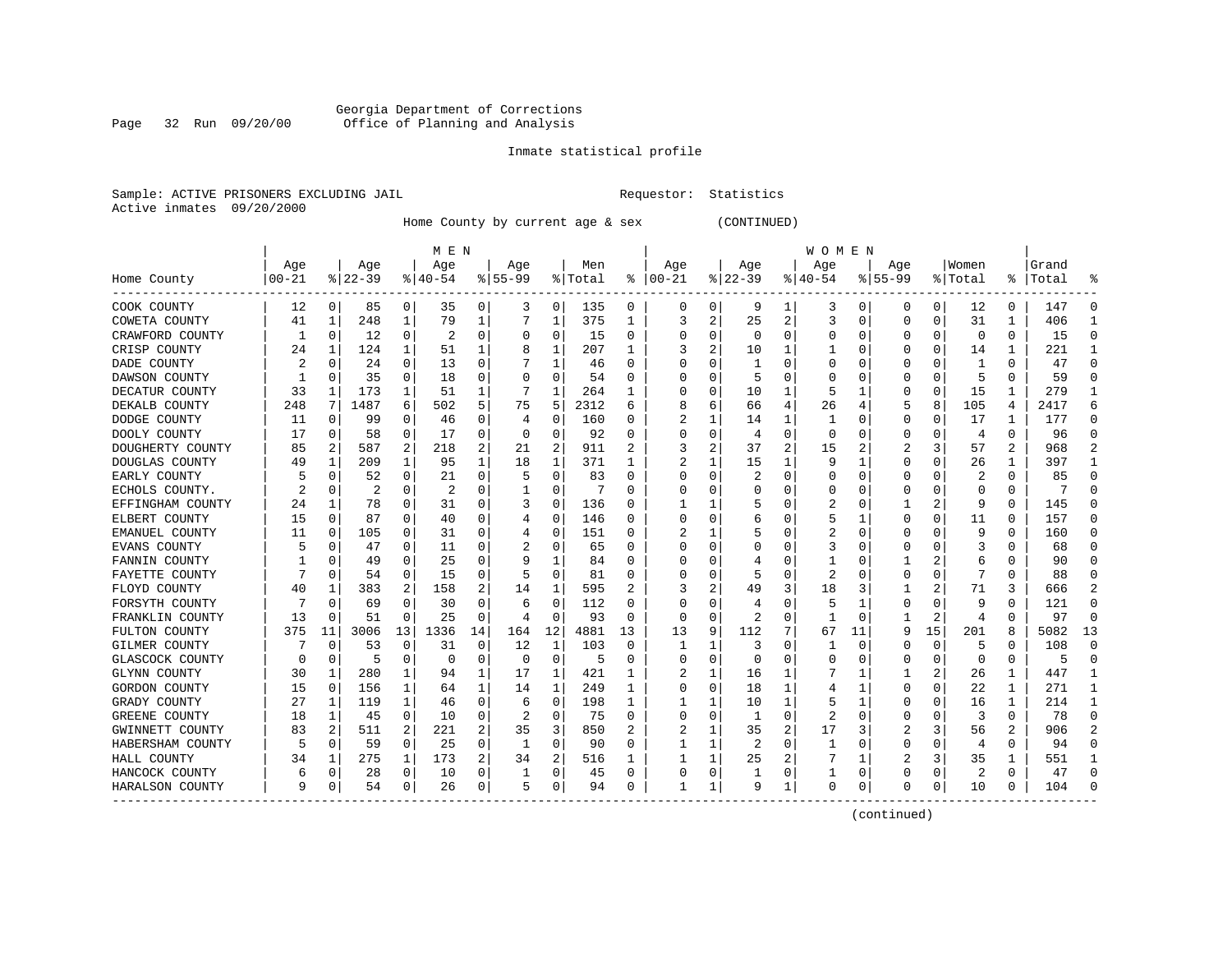#### Georgia Department of Corrections Page 32 Run 09/20/00 Office of Planning and Analysis

# Inmate statistical profile

|  | Sample: ACTIVE PRISONERS EXCLUDING JAIL |  |
|--|-----------------------------------------|--|
|  | Active inmates 09/20/2000               |  |

L Bample: Active Prequestor: Statistics

Home County by current age & sex (CONTINUED)

|                  |           |                |           |          | M E N          |    |           |          | W O M E N |                  |          |              |                |                |          |    |              |          |          |                |       |              |
|------------------|-----------|----------------|-----------|----------|----------------|----|-----------|----------|-----------|------------------|----------|--------------|----------------|----------------|----------|----|--------------|----------|----------|----------------|-------|--------------|
|                  | Age       |                | Age       |          | Age            |    | Aqe       |          | Men       |                  | Age      |              | Age            |                | Age      |    | Aqe          |          | Women    |                | Grand |              |
| Home County      | $00 - 21$ |                | $ 22-39 $ |          | $ 40-54$       |    | $8 55-99$ |          | % Total   | ႜ                | $ 00-21$ |              | $ 22-39$       |                | $ 40-54$ |    | $8155 - 99$  |          | % Total  | ႜႜ             | Total |              |
| COOK COUNTY      | 12        | 0              | 85        | 0        | 35             | 0  | 3         | 0        | 135       | 0                | 0        | 0            | 9              | 1              | 3        | 0  | 0            | 0        | 12       | 0              | 147   | ſ            |
| COWETA COUNTY    | 41        | 1              | 248       | 1        | 79             | 1  |           | 1        | 375       | 1                |          | 2            | 25             | 2              | 3        | 0  | O            | 0        | 31       | 1              | 406   |              |
| CRAWFORD COUNTY  | 1         | $\mathbf 0$    | 12        | 0        | 2              | 0  | O         | 0        | 15        | O                | C        | 0            | $\Omega$       | $\Omega$       | O        | C  |              | $\Omega$ | $\Omega$ | $\Omega$       | 15    | C            |
| CRISP COUNTY     | 24        | 1              | 124       | 1        | 51             | 1  |           | 1        | 207       | 1                |          | 2            | 10             |                |          | C  |              | $\Omega$ | 14       | 1              | 221   |              |
| DADE COUNTY      |           | $\mathbf 0$    | 24        | 0        | 13             | 0  |           | 1        | 46        | O                |          | O            |                | $\Omega$       | 0        | C  |              | O        | -1       | 0              | 47    | ſ            |
| DAWSON COUNTY    |           | 0              | 35        | 0        | 18             | 0  |           | $\Omega$ | 54        | O                |          | U            | 5              | ∩              | Ω        | ſ  |              | O        | 5        | $\Omega$       | 59    | ſ            |
| DECATUR COUNTY   | 33        | 1              | 173       | 1        | 51             | 1  |           | 1        | 264       | 1                | C        | 0            | 10             | 1              | 5        |    | O            | 0        | 15       | 1              | 279   | ำ            |
| DEKALB COUNTY    | 248       | 7              | 1487      | 6        | 502            | 5  | 75        | 5        | 2312      | 6                |          | 6            | 66             | 4              | 26       |    |              | 8        | 105      | 4              | 2417  | 6            |
| DODGE COUNTY     | 11        | 0              | 99        | 0        | 46             | 0  | 4         | 0        | 160       | 0                |          |              | 14             |                |          | C  | 0            | 0        | 17       | 1              | 177   | O            |
| DOOLY COUNTY     | 17        | 0              | 58        | 0        | 17             | 0  | O         | $\Omega$ | 92        | N                |          | 0            | $\overline{4}$ | $\Omega$       | 0        | C  |              |          | 4        | 0              | 96    |              |
| DOUGHERTY COUNTY | 85        | $\overline{2}$ | 587       | 2        | 218            | 2  | 21        | 2        | 911       |                  |          | 2            | 37             | $\overline{2}$ | 15       |    |              | 3        | 57       | 2              | 968   |              |
| DOUGLAS COUNTY   | 49        | 1              | 209       | 1        | 95             | 1  | 18        | 1        | 371       | 1                |          |              | 15             | 1              | 9        |    | O            | $\Omega$ | 26       | 1              | 397   |              |
| EARLY COUNTY     |           | 0              | 52        | 0        | 21             | 0  | 5         | 0        | 83        | O                |          | O            | 2              | $\Omega$       | $\Omega$ | C  |              | $\Omega$ | 2        | 0              | 85    | n            |
| ECHOLS COUNTY.   |           | 0              | 2         | 0        | $\overline{2}$ | 0  |           | 0        | 7         | N                |          | U            |                | O              | O        | C  |              | O        | C        | 0              |       |              |
| EFFINGHAM COUNTY | 24        | 1              | 78        | 0        | 31             | 0  | 3         | 0        | 136       | O                |          |              |                | O              | 2        | C  |              | 2        | q        | $\Omega$       | 145   | C            |
| ELBERT COUNTY    | 15        | $\Omega$       | 87        | 0        | 40             | 0  |           | 0        | 146       | O                |          | 0            | b              | $\Omega$       | 5        |    | <sup>0</sup> | 0        | 11       | 0              | 157   | $\Omega$     |
| EMANUEL COUNTY   | 11        | 0              | 105       | 0        | 31             | 0  |           | 0        | 151       | O                |          |              |                | 0              | 2        | C  | O            | O        | 9        | 0              | 160   | n            |
| EVANS COUNTY     |           | 0              | 47        | 0        | 11             | 0  |           | $\Omega$ | 65        | $\left( \right)$ |          | U            | $\left($       | O              | 3        | C  |              |          | 3        | U              | 68    | O            |
| FANNIN COUNTY    |           | C              | 49        | 0        | 25             | 0  | 9         | 1        | 84        |                  |          | U            |                |                |          | C  |              |          | 6        | U              | 90    |              |
| FAYETTE COUNTY   |           | $\Omega$       | 54        | 0        | 15             | 0  |           | $\Omega$ | 81        | O                |          | U            |                | O              | 2        | ſ  |              | O        |          | O              | 88    |              |
| FLOYD COUNTY     | 40        | 1              | 383       | 2        | 158            | 2  | 14        | 1        | 595       | 2                |          | 2            | 49             | 3              | 18       |    |              | 2        | 71       | 3              | 666   |              |
| FORSYTH COUNTY   |           | 0              | 69        | O        | 30             | 0  | 6         | 0        | 112       | 0                |          | U            |                | O              | 5        |    | O            | O        | 9        | 0              | 121   | C            |
| FRANKLIN COUNTY  | 13        | $\Omega$       | 51        | $\Omega$ | 25             | 0  | 4         | $\Omega$ | 93        | 0                | 0        | 0            | 2              | $\Omega$       |          | C  |              | 2        | 4        | 0              | 97    | <sup>0</sup> |
| FULTON COUNTY    | 375       | 11             | 3006      | 13       | 1336           | 14 | 164       | 12       | 4881      | 13               | 13       | 9            | 112            |                | 67       | 11 | 9            | 15       | 201      | 8              | 5082  | 13           |
| GILMER COUNTY    |           | 0              | 53        | $\Omega$ | 31             | 0  | 12        | 1        | 103       | $\Omega$         |          | 1            | 3              | $\Omega$       |          | C  | <sup>0</sup> | $\Omega$ | 5        | 0              | 108   | ſ            |
| GLASCOCK COUNTY  | $\Omega$  | $\mathbf 0$    | 5         | 0        | $\Omega$       | 0  | O         | 0        | 5         | O                | C.       | 0            | O              | O              | O        | C  |              | $\Omega$ | n        | 0              | 5     | $\Omega$     |
| GLYNN COUNTY     | 30        | 1              | 280       | 1        | 94             | 1  | 17        | 1        | 421       |                  |          |              | 16             |                |          |    |              | 2        | 26       | 1              | 447   |              |
| GORDON COUNTY    | 15        | 0              | 156       | 1        | 64             | 1  | 14        | 1        | 249       |                  | C        | 0            | 18             |                | 4        |    |              | O        | 22       | 1              | 271   |              |
| GRADY COUNTY     | 27        | 1              | 119       | 1        | 46             | 0  | 6         | $\Omega$ | 198       | 1                |          |              | 10             |                | 5        |    |              |          | 16       | 1              | 214   |              |
| GREENE COUNTY    | 18        | 1              | 45        | 0        | 10             | 0  | 2         | 0        | 75        | O                | C        | 0            | $\mathbf{1}$   | $\Omega$       | 2        | ſ  |              |          | 3        | 0              | 78    | ſ            |
| GWINNETT COUNTY  | 83        | $\overline{2}$ | 511       | 2        | 221            | 2  | 35        | 3        | 850       | 2                |          |              | 35             | $\overline{2}$ | 17       |    |              | 3        | 56       | $\overline{2}$ | 906   |              |
| HABERSHAM COUNTY |           | 0              | 59        | 0        | 25             | 0  | 1         | $\Omega$ | 90        | 0                |          | 1            | 2              | $\Omega$       |          | C  | 0            | $\Omega$ | 4        | 0              | 94    | ſ            |
| HALL COUNTY      | 34        | 1              | 275       | 1        | 173            | 2  | 34        | 2        | 516       |                  |          | 1            | 25             | 2              |          |    | 2            | 3        | 35       | 1              | 551   |              |
| HANCOCK COUNTY   | 6         | 0              | 28        | 0        | 10             | 0  |           | 0        | 45        | O                | C        | 0            |                | $\Omega$       |          | 0  |              | $\Omega$ | 2        | 0              | 47    | ſ            |
| HARALSON COUNTY  | 9         | 0              | 54        | 0        | 26             | 0  | 5         | 0        | 94        | 0                | -1       | $\mathbf{1}$ | 9              | 1              | 0        | 0  | ∩            | 0        | 10       | 0              | 104   | C            |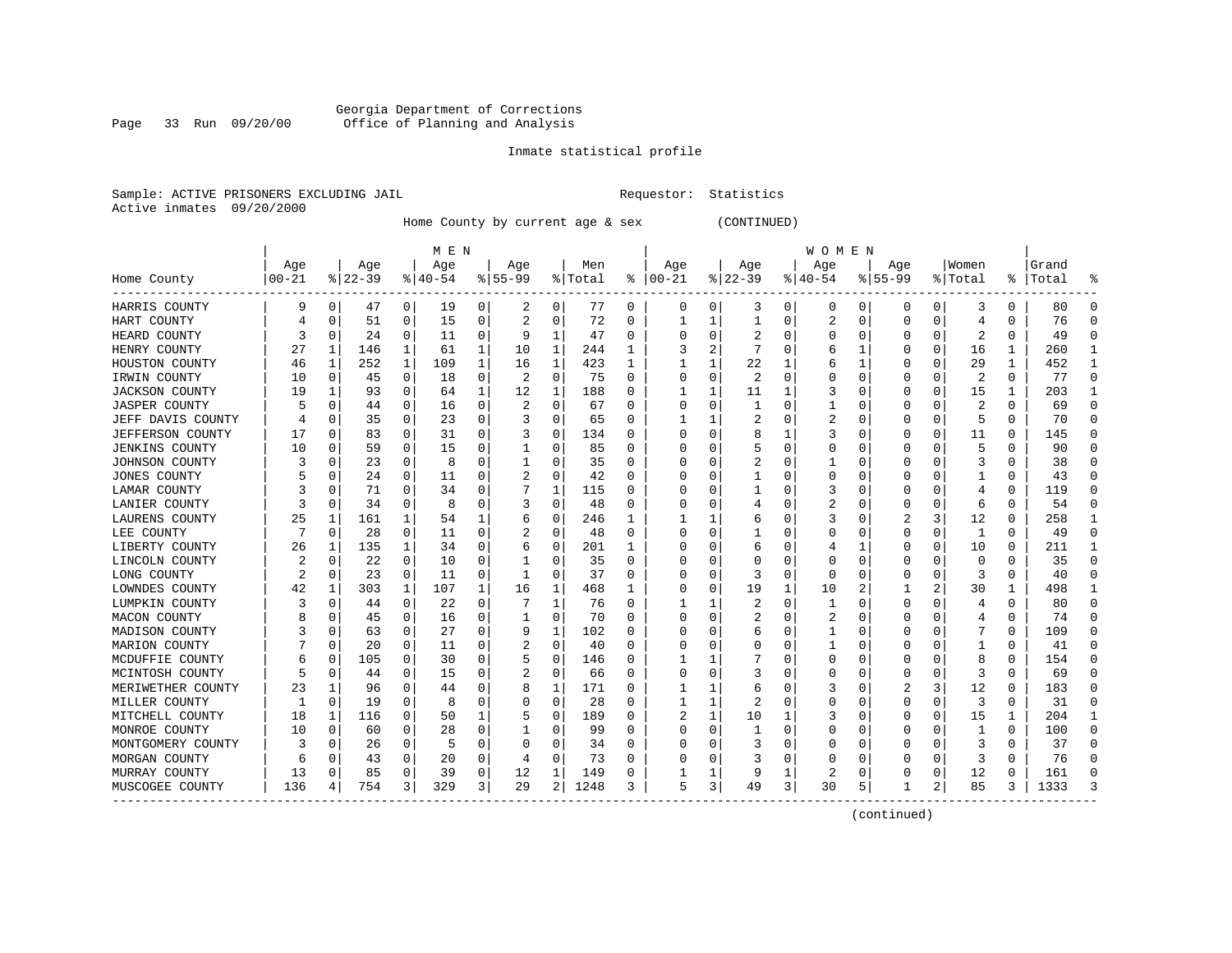#### Georgia Department of Corrections Page 33 Run 09/20/00 Office of Planning and Analysis

# Inmate statistical profile

|  | Sample: ACTIVE PRISONERS EXCLUDING JAII |  |
|--|-----------------------------------------|--|
|  | Active inmates 09/20/2000               |  |

L Bample: Active Prequestor: Statistics

Home County by current age & sex (CONTINUED)

|                       |       |          |          |              | M E N       |          |           |          |         |   |          |   |          |          | W O M E N |   |           |          |          |          |       |   |
|-----------------------|-------|----------|----------|--------------|-------------|----------|-----------|----------|---------|---|----------|---|----------|----------|-----------|---|-----------|----------|----------|----------|-------|---|
|                       | Age   |          | Age      |              | Age         |          | Age       |          | Men     |   | Age      |   | Age      |          | Age       |   | Aqe       |          | Women    |          | Grand |   |
| Home County           | 00-21 |          | $ 22-39$ |              | $8140 - 54$ |          | $8 55-99$ |          | % Total | ະ | $ 00-21$ |   | $ 22-39$ |          | $8 40-54$ |   | $8 55-99$ |          | % Total  | ႜ        | Total |   |
| HARRIS COUNTY         | 9     | 0        | 47       | 0            | 19          | 0        | 2         | 0        | 77      | 0 | 0        | 0 | 3        | 0        | 0         | 0 | 0         | 0        | 3        | 0        | 80    |   |
| HART COUNTY           |       | 0        | 51       | 0            | 15          | 0        | 2         | 0        | 72      | N |          |   |          |          | 2         | 0 | O         | 0        | 4        | 0        | 76    |   |
| HEARD COUNTY          |       | $\Omega$ | 24       | $\Omega$     | 11          | $\Omega$ | 9         | 1        | 47      | O | C        | 0 |          |          | 0         | 0 | O         | $\Omega$ |          | 0        | 49    |   |
| HENRY COUNTY          | 27    | 1        | 146      | $\mathbf{1}$ | 61          | 1        | 10        | 1        | 244     | 1 |          | 2 |          |          | 6         |   | 0         | $\Omega$ | 16       | 1        | 260   |   |
| HOUSTON COUNTY        | 46    | 1        | 252      | $\mathbf{1}$ | 109         | 1        | 16        | 1        | 423     | 1 |          |   | 22       |          | 6         |   | 0         | 0        | 29       | 1        | 452   |   |
| IRWIN COUNTY          | 10    | 0        | 45       | 0            | 18          | 0        |           | 0        | 75      | O |          | 0 | 2        | $\Omega$ | 0         | 0 |           | 0        | 2        | $\Omega$ | 77    | U |
| JACKSON COUNTY        | 19    | 1        | 93       | 0            | 64          | 1        | 12        | 1        | 188     | 0 |          |   | 11       |          | 3         |   | $\Omega$  | 0        | 15       | 1        | 203   |   |
| <b>JASPER COUNTY</b>  |       | $\Omega$ | 44       | $\Omega$     | 16          | $\Omega$ | 2         | 0        | 67      | 0 | ſ        | 0 |          |          | 1         |   | $\Omega$  | $\Omega$ | 2        | 0        | 69    | U |
| JEFF DAVIS COUNTY     |       | $\Omega$ | 35       | $\Omega$     | 23          | 0        |           | 0        | 65      | 0 |          |   |          |          | 2         | U | -0        | $\Omega$ | 5        | 0        | 70    | ∩ |
| JEFFERSON COUNTY      | 17    | $\Omega$ | 83       | 0            | 31          | 0        |           | 0        | 134     | U |          | 0 |          |          | 3         |   | 0         | 0        | 11       | 0        | 145   |   |
| <b>JENKINS COUNTY</b> | 10    | $\Omega$ | 59       | U            | 15          | 0        |           | 0        | 85      | O | ſ        | 0 |          |          | U         | U |           | O        | 5        | O        | 90    |   |
| JOHNSON COUNTY        |       | $\Omega$ | 23       | $\Omega$     | 8           | 0        |           | 0        | 35      | O |          | 0 |          |          |           | U | O         | O        |          | O        | 38    |   |
| <b>JONES COUNTY</b>   |       | 0        | 24       | 0            | 11          | 0        | 2         | 0        | 42      | O |          | 0 |          |          | U         | U | 0         | O        |          | 0        | 43    |   |
| LAMAR COUNTY          |       | 0        | 71       | 0            | 34          | $\Omega$ |           | 1        | 115     | 0 |          | 0 |          |          | 3         | 0 |           | 0        |          | 0        | 119   |   |
| LANIER COUNTY         |       | 0        | 34       | 0            | 8           | 0        | 3         | 0        | 48      | O |          | 0 |          |          | 2         | 0 | 0         | 0        | 6        | $\Omega$ | 54    |   |
| LAURENS COUNTY        | 25    | 1        | 161      | 1            | 54          | 1        | 6         | 0        | 246     | 1 |          |   |          |          | 3         |   | 2         | 3        | 12       | 0        | 258   |   |
| LEE COUNTY            |       | $\Omega$ | 28       | $\Omega$     | 11          | 0        |           | 0        | 48      | 0 | ſ        | 0 |          |          | U         | 0 | $\Omega$  | 0        | 1        | 0        | 49    | ∩ |
| LIBERTY COUNTY        | 26    | 1        | 135      | 1            | 34          | 0        | b         | 0        | 201     |   | Ω        | 0 | b        |          |           |   | 0         | $\Omega$ | 10       | 0        | 211   |   |
| LINCOLN COUNTY        |       | $\Omega$ | 22       | 0            | 10          | 0        |           | 0        | 35      | N |          | 0 |          |          | 0         | 0 |           | 0        | $\Omega$ | 0        | 35    |   |
| LONG COUNTY           |       | $\Omega$ | 23       | $\Omega$     | 11          | 0        |           | 0        | 37      | O | C        | 0 |          | n        | U         | U | O         | $\Omega$ | 3        | 0        | 40    |   |
| LOWNDES COUNTY        | 42    | 1        | 303      | 1            | 107         | 1        | 16        | 1        | 468     | 1 | C        | 0 | 19       |          | 10        |   |           | 2        | 30       | 1        | 498   |   |
| LUMPKIN COUNTY        |       | $\Omega$ | 44       | $\Omega$     | 22          | $\Omega$ |           | 1        | 76      | 0 |          | 1 |          | O        | 1         | U | $\Omega$  | O        | 4        | 0        | 80    |   |
| MACON COUNTY          |       | $\Omega$ | 45       | $\Omega$     | 16          | $\Omega$ |           | 0        | 70      | 0 |          | 0 | 2        |          | 2         | 0 | 0         | 0        |          | 0        | 74    |   |
| MADISON COUNTY        |       | $\Omega$ | 63       | 0            | 27          | 0        | 9         | 1        | 102     | O |          | 0 | 6        |          |           |   | O         | O        |          | $\Omega$ | 109   |   |
| MARION COUNTY         |       | $\Omega$ | 20       | $\Omega$     | 11          | 0        | 2         | 0        | 40      | 0 | ſ        | 0 |          |          |           |   | O         | 0        |          | 0        | 41    | U |
| MCDUFFIE COUNTY       |       | $\Omega$ | 105      | $\Omega$     | 30          | 0        | 5         | 0        | 146     | O |          |   |          |          | U         | 0 | 0         | 0        | 8        | 0        | 154   | U |
| MCINTOSH COUNTY       |       | 0        | 44       | 0            | 15          | 0        | 2         | 0        | 66      | 0 |          | 0 |          |          | 0         |   | O         | 0        | 3        | 0        | 69    |   |
| MERIWETHER COUNTY     | 23    | 1        | 96       | O            | 44          | 0        | 8         | 1        | 171     | U |          |   |          |          | 3         |   |           | 3        | 12       | $\Omega$ | 183   |   |
| MILLER COUNTY         |       | $\Omega$ | 19       | 0            | 8           | 0        | 0         | 0        | 28      | O |          |   |          |          | U         | U | $\Omega$  | $\Omega$ | 3        | 0        | 31    |   |
| MITCHELL COUNTY       | 18    | 1        | 116      | $\Omega$     | 50          | 1        |           | 0        | 189     | O |          | 1 | 10       |          | 3         | U | $\Omega$  | $\Omega$ | 15       | 1        | 204   |   |
| MONROE COUNTY         | 10    | $\Omega$ | 60       | $\Omega$     | 28          | $\Omega$ |           | 0        | 99      | O |          | 0 |          |          |           | 0 | 0         | $\Omega$ |          | 0        | 100   |   |
| MONTGOMERY COUNTY     |       | $\Omega$ | 26       | 0            | 5           | 0        |           | 0        | 34      | 0 |          | 0 |          |          | 0         | 0 |           | 0        |          | 0        | 37    |   |
| MORGAN COUNTY         |       | $\Omega$ | 43       | 0            | 20          | 0        | 4         | $\Omega$ | 73      | O |          | U |          |          | O         |   |           | $\Omega$ | ζ        | $\Omega$ | 76    |   |
| MURRAY COUNTY         | 13    | $\Omega$ | 85       | $\Omega$     | 39          | 0        | 12        | 1        | 149     | O |          | 1 | 9        |          | 2         | U | C         | 0        | 12       | $\Omega$ | 161   |   |
| MUSCOGEE COUNTY       | 136   | 4        | 754      | 3            | 329         | 3        | 29        | 2        | 1248    | 3 | 5        | 3 | 49       | 3        | 30        | 5 | 1         | 2        | 85       | 3        | 1333  |   |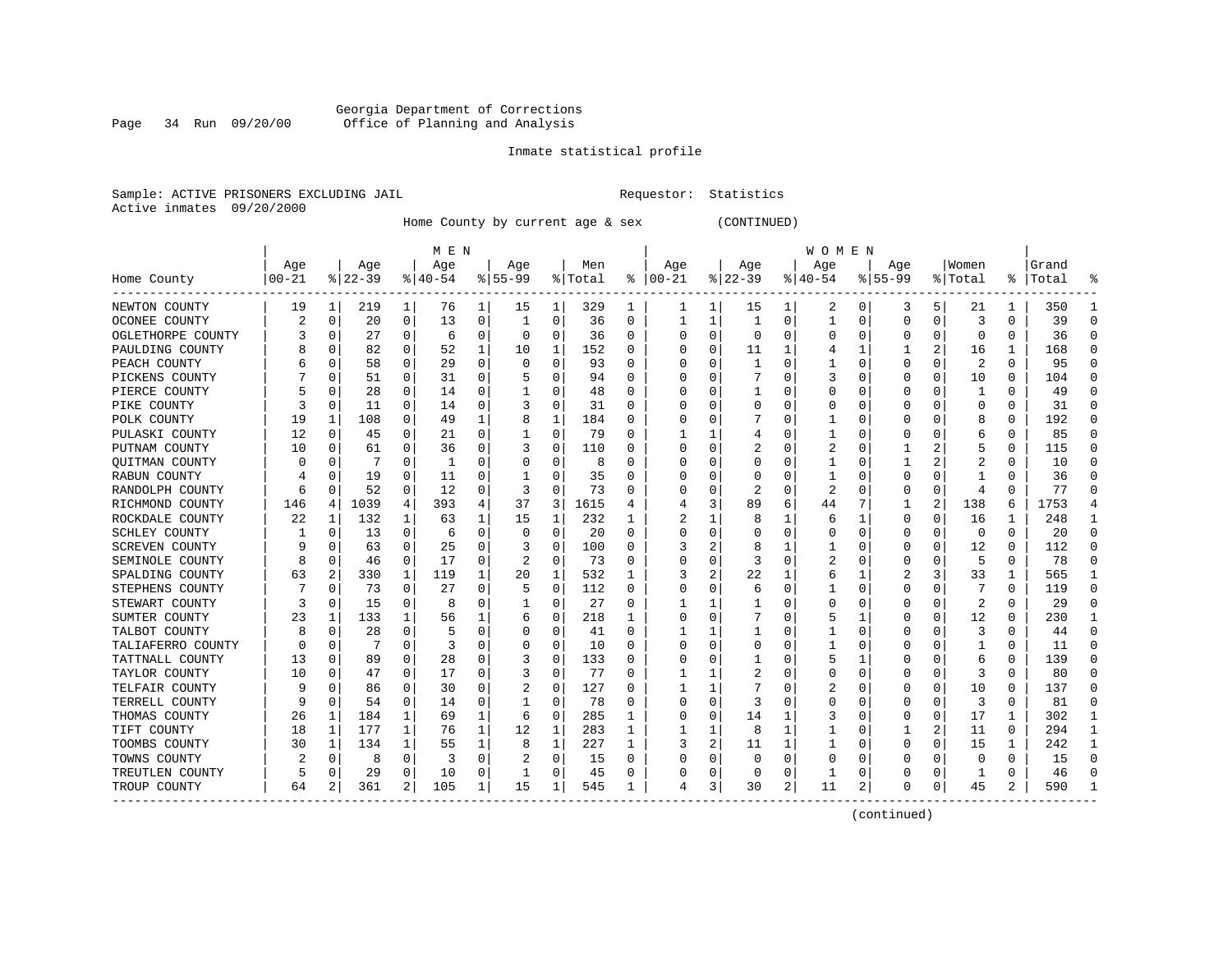#### Georgia Department of Corrections Page 34 Run 09/20/00 Office of Planning and Analysis

# Inmate statistical profile

|  | Sample: ACTIVE PRISONERS EXCLUDING JAIL |  |
|--|-----------------------------------------|--|
|  | Active inmates 09/20/2000               |  |

L Bample: Active Prequestor: Statistics

Home County by current age & sex (CONTINUED)

|                       |           |          |           |                | M E N     |   |              |             |         |          |          |          |              |          | W O M E N |   |             |          |         |   |           |              |
|-----------------------|-----------|----------|-----------|----------------|-----------|---|--------------|-------------|---------|----------|----------|----------|--------------|----------|-----------|---|-------------|----------|---------|---|-----------|--------------|
|                       | Age       |          | Age       |                | Age       |   | Age          |             | Men     |          | Age      |          | Age          |          | Age       |   | Aqe         |          | Women   |   | Grand     |              |
| Home County           | $00 - 21$ |          | $ 22-39 $ |                | $8 40-54$ |   | $8 55-99$    |             | % Total | ႜ        | $ 00-21$ |          | $ 22-39$     |          | $ 40-54$  |   | $8155 - 99$ |          | % Total |   | %   Total |              |
| NEWTON COUNTY         | 19        | 1        | 219       | $\mathbf{1}$   | 76        | 1 | 15           | 1           | 329     | 1        | ı        | 1        | 15           | 1        | 2         | 0 | 3           | 5        | 21      | 1 | 350       |              |
| OCONEE COUNTY         |           | 0        | 20        | 0              | 13        | 0 | 1            | 0           | 36      | 0        |          | 1        | -1           | 0        | 1         | 0 | 0           | $\Omega$ | 3       | 0 | 39        | n            |
| OGLETHORPE COUNTY     |           | $\Omega$ | 27        | 0              | 6         | 0 | O            | 0           | 36      | O        |          | $\Omega$ | $\Omega$     | O        | Ω         | O | O           | $\Omega$ | O       | 0 | 36        |              |
| PAULDING COUNTY       |           | $\Omega$ | 82        | 0              | 52        | 1 | 10           | 1           | 152     | O        |          | $\Omega$ | 11           | 1        |           | 1 |             | 2        | 16      | 1 | 168       |              |
| PEACH COUNTY          |           | $\Omega$ | 58        | 0              | 29        | 0 | O            | $\mathbf 0$ | 93      | O        |          | 0        | $\mathbf{1}$ | O        |           | 0 | O           | $\Omega$ | 2       | 0 | 95        |              |
| PICKENS COUNTY        |           | $\Omega$ | 51        | 0              | 31        | 0 |              | 0           | 94      | O        |          | $\Omega$ |              | U        | 3         | 0 | $\Omega$    | $\Omega$ | 10      | 0 | 104       | C            |
| PIERCE COUNTY         |           | 0        | 28        | 0              | 14        | 0 |              | 0           | 48      | 0        |          | 0        |              | O        | 0         | 0 | O           | 0        | -1      | 0 | 49        | n            |
| PIKE COUNTY           |           | $\Omega$ | 11        | 0              | 14        | 0 |              | 0           | 31      | 0        |          | $\Omega$ | 0            | 0        | 0         | 0 | 0           | $\Omega$ | C       | 0 | 31        | $\Omega$     |
| POLK COUNTY           | 19        | 1        | 108       | 0              | 49        | 1 | 8            | 1           | 184     | 0        |          | $\Omega$ |              | 0        |           | 0 | 0           |          | 8       | 0 | 192       | $\Omega$     |
| PULASKI COUNTY        | 12        | $\Omega$ | 45        | 0              | 21        | 0 |              | 0           | 79      | $\Omega$ |          |          |              | O        |           | C |             |          | 6       | 0 | 85        |              |
| PUTNAM COUNTY         | 10        | $\Omega$ | 61        | 0              | 36        | 0 |              | 0           | 110     | O        |          | O        |              | O        |           | C |             |          | 5       | 0 | 115       |              |
| QUITMAN COUNTY        |           | O        | 7         | 0              | -1        | 0 |              | 0           | 8       | 0        |          | 0        |              | O        |           | O |             |          |         | 0 | 10        |              |
| RABUN COUNTY          |           | $\Omega$ | 19        | 0              | 11        | 0 |              | $\Omega$    | 35      | 0        |          | $\Omega$ |              | 0        |           | O |             | 0        |         | 0 | 36        | 0            |
| RANDOLPH COUNTY       |           | $\Omega$ | 52        | 0              | 12        | 0 |              | 0           | 73      | O        |          | 0        | 2            | 0        | 2         | 0 |             | 0        |         | 0 | 77        |              |
| RICHMOND COUNTY       | 146       | 4        | 1039      | 4              | 393       | 4 | 37           | 3           | 1615    | 4        |          | 3        | 89           | 6        | 44        |   |             | 2        | 138     | 6 | 1753      |              |
| ROCKDALE COUNTY       | 22        | 1        | 132       | 1              | 63        | 1 | 15           | 1           | 232     | 1        |          | 1        | 8            |          | 6         | 1 | $\Omega$    | $\Omega$ | 16      | 1 | 248       |              |
| SCHLEY COUNTY         |           | 0        | 13        | 0              | 6         | 0 | $\Omega$     | 0           | 20      | $\Omega$ |          | 0        |              | 0        | 0         | 0 | 0           | $\Omega$ | 0       | 0 | 20        | ∩            |
| <b>SCREVEN COUNTY</b> |           | $\Omega$ | 63        | 0              | 25        | 0 |              | 0           | 100     | O        |          | 2        | 8            |          |           | 0 | $\Omega$    | $\Omega$ | 12      | O | 112       | O            |
| SEMINOLE COUNTY       |           | $\Omega$ | 46        | 0              | 17        | 0 |              | 0           | 73      | O        |          | 0        |              | O        |           | 0 |             |          | 5       | 0 | 78        |              |
| SPALDING COUNTY       | 63        | 2        | 330       | 1              | 119       | 1 | 20           | 1           | 532     |          |          | 2        | 22           |          | 6         |   |             | 3        | 33      | 1 | 565       |              |
| STEPHENS COUNTY       |           | $\Omega$ | 73        | 0              | 27        | 0 |              | $\mathbf 0$ | 112     | 0        |          | 0        | 6            | 0        |           | O | O           | $\Omega$ |         | 0 | 119       | C            |
| STEWART COUNTY        |           | $\Omega$ | 15        | 0              | 8         | 0 |              | 0           | 27      | 0        |          |          |              | O        | 0         | O |             | $\Omega$ | 2       | 0 | 29        |              |
| SUMTER COUNTY         | 23        | 1        | 133       | 1              | 56        | 1 | 6            | 0           | 218     |          |          | $\Omega$ |              | 0        | 5         |   |             | $\Omega$ | 12      | 0 | 230       |              |
| TALBOT COUNTY         |           | $\Omega$ | 28        | 0              | 5         | 0 |              | 0           | 41      | 0        |          | 1        |              | 0        |           | 0 |             |          | 3       | 0 | 44        |              |
| TALIAFERRO COUNTY     |           | $\Omega$ | 7         | 0              | 3         | 0 |              | $\Omega$    | 10      | 0        |          | $\Omega$ | O            | O        |           | 0 | C           | $\Omega$ |         | 0 | 11        | $\Omega$     |
| TATTNALL COUNTY       | 13        | $\Omega$ | 89        | 0              | 28        | 0 |              | 0           | 133     | O        |          | 0        |              | O        |           |   | O           | O        | 6       | 0 | 139       | <sup>0</sup> |
| TAYLOR COUNTY         | 10        | 0        | 47        | 0              | 17        | 0 | 3            | 0           | 77      | O        |          | 1        |              | O        | 0         | 0 | O           | $\Omega$ | 3       | 0 | 80        | n            |
| TELFAIR COUNTY        |           | 0        | 86        | 0              | 30        | 0 | 2            | 0           | 127     | O        |          | 1        |              | O        | 2         | 0 | O           | $\Omega$ | 10      | 0 | 137       | n            |
| TERRELL COUNTY        |           | $\Omega$ | 54        | 0              | 14        | 0 |              | 0           | 78      | O        |          | 0        |              | O        | 0         | C |             | $\Omega$ | 3       | 0 | 81        | ſ            |
| THOMAS COUNTY         | 26        | 1        | 184       | 1              | 69        | 1 | 6            | 0           | 285     | -1       |          | 0        | 14           |          | 3         | 0 |             | 0        | 17      | 1 | 302       |              |
| TIFT COUNTY           | 18        | 1        | 177       | 1              | 76        | 1 | 12           | 1           | 283     | 1        |          | 1        | 8            |          |           | 0 |             | 2        | 11      | 0 | 294       |              |
| TOOMBS COUNTY         | 30        | 1        | 134       | 1              | 55        | 1 | 8            | 1           | 227     |          | 3        | 2        | 11           |          |           | 0 | $\Omega$    | $\Omega$ | 15      | 1 | 242       |              |
| TOWNS COUNTY          |           | 0        | 8         | $\Omega$       | 3         | 0 |              | 0           | 15      | U        |          | 0        | <sup>0</sup> | O        | Ω         | O |             | $\Omega$ | O       | 0 | 15        | <sup>0</sup> |
| TREUTLEN COUNTY       |           | $\Omega$ | 29        | 0              | 10        | 0 | $\mathbf{1}$ | 0           | 45      | O        |          | 0        | <sup>0</sup> | $\Omega$ |           | 0 |             | 0        |         | 0 | 46        | C            |
| TROUP COUNTY          | 64        | 2        | 361       | $\overline{2}$ | 105       | 1 | 15           | 1           | 545     | 1        | 4        | 3        | 30           | 2        | 11        | 2 | $\Omega$    | 0        | 45      | 2 | 590       |              |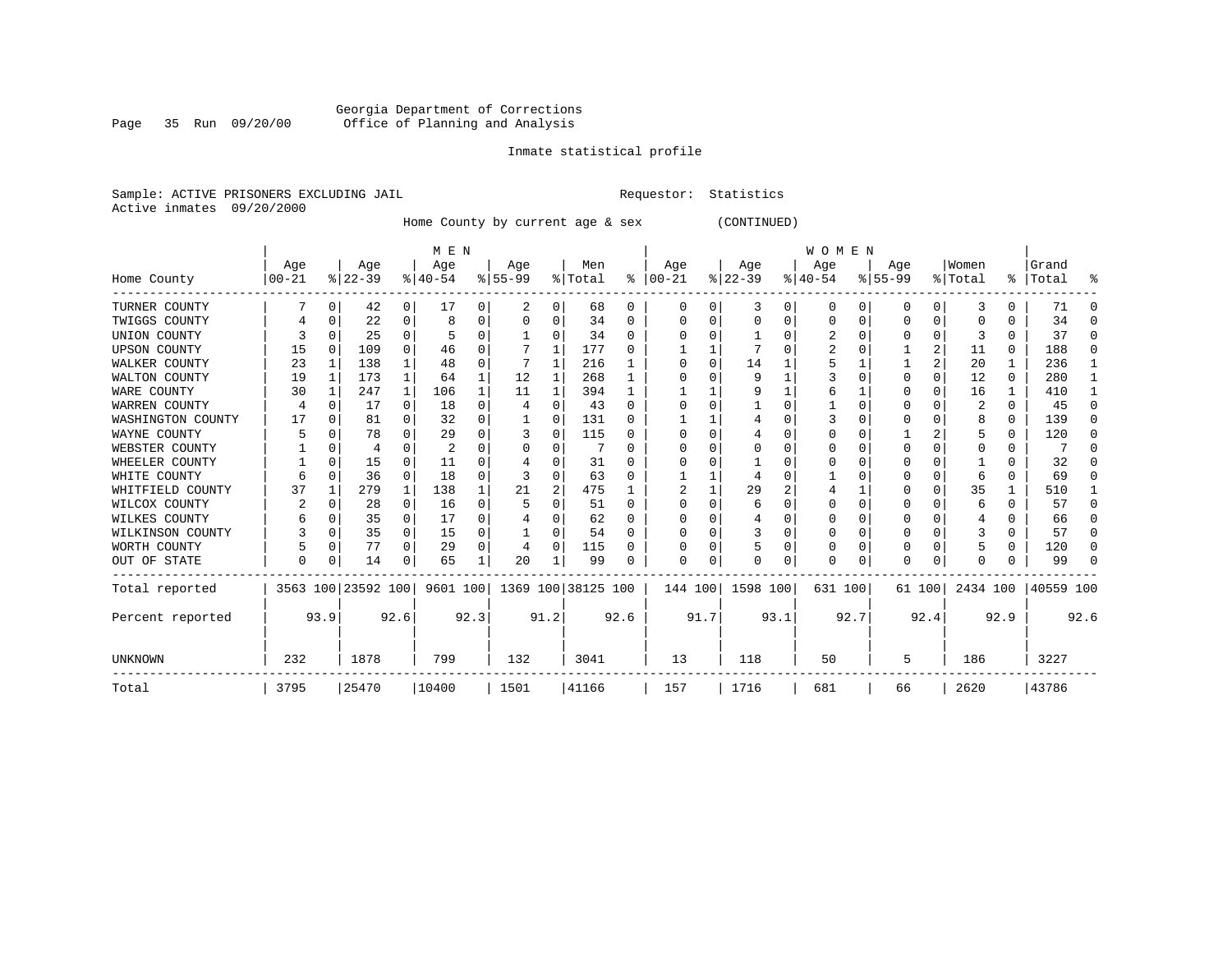# Georgia Department of Corrections Page 35 Run 09/20/00 Office of Planning and Analysis

# Inmate statistical profile

Sample: ACTIVE PRISONERS EXCLUDING JAIL **Requestor:** Statistics Active inmates 09/20/2000

Home County by current age & sex (CONTINUED)

|                     |           |              |                    |              | M E N     |          |                                 |          |         |              |          |          |           |      | WOMEN        |          |          |          |          |              |           |          |
|---------------------|-----------|--------------|--------------------|--------------|-----------|----------|---------------------------------|----------|---------|--------------|----------|----------|-----------|------|--------------|----------|----------|----------|----------|--------------|-----------|----------|
|                     | Age       |              | Age                |              | Age       |          | Age                             |          | Men     |              | Age      |          | Age       |      | Age          |          | Age      |          | Women    |              | Grand     |          |
| Home County         | $00 - 21$ |              | $ 22-39$           |              | $ 40-54 $ |          | $ 55-99$                        |          | % Total | ွေ           | $ 00-21$ |          | $ 22-39 $ |      | $ 40-54$     |          | $ 55-99$ |          | % Total  |              | %   Total | ႜ        |
| TURNER COUNTY       |           | 0            | 42                 | 0            | 17        | 0        |                                 | 0        | 68      | 0            | $\Omega$ | 0        | 3         | 0    | 0            | 0        | 0        | 0        |          | 0            | 71        | $\Omega$ |
| TWIGGS COUNTY       |           | 0            | 22                 | 0            | 8         | 0        | 0                               | 0        | 34      | 0            | O        | O        | 0         | 0    | O            | $\Omega$ | 0        | $\Omega$ | O        | U            | 34        | $\Omega$ |
| UNION COUNTY        |           | n            | 25                 | <sup>0</sup> |           | 0        |                                 | $\Omega$ | 34      | 0            |          |          |           |      |              |          | 0        | $\Omega$ |          |              | 37        | $\Omega$ |
| <b>UPSON COUNTY</b> | 15        | $\Omega$     | 109                | 0            | 46        | 0        |                                 | 1        | 177     | U            |          |          |           | U    |              |          |          | 2        | 11       | $\Omega$     | 188       | $\Omega$ |
| WALKER COUNTY       | 23        |              | 138                | 1            | 48        | 0        |                                 | 1        | 216     |              |          | $\Omega$ | 14        |      |              |          |          | 2        | 20       |              | 236       | -1       |
| WALTON COUNTY       | 19        | -1           | 173                | 1            | 64        | 1        | 12                              | 1        | 268     |              |          |          | 9         |      |              | $\Omega$ | O        | $\Omega$ | 12       | $\Omega$     | 280       | -1       |
| WARE COUNTY         | 30        |              | 247                | 1            | 106       | 1        | 11                              | 1        | 394     |              |          |          | 9         |      | 6            |          |          | O        | 16       |              | 410       |          |
| WARREN COUNTY       |           |              | 17                 | 0            | 18        | 0        |                                 | 0        | 43      | $\Omega$     |          |          |           |      |              |          |          |          | 2        | $\Omega$     | 45        | $\Omega$ |
| WASHINGTON COUNTY   | 17        | n            | 81                 | 0            | 32        | 0        |                                 | O        | 131     | <sup>0</sup> |          |          |           |      |              |          | 0        | U        |          | $\Omega$     | 139       | $\Omega$ |
| WAYNE COUNTY        |           |              | 78                 | 0            | 29        | 0        |                                 | $\Omega$ | 115     | <sup>0</sup> |          |          |           |      |              |          |          |          |          |              | 120       | $\Omega$ |
| WEBSTER COUNTY      |           | 0            | 4                  | 0            | 2         | 0        |                                 | $\Omega$ |         | $\Omega$     |          |          |           | U    |              |          | 0        | 0        | 0        |              |           | $\Omega$ |
| WHEELER COUNTY      |           | $\Omega$     | 15                 | <sup>0</sup> | 11        | U        |                                 | $\Omega$ | 31      | $\Omega$     |          |          |           |      |              |          | O        | ∩        |          | U            | 32        | $\Omega$ |
| WHITE COUNTY        |           | <sup>0</sup> | 36                 | 0            | 18        | 0        |                                 | O        | 63      | 0            |          |          |           |      |              |          |          | O        |          |              | 69        | $\Omega$ |
| WHITFIELD COUNTY    | 37        |              | 279                | 1            | 138       |          | 21                              | 2        | 475     |              |          |          | 29        | 2    |              |          |          | 0        | 35       |              | 510       | -1       |
| WILCOX COUNTY       |           | n            | 28                 | $\Omega$     | 16        | $\Omega$ |                                 | $\Omega$ | 51      | <sup>0</sup> |          |          | 6         |      |              |          | 0        | O        | 6        | U            | 57        | $\Omega$ |
| WILKES COUNTY       | 6         | <sup>0</sup> | 35                 | 0            | 17        | 0        |                                 | 0        | 62      | $\Omega$     |          |          |           |      |              |          | O        | O        |          |              | 66        | $\Omega$ |
| WILKINSON COUNTY    |           | $\Omega$     | 35                 | 0            | 15        | $\Omega$ |                                 | $\Omega$ | 54      | $\Omega$     |          |          |           | U    |              |          | 0        | $\Omega$ |          |              | 57        | $\Omega$ |
| WORTH COUNTY        |           | $\Omega$     | 77                 | $\Omega$     | 29        | $\Omega$ | 4                               | $\Omega$ | 115     | U            |          |          |           | 0    | O            | $\Omega$ | 0        | O        |          | <sup>0</sup> | 120       | $\Omega$ |
| OUT OF STATE        | 0         | 0            | 14                 | 0            | 65        |          | 20                              |          | 99      | 0            | O        | 0        |           | 0    | <sup>0</sup> | 0        | O        | 0        | $\Omega$ |              | 99        | $\Omega$ |
| Total reported      |           |              | 3563 100 23592 100 |              |           |          | 9601 100   1369 100   38125 100 |          |         |              | 144 100  |          | 1598 100  |      | 631 100      |          | 61 100   |          | 2434 100 |              | 40559 100 |          |
| Percent reported    |           | 93.9         |                    | 92.6         |           | 92.3     |                                 | 91.2     |         | 92.6         |          | 91.7     |           | 93.1 |              | 92.7     |          | 92.4     |          | 92.9         |           | 92.6     |
| UNKNOWN             | 232       |              | 1878               |              | 799       |          | 132                             |          | 3041    |              | 13       |          | 118       |      | 50           |          | 5        |          | 186      |              | 3227      |          |
| Total               | 3795      |              | 25470              |              | 10400     |          | 1501                            |          | 41166   |              | 157      |          | 1716      |      | 681          |          | 66       |          | 2620     |              | 43786     |          |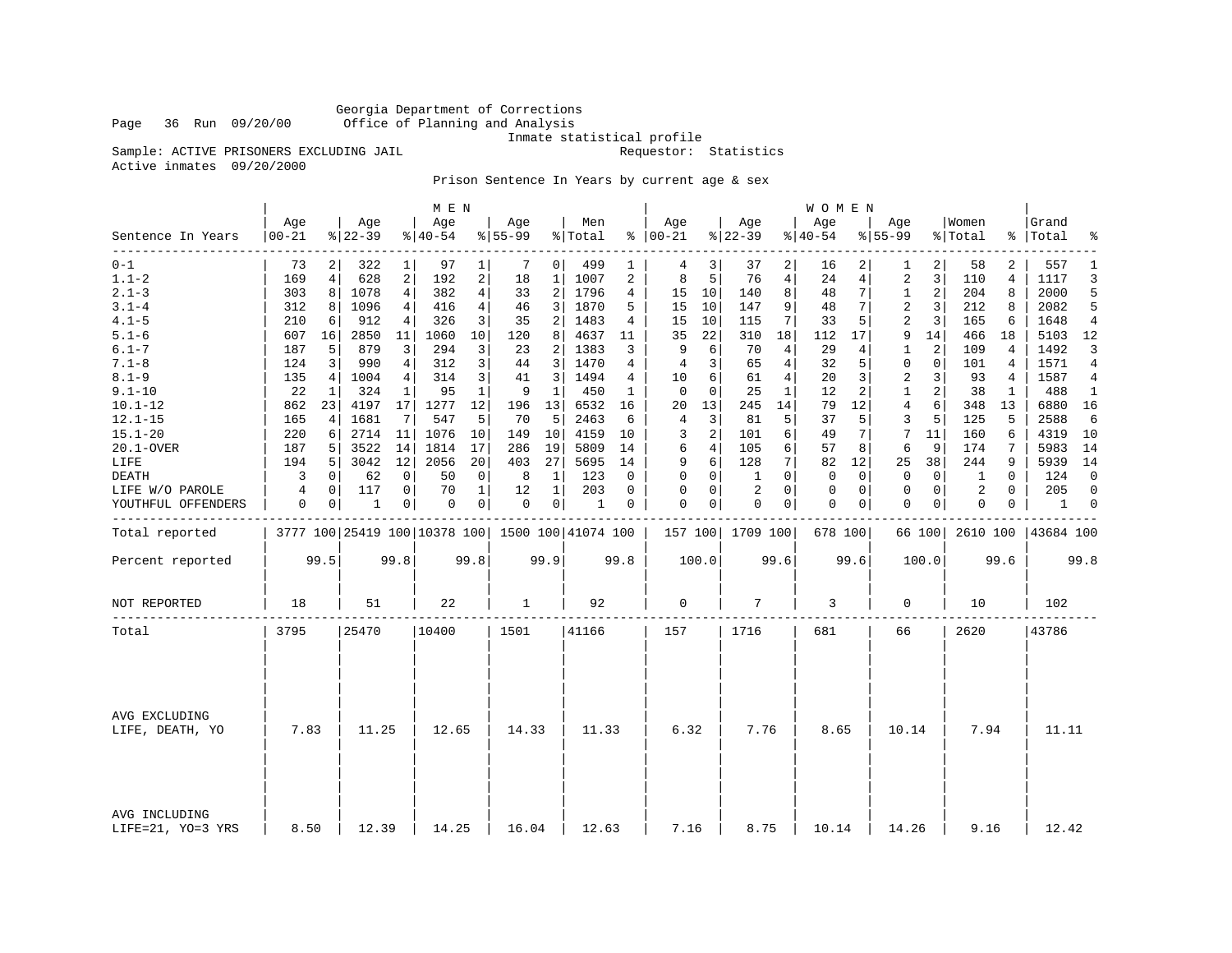Georgia Department of Corrections Office of Planning and Analysis

Inmate statistical profile<br>Requestor: Statistics

Sample: ACTIVE PRISONERS EXCLUDING JAIL Active inmates 09/20/2000

Prison Sentence In Years by current age & sex

| Age<br>Grand<br>Age<br>Age<br>Age<br>Age<br>Men<br>Age<br>Age<br>Age<br>Women<br>$8 22-39$<br>$8 22-39$<br>$00 - 21$<br>$8140 - 54$<br>$8155 - 99$<br>% Total<br>$8   00 - 21$<br>$ 40-54$<br>$8155 - 99$<br>% Total<br>%   Total<br>٩,<br>Sentence In Years<br>$0 - 1$<br>2<br>557<br>73<br>322<br>1<br>97<br>1<br>7<br>0 <sup>1</sup><br>499<br>3<br>2<br>2<br>1<br>1<br>37<br>16<br>1<br>58<br>4<br>2<br>5<br>$1.1 - 2$<br>628<br>2<br>192<br>1007<br>2<br>8<br>76<br>$\overline{4}$<br>3<br>4<br>1117<br>169<br>4<br>18<br>1<br>24<br>4<br>2<br>110<br>$2.1 - 3$<br>$\overline{4}$<br>1078<br>4<br>382<br>2<br>1796<br>4<br>15<br>10<br>8<br>7<br>$\mathbf{1}$<br>2<br>204<br>8<br>2000<br>303<br>8<br>33<br>140<br>48<br>$3.1 - 4$<br>9<br>2<br>3<br>2082<br>312<br>1096<br>416<br>4<br>46<br>3<br>1870<br>15<br>10<br>147<br>48<br>7<br>212<br>8<br>5<br>8<br>4<br>5<br>$4.1 - 5$<br>326<br>3<br>2<br>1483<br>10<br>7<br>5<br>2<br>3<br>165<br>1648<br>210<br>912<br>4<br>35<br>4<br>15<br>115<br>33<br>6<br>4<br>6<br>$5.1 - 6$<br>2850<br>1060<br>10<br>4637<br>22<br>18<br>9<br>14<br>466<br>5103<br>607<br>16<br>11<br>120<br>8<br>11<br>35<br>310<br>112<br>17<br>18<br>$6.1 - 7$<br>3<br>294<br>3<br>1383<br>6<br>$\overline{4}$<br>29<br>2<br>1492<br>187<br>5<br>879<br>23<br>2<br>3<br>9<br>70<br>1<br>109<br>4<br>4<br>3<br>3<br>$\overline{4}$<br>1571<br>$7.1 - 8$<br>124<br>990<br>$\overline{4}$<br>312<br>44<br>3<br>1470<br>65<br>32<br>5<br>$\mathbf 0$<br>$\mathbf 0$<br>101<br>3<br>4<br>4<br>4<br>4<br>$8.1 - 9$<br>314<br>3<br>1494<br>10<br>6<br>61<br>4<br>$\overline{2}$<br>93<br>1587<br>135<br>1004<br>4<br>41<br>3<br>4<br>20<br>3<br>3<br>4<br>4<br>$9.1 - 10$<br>22<br>324<br>95<br>$\mathbf{1}$<br>9<br>$\mathbf 1$<br>450<br>$\mathbf 0$<br>$\Omega$<br>25<br>$\mathbf{1}$<br>12<br>2<br>$\mathbf{1}$<br>2<br>38<br>$\mathbf{1}$<br>488<br>1<br>1<br>1<br>1<br>14<br>$10.1 - 12$<br>862<br>17<br>1277<br>12<br>13<br>6532<br>13<br>12<br>4<br>6<br>348<br>6880<br>23<br>4197<br>196<br>16<br>20<br>245<br>79<br>13<br>$12.1 - 15$<br>5<br>3<br>5<br>125<br>2588<br>1681<br>7<br>547<br>70<br>5<br>2463<br>81<br>37<br>3<br>5<br>5<br>6<br>165<br>6<br>4<br>5<br>4<br>$15.1 - 20$<br>220<br>2714<br>1076<br>4159<br>2<br>7<br>4319<br>11<br>10<br>149<br>10<br>10<br>3<br>101<br>6<br>49<br>11<br>160<br>6<br>10<br>7<br>6<br>286<br>$\overline{4}$<br>5<br>3522<br>14<br>1814<br>17<br>19<br>5809<br>14<br>105<br>6<br>57<br>8<br>6<br>9<br>174<br>7<br>5983<br>14<br>20.1-OVER<br>187<br>6<br>12<br>20<br>9<br>6<br>128<br>7<br>9<br>5939<br>LIFE<br>194<br>5<br>3042<br>2056<br>403<br>27<br>5695<br>14<br>82<br>12<br>25<br>38<br>244<br>14<br>3<br>62<br>50<br>$\mathbf 0$<br>8<br>$\mathbf{1}$<br>123<br>$\Omega$<br>$\mathbf 0$<br>$\Omega$<br>$\mathbf 0$<br>$\mathbf 0$<br>$\Omega$<br>124<br>$\mathbf 0$<br><b>DEATH</b><br>0<br>0<br>0<br>1<br>$\Omega$<br>$\mathbf 0$<br>1<br>$\mathbf 0$<br>$\overline{2}$<br>$\Omega$<br>$\mathbf 0$<br>$\Omega$<br>4<br>0<br>117<br>0<br>70<br>1<br>12<br>1<br>203<br>$\Omega$<br>0<br>$\Omega$<br>$\mathbf 0$<br>2<br>205<br>$\Omega$<br>LIFE W/O PAROLE<br>0<br>0<br>0<br>$\Omega$<br>0<br>0<br>$\mathbf 0$<br>YOUTHFUL OFFENDERS<br>0<br>0<br>1<br>0<br>0<br> 0 <br>1<br>0<br>0<br>0<br>0<br>0<br>1<br>0<br>0<br>Total reported<br>3777 100 25419 100 10378 100 1500 100 41074 100<br>157 100 1709 100<br>678 100<br>2610 100<br>43684 100<br>66 100<br>99.5<br>99.8<br>99.8<br>99.9<br>99.8<br>100.0<br>99.6<br>99.6<br>100.0<br>99.6<br>99.8<br>Percent reported<br>$\mathbf 0$<br>7<br>NOT REPORTED<br>18<br>22<br>1<br>92<br>3<br>102<br>51<br>0<br>10<br>3795<br>25470<br> 10400<br>1501<br>41166<br>157<br>1716<br>681<br>66<br>2620<br>43786<br>Total<br>AVG EXCLUDING<br>6.32<br>7.83<br>11.25<br>12.65<br>14.33<br>11.33<br>7.76<br>8.65<br>10.14<br>7.94<br>11.11<br>LIFE, DEATH, YO |  |  | M E N |  |  |  |  | <b>WOMEN</b> |  |  |  |    |
|--------------------------------------------------------------------------------------------------------------------------------------------------------------------------------------------------------------------------------------------------------------------------------------------------------------------------------------------------------------------------------------------------------------------------------------------------------------------------------------------------------------------------------------------------------------------------------------------------------------------------------------------------------------------------------------------------------------------------------------------------------------------------------------------------------------------------------------------------------------------------------------------------------------------------------------------------------------------------------------------------------------------------------------------------------------------------------------------------------------------------------------------------------------------------------------------------------------------------------------------------------------------------------------------------------------------------------------------------------------------------------------------------------------------------------------------------------------------------------------------------------------------------------------------------------------------------------------------------------------------------------------------------------------------------------------------------------------------------------------------------------------------------------------------------------------------------------------------------------------------------------------------------------------------------------------------------------------------------------------------------------------------------------------------------------------------------------------------------------------------------------------------------------------------------------------------------------------------------------------------------------------------------------------------------------------------------------------------------------------------------------------------------------------------------------------------------------------------------------------------------------------------------------------------------------------------------------------------------------------------------------------------------------------------------------------------------------------------------------------------------------------------------------------------------------------------------------------------------------------------------------------------------------------------------------------------------------------------------------------------------------------------------------------------------------------------------------------------------------------------------------------------------------------------------------------------------------------------------------------------------------------------------------------------------------------------------------------------------------------------------------------------------------------------------------------------------------------------------------------------------------------------------------------------------------------------------------------------------------------------------------------------------------------------------------------------------------------------------------------------------------------------------------------------------------------------------------------------------------------------------------------|--|--|-------|--|--|--|--|--------------|--|--|--|----|
|                                                                                                                                                                                                                                                                                                                                                                                                                                                                                                                                                                                                                                                                                                                                                                                                                                                                                                                                                                                                                                                                                                                                                                                                                                                                                                                                                                                                                                                                                                                                                                                                                                                                                                                                                                                                                                                                                                                                                                                                                                                                                                                                                                                                                                                                                                                                                                                                                                                                                                                                                                                                                                                                                                                                                                                                                                                                                                                                                                                                                                                                                                                                                                                                                                                                                                                                                                                                                                                                                                                                                                                                                                                                                                                                                                                                                                                                                      |  |  |       |  |  |  |  |              |  |  |  |    |
|                                                                                                                                                                                                                                                                                                                                                                                                                                                                                                                                                                                                                                                                                                                                                                                                                                                                                                                                                                                                                                                                                                                                                                                                                                                                                                                                                                                                                                                                                                                                                                                                                                                                                                                                                                                                                                                                                                                                                                                                                                                                                                                                                                                                                                                                                                                                                                                                                                                                                                                                                                                                                                                                                                                                                                                                                                                                                                                                                                                                                                                                                                                                                                                                                                                                                                                                                                                                                                                                                                                                                                                                                                                                                                                                                                                                                                                                                      |  |  |       |  |  |  |  |              |  |  |  |    |
|                                                                                                                                                                                                                                                                                                                                                                                                                                                                                                                                                                                                                                                                                                                                                                                                                                                                                                                                                                                                                                                                                                                                                                                                                                                                                                                                                                                                                                                                                                                                                                                                                                                                                                                                                                                                                                                                                                                                                                                                                                                                                                                                                                                                                                                                                                                                                                                                                                                                                                                                                                                                                                                                                                                                                                                                                                                                                                                                                                                                                                                                                                                                                                                                                                                                                                                                                                                                                                                                                                                                                                                                                                                                                                                                                                                                                                                                                      |  |  |       |  |  |  |  |              |  |  |  | 3  |
|                                                                                                                                                                                                                                                                                                                                                                                                                                                                                                                                                                                                                                                                                                                                                                                                                                                                                                                                                                                                                                                                                                                                                                                                                                                                                                                                                                                                                                                                                                                                                                                                                                                                                                                                                                                                                                                                                                                                                                                                                                                                                                                                                                                                                                                                                                                                                                                                                                                                                                                                                                                                                                                                                                                                                                                                                                                                                                                                                                                                                                                                                                                                                                                                                                                                                                                                                                                                                                                                                                                                                                                                                                                                                                                                                                                                                                                                                      |  |  |       |  |  |  |  |              |  |  |  | 5  |
|                                                                                                                                                                                                                                                                                                                                                                                                                                                                                                                                                                                                                                                                                                                                                                                                                                                                                                                                                                                                                                                                                                                                                                                                                                                                                                                                                                                                                                                                                                                                                                                                                                                                                                                                                                                                                                                                                                                                                                                                                                                                                                                                                                                                                                                                                                                                                                                                                                                                                                                                                                                                                                                                                                                                                                                                                                                                                                                                                                                                                                                                                                                                                                                                                                                                                                                                                                                                                                                                                                                                                                                                                                                                                                                                                                                                                                                                                      |  |  |       |  |  |  |  |              |  |  |  |    |
|                                                                                                                                                                                                                                                                                                                                                                                                                                                                                                                                                                                                                                                                                                                                                                                                                                                                                                                                                                                                                                                                                                                                                                                                                                                                                                                                                                                                                                                                                                                                                                                                                                                                                                                                                                                                                                                                                                                                                                                                                                                                                                                                                                                                                                                                                                                                                                                                                                                                                                                                                                                                                                                                                                                                                                                                                                                                                                                                                                                                                                                                                                                                                                                                                                                                                                                                                                                                                                                                                                                                                                                                                                                                                                                                                                                                                                                                                      |  |  |       |  |  |  |  |              |  |  |  |    |
|                                                                                                                                                                                                                                                                                                                                                                                                                                                                                                                                                                                                                                                                                                                                                                                                                                                                                                                                                                                                                                                                                                                                                                                                                                                                                                                                                                                                                                                                                                                                                                                                                                                                                                                                                                                                                                                                                                                                                                                                                                                                                                                                                                                                                                                                                                                                                                                                                                                                                                                                                                                                                                                                                                                                                                                                                                                                                                                                                                                                                                                                                                                                                                                                                                                                                                                                                                                                                                                                                                                                                                                                                                                                                                                                                                                                                                                                                      |  |  |       |  |  |  |  |              |  |  |  | 12 |
|                                                                                                                                                                                                                                                                                                                                                                                                                                                                                                                                                                                                                                                                                                                                                                                                                                                                                                                                                                                                                                                                                                                                                                                                                                                                                                                                                                                                                                                                                                                                                                                                                                                                                                                                                                                                                                                                                                                                                                                                                                                                                                                                                                                                                                                                                                                                                                                                                                                                                                                                                                                                                                                                                                                                                                                                                                                                                                                                                                                                                                                                                                                                                                                                                                                                                                                                                                                                                                                                                                                                                                                                                                                                                                                                                                                                                                                                                      |  |  |       |  |  |  |  |              |  |  |  | 3  |
|                                                                                                                                                                                                                                                                                                                                                                                                                                                                                                                                                                                                                                                                                                                                                                                                                                                                                                                                                                                                                                                                                                                                                                                                                                                                                                                                                                                                                                                                                                                                                                                                                                                                                                                                                                                                                                                                                                                                                                                                                                                                                                                                                                                                                                                                                                                                                                                                                                                                                                                                                                                                                                                                                                                                                                                                                                                                                                                                                                                                                                                                                                                                                                                                                                                                                                                                                                                                                                                                                                                                                                                                                                                                                                                                                                                                                                                                                      |  |  |       |  |  |  |  |              |  |  |  |    |
|                                                                                                                                                                                                                                                                                                                                                                                                                                                                                                                                                                                                                                                                                                                                                                                                                                                                                                                                                                                                                                                                                                                                                                                                                                                                                                                                                                                                                                                                                                                                                                                                                                                                                                                                                                                                                                                                                                                                                                                                                                                                                                                                                                                                                                                                                                                                                                                                                                                                                                                                                                                                                                                                                                                                                                                                                                                                                                                                                                                                                                                                                                                                                                                                                                                                                                                                                                                                                                                                                                                                                                                                                                                                                                                                                                                                                                                                                      |  |  |       |  |  |  |  |              |  |  |  | 4  |
|                                                                                                                                                                                                                                                                                                                                                                                                                                                                                                                                                                                                                                                                                                                                                                                                                                                                                                                                                                                                                                                                                                                                                                                                                                                                                                                                                                                                                                                                                                                                                                                                                                                                                                                                                                                                                                                                                                                                                                                                                                                                                                                                                                                                                                                                                                                                                                                                                                                                                                                                                                                                                                                                                                                                                                                                                                                                                                                                                                                                                                                                                                                                                                                                                                                                                                                                                                                                                                                                                                                                                                                                                                                                                                                                                                                                                                                                                      |  |  |       |  |  |  |  |              |  |  |  |    |
|                                                                                                                                                                                                                                                                                                                                                                                                                                                                                                                                                                                                                                                                                                                                                                                                                                                                                                                                                                                                                                                                                                                                                                                                                                                                                                                                                                                                                                                                                                                                                                                                                                                                                                                                                                                                                                                                                                                                                                                                                                                                                                                                                                                                                                                                                                                                                                                                                                                                                                                                                                                                                                                                                                                                                                                                                                                                                                                                                                                                                                                                                                                                                                                                                                                                                                                                                                                                                                                                                                                                                                                                                                                                                                                                                                                                                                                                                      |  |  |       |  |  |  |  |              |  |  |  | 16 |
|                                                                                                                                                                                                                                                                                                                                                                                                                                                                                                                                                                                                                                                                                                                                                                                                                                                                                                                                                                                                                                                                                                                                                                                                                                                                                                                                                                                                                                                                                                                                                                                                                                                                                                                                                                                                                                                                                                                                                                                                                                                                                                                                                                                                                                                                                                                                                                                                                                                                                                                                                                                                                                                                                                                                                                                                                                                                                                                                                                                                                                                                                                                                                                                                                                                                                                                                                                                                                                                                                                                                                                                                                                                                                                                                                                                                                                                                                      |  |  |       |  |  |  |  |              |  |  |  |    |
|                                                                                                                                                                                                                                                                                                                                                                                                                                                                                                                                                                                                                                                                                                                                                                                                                                                                                                                                                                                                                                                                                                                                                                                                                                                                                                                                                                                                                                                                                                                                                                                                                                                                                                                                                                                                                                                                                                                                                                                                                                                                                                                                                                                                                                                                                                                                                                                                                                                                                                                                                                                                                                                                                                                                                                                                                                                                                                                                                                                                                                                                                                                                                                                                                                                                                                                                                                                                                                                                                                                                                                                                                                                                                                                                                                                                                                                                                      |  |  |       |  |  |  |  |              |  |  |  |    |
|                                                                                                                                                                                                                                                                                                                                                                                                                                                                                                                                                                                                                                                                                                                                                                                                                                                                                                                                                                                                                                                                                                                                                                                                                                                                                                                                                                                                                                                                                                                                                                                                                                                                                                                                                                                                                                                                                                                                                                                                                                                                                                                                                                                                                                                                                                                                                                                                                                                                                                                                                                                                                                                                                                                                                                                                                                                                                                                                                                                                                                                                                                                                                                                                                                                                                                                                                                                                                                                                                                                                                                                                                                                                                                                                                                                                                                                                                      |  |  |       |  |  |  |  |              |  |  |  |    |
|                                                                                                                                                                                                                                                                                                                                                                                                                                                                                                                                                                                                                                                                                                                                                                                                                                                                                                                                                                                                                                                                                                                                                                                                                                                                                                                                                                                                                                                                                                                                                                                                                                                                                                                                                                                                                                                                                                                                                                                                                                                                                                                                                                                                                                                                                                                                                                                                                                                                                                                                                                                                                                                                                                                                                                                                                                                                                                                                                                                                                                                                                                                                                                                                                                                                                                                                                                                                                                                                                                                                                                                                                                                                                                                                                                                                                                                                                      |  |  |       |  |  |  |  |              |  |  |  |    |
|                                                                                                                                                                                                                                                                                                                                                                                                                                                                                                                                                                                                                                                                                                                                                                                                                                                                                                                                                                                                                                                                                                                                                                                                                                                                                                                                                                                                                                                                                                                                                                                                                                                                                                                                                                                                                                                                                                                                                                                                                                                                                                                                                                                                                                                                                                                                                                                                                                                                                                                                                                                                                                                                                                                                                                                                                                                                                                                                                                                                                                                                                                                                                                                                                                                                                                                                                                                                                                                                                                                                                                                                                                                                                                                                                                                                                                                                                      |  |  |       |  |  |  |  |              |  |  |  |    |
|                                                                                                                                                                                                                                                                                                                                                                                                                                                                                                                                                                                                                                                                                                                                                                                                                                                                                                                                                                                                                                                                                                                                                                                                                                                                                                                                                                                                                                                                                                                                                                                                                                                                                                                                                                                                                                                                                                                                                                                                                                                                                                                                                                                                                                                                                                                                                                                                                                                                                                                                                                                                                                                                                                                                                                                                                                                                                                                                                                                                                                                                                                                                                                                                                                                                                                                                                                                                                                                                                                                                                                                                                                                                                                                                                                                                                                                                                      |  |  |       |  |  |  |  |              |  |  |  |    |
|                                                                                                                                                                                                                                                                                                                                                                                                                                                                                                                                                                                                                                                                                                                                                                                                                                                                                                                                                                                                                                                                                                                                                                                                                                                                                                                                                                                                                                                                                                                                                                                                                                                                                                                                                                                                                                                                                                                                                                                                                                                                                                                                                                                                                                                                                                                                                                                                                                                                                                                                                                                                                                                                                                                                                                                                                                                                                                                                                                                                                                                                                                                                                                                                                                                                                                                                                                                                                                                                                                                                                                                                                                                                                                                                                                                                                                                                                      |  |  |       |  |  |  |  |              |  |  |  | 0  |
|                                                                                                                                                                                                                                                                                                                                                                                                                                                                                                                                                                                                                                                                                                                                                                                                                                                                                                                                                                                                                                                                                                                                                                                                                                                                                                                                                                                                                                                                                                                                                                                                                                                                                                                                                                                                                                                                                                                                                                                                                                                                                                                                                                                                                                                                                                                                                                                                                                                                                                                                                                                                                                                                                                                                                                                                                                                                                                                                                                                                                                                                                                                                                                                                                                                                                                                                                                                                                                                                                                                                                                                                                                                                                                                                                                                                                                                                                      |  |  |       |  |  |  |  |              |  |  |  |    |
|                                                                                                                                                                                                                                                                                                                                                                                                                                                                                                                                                                                                                                                                                                                                                                                                                                                                                                                                                                                                                                                                                                                                                                                                                                                                                                                                                                                                                                                                                                                                                                                                                                                                                                                                                                                                                                                                                                                                                                                                                                                                                                                                                                                                                                                                                                                                                                                                                                                                                                                                                                                                                                                                                                                                                                                                                                                                                                                                                                                                                                                                                                                                                                                                                                                                                                                                                                                                                                                                                                                                                                                                                                                                                                                                                                                                                                                                                      |  |  |       |  |  |  |  |              |  |  |  |    |
|                                                                                                                                                                                                                                                                                                                                                                                                                                                                                                                                                                                                                                                                                                                                                                                                                                                                                                                                                                                                                                                                                                                                                                                                                                                                                                                                                                                                                                                                                                                                                                                                                                                                                                                                                                                                                                                                                                                                                                                                                                                                                                                                                                                                                                                                                                                                                                                                                                                                                                                                                                                                                                                                                                                                                                                                                                                                                                                                                                                                                                                                                                                                                                                                                                                                                                                                                                                                                                                                                                                                                                                                                                                                                                                                                                                                                                                                                      |  |  |       |  |  |  |  |              |  |  |  |    |
|                                                                                                                                                                                                                                                                                                                                                                                                                                                                                                                                                                                                                                                                                                                                                                                                                                                                                                                                                                                                                                                                                                                                                                                                                                                                                                                                                                                                                                                                                                                                                                                                                                                                                                                                                                                                                                                                                                                                                                                                                                                                                                                                                                                                                                                                                                                                                                                                                                                                                                                                                                                                                                                                                                                                                                                                                                                                                                                                                                                                                                                                                                                                                                                                                                                                                                                                                                                                                                                                                                                                                                                                                                                                                                                                                                                                                                                                                      |  |  |       |  |  |  |  |              |  |  |  |    |
|                                                                                                                                                                                                                                                                                                                                                                                                                                                                                                                                                                                                                                                                                                                                                                                                                                                                                                                                                                                                                                                                                                                                                                                                                                                                                                                                                                                                                                                                                                                                                                                                                                                                                                                                                                                                                                                                                                                                                                                                                                                                                                                                                                                                                                                                                                                                                                                                                                                                                                                                                                                                                                                                                                                                                                                                                                                                                                                                                                                                                                                                                                                                                                                                                                                                                                                                                                                                                                                                                                                                                                                                                                                                                                                                                                                                                                                                                      |  |  |       |  |  |  |  |              |  |  |  |    |
|                                                                                                                                                                                                                                                                                                                                                                                                                                                                                                                                                                                                                                                                                                                                                                                                                                                                                                                                                                                                                                                                                                                                                                                                                                                                                                                                                                                                                                                                                                                                                                                                                                                                                                                                                                                                                                                                                                                                                                                                                                                                                                                                                                                                                                                                                                                                                                                                                                                                                                                                                                                                                                                                                                                                                                                                                                                                                                                                                                                                                                                                                                                                                                                                                                                                                                                                                                                                                                                                                                                                                                                                                                                                                                                                                                                                                                                                                      |  |  |       |  |  |  |  |              |  |  |  |    |
| AVG INCLUDING                                                                                                                                                                                                                                                                                                                                                                                                                                                                                                                                                                                                                                                                                                                                                                                                                                                                                                                                                                                                                                                                                                                                                                                                                                                                                                                                                                                                                                                                                                                                                                                                                                                                                                                                                                                                                                                                                                                                                                                                                                                                                                                                                                                                                                                                                                                                                                                                                                                                                                                                                                                                                                                                                                                                                                                                                                                                                                                                                                                                                                                                                                                                                                                                                                                                                                                                                                                                                                                                                                                                                                                                                                                                                                                                                                                                                                                                        |  |  |       |  |  |  |  |              |  |  |  |    |
| LIFE=21, YO=3 YRS<br>8.50<br>12.39<br>14.25<br>16.04<br>12.63<br>7.16<br>8.75<br>10.14<br>14.26<br>9.16<br>12.42                                                                                                                                                                                                                                                                                                                                                                                                                                                                                                                                                                                                                                                                                                                                                                                                                                                                                                                                                                                                                                                                                                                                                                                                                                                                                                                                                                                                                                                                                                                                                                                                                                                                                                                                                                                                                                                                                                                                                                                                                                                                                                                                                                                                                                                                                                                                                                                                                                                                                                                                                                                                                                                                                                                                                                                                                                                                                                                                                                                                                                                                                                                                                                                                                                                                                                                                                                                                                                                                                                                                                                                                                                                                                                                                                                     |  |  |       |  |  |  |  |              |  |  |  |    |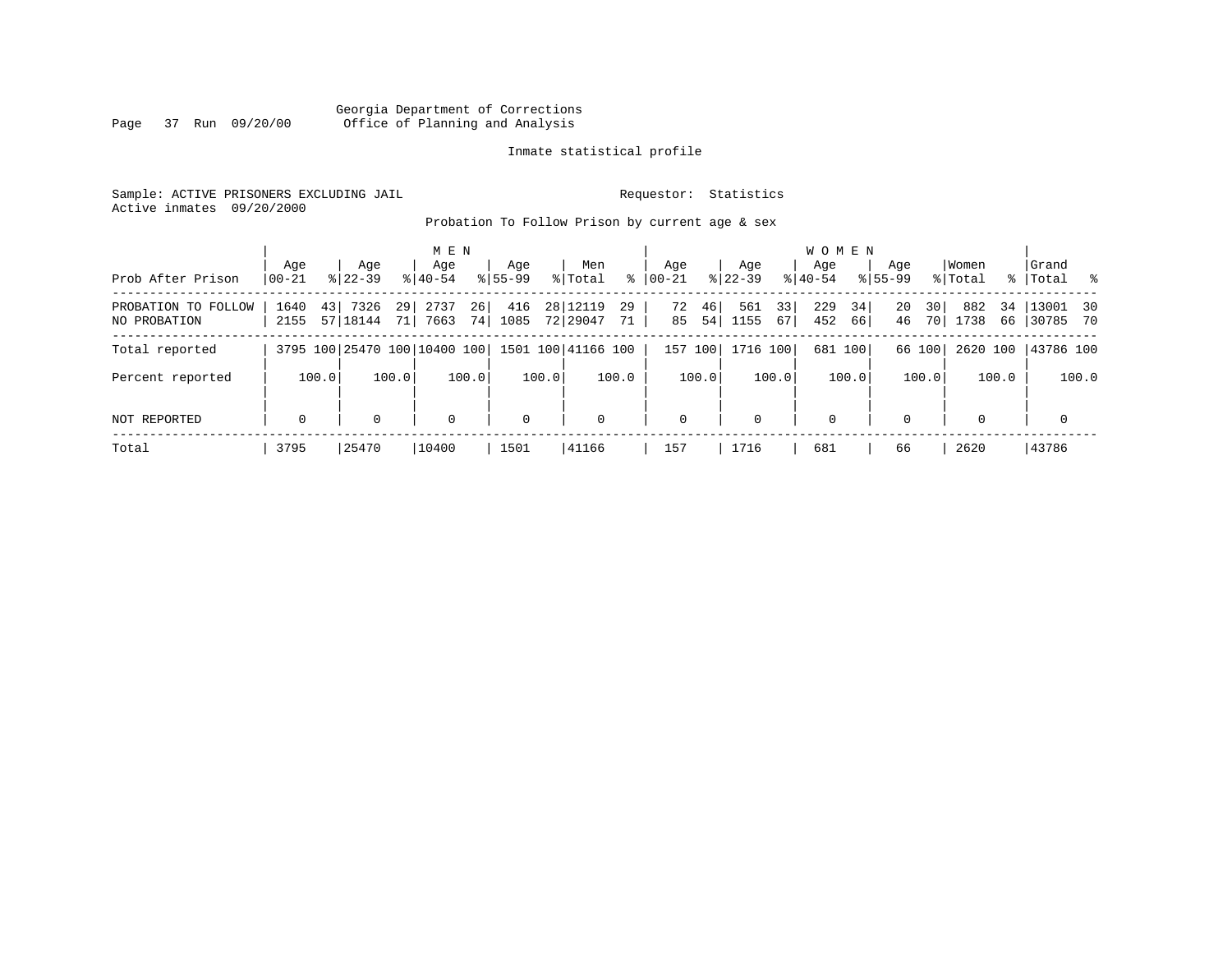# Georgia Department of Corrections Page 37 Run 09/20/00 Office of Planning and Analysis

# Inmate statistical profile

Sample: ACTIVE PRISONERS EXCLUDING JAIL **Requestor:** Statistics Active inmates 09/20/2000

Probation To Follow Prison by current age & sex

|                                     | Age                 | Age                                       | M E N<br>Age                 | Age         | Men                                | Age                  | Age                     | <b>WOMEN</b><br>Aqe    | Age                  | Women                   | Grand                    |
|-------------------------------------|---------------------|-------------------------------------------|------------------------------|-------------|------------------------------------|----------------------|-------------------------|------------------------|----------------------|-------------------------|--------------------------|
| Prob After Prison                   | $00 - 21$           | $8122 - 39$                               | $8140 - 54$                  | $8155 - 99$ | ွေ<br>% Total                      | $ 00-21 $            | $8122 - 39$             | $8140 - 54$            | $8155 - 99$          | % Total                 | %   Total %              |
| PROBATION TO FOLLOW<br>NO PROBATION | 43 <br>1640<br>2155 | 7326<br>29 <sup>1</sup><br>57 18144<br>71 | 26<br>2737<br>74<br>7663     | 416<br>1085 | 28 12119<br>29<br>72 29047<br>71 ' | 46<br>72<br>85<br>54 | 33<br>561<br>1155<br>67 | 229<br>34<br>452<br>66 | 20<br>30<br>46<br>70 | 882<br>34<br>1738<br>66 | $13001$ 30<br>  30785 70 |
| Total reported                      |                     |                                           | 3795 100 25470 100 10400 100 |             | 1501 100 41166 100                 | 157<br>100           | 1716 100                | 681 100                | 66 100               | 2620 100                | 43786 100                |
| Percent reported                    | 100.0               | 100.0                                     | 100.0                        | 100.0       | 100.0                              | 100.0                | 100.0                   | 100.0                  | 100.0                | 100.0                   | 100.0                    |
| NOT REPORTED                        | $\mathbf 0$         | $\Omega$                                  | 0                            | $\mathbf 0$ | $\mathbf 0$                        | $\mathbf 0$          | $\Omega$                | $\mathbf 0$            | $\Omega$             | $\Omega$                | $\mathbf 0$              |
| Total                               | 3795                | 25470                                     | 10400                        | 1501        | 41166                              | 157                  | 1716                    | 681                    | 66                   | 2620                    | 43786                    |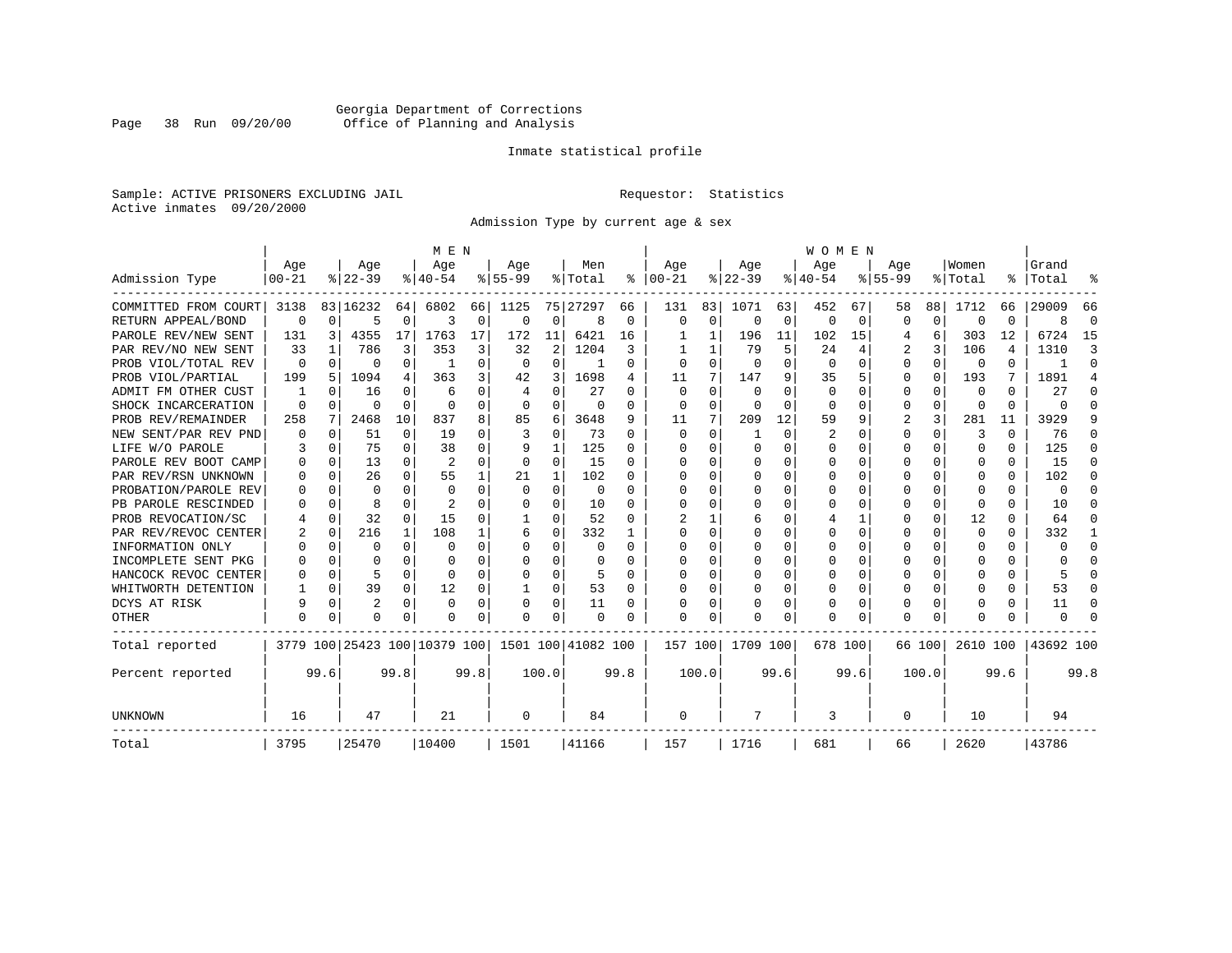# Georgia Department of Corrections Page 38 Run 09/20/00 Office of Planning and Analysis

# Inmate statistical profile

Sample: ACTIVE PRISONERS EXCLUDING JAIL **Requestor:** Statistics Active inmates 09/20/2000

Admission Type by current age & sex

|                      |                  |          |                  |          | M E N                        |          |                  |                |                    |          |                      |             |                  |          | <b>WOMEN</b>     |          |                    |          |                  |      |                    |          |
|----------------------|------------------|----------|------------------|----------|------------------------------|----------|------------------|----------------|--------------------|----------|----------------------|-------------|------------------|----------|------------------|----------|--------------------|----------|------------------|------|--------------------|----------|
| Admission Type       | Age<br>$00 - 21$ |          | Age<br>$8 22-39$ |          | Age<br>$8 40-54$             |          | Age<br>$8 55-99$ |                | Men<br>% Total     |          | Age<br>$8   00 - 21$ |             | Age<br>$ 22-39 $ |          | Age<br>$8 40-54$ |          | Age<br>$8155 - 99$ |          | Women<br>% Total |      | Grand<br>%   Total |          |
|                      |                  |          |                  |          |                              |          |                  |                |                    |          |                      |             |                  |          |                  |          |                    |          |                  |      |                    |          |
| COMMITTED FROM COURT | 3138             |          | 83 16232         | 64       | 6802                         | 66       | 1125             |                | 75 27297           | 66       | 131                  | 83          | 1071             | 63       | 452              | 67       | 58                 | 88       | 1712             | 66   | 29009              | 66       |
| RETURN APPEAL/BOND   | 0                | $\Omega$ | 5                | 0        | 3                            | 0        | $\Omega$         | 0              | 8                  | 0        | $\mathbf 0$          | $\mathbf 0$ | $\Omega$         | 0        | 0                | 0        | $\Omega$           | 0        | <sup>0</sup>     | 0    | 8                  | $\Omega$ |
| PAROLE REV/NEW SENT  | 131              | 3        | 4355             | 17       | 1763                         | 17       | 172              | 11             | 6421               | 16       |                      | 1           | 196              | 11       | 102              | 15       | 4                  | 6        | 303              | 12   | 6724               | 15       |
| PAR REV/NO NEW SENT  | 33               |          | 786              | 3        | 353                          | 3        | 32               | $\overline{c}$ | 1204               | 3        |                      |             | 79               | 5        | 24               |          | 2                  | 3        | 106              | 4    | 1310               | Р        |
| PROB VIOL/TOTAL REV  | 0                | $\Omega$ | 0                | 0        | -1                           | $\Omega$ | $\Omega$         | 0              |                    | 0        | $\Omega$             | $\Omega$    | $\Omega$         | $\Omega$ | $\Omega$         | $\Omega$ | $\Omega$           | $\Omega$ | $\Omega$         | 0    |                    | $\Omega$ |
| PROB VIOL/PARTIAL    | 199              | 5        | 1094             | 4        | 363                          | 3        | 42               | 3              | 1698               | 4        | 11                   | 7           | 147              | 9        | 35               | 5        | $\Omega$           | $\Omega$ | 193              | 7    | 1891               | 4        |
| ADMIT FM OTHER CUST  |                  | $\Omega$ | 16               | 0        | 6                            | 0        | 4                | $\Omega$       | 27                 | 0        | $\Omega$             | $\Omega$    | $\Omega$         | $\Omega$ | $\Omega$         | 0        | 0                  | $\Omega$ | 0                | 0    | 27                 | ∩        |
| SHOCK INCARCERATION  | $\Omega$         | $\Omega$ | O                | $\Omega$ | $\Omega$                     | 0        | 0                | 0              | 0                  | 0        | $\Omega$             | 0           | $\Omega$         | O        | $\Omega$         | O        | $\Omega$           | 0        | <sup>0</sup>     | 0    | U                  | ſ        |
| PROB REV/REMAINDER   | 258              | 7        | 2468             | 10       | 837                          | 8        | 85               | 6              | 3648               | 9        | 11                   | 7           | 209              | 12       | 59               | 9        | 2                  | 3        | 281              | 11   | 3929               |          |
| NEW SENT/PAR REV PND |                  | 0        | 51               | 0        | 19                           | 0        | 3                | $\mathbf 0$    | 73                 | 0        | $\Omega$             | $\Omega$    | -1               | $\Omega$ | 2                | O        | $\Omega$           | $\Omega$ | 3                | 0    | 76                 | n        |
| LIFE W/O PAROLE      |                  | $\Omega$ | 75               | 0        | 38                           | $\Omega$ | 9                | 1              | 125                | 0        | <sup>0</sup>         | $\Omega$    | $\Omega$         | $\Omega$ | O                | O        | $\Omega$           | $\Omega$ | $\Omega$         | 0    | 125                | n        |
| PAROLE REV BOOT CAMP |                  | $\Omega$ | 13               | 0        | $\overline{2}$               | 0        | 0                | 0              | 15                 | O        | ∩                    | $\Omega$    | $\Omega$         | $\Omega$ | Ω                | n        | ∩                  | U        | O                | 0    | 15                 | n        |
| PAR REV/RSN UNKNOWN  |                  | $\Omega$ | 26               | $\cap$   | 55                           | 1        | 21               | 1              | 102                | U        | ∩                    | 0           | $\Omega$         | $\Omega$ | Ω                | O        | ∩                  | $\Omega$ | n                | 0    | 102                |          |
| PROBATION/PAROLE REV |                  | ∩        | U                | 0        | $\Omega$                     | $\Omega$ | $\Omega$         | $\Omega$       | $\Omega$           | U        | ∩                    | 0           | U                | $\Omega$ | U                | O        | ∩                  | U        | U                | U    | $\Omega$           |          |
| PB PAROLE RESCINDED  |                  | $\Omega$ | 8                | U        | 2                            | U        | U                | $\Omega$       | 10                 | O        | <sup>0</sup>         | 0           | U                | $\Omega$ | O                | O        | ∩                  | $\Omega$ | ∩                | U    | 10                 |          |
| PROB REVOCATION/SC   |                  | $\Omega$ | 32               | 0        | 15                           | U        |                  | O              | 52                 | O        |                      |             | 6                | O        |                  |          | $\Omega$           | $\Omega$ | 12               | U    | 64                 | O        |
| PAR REV/REVOC CENTER |                  | 0        | 216              | 1        | 108                          |          | 6                | 0              | 332                |          | <sup>0</sup>         | 0           |                  | O        | Ω                | O        | $\Omega$           | U        | <sup>0</sup>     | 0    | 332                |          |
| INFORMATION ONLY     |                  | $\Omega$ | O                | 0        | $\Omega$                     | 0        | O                | 0              | 0                  | 0        | $\Omega$             | 0           | 0                | O        | U                | $\Omega$ | $\Omega$           | $\Omega$ | O                | 0    | U                  | $\Omega$ |
| INCOMPLETE SENT PKG  |                  | $\Omega$ |                  | 0        | $\Omega$                     | 0        | O                | $\Omega$       | 0                  | O        | <sup>0</sup>         | $\Omega$    | O                | O        | U                | O        | O                  | $\Omega$ | O                | 0    | U                  | ∩        |
| HANCOCK REVOC CENTER |                  | $\Omega$ | 5                | 0        | $\Omega$                     | 0        | U                | $\Omega$       | 5                  | U        | ∩                    | $\Omega$    | O                | O        | 0                | $\Omega$ | $\Omega$           | $\Omega$ |                  | 0    |                    | ∩        |
| WHITWORTH DETENTION  |                  | $\Omega$ | 39               | 0        | 12                           | 0        | 1                | 0              | 53                 | $\Omega$ | <sup>0</sup>         | 0           | $\Omega$         | O        | 0                | $\Omega$ | $\Omega$           | $\Omega$ |                  | 0    | 53                 | ∩        |
| DCYS AT RISK         | 9                | $\Omega$ | $\overline{2}$   | $\Omega$ | $\Omega$                     | 0        |                  | $\Omega$       | 11                 | 0        |                      | 0           | 0                | $\Omega$ | 0                | 0        | $\Omega$           | $\Omega$ |                  | 0    | 11                 | C        |
| OTHER                | $\Omega$         | $\Omega$ | O                | U        | O                            | 0        | O                | $\Omega$       | $\Omega$           | O        | $\Omega$             | O           | O                | $\Omega$ | O                | O        | $\Omega$           | $\Omega$ |                  | U    | U                  |          |
| Total reported       |                  |          |                  |          | 3779 100 25423 100 10379 100 |          |                  |                | 1501 100 41082 100 |          | 157 100              |             | 1709 100         |          | 678 100          |          |                    | 66 100   | 2610 100         |      | 43692 100          |          |
| Percent reported     |                  | 99.6     |                  | 99.8     |                              | 99.8     |                  | 100.0          |                    | 99.8     |                      | 100.0       |                  | 99.6     |                  | 99.6     |                    | 100.0    |                  | 99.6 |                    | 99.8     |
| UNKNOWN              | 16               |          | 47               |          | 21                           |          | 0                |                | 84                 |          | 0                    |             | 7                |          | 3                |          | 0                  |          | 10               |      | 94                 |          |
| Total                | 3795             |          | 25470            |          | 10400                        |          | 1501             |                | 41166              |          | 157                  |             | 1716             |          | 681              |          | 66                 |          | 2620             |      | 43786              |          |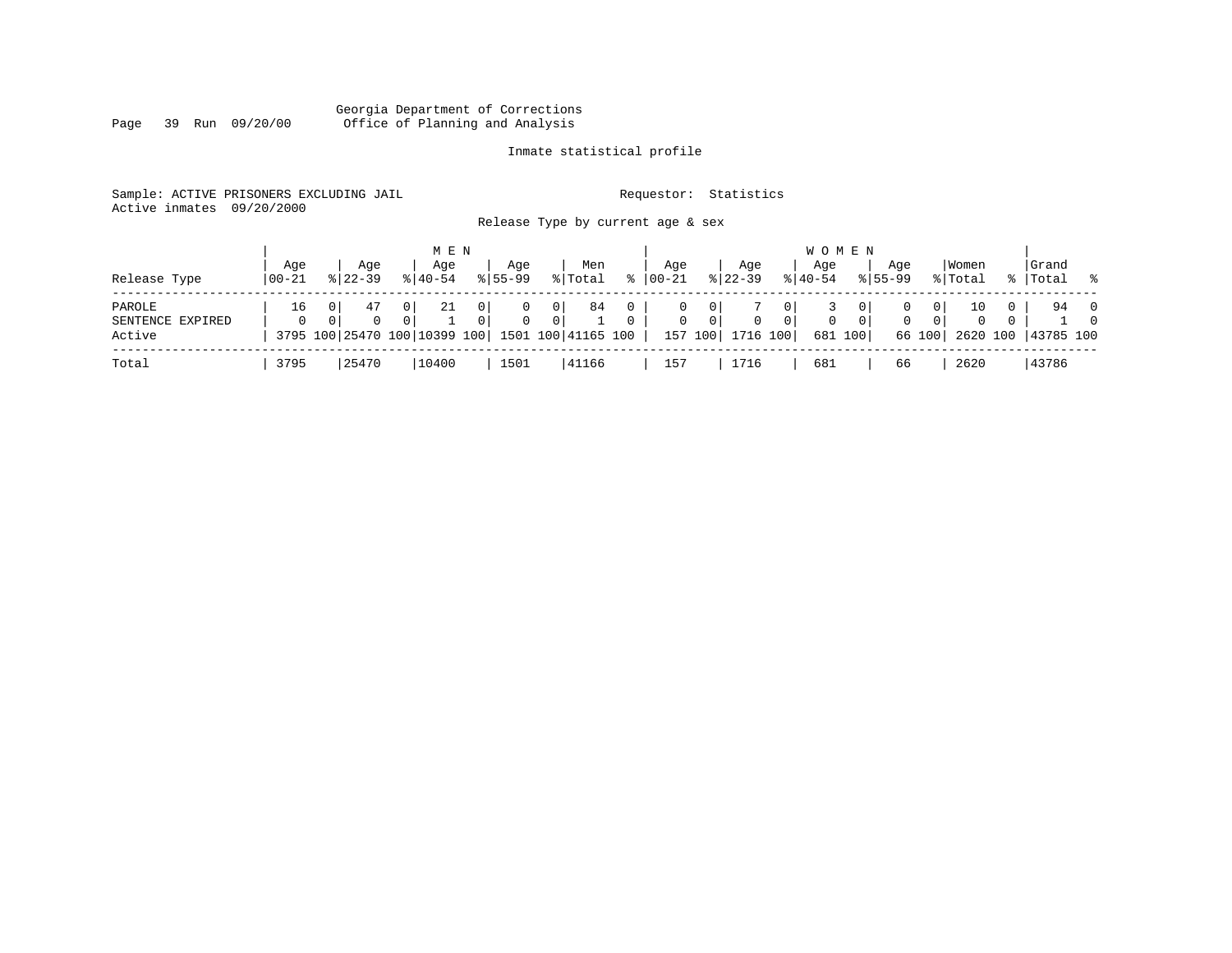#### Georgia Department of Corrections Page 39 Run 09/20/00 Office of Planning and Analysis

# Inmate statistical profile

|  | Sample: ACTIVE PRISONERS EXCLUDING JAIL | Requestor: Statistics             |  |
|--|-----------------------------------------|-----------------------------------|--|
|  | Active inmates 09/20/2000               |                                   |  |
|  |                                         | Release Type by current age & sex |  |

| Release Type                         | Age<br>$100 - 21$ | Aqe<br>$8122 - 39$ | M E N<br>Aqe<br>$8140 - 54$ | Age<br>$8155 - 99$                     | Men<br>% Total                                                                            | ႜ             | Aqe<br>$00 - 21$ |                              | Aqe<br>$ 22-39 $     | <b>WOMEN</b><br>Age<br>$8140 - 54$ |              | Aqe<br>$8155 - 99$ | Women<br>% Total                             |              | Grand<br>%   Total       | $\sim$ $\approx$           |
|--------------------------------------|-------------------|--------------------|-----------------------------|----------------------------------------|-------------------------------------------------------------------------------------------|---------------|------------------|------------------------------|----------------------|------------------------------------|--------------|--------------------|----------------------------------------------|--------------|--------------------------|----------------------------|
| PAROLE<br>SENTENCE EXPIRED<br>Active | 16                | 47<br>$\Omega$     | 21                          | $\Omega$<br>$\Omega$<br>$\overline{0}$ | 84<br>0 <sup>1</sup><br>0 <sup>1</sup><br>3795 100 25470 100 10399 100 1501 100 41165 100 | 0<br>$\Omega$ | $\mathbf{0}$     | 0<br>$\mathbf{0}$<br>157 100 | $\Omega$<br>1716 100 | 0 <sup>1</sup><br>0<br>681 100     | $\mathbf{0}$ | $\Omega$<br>66 100 | 10<br>0 <sup>1</sup><br>$\Omega$<br>$\Omega$ | $\mathbf{0}$ | 94<br>2620 100 43785 100 | $\overline{0}$<br>$\Omega$ |
| Total                                | 3795              | 25470              | 10400                       | 1501                                   | 41166                                                                                     |               | 157              |                              | 1716                 | 681                                |              | 66                 | 2620                                         |              | 43786                    |                            |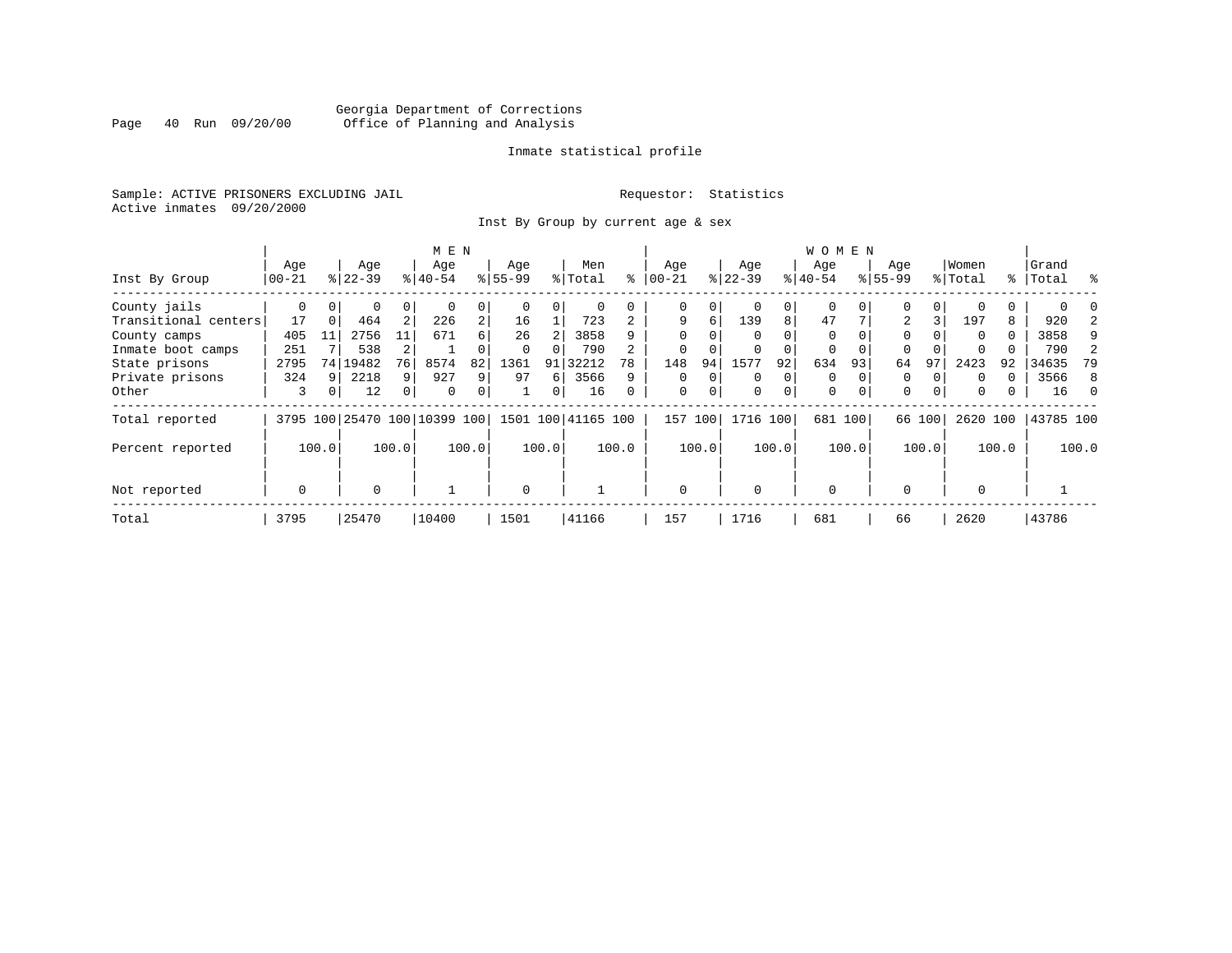# Georgia Department of Corrections Page 40 Run 09/20/00 Office of Planning and Analysis

# Inmate statistical profile

Sample: ACTIVE PRISONERS EXCLUDING JAIL **Requestor:** Statistics Active inmates 09/20/2000

Inst By Group by current age & sex

|                      |             |          |                              |                | M E N     |                |          |                |                    |                |             |             |           |          | W O M E N   |         |             |                |          |          |           |       |
|----------------------|-------------|----------|------------------------------|----------------|-----------|----------------|----------|----------------|--------------------|----------------|-------------|-------------|-----------|----------|-------------|---------|-------------|----------------|----------|----------|-----------|-------|
|                      | Age         |          | Age                          |                | Age       |                | Age      |                | Men                |                | Age         |             | Age       |          | Age         |         | Age         |                | Women    |          | Grand     |       |
| Inst By Group        | $ 00-21 $   |          | $ 22-39 $                    |                | $ 40-54 $ |                | $ 55-99$ |                | % Total            | ႜ              | $ 00-21$    |             | $ 22-39 $ |          | $ 40-54 $   |         | $8 55-99$   |                | % Total  | ႜႜ       | Total     | ႜ     |
| County jails         | 0           | $\Omega$ | 0                            | 0              |           | 0              |          | 0              |                    |                | 0           | 0           |           | 0        | 0           |         | 0           | 0              |          | 0        |           |       |
| Transitional centers | 17          | $\Omega$ | 464                          | $\overline{2}$ | 226       | $\overline{a}$ | 16       |                | 723                | $\overline{a}$ | 9           | 6           | 139       | 8        | 47          |         | 2           | 3 <sub>1</sub> | 197      | 8        | 920       |       |
| County camps         | 405         | 11       | 2756                         | 11             | 671       | 6              | 26       |                | 3858               | 9              | $\Omega$    | 0           | $\Omega$  |          | $\Omega$    |         | 0           |                | $\Omega$ | $\Omega$ | 3858      | 9     |
| Inmate boot camps    | 251         |          | 538                          |                |           |                |          |                | 790                |                |             |             |           |          | 0           |         | 0           |                |          |          | 790       |       |
| State prisons        | 2795        |          | 74 19482                     | 76             | 8574      | 82             | 1361     | 91             | 32212              | 78             | 148         | 94          | 1577      | 92       | 634         | 93      | 64          | 97             | 2423     | 92       | 34635     | 79    |
| Private prisons      | 324         | Q        | 2218                         | 9              | 927       | 9              | 97       | 6              | 3566               | 9              | $\Omega$    | $\Omega$    | $\Omega$  | $\Omega$ | $\mathbf 0$ |         | 0           |                | $\Omega$ | $\Omega$ | 3566      | 8     |
| Other                | 3           | 0        | 12                           | $\overline{0}$ | 0         | 0              |          | $\overline{0}$ | 16                 | 0              | $\mathbf 0$ | $\mathbf 0$ | 0         | $\Omega$ | 0           | 0       | $\mathbf 0$ | 0              | 0        | 0        | 16        |       |
| Total reported       |             |          | 3795 100 25470 100 10399 100 |                |           |                |          |                | 1501 100 41165 100 |                | 157         | 100         | 1716 100  |          |             | 681 100 |             | 66 100         | 2620 100 |          | 43785 100 |       |
| Percent reported     |             | 100.0    |                              | 100.0          |           | 100.0          |          | 100.0          |                    | 100.0          |             | 100.0       |           | 100.0    |             | 100.0   |             | 100.0          |          | 100.0    |           | 100.0 |
|                      |             |          |                              |                |           |                |          |                |                    |                |             |             |           |          |             |         |             |                |          |          |           |       |
| Not reported         | $\mathbf 0$ |          | $\Omega$                     |                |           |                | $\Omega$ |                |                    |                | $\Omega$    |             | $\Omega$  |          | $\Omega$    |         | $\Omega$    |                | $\Omega$ |          |           |       |
| Total                | 3795        |          | 25470                        |                | 10400     |                | 1501     |                | 41166              |                | 157         |             | 1716      |          | 681         |         | 66          |                | 2620     |          | 43786     |       |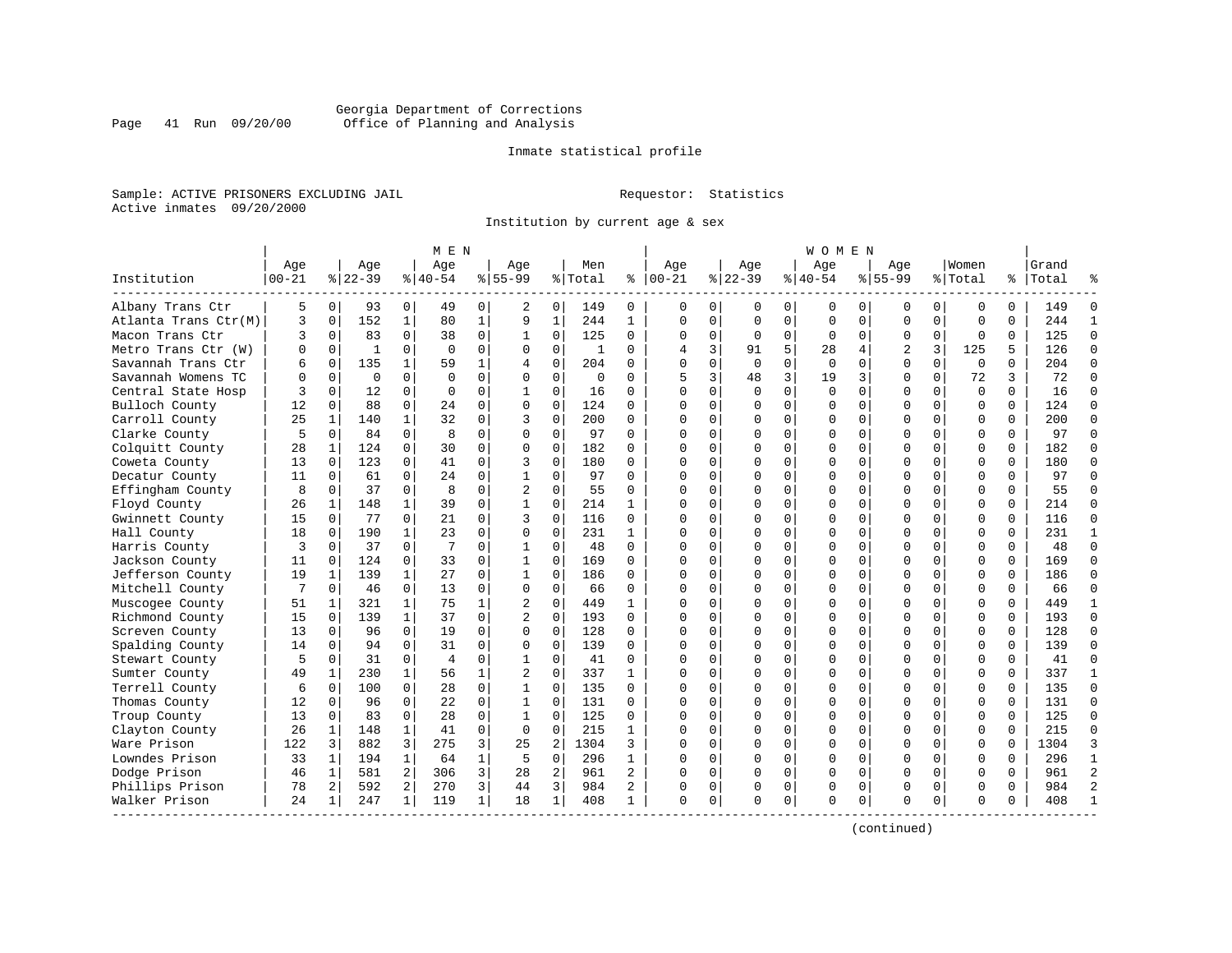# Georgia Department of Corrections Page 41 Run 09/20/00 Office of Planning and Analysis

# Inmate statistical profile

Sample: ACTIVE PRISONERS EXCLUDING JAIL **Requestor:** Statistics Active inmates 09/20/2000

Institution by current age & sex

|                      |            |              |              |                | M E N          |              |                |                |         |                |                |              |          |                | W O M E N    |             |                |             |             |          |           |                |
|----------------------|------------|--------------|--------------|----------------|----------------|--------------|----------------|----------------|---------|----------------|----------------|--------------|----------|----------------|--------------|-------------|----------------|-------------|-------------|----------|-----------|----------------|
|                      | Age        |              | Age          |                | Age            |              | Age            |                | Men     |                | Age            |              | Age      |                | Aqe          |             | Aqe            |             | Women       |          | Grand     |                |
| Institution          | $ 00 - 21$ |              | $ 22-39$     |                | $8 40-54$      |              | $8 55-99$      |                | % Total | နွ             | $ 00-21$       |              | $ 22-39$ |                | $ 40-54$     |             | $8155 - 99$    |             | % Total     |          | %   Total |                |
| Albany Trans Ctr     | 5          | 0            | 93           | $\overline{0}$ | 49             | 0            | 2              | 0              | 149     | 0              | 0              | $\Omega$     | 0        | 0              | 0            | 0           | 0              | 0           | 0           | $\Omega$ | 149       |                |
| Atlanta Trans Ctr(M) | 3          | $\mathbf 0$  | 152          | $\mathbf{1}$   | 80             | $\mathbf{1}$ | 9              | $\mathbf{1}$   | 244     | $\mathbf{1}$   | $\Omega$       | $\Omega$     | 0        | $\Omega$       | $\Omega$     | $\mathbf 0$ | $\Omega$       | $\Omega$    | $\mathbf 0$ | $\Omega$ | 244       | $\mathbf{1}$   |
| Macon Trans Ctr      | 3          | $\Omega$     | 83           | $\Omega$       | 38             | 0            | $\mathbf{1}$   | $\mathbf 0$    | 125     | $\Omega$       | $\Omega$       | $\Omega$     | $\Omega$ | $\Omega$       | $\Omega$     | 0           | $\Omega$       | $\Omega$    | $\Omega$    | $\Omega$ | 125       | $\Omega$       |
| Metro Trans Ctr (W)  |            | $\Omega$     | $\mathbf{1}$ | $\Omega$       | $\Omega$       | 0            | $\Omega$       | $\mathbf 0$    | 1       | $\Omega$       | $\overline{4}$ | 3            | 91       | 5              | 28           | 4           | $\overline{2}$ | 3           | 125         | 5        | 126       | $\Omega$       |
| Savannah Trans Ctr   |            | $\Omega$     | 135          | $\mathbf{1}$   | 59             | $\mathbf 1$  | 4              | $\Omega$       | 204     | $\Omega$       | $\cap$         | $\Omega$     | $\Omega$ | $\Omega$       | $\Omega$     | $\Omega$    | $\Omega$       | $\Omega$    | $\Omega$    | $\Omega$ | 204       | $\cap$         |
| Savannah Womens TC   |            | $\Omega$     | 0            | 0              | $\Omega$       | 0            | $\Omega$       | $\Omega$       | 0       | $\Omega$       |                | 3            | 48       | $\overline{3}$ | 19           | 3           | $\Omega$       | $\Omega$    | 72          | 3        | 72        | $\Omega$       |
| Central State Hosp   | 3          | 0            | 12           | 0              | $\mathbf 0$    | 0            | 1              | $\mathbf 0$    | 16      | $\Omega$       |                | $\Omega$     | $\Omega$ | 0              | $\Omega$     | $\Omega$    | $\Omega$       | $\mathbf 0$ | $\mathbf 0$ | $\Omega$ | 16        | $\Omega$       |
| Bulloch County       | 12         | $\Omega$     | 88           | $\overline{0}$ | 24             | 0            | $\Omega$       | $\mathbf 0$    | 124     | $\Omega$       |                |              | O        | 0              |              | $\Omega$    | $\Omega$       | $\Omega$    | $\mathbf 0$ | $\Omega$ | 124       | $\Omega$       |
| Carroll County       | 25         | 1            | 140          | 1              | 32             | 0            | ς              | $\Omega$       | 200     | $\Omega$       | $\Omega$       | 0            | U        | 0              | Ω            | $\Omega$    | $\Omega$       | 0           | $\Omega$    | $\Omega$ | 200       | $\Omega$       |
| Clarke County        | 5          | 0            | 84           | 0              | 8              | 0            | O              | $\mathbf 0$    | 97      | $\Omega$       |                | 0            | U        | 0              | Ω            | $\Omega$    | $\Omega$       | 0           | $\Omega$    | $\Omega$ | 97        | $\Omega$       |
| Colquitt County      | 28         | $\mathbf{1}$ | 124          | 0              | 30             | $\Omega$     | $\Omega$       | $\Omega$       | 182     | $\Omega$       |                |              | $\cap$   | 0              | ∩            | $\Omega$    | $\cap$         | 0           | $\Omega$    | $\cap$   | 182       | $\Omega$       |
| Coweta County        | 13         | $\Omega$     | 123          | 0              | 41             | $\mathbf 0$  | 3              | $\Omega$       | 180     | $\Omega$       | U              | <sup>n</sup> | ∩        | 0              | Ω            | $\Omega$    | $\Omega$       | $\Omega$    | $\Omega$    | $\Omega$ | 180       | ∩              |
| Decatur County       | 11         | 0            | 61           | $\Omega$       | 24             | 0            | $\mathbf{1}$   | $\mathbf 0$    | 97      | $\Omega$       |                | $\Omega$     | Ω        | 0              |              | $\mathbf 0$ | $\Omega$       | $\Omega$    | $\mathbf 0$ | $\Omega$ | 97        | $\Omega$       |
| Effingham County     | 8          | $\Omega$     | 37           | $\Omega$       | 8              | 0            | $\overline{2}$ | $\mathbf 0$    | 55      | $\Omega$       | $\Omega$       | $\Omega$     | O        | O              |              | $\Omega$    | $\Omega$       | 0           | $\mathbf 0$ | $\Omega$ | 55        | $\Omega$       |
| Floyd County         | 26         | 1            | 148          | $\mathbf 1$    | 39             | 0            | $\mathbf{1}$   | 0              | 214     | 1              | $\Omega$       | $\Omega$     | $\Omega$ | 0              | $\Omega$     | $\mathbf 0$ | $\Omega$       | $\Omega$    | $\mathbf 0$ | $\Omega$ | 214       | $\Omega$       |
| Gwinnett County      | 15         | $\Omega$     | 77           | 0              | 21             | 0            | 3              | $\Omega$       | 116     | $\Omega$       |                | U            | U        | O              | Ω            | $\Omega$    | $\Omega$       | 0           | $\Omega$    | $\Omega$ | 116       | $\Omega$       |
| Hall County          | 18         | $\Omega$     | 190          | 1              | 23             | $\Omega$     | $\Omega$       | $\Omega$       | 231     | $\mathbf{1}$   |                |              | $\Omega$ | O              | ∩            | $\Omega$    | $\Omega$       | 0           | $\Omega$    | $\Omega$ | 231       | $\mathbf{1}$   |
| Harris County        | 3          | $\Omega$     | 37           | $\Omega$       | 7              | 0            | $\mathbf{1}$   | $\Omega$       | 48      | $\Omega$       |                | 0            | U        | 0              |              | $\Omega$    | $\Omega$       | $\Omega$    | $\Omega$    | $\Omega$ | 48        | $\Omega$       |
| Jackson County       | 11         | 0            | 124          | $\overline{0}$ | 33             | 0            | $\mathbf{1}$   | $\mathbf 0$    | 169     | $\Omega$       |                | $\cap$       | O        | 0              |              | $\mathbf 0$ | $\Omega$       | $\Omega$    | $\mathbf 0$ | $\Omega$ | 169       | $\Omega$       |
| Jefferson County     | 19         | 1            | 139          | 1              | 27             | 0            | $\mathbf{1}$   | $\Omega$       | 186     | $\Omega$       |                | 0            | O        | 0              |              | $\Omega$    | $\Omega$       | 0           | $\Omega$    | $\Omega$ | 186       | $\Omega$       |
| Mitchell County      |            | $\Omega$     | 46           | $\Omega$       | 13             | 0            | $\Omega$       | $\mathbf 0$    | 66      | $\Omega$       | ∩              | 0            | U        | 0              | ∩            | $\Omega$    | O              | $\Omega$    | $\Omega$    | $\Omega$ | 66        | ∩              |
| Muscogee County      | 51         | 1            | 321          | $1\vert$       | 75             | 1            | 2              | 0              | 449     | 1              |                |              | U        | 0              | Ω            | 0           | $\Omega$       | 0           | $\mathbf 0$ | $\Omega$ | 449       |                |
| Richmond County      | 15         | $\Omega$     | 139          | 1              | 37             | $\Omega$     | $\overline{a}$ | $\Omega$       | 193     | $\Omega$       | $\cap$         | $\cap$       | $\Omega$ | 0              | U            | $\Omega$    | $\Omega$       | 0           | $\Omega$    | $\Omega$ | 193       | $\Omega$       |
| Screven County       | 13         | $\Omega$     | 96           | $\Omega$       | 19             | $\Omega$     | $\Omega$       | $\mathbf 0$    | 128     | $\Omega$       | $\Omega$       | $\Omega$     | $\Omega$ | 0              | <sup>0</sup> | $\Omega$    | $\Omega$       | $\Omega$    | $\Omega$    | $\Omega$ | 128       | $\Omega$       |
| Spalding County      | 14         | $\Omega$     | 94           | $\Omega$       | 31             | 0            | $\Omega$       | $\mathbf 0$    | 139     | $\Omega$       |                | $\Omega$     | 0        | 0              |              | $\mathbf 0$ | $\Omega$       | 0           | $\mathbf 0$ | $\Omega$ | 139       | $\Omega$       |
| Stewart County       |            | $\Omega$     | 31           | 0              | $\overline{4}$ | $\Omega$     | $\mathbf{1}$   | $\Omega$       | 41      | $\Omega$       | $\Omega$       | 0            | U        | 0              |              | $\Omega$    | $\Omega$       | 0           | $\Omega$    | $\Omega$ | 41        | $\Omega$       |
| Sumter County        | 49         | 1            | 230          | $1\vert$       | 56             | 1            | $\overline{a}$ | $\Omega$       | 337     | $\mathbf{1}$   | ∩              | 0            | U        | 0              | <sup>0</sup> | $\Omega$    | $\Omega$       | 0           | $\Omega$    | $\Omega$ | 337       | 1              |
| Terrell County       | 6          | $\Omega$     | 100          | $\Omega$       | 28             | 0            | $\mathbf{1}$   | $\mathbf 0$    | 135     | $\Omega$       |                |              | O        | U              |              | $\Omega$    | U              | 0           | $\Omega$    | $\Omega$ | 135       | $\Omega$       |
| Thomas County        | 12         | $\Omega$     | 96           | $\Omega$       | 22             | $\Omega$     | 1              | $\Omega$       | 131     | $\Omega$       | $\cap$         | $\cap$       | $\cap$   | O              | $\Omega$     | $\Omega$    | $\cap$         | 0           | $\Omega$    | $\Omega$ | 131       | $\Omega$       |
| Troup County         | 13         | $\Omega$     | 83           | $\Omega$       | 28             | 0            | $\mathbf{1}$   | 0              | 125     | $\Omega$       |                | $\cap$       | $\Omega$ | 0              | <sup>0</sup> | $\Omega$    | $\Omega$       | $\Omega$    | $\mathbf 0$ | $\Omega$ | 125       | $\Omega$       |
| Clayton County       | 26         | 1            | 148          | 1              | 41             | 0            | 0              | $\mathbf 0$    | 215     | 1              |                | $\Omega$     | 0        | 0              |              | 0           | $\Omega$       | 0           | $\mathbf 0$ | $\Omega$ | 215       | $\Omega$       |
| Ware Prison          | 122        | 3            | 882          | $\overline{3}$ | 275            | 3            | 25             | 2              | 1304    | 3              |                | $\Omega$     | O        | 0              | Λ            | $\Omega$    | $\Omega$       | $\Omega$    | $\Omega$    | $\Omega$ | 1304      | 3              |
| Lowndes Prison       | 33         | 1            | 194          | $\mathbf{1}$   | 64             | $\mathbf{1}$ | 5              | $\mathbf 0$    | 296     | $\mathbf{1}$   | ∩              | 0            | U        | $\Omega$       | <sup>0</sup> | $\mathbf 0$ | $\Omega$       | $\Omega$    | $\Omega$    | $\Omega$ | 296       | $\mathbf{1}$   |
| Dodge Prison         | 46         | 1            | 581          | $\overline{a}$ | 306            | 3            | 28             | $\overline{2}$ | 961     | 2              |                |              | U        | $\Omega$       | Λ            | 0           | $\Omega$       | 0           | $\Omega$    | $\Omega$ | 961       | $\overline{2}$ |
| Phillips Prison      | 78         | 2            | 592          | 2              | 270            | 3            | 44             | 3              | 984     | $\overline{a}$ | O              | 0            | 0        | 0              | U            | $\mathbf 0$ | $\Omega$       | 0           | $\Omega$    | $\Omega$ | 984       | $\mathcal{D}$  |
| Walker Prison        | 24         | 1            | 247          | 1              | 119            | $\mathbf{1}$ | 18             | $\mathbf{1}$   | 408     | $\mathbf{1}$   | $\Omega$       | 0            | U        | 0              | $\Omega$     | 0           | $\cap$         | 0           | $\Omega$    | $\Omega$ | 408       |                |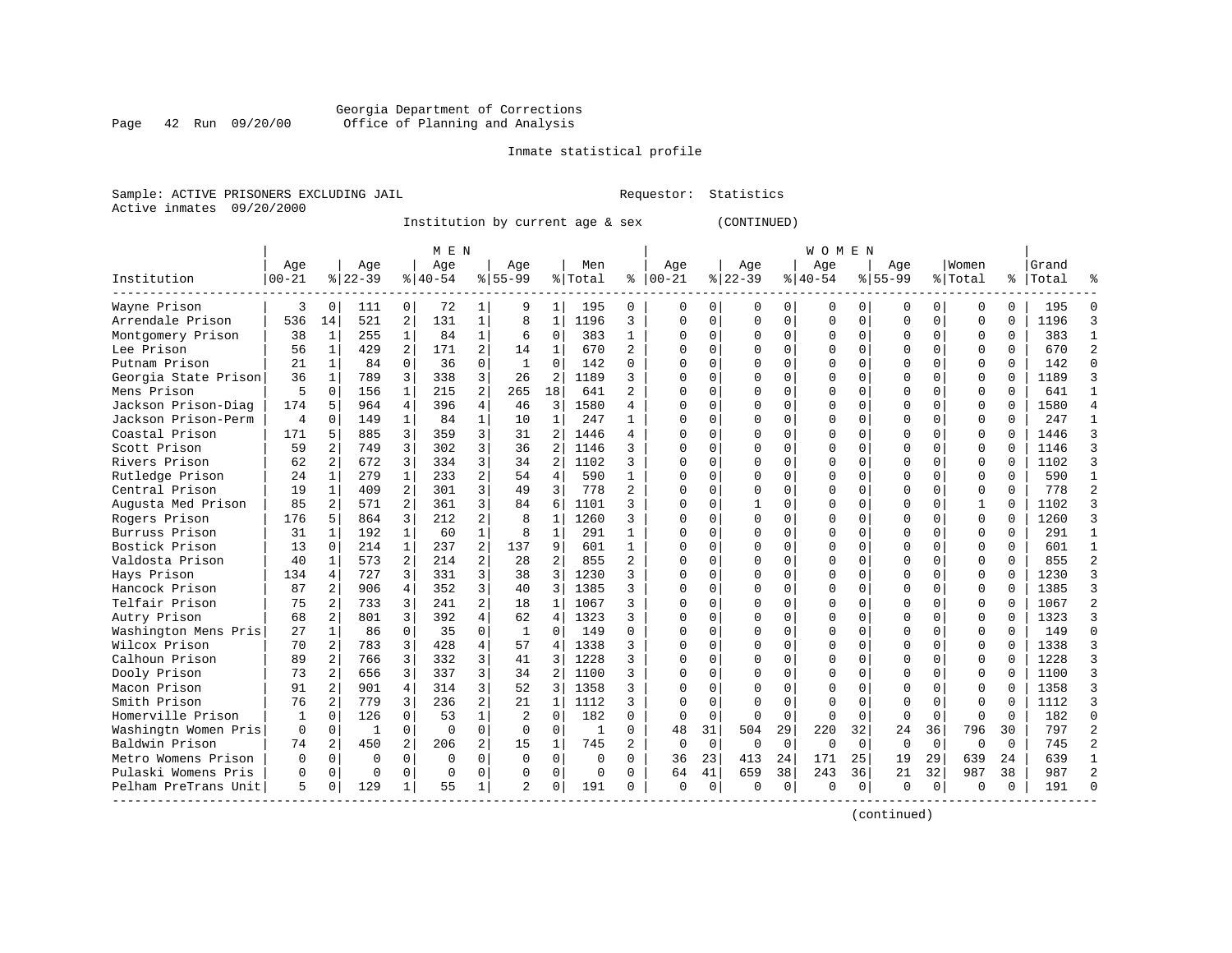#### Georgia Department of Corrections Page 42 Run 09/20/00 Office of Planning and Analysis

# Inmate statistical profile

|  | Sample: ACTIVE PRISONERS EXCLUDING JAII |  |
|--|-----------------------------------------|--|
|  | Active inmates 09/20/2000               |  |

L Bample: Active Prequestor: Statistics

Institution by current age & sex (CONTINUED)

|                      |           |              |           |                | M E N     |                |                |                |              |                |            |             |          |             | WOMEN     |          |             |             |          |          |       |  |
|----------------------|-----------|--------------|-----------|----------------|-----------|----------------|----------------|----------------|--------------|----------------|------------|-------------|----------|-------------|-----------|----------|-------------|-------------|----------|----------|-------|--|
|                      | Age       |              | Age       |                | Age       |                | Aqe            |                | Men          |                | Age        |             | Age      |             | Age       |          | Aqe         |             | Women    |          | Grand |  |
| Institution          | $00 - 21$ |              | $8 22-39$ |                | $8 40-54$ |                | $8155 - 99$    |                | % Total      | ႜ              | $ 00 - 21$ |             | $ 22-39$ |             | $8 40-54$ |          | $8155 - 99$ |             | % Total  | ႜ        | Total |  |
| Wayne Prison         | 3         | $\Omega$     | 111       | 0              | 72        | 1 <sup>1</sup> | 9              | 1              | 195          | 0              | 0          | 0           | $\Omega$ | 0           | 0         | O        | $\Omega$    | 0           | $\Omega$ | $\Omega$ | 195   |  |
| Arrendale Prison     | 536       | 14           | 521       | $\overline{2}$ | 131       | $\mathbf{1}$   | 8              | 1              | 1196         | 3              | $\Omega$   | 0           | $\Omega$ | $\Omega$    | $\Omega$  | $\Omega$ | O           | $\Omega$    | $\Omega$ | $\Omega$ | 1196  |  |
| Montgomery Prison    | 38        | $\mathbf{1}$ | 255       | $\mathbf{1}$   | 84        | $\mathbf{1}$   | 6              | $\Omega$       | 383          | $\mathbf{1}$   | $\Omega$   | 0           | $\Omega$ | $\Omega$    | $\Omega$  | $\Omega$ | $\Omega$    | $\Omega$    | $\Omega$ | $\Omega$ | 383   |  |
| Lee Prison           | 56        | $\mathbf{1}$ | 429       | 2              | 171       | 2              | 14             | $\mathbf{1}$   | 670          | 2              | U          | 0           | O        | $\Omega$    | $\Omega$  | $\Omega$ | O           | 0           | $\Omega$ | $\Omega$ | 670   |  |
| Putnam Prison        | 21        | 1            | 84        | $\Omega$       | 36        | $\Omega$       | 1              | $\mathbf 0$    | 142          | $\Omega$       |            | 0           |          | $\mathbf 0$ | $\Omega$  | $\Omega$ | O           | 0           | $\Omega$ | $\Omega$ | 142   |  |
| Georgia State Prison | 36        | $\mathbf{1}$ | 789       | 3              | 338       | 3              | 26             | 2              | 1189         | 3              | U          | $\Omega$    |          | $\mathbf 0$ | $\Omega$  | $\Omega$ | $\Omega$    | 0           | $\Omega$ | $\Omega$ | 1189  |  |
| Mens Prison          | 5         | $\Omega$     | 156       | 1              | 215       | 2              | 265            | 18             | 641          | $\overline{a}$ | U          | 0           | ∩        | $\mathbf 0$ | $\Omega$  | O        | $\Omega$    | 0           | $\Omega$ | $\Omega$ | 641   |  |
| Jackson Prison-Diag  | 174       | 5            | 964       | 4              | 396       | 4              | 46             | 3              | 1580         | 4              | ∩          | 0           | n        | $\mathbf 0$ | 0         | 0        | $\Omega$    | 0           | O        | $\Omega$ | 1580  |  |
| Jackson Prison-Perm  | 4         | $\Omega$     | 149       | $\mathbf{1}$   | 84        | $\mathbf{1}$   | 10             | $\mathbf{1}$   | 247          | 1              | U          | 0           |          | $\Omega$    | 0         | $\Omega$ | $\Omega$    | 0           | $\Omega$ | $\Omega$ | 247   |  |
| Coastal Prison       | 171       | 5            | 885       | 3              | 359       | 3              | 31             | 2              | 1446         | 4              | U          | 0           |          | $\Omega$    | 0         | O        | 0           | 0           | $\Omega$ | $\Omega$ | 1446  |  |
| Scott Prison         | 59        |              | 749       | 3              | 302       | 3              | 36             | 2              | 1146         |                | U          | 0           |          | $\Omega$    | O         | U        | $\Omega$    | 0           | $\Omega$ | $\cap$   | 1146  |  |
| Rivers Prison        | 62        | 2            | 672       | 3              | 334       | 3              | 34             | 2              | 1102         | 3              | U          | 0           | C        | $\Omega$    | 0         | O        | O           | 0           | $\Omega$ | $\Omega$ | 1102  |  |
| Rutledge Prison      | 24        | $\mathbf{1}$ | 279       | $\mathbf{1}$   | 233       | $\overline{a}$ | 54             | $\overline{4}$ | 590          | 1              | U          | $\Omega$    | C        | $\Omega$    | $\Omega$  | $\Omega$ | $\Omega$    | 0           | $\Omega$ | $\Omega$ | 590   |  |
| Central Prison       | 19        | 1            | 409       | $\overline{a}$ | 301       | $\overline{3}$ | 49             | 3              | 778          | $\overline{c}$ |            | 0           |          | $\mathbf 0$ | $\Omega$  | $\Omega$ | O           | 0           | $\Omega$ | $\Omega$ | 778   |  |
| Augusta Med Prison   | 85        | 2            | 571       | $\overline{a}$ | 361       | 3              | 84             | 6              | 1101         | 3              |            | 0           |          | $\Omega$    | $\Omega$  | $\Omega$ | $\Omega$    | 0           |          | $\Omega$ | 1102  |  |
| Rogers Prison        | 176       | 5            | 864       | 3              | 212       | 2              | $\mathsf{R}$   | 1              | 1260         | 3              | U          | 0           | U        | $\mathbf 0$ | $\Omega$  | O        | $\Omega$    | 0           | $\Omega$ | $\Omega$ | 1260  |  |
| Burruss Prison       | 31        | 1            | 192       | $\mathbf{1}$   | 60        | $\mathbf{1}$   | 8              | 1              | 291          | 1              | ∩          | 0           | n        | $\mathbf 0$ | 0         | $\Omega$ | $\Omega$    | 0           | $\Omega$ | $\Omega$ | 291   |  |
| Bostick Prison       | 13        | 0            | 214       | 1              | 237       | $\overline{a}$ | 137            | 9              | 601          | 1              | U          | 0           |          | $\mathbf 0$ | $\Omega$  | $\Omega$ | $\Omega$    | 0           | $\Omega$ | $\Omega$ | 601   |  |
| Valdosta Prison      | 40        | 1            | 573       | 2              | 214       | $\overline{2}$ | 28             | 2              | 855          | 2              | U          | 0           |          | 0           | 0         | O        | O           | 0           | $\Omega$ | $\Omega$ | 855   |  |
| Hays Prison          | 134       | 4            | 727       | 3              | 331       | 3              | 38             | 3              | 1230         |                | U          | 0           | U        | $\Omega$    | $\Omega$  | U        | $\Omega$    | 0           | $\Omega$ | $\Omega$ | 1230  |  |
| Hancock Prison       | 87        | 2            | 906       | 4              | 352       | 3              | 40             | 3              | 1385         | 3              | U          | 0           | $\Omega$ | $\Omega$    | O         | O        | O           | 0           | $\Omega$ | $\Omega$ | 1385  |  |
| Telfair Prison       | 75        | 2            | 733       | 3              | 241       | $\overline{a}$ | 18             | $\mathbf{1}$   | 1067         | 3              | U          | 0           | O        | $\Omega$    | $\Omega$  | $\Omega$ | O           | 0           | $\Omega$ | $\Omega$ | 1067  |  |
| Autry Prison         | 68        | 2            | 801       | 3              | 392       | $\overline{4}$ | 62             | 4              | 1323         | 3              | U          | 0           |          | $\mathbf 0$ | $\Omega$  | $\Omega$ | 0           | 0           | $\Omega$ | $\Omega$ | 1323  |  |
| Washington Mens Pris | 27        | 1            | 86        | $\Omega$       | 35        | 0              | 1              | 0              | 149          | $\Omega$       |            | 0           |          | $\mathbf 0$ | $\Omega$  | $\Omega$ | 0           | 0           | $\Omega$ | $\Omega$ | 149   |  |
| Wilcox Prison        | 70        | 2            | 783       | 3              | 428       | 4              | 57             | 4              | 1338         | 3              | U          | 0           | C        | $\Omega$    | $\Omega$  | O        | $\Omega$    | 0           | $\Omega$ | $\Omega$ | 1338  |  |
| Calhoun Prison       | 89        | 2            | 766       | 3              | 332       | 3              | 41             | 3              | 1228         | 3              | $\cap$     | 0           | C        | $\mathbf 0$ | $\Omega$  | $\Omega$ | $\Omega$    | 0           | $\Omega$ | $\Omega$ | 1228  |  |
| Dooly Prison         | 73        | 2            | 656       | 3              | 337       | 3              | 34             | 2              | 1100         | ζ              | U          | 0           |          | $\Omega$    | $\Omega$  | O        | $\Omega$    | 0           | $\Omega$ | $\Omega$ | 1100  |  |
| Macon Prison         | 91        | 2            | 901       | 4              | 314       | 3              | 52             | 3              | 1358         | ζ              | U          | 0           |          | $\Omega$    | O         | O        | $\Omega$    | 0           | $\Omega$ | ∩        | 1358  |  |
| Smith Prison         | 76        | 2            | 779       | 3              | 236       | $\overline{2}$ | 21             | $\mathbf{1}$   | 1112         | 3              | U          | $\Omega$    |          | $\Omega$    | $\Omega$  | U        | $\Omega$    | O           | $\Omega$ | $\cap$   | 1112  |  |
| Homerville Prison    | 1         | $\Omega$     | 126       | $\Omega$       | 53        | $\mathbf{1}$   | $\mathfrak{D}$ | $\Omega$       | 182          | 0              | 0          | $\Omega$    | ∩        | $\Omega$    | $\Omega$  | $\Omega$ | $\Omega$    | $\Omega$    | ∩        | $\cap$   | 182   |  |
| Washingtn Women Pris | $\Omega$  | $\Omega$     | -1        | $\Omega$       | $\Omega$  | $\Omega$       | $\Omega$       | $\Omega$       | $\mathbf{1}$ | $\Omega$       | 48         | 31          | 504      | 29          | 220       | 32       | 24          | 36          | 796      | 30       | 797   |  |
| Baldwin Prison       | 74        | 2            | 450       | $\overline{a}$ | 206       | $\overline{a}$ | 15             | 1              | 745          | $\overline{a}$ | 0          | $\mathbf 0$ | $\Omega$ | $\mathbf 0$ | $\Omega$  | $\Omega$ | $\Omega$    | $\mathbf 0$ | $\Omega$ | $\Omega$ | 745   |  |
| Metro Womens Prison  | 0         | $\Omega$     | $\Omega$  | $\Omega$       | $\Omega$  | 0              | $\Omega$       | $\mathbf 0$    | 0            | $\Omega$       | 36         | 23          | 413      | 24          | 171       | 25       | 19          | 29          | 639      | 24       | 639   |  |
| Pulaski Womens Pris  | U         | 0            | $\cap$    | $\Omega$       | $\Omega$  | 0              | $\Omega$       | $\mathbf 0$    | 0            | $\Omega$       | 64         | 41          | 659      | 38          | 243       | 36       | 21          | 32          | 987      | 38       | 987   |  |
| Pelham PreTrans Unit | 5         | $\Omega$     | 129       | 1              | 55        | $\mathbf 1$    | $\mathfrak{D}$ | $\Omega$       | 191          | 0              | $\Omega$   | 0           | $\Omega$ | 0           | $\Omega$  | 0        | $\Omega$    | 0           | ∩        | $\Omega$ | 191   |  |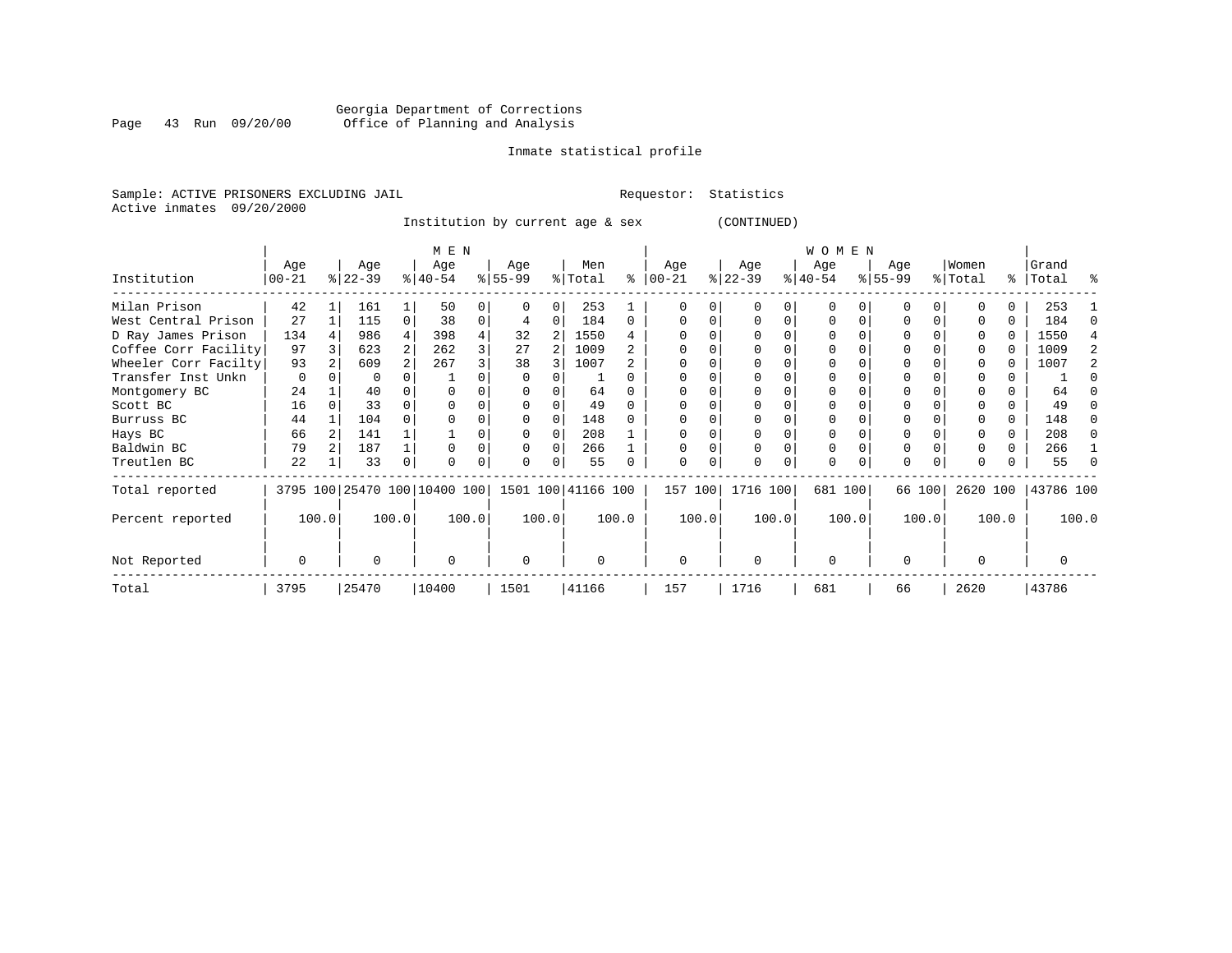# Georgia Department of Corrections Page 43 Run 09/20/00 Office of Planning and Analysis

# Inmate statistical profile

Sample: ACTIVE PRISONERS EXCLUDING JAIL **Requestor:** Statistics Active inmates 09/20/2000

Institution by current age & sex (CONTINUED)

|                      |          |           |          | M E N                                           |       |          |   |          |          |          |       |           |          | W O M E N |              |           |        |              |       |           |       |
|----------------------|----------|-----------|----------|-------------------------------------------------|-------|----------|---|----------|----------|----------|-------|-----------|----------|-----------|--------------|-----------|--------|--------------|-------|-----------|-------|
|                      | Age      | Age       |          | Age                                             |       | Age      |   | Men      |          | Age      |       | Age       |          | Age       |              | Age       |        | Women        |       | Grand     |       |
| Institution          | $ 00-21$ | $ 22-39 $ |          | $8 40-54$                                       |       | $ 55-99$ |   | % Total  | % ิ      | $ 00-21$ |       | $ 22-39 $ |          | $ 40-54 $ |              | $8 55-99$ |        | % Total      |       | %   Total | ႜ     |
| Milan Prison         | 42       | 161       |          | 50                                              |       | 0        | 0 | 253      |          |          |       |           |          | $\Omega$  |              | O         |        |              | 0.    | 253       |       |
| West Central Prison  | 27       | 115       | $\Omega$ | 38                                              | 0     | 4        | 0 | 184      | $\Omega$ |          |       | $\Omega$  | 0        | $\Omega$  | <sup>0</sup> | $\Omega$  |        |              | 0     | 184       |       |
| D Ray James Prison   | 134      | 986       | 4        | 398                                             |       | 32       | 2 | 1550     |          |          |       |           |          | 0         |              | 0         |        |              | 0     | 1550      |       |
| Coffee Corr Facility | 97       | 623       | 2        | 262                                             |       | 27       |   | 1009     |          |          |       |           |          | $\Omega$  |              |           |        |              | U     | 1009      |       |
| Wheeler Corr Facilty | 93       | 609       |          | 267                                             |       | 38       |   | 1007     |          |          |       |           |          | 0         |              |           |        |              |       | 1007      |       |
| Transfer Inst Unkn   | $\Omega$ | 0         |          |                                                 |       |          |   |          |          |          |       |           |          |           |              |           |        |              |       |           |       |
| Montgomery BC        | 24       | 40        |          |                                                 |       |          |   | 64       |          |          |       |           |          |           |              |           |        |              |       | 64        |       |
| Scott BC             | 16       | 33        |          |                                                 |       |          |   | 49       |          |          |       |           |          |           |              |           |        |              |       | 49        |       |
| Burruss BC           | 44       | 104       |          |                                                 |       |          |   | 148      |          |          |       |           |          | $\Omega$  |              | $\Omega$  |        |              | 0     | 148       |       |
| Hays BC              | 66       | 141       |          |                                                 |       |          |   | 208      |          |          |       |           |          | 0         |              |           |        |              |       | 208       | n     |
| Baldwin BC           | 79       | 187       |          |                                                 |       | 0        | 0 | 266      |          |          |       | $\Omega$  |          | 0         |              | $\Omega$  |        |              | 0     | 266       |       |
| Treutlen BC          | 22       | 33        | 0        |                                                 |       | 0        | 0 | 55       |          | $\Omega$ | 0     | $\Omega$  | $\Omega$ | 0         | $\Omega$     | $\Omega$  |        | <sup>0</sup> |       | 55        |       |
| Total reported       |          |           |          | 3795 100 25470 100 10400 100 1501 100 41166 100 |       |          |   |          |          | 157 100  |       | 1716 100  |          | 681 100   |              |           | 66 100 | 2620 100     |       | 43786 100 |       |
| Percent reported     | 100.0    |           | 100.0    |                                                 | 100.0 | 100.0    |   |          | 100.0    |          | 100.0 |           | 100.0    |           | 100.0        |           | 100.0  |              | 100.0 |           | 100.0 |
| Not Reported         | $\Omega$ | U         |          | $\Omega$                                        |       | 0        |   | $\Omega$ |          | $\Omega$ |       | $\Omega$  |          | $\Omega$  |              | $\Omega$  |        | $\Omega$     |       |           |       |
| Total                | 3795     | 25470     |          | 10400                                           |       | 1501     |   | 41166    |          | 157      |       | 1716      |          | 681       |              | 66        |        | 2620         |       | 43786     |       |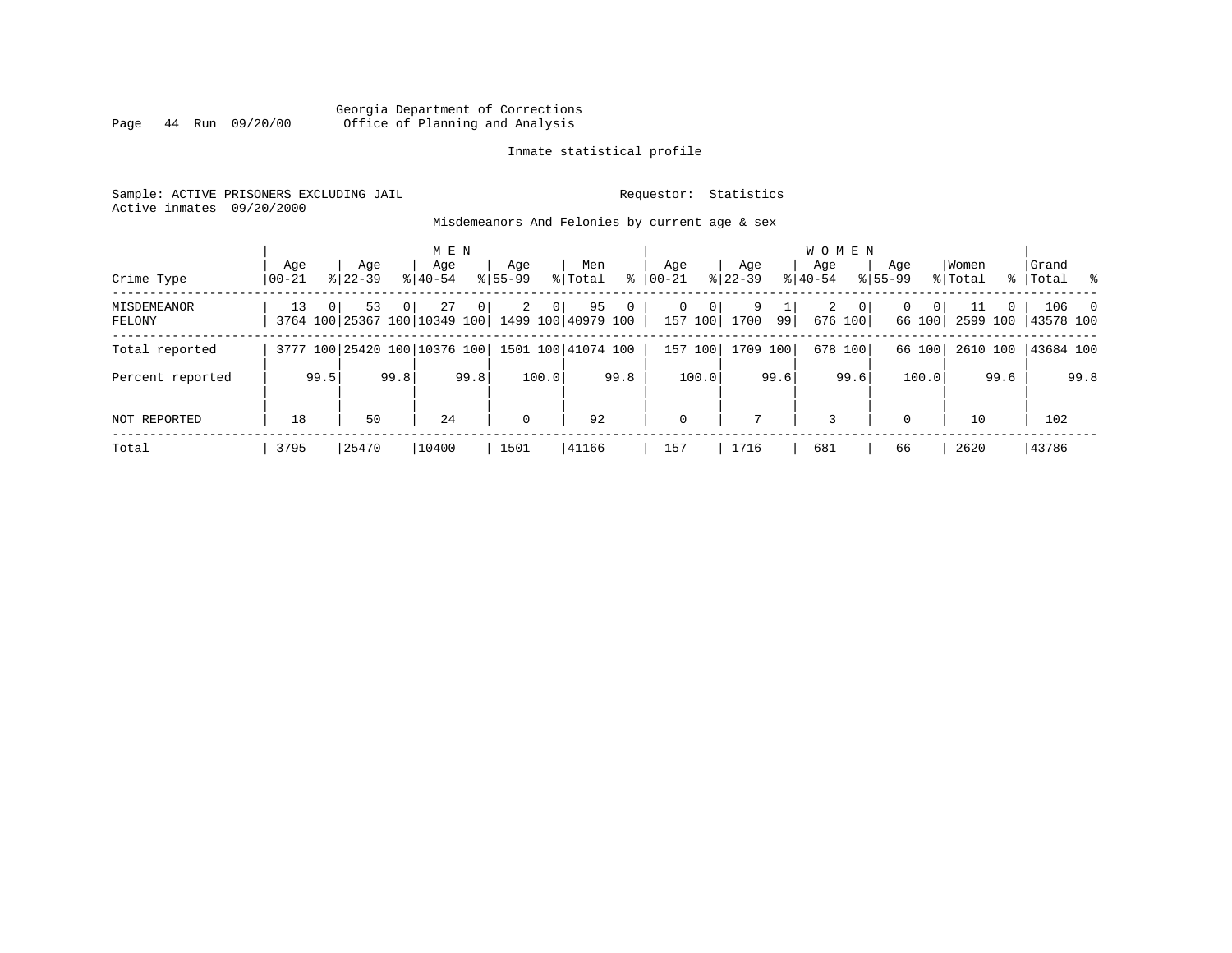# Georgia Department of Corrections Page 44 Run 09/20/00 Office of Planning and Analysis

# Inmate statistical profile

Sample: ACTIVE PRISONERS EXCLUDING JAIL **Requestor:** Statistics Active inmates 09/20/2000

Misdemeanors And Felonies by current age & sex

|                       |                  |                |                                    |          | M E N              |      |                    |                |                          |      |           |              |                |                    |      | <b>WOMEN</b>     |                           |                    |                          |                  |          |                    |                          |
|-----------------------|------------------|----------------|------------------------------------|----------|--------------------|------|--------------------|----------------|--------------------------|------|-----------|--------------|----------------|--------------------|------|------------------|---------------------------|--------------------|--------------------------|------------------|----------|--------------------|--------------------------|
| Crime Type            | Aqe<br>$00 - 21$ |                | Aqe<br>$8122 - 39$                 |          | Age<br>$8140 - 54$ |      | Aqe<br>$8155 - 99$ |                | Men<br>% Total           | ႜ    | $00 - 21$ | Aqe          |                | Aqe<br>$8$   22-39 |      | Aqe<br>$8 40-54$ |                           | Aqe<br>$8155 - 99$ |                          | Women<br>% Total |          | Grand<br>%   Total | ိ                        |
| MISDEMEANOR<br>FELONY | 13               | 0 <sup>1</sup> | 53<br>3764 100 25367 100 10349 100 | $\Omega$ | 27                 | 0    | $\overline{2}$     | 0 <sup>1</sup> | 95<br>1499 100 40979 100 | 0    |           | 0<br>157 100 | $\overline{0}$ | 9<br>1700          | 99   | 2                | $\overline{0}$<br>676 100 | $\Omega$           | $\overline{0}$<br>66 100 | 11<br>2599 100   | $\Omega$ | 106<br>43578 100   | $\overline{\phantom{0}}$ |
| Total reported        |                  |                | 3777 100 25420 100 10376 100       |          |                    |      |                    |                | 1501 100 41074 100       |      |           | 157 100      |                | 1709 100           |      |                  | 678 100                   |                    | 66 100                   | 2610 100         |          | 43684 100          |                          |
| Percent reported      |                  | 99.5           |                                    | 99.8     |                    | 99.8 |                    | 100.0          |                          | 99.8 |           | 100.0        |                |                    | 99.6 |                  | 99.6                      |                    | 100.0                    |                  | 99.6     |                    | 99.8                     |
| <b>NOT REPORTED</b>   | 18               |                | 50                                 |          | 24                 |      | $\mathbf 0$        |                | 92                       |      |           | $\mathbf 0$  |                |                    |      | 3                |                           | $\Omega$           |                          | 10               |          | 102                |                          |
| Total                 | 3795             |                | 25470                              |          | 10400              |      | 1501               |                | 41166                    |      |           | 157          |                | 1716               |      | 681              |                           | 66                 |                          | 2620             |          | 43786              |                          |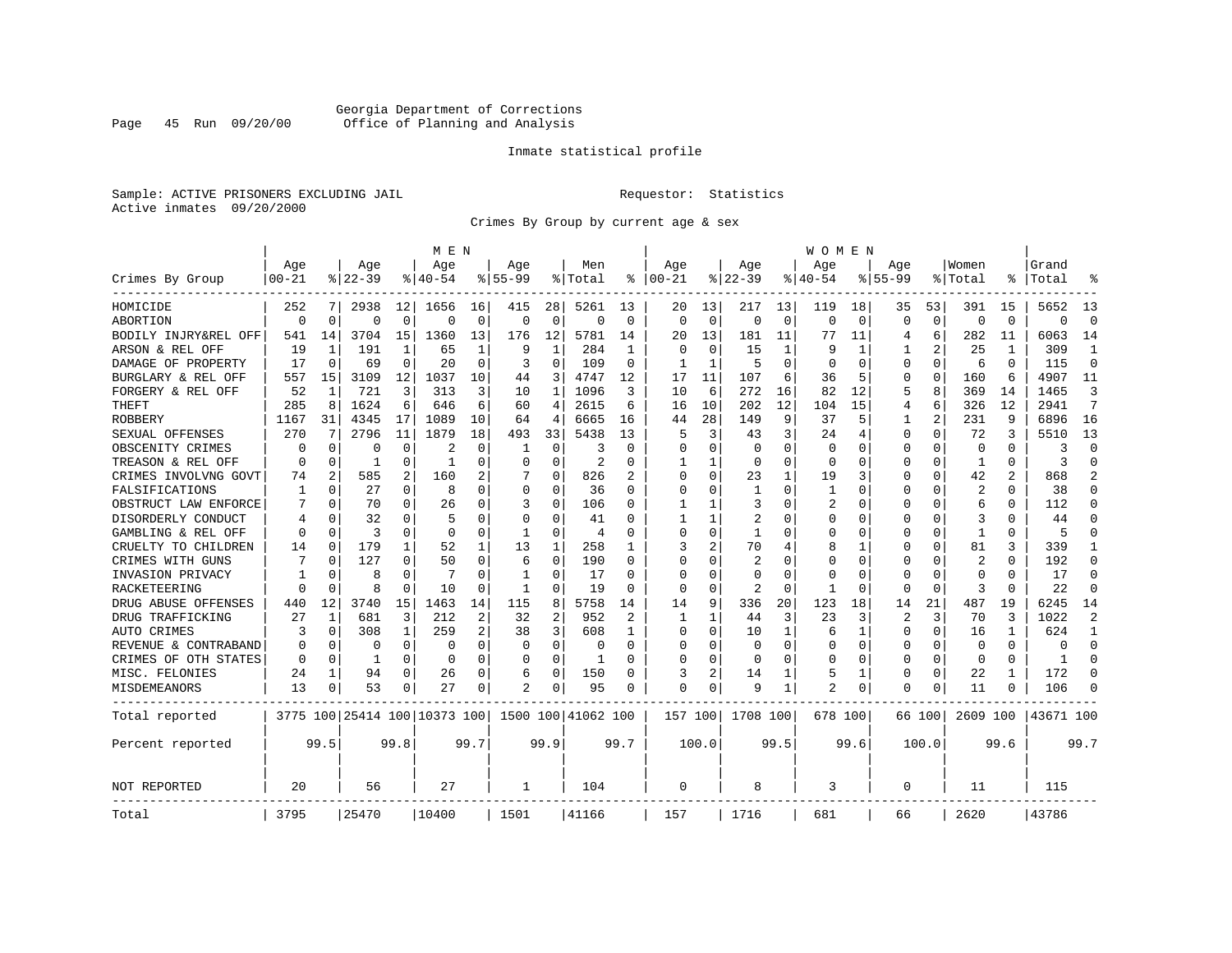# Georgia Department of Corrections Page 45 Run 09/20/00 Office of Planning and Analysis

# Inmate statistical profile

Sample: ACTIVE PRISONERS EXCLUDING JAIL **Requestor:** Statistics Active inmates 09/20/2000

Crimes By Group by current age & sex

|                      |           |                |           |              | M E N                        |          |              |              |                    |                |          |          |                |             | W O M E N    |          |             |             |                |              |           |                |
|----------------------|-----------|----------------|-----------|--------------|------------------------------|----------|--------------|--------------|--------------------|----------------|----------|----------|----------------|-------------|--------------|----------|-------------|-------------|----------------|--------------|-----------|----------------|
|                      | Age       |                | Age       |              | Age                          |          | Aqe          |              | Men                |                | Age      |          | Age            |             | Age          |          | Aqe         |             | Women          |              | Grand     |                |
| Crimes By Group      | $00 - 21$ |                | $8 22-39$ |              | % 40-54                      |          | $8155 - 99$  |              | % Total            | နွ             | $ 00-21$ |          | $ 22-39$       |             | $ 40-54$     |          | $8155 - 99$ |             | % Total        |              | Total     |                |
| HOMICIDE             | 252       |                | 2938      | 12           | 1656                         | 16       | 415          | 28           | 5261               | 13             | 20       | 13       | 217            | 13          | 119          | 18       | 35          | 53          | 391            | 15           | 5652      | 13             |
| ABORTION             | $\Omega$  | $\Omega$       | $\Omega$  | 0            | $\Omega$                     | $\Omega$ | 0            | 0            | $\Omega$           | $\Omega$       | $\Omega$ | $\Omega$ | $\mathbf 0$    | $\mathbf 0$ | $\Omega$     | $\Omega$ | $\Omega$    | $\mathbf 0$ | $\Omega$       | $\Omega$     | $\Omega$  | $\Omega$       |
| BODILY INJRY&REL OFF | 541       | 14             | 3704      | 15           | 1360                         | 13       | 176          | 12           | 5781               | 14             | 20       | 13       | 181            | 11          | 77           | 11       | 4           | 6           | 282            | 11           | 6063      | 14             |
| ARSON & REL OFF      | 19        | 1              | 191       | $\mathbf{1}$ | 65                           | 1        | 9            | $\mathbf{1}$ | 284                | -1             | $\Omega$ | $\Omega$ | 15             | 1           |              | 1        |             | 2           | 25             | 1            | 309       | 1              |
| DAMAGE OF PROPERTY   | 17        | $\Omega$       | 69        | 0            | 20                           | $\Omega$ | 3            | $\Omega$     | 109                | $\Omega$       | 1        | -1       | 5              | O           | n            | $\Omega$ | U           | 0           | 6              | <sup>0</sup> | 115       | $\Omega$       |
| BURGLARY & REL OFF   | 557       | 15             | 3109      | 12           | 1037                         | 10       | 44           | 3            | 4747               | 12             | 17       | 11       | 107            | 6           | 36           | 5        | 0           | $\Omega$    | 160            | 6            | 4907      | 11             |
| FORGERY & REL OFF    | 52        | 1              | 721       | 3            | 313                          | 3        | 10           | 1            | 1096               | 3              | 10       | 6        | 272            | 16          | 82           | 12       | 5           | 8           | 369            | 14           | 1465      | 3              |
| THEFT                | 285       | 8              | 1624      | 6            | 646                          | 6        | 60           | 4            | 2615               | 6              | 16       | 10       | 202            | 12          | 104          | 15       | 4           | 6           | 326            | 12           | 2941      | 7              |
| <b>ROBBERY</b>       | 1167      | 31             | 4345      | 17           | 1089                         | 10       | 64           | 4            | 6665               | 16             | 44       | 28       | 149            | 9           | 37           | 5        | -1          | 2           | 231            | 9            | 6896      | 16             |
| SEXUAL OFFENSES      | 270       | 7              | 2796      | 11           | 1879                         | 18       | 493          | 33           | 5438               | 13             | 5        | 3        | 43             | 3           | 24           | 4        | 0           | U           | 72             | 3            | 5510      | 13             |
| OBSCENITY CRIMES     | $\Omega$  | $\Omega$       | U         | 0            | 2                            | O        | -1           | $\Omega$     | 3                  | O              | $\Omega$ | $\Omega$ | $\Omega$       | $\Omega$    | <sup>0</sup> | $\Omega$ | U           | $\Omega$    | $\Omega$       | <sup>0</sup> | 3         | $\Omega$       |
| TREASON & REL OFF    | O         | 0              | -1        | 0            | -1                           | O        | O            | $\Omega$     | 2                  | O              |          |          | 0              | $\Omega$    | <sup>0</sup> | $\Omega$ | U           | 0           | -1             | 0            | २         | $\Omega$       |
| CRIMES INVOLVNG GOVT | 74        | $\overline{2}$ | 585       | 2            | 160                          | 2        |              | 0            | 826                |                | $\Omega$ | $\Omega$ | 23             | 1           | 19           | 3        | Ω           | $\Omega$    | 42             |              | 868       | $\overline{2}$ |
| FALSIFICATIONS       | 1         | 0              | 27        | 0            | 8                            | O        | O            | 0            | 36                 | $\Omega$       | $\Omega$ | $\Omega$ | 1              | O           | 1            | $\Omega$ | U           | 0           | $\overline{2}$ | 0            | 38        | $\Omega$       |
| OBSTRUCT LAW ENFORCE |           | 0              | 70        | 0            | 26                           | O        | 3            | 0            | 106                | U              |          |          | 3              | N           | 2            | $\Omega$ | 0           | U           | 6              | U            | 112       | $\Omega$       |
| DISORDERLY CONDUCT   |           | $\Omega$       | 32        | U            | 5                            | O        | U            | 0            | 41                 |                |          |          | 2              | N           |              | $\Omega$ | Ω           | U           | 3              |              | 44        | $\Omega$       |
| GAMBLING & REL OFF   | $\Omega$  | $\Omega$       | ζ         | 0            | $\Omega$                     | $\Omega$ | $\mathbf{1}$ | $\Omega$     | $\overline{4}$     | $\Omega$       | $\Omega$ | $\Omega$ | $\mathbf{1}$   | O           | <sup>0</sup> | $\Omega$ | U           | $\Omega$    | $\mathbf{1}$   | $\Omega$     | 5         | $\Omega$       |
| CRUELTY TO CHILDREN  | 14        | $\Omega$       | 179       | 1            | 52                           | 1        | 13           | 1            | 258                | 1              | 3        | 2        | 70             | 4           | 8            | 1        | U           | $\Omega$    | 81             | 3            | 339       | 1              |
| CRIMES WITH GUNS     |           | $\Omega$       | 127       | $\Omega$     | 50                           | $\Omega$ | 6            | 0            | 190                | $\Omega$       | $\Omega$ | $\Omega$ | $\overline{2}$ | O           |              | $\Omega$ | Ω           | $\Omega$    | $\overline{2}$ | $\Omega$     | 192       | $\Omega$       |
| INVASION PRIVACY     |           | $\Omega$       | 8         | 0            | 7                            | O        | -1           | $\Omega$     | 17                 | $\Omega$       | $\Omega$ | $\Omega$ | $\Omega$       | O           |              | $\Omega$ | U           | 0           | $\Omega$       | O            | 17        | $\Omega$       |
| RACKETEERING         |           | 0              | 8         | 0            | 10                           | O        | $\mathbf{1}$ | 0            | 19                 | O              | $\Omega$ | $\Omega$ | 2              | 0           |              | $\Omega$ | O           | 0           | 3              | O            | 22        | $\Omega$       |
| DRUG ABUSE OFFENSES  | 440       | 12             | 3740      | 15           | 1463                         | 14       | 115          | 8            | 5758               | 14             | 14       | 9        | 336            | 20          | 123          | 18       | 14          | 21          | 487            | 19           | 6245      | 14             |
| DRUG TRAFFICKING     | 27        | 1              | 681       | 3            | 212                          | 2        | 32           | 2            | 952                | $\overline{c}$ | 1        |          | 44             | 3           | 23           | 3        | 2           | 3           | 70             | 3            | 1022      | $\overline{2}$ |
| <b>AUTO CRIMES</b>   | 3         | 0              | 308       | 1            | 259                          | 2        | 38           | 3            | 608                | 1              | $\Omega$ | $\Omega$ | 10             | 1           | 6            | 1        | $\Omega$    | $\Omega$    | 16             |              | 624       | 1              |
| REVENUE & CONTRABAND |           | 0              | 0         | 0            | $\Omega$                     | $\Omega$ | O            | 0            | $\Omega$           | $\Omega$       | $\Omega$ | $\Omega$ | $\mathbf 0$    | $\Omega$    |              | $\Omega$ | 0           | 0           | $\Omega$       | $\Omega$     | $\Omega$  | $\Omega$       |
| CRIMES OF OTH STATES | $\Omega$  | $\Omega$       | 1         | 0            | $\Omega$                     | $\Omega$ | 0            | $\Omega$     | 1                  | O              | $\Omega$ | $\Omega$ | $\Omega$       | O           | <sup>0</sup> | $\Omega$ | 0           | 0           | $\Omega$       | $\Omega$     | 1         | $\Omega$       |
| MISC. FELONIES       | 24        | 1              | 94        | 0            | 26                           | 0        | 6            | $\Omega$     | 150                | U              | 3        | 2        | 14             |             | 5            | 1        | 0           | 0           | 22             |              | 172       | $\Omega$       |
| MISDEMEANORS         | 13        | 0              | 53        | 0            | 27                           | 0        | 2            | 0            | 95                 | O              | $\Omega$ | $\Omega$ | 9              | 1           | 2            | 0        | 0           | 0           | 11             |              | 106       | $\Omega$       |
| Total reported       |           |                |           |              | 3775 100 25414 100 10373 100 |          |              |              | 1500 100 41062 100 |                | 157 100  |          | 1708 100       |             | 678 100      |          |             | 66 100      | 2609 100       |              | 43671 100 |                |
| Percent reported     |           | 99.5           |           | 99.8         |                              | 99.7     |              | 99.9         |                    | 99.7           |          | 100.0    |                | 99.5        |              | 99.6     |             | 100.0       |                | 99.6         |           | 99.7           |
| NOT REPORTED         | 20        |                | 56        |              | 27                           |          | 1            |              | 104                |                | 0        |          | 8              |             | 3            |          | 0           |             | 11             |              | 115       |                |
| Total                | 3795      |                | 25470     |              | 10400                        |          | 1501         |              | 41166              |                | 157      |          | 1716           |             | 681          |          | 66          |             | 2620           |              | 43786     |                |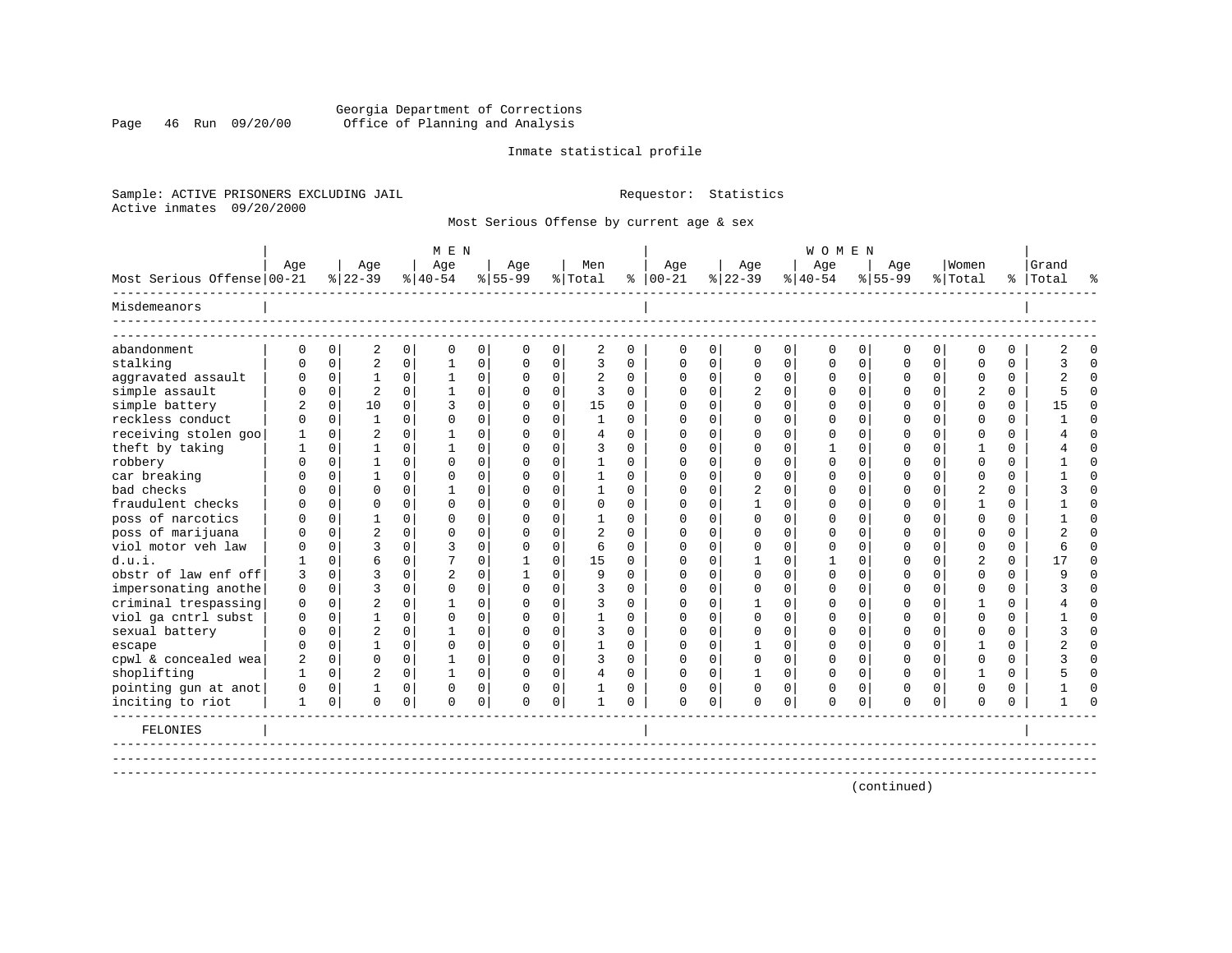# Georgia Department of Corrections Page 46 Run 09/20/00 Office of Planning and Analysis

# Inmate statistical profile

Sample: ACTIVE PRISONERS EXCLUDING JAIL **Requestor:** Statistics Active inmates 09/20/2000

Most Serious Offense by current age & sex

|                            |          |                |                |                | M E N          |                |             |                |                |              |               |             |              |             | <b>WOMEN</b> |             |             |             |                |          |           |          |
|----------------------------|----------|----------------|----------------|----------------|----------------|----------------|-------------|----------------|----------------|--------------|---------------|-------------|--------------|-------------|--------------|-------------|-------------|-------------|----------------|----------|-----------|----------|
|                            | Age      |                | Age            |                | Age            |                | Age         |                | Men            |              | Age           |             | Age          |             | Age          |             | Age         |             | Women          |          | Grand     |          |
| Most Serious Offense 00-21 |          |                | $ 22-39 $      |                | $8 40-54$      |                | $8155 - 99$ |                | % Total        |              | $8   00 - 21$ |             | $ 22-39 $    |             | $8 40-54$    |             | $8155 - 99$ |             | % Total        |          | %   Total |          |
| Misdemeanors               |          |                |                |                |                |                |             |                |                |              |               |             |              |             |              |             |             |             |                |          |           |          |
| abandonment                | $\Omega$ | 0              | 2              | $\overline{0}$ | $\mathbf 0$    | $\overline{0}$ | $\mathbf 0$ | 0              | 2              | $\mathbf 0$  | 0             | $\mathbf 0$ | $\mathbf 0$  | 0           | $\mathbf 0$  | 0           | 0           | 0           | $\Omega$       | $\Omega$ |           | $\Omega$ |
| stalking                   | U        | $\Omega$       | $\overline{c}$ | $\overline{0}$ | -1             | 0              | $\Omega$    | 0              | 3              | $\Omega$     | $\Omega$      | 0           | $\Omega$     | 0           | ∩            | $\mathbf 0$ | $\Omega$    | $\mathbf 0$ | $\Omega$       | $\Omega$ |           | $\Omega$ |
| aggravated assault         | U        | $\Omega$       | $\mathbf{1}$   | $\Omega$       | $\mathbf{1}$   | 0              | $\Omega$    | 0              | $\overline{2}$ | $\Omega$     | $\Omega$      | $\Omega$    | $\Omega$     | 0           | $\Omega$     | $\Omega$    | $\Omega$    | $\Omega$    | $\Omega$       | $\Omega$ |           | $\Omega$ |
| simple assault             |          | $\Omega$       | 2              | $\Omega$       |                | 0              | $\Omega$    | $\Omega$       | 3              | $\Omega$     | $\Omega$      | $\Omega$    | 2            | 0           | $\Omega$     | 0           | U           | $\Omega$    | $\overline{2}$ | $\Omega$ |           | $\Omega$ |
| simple battery             |          | $\Omega$       | 10             | $\Omega$       | ζ              | $\Omega$       | $\Omega$    | $\Omega$       | 15             | $\Omega$     | ∩             | 0           | <sup>0</sup> | 0           | $\Omega$     | $\Omega$    | ∩           | $\Omega$    | ∩              | $\Omega$ | 15        | $\Omega$ |
| reckless conduct           |          | $\Omega$       | $\mathbf{1}$   | 0              | $\cap$         | $\Omega$       | $\Omega$    | 0              | -1             | $\Omega$     | ∩             |             | <sup>0</sup> | O           | ∩            | $\Omega$    | U           | $\Omega$    | ∩              | $\Omega$ |           | $\Omega$ |
| receiving stolen goo       |          | $\Omega$       | $\overline{2}$ | 0              |                | $\Omega$       | $\Omega$    | $\Omega$       | 4              | <sup>n</sup> | ∩             | $\Omega$    | n            | O           | ∩            | $\Omega$    | ∩           | $\Omega$    | ∩              | $\Omega$ |           | $\Omega$ |
| theft by taking            |          | $\Omega$       |                | 0              |                | $\Omega$       | $\Omega$    | 0              | 3              | <sup>0</sup> | $\Omega$      |             | <sup>0</sup> | U           |              | $\Omega$    |             | $\Omega$    |                | $\Omega$ |           | $\Omega$ |
| robbery                    |          | $\Omega$       |                | $\Omega$       | $\cap$         | $\Omega$       | $\Omega$    | 0              |                | U            |               |             | O            | O           |              | $\Omega$    |             | $\Omega$    | $\cap$         | $\Omega$ |           | $\Omega$ |
| car breaking               |          | $\Omega$       |                | $\Omega$       | $\cap$         | $\Omega$       | U           | 0              |                | U            | O             |             | O            | U           |              | $\Omega$    |             | $\Omega$    | ∩              | $\Omega$ |           | $\Omega$ |
| bad checks                 |          | $\Omega$       | U              | $\Omega$       |                | 0              | U           | U              |                | <sup>n</sup> | ∩             |             | 2            | U           |              | $\Omega$    |             | $\Omega$    |                | $\Omega$ |           | $\Omega$ |
| fraudulent checks          |          | $\Omega$       | U              | $\Omega$       | $\cap$         | $\Omega$       | U           | 0              | $\Omega$       | $\cap$       | ∩             |             |              | U           |              | $\Omega$    |             | $\Omega$    |                | $\Omega$ |           | $\Omega$ |
| poss of narcotics          |          | $\Omega$       |                | $\Omega$       | $\cap$         | 0              | $\Omega$    | U              |                | U            |               |             | ∩            | U           |              | $\Omega$    |             | $\Omega$    | ∩              | $\Omega$ |           | $\Omega$ |
| poss of marijuana          |          | $\Omega$       | $\overline{2}$ | $\Omega$       | $\cap$         | $\Omega$       | U           | U              |                | $\cap$       | ∩             |             | ∩            | U           |              | $\Omega$    |             | $\Omega$    | ∩              | $\Omega$ |           | $\cap$   |
| viol motor yeh law         |          | $\Omega$       |                | 0              | ζ              | $\Omega$       | U           | $\Omega$       | $\sqrt{2}$     | $\cap$       |               |             | $\Omega$     | U           |              | $\Omega$    |             | $\Omega$    | ∩              | $\Omega$ |           | $\cap$   |
| d.u.i.                     |          | $\cap$         | б              | 0              | 7              | $\Omega$       |             | 0              | 15             | <sup>n</sup> |               |             |              | U           |              | $\Omega$    |             | $\cap$      |                | $\Omega$ | 17        | $\Omega$ |
| obstr of law enf off       | 3        | $\Omega$       | ς              | 0              | $\overline{a}$ | $\Omega$       |             | U              | 9              | $\cap$       | ∩             |             | ∩            | 0           |              | $\Omega$    | n           | $\Omega$    | $\Omega$       | $\Omega$ |           | $\cap$   |
| impersonating anothe       | 0        | $\Omega$       | 3              | 0              | $\Omega$       | $\Omega$       | O           | 0              | 3              | <sup>0</sup> | ∩             |             | n            | O           | O            | $\Omega$    | U           | $\Omega$    | $\Omega$       | $\Omega$ |           | $\Omega$ |
| criminal trespassing       | $\Omega$ | $\Omega$       | 2              | 0              |                | $\Omega$       | U           | C.             | 3              | <sup>n</sup> | ∩             |             |              | U           |              | $\Omega$    |             | $\Omega$    |                | $\Omega$ |           | $\Omega$ |
| viol ga cntrl subst        | O        | $\Omega$       |                | $\Omega$       | $\Omega$       | $\Omega$       | U           | 0              |                | $\Omega$     |               |             | <sup>0</sup> | 0           |              | $\Omega$    |             | $\Omega$    | $\Omega$       | $\Omega$ |           | $\Omega$ |
| sexual battery             |          | $\Omega$       | $\overline{2}$ | 0              |                | $\Omega$       | U           | 0              | 3              | $\Omega$     | O             | U           | $\Omega$     | O           |              | $\Omega$    | Ω           | $\Omega$    | $\Omega$       | $\Omega$ |           | $\Omega$ |
| escape                     |          | $\Omega$       |                | $\Omega$       | $\Omega$       | $\Omega$       | U           | $\Omega$       |                | <sup>0</sup> | $\Omega$      | $\Omega$    |              | 0           |              | $\Omega$    | U           | $\Omega$    |                | $\Omega$ |           | $\Omega$ |
| cpwl & concealed wea       | 2        | $\Omega$       | 0              | $\Omega$       |                | $\Omega$       | $\Omega$    | $\Omega$       | 3              | $\Omega$     | $\Omega$      | $\Omega$    | $\Omega$     | $\Omega$    |              | $\Omega$    | 0           | $\Omega$    | $\Omega$       | $\Omega$ |           | $\Omega$ |
| shoplifting                |          | $\overline{0}$ | 2              | $\Omega$       |                | $\overline{0}$ | $\Omega$    | $\overline{0}$ | $\overline{4}$ | $\Omega$     | $\Omega$      | $\Omega$    | 1            | $\mathbf 0$ | 0            | $\mathbf 0$ | U           | $\Omega$    |                | $\Omega$ |           | U        |
| pointing gun at anot       |          | $\Omega$       |                | $\Omega$       | $\Omega$       | $\Omega$       | 0           | $\Omega$       |                | $\Omega$     |               | $\Omega$    | $\mathbf 0$  | 0           | 0            | $\Omega$    | Ω           | $\Omega$    | $\Omega$       | $\Omega$ |           |          |
| inciting to riot           | 1        | $\mathbf 0$    | $\Omega$       | 0              | $\Omega$       | 0              | $\Omega$    | 0              |                | $\Omega$     | $\Omega$      | $\mathbf 0$ | $\mathbf 0$  | 0           | $\mathbf 0$  | $\mathbf 0$ | $\Omega$    | $\mathbf 0$ | $\Omega$       | $\Omega$ |           | ∩        |
| FELONIES                   |          |                |                |                |                |                |             |                |                |              |               |             |              |             |              |             |             |             |                |          |           |          |
|                            |          |                |                |                |                |                |             |                |                |              |               |             |              |             |              |             |             |             |                |          |           |          |
|                            |          |                |                |                |                |                |             |                |                |              |               |             |              |             |              |             |             |             |                |          |           |          |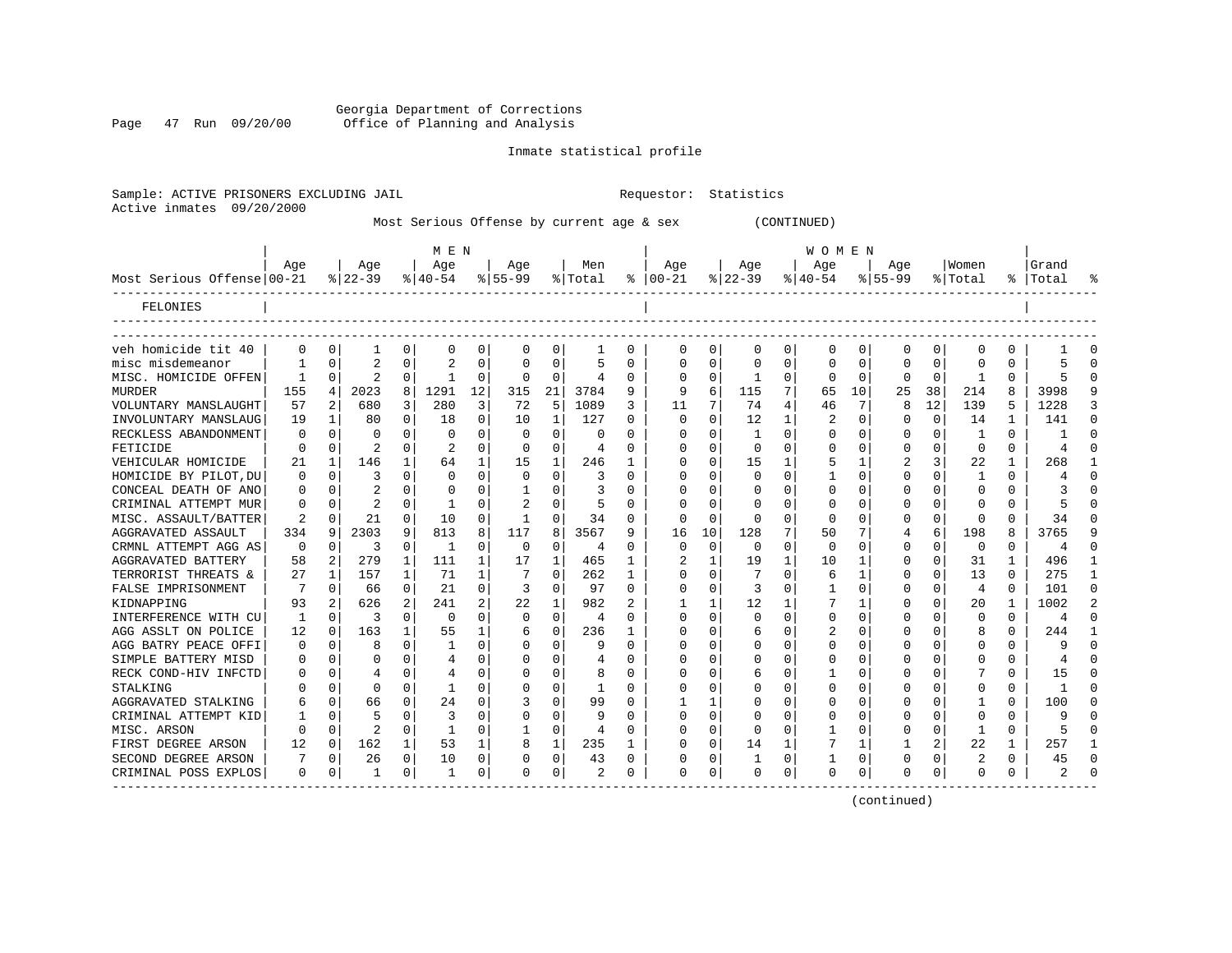Georgia Department of Corrections Page 47 Run 09/20/00 Office of Planning and Analysis

Inmate statistical profile

Sample: ACTIVE PRISONERS EXCLUDING JAIL **Requestor:** Statistics Active inmates 09/20/2000

|  | Most Serious Offense by current age & sex |  |  | (CONTINUED) |
|--|-------------------------------------------|--|--|-------------|
|  |                                           |  |  |             |

|                            |          |          |                |          | M E N          |          |           |          |         |   |              |              |           |              | W O M E N |          |             |              |                |          |           |                |
|----------------------------|----------|----------|----------------|----------|----------------|----------|-----------|----------|---------|---|--------------|--------------|-----------|--------------|-----------|----------|-------------|--------------|----------------|----------|-----------|----------------|
|                            | Age      |          | Age            |          | Age            |          | Age       |          | Men     |   | Aqe          |              | Aqe       |              | Age       |          | Aqe         |              | Women          |          | Grand     |                |
| Most Serious Offense 00-21 |          |          | $8 22-39$      |          | $8 40-54$      |          | $8 55-99$ |          | % Total | ႜ | $ 00-21$     |              | $8 22-39$ |              | $ 40-54$  |          | $8155 - 99$ |              | % Total        |          | %   Total | °              |
| FELONIES                   |          |          |                |          |                |          |           |          |         |   |              |              |           |              |           |          |             |              |                |          |           |                |
|                            |          |          |                |          |                |          |           |          |         |   |              |              |           |              |           |          |             |              |                |          |           |                |
| veh homicide tit 40        | 0        | O        | 1              | 0        | 0              | 0        | 0         | 0        | 1       | 0 | 0            | 0            | 0         | 0            | 0         | 0        | 0           | 0            | O              | 0        |           | O              |
| misc misdemeanor           |          | U        | $\mathcal{D}$  | $\Omega$ | $\mathfrak{D}$ | 0        |           | $\Omega$ | 5       | 0 | <sup>0</sup> | $\Omega$     | U         | O            |           | $\Omega$ | U           | 0            | <sup>0</sup>   | O        |           | $\Omega$       |
| MISC. HOMICIDE OFFEN       |          | $\Omega$ | $\mathcal{D}$  | $\Omega$ |                | U        | O         | $\Omega$ | 4       | U |              | $\Omega$     |           | O            |           | $\Omega$ | O           | $\Omega$     |                | $\Omega$ |           | $\Omega$       |
| MURDER                     | 155      | 4        | 2023           | 8        | 1291           | 12       | 315       | 21       | 3784    | 9 | 9            | 6            | 115       | 7            | 65        | 10       | 25          | 38           | 214            | 8        | 3998      | 9              |
| VOLUNTARY MANSLAUGHT       | 57       | 2        | 680            | 3        | 280            | 3        | 72        | 5        | 1089    | 3 | 11           | 7            | 74        | 4            | 46        | 7        | 8           | 12           | 139            |          | 1228      | 3              |
| INVOLUNTARY MANSLAUG       | 19       | -1       | 80             | $\Omega$ | 18             | $\Omega$ | 10        | 1        | 127     | U | $\Omega$     | $\Omega$     | 12        | $\mathbf{1}$ | 2         | $\Omega$ | O           | $\Omega$     | 14             |          | 141       | $\Omega$       |
| RECKLESS ABANDONMENT       | O        | $\Omega$ |                | $\Omega$ | $\Omega$       | O        | O         | $\Omega$ | U       | U |              | $\Omega$     | -1        | O            |           | 0        | Ω           | $\Omega$     | -1             | $\Omega$ |           | $\Omega$       |
| FETICIDE                   | 0        | 0        |                | $\Omega$ | 2              | 0        |           | $\Omega$ | 4       | 0 |              | $\Omega$     | $\Omega$  | U            |           | 0        | 0           | $\Omega$     | $\Omega$       | $\Omega$ | 4         | $\Omega$       |
| VEHICULAR HOMICIDE         | 21       | -1       | 146            |          | 64             | 1        | 15        | 1        | 246     |   |              | $\Omega$     | 15        |              |           | 1        |             | 3            | 22             | 1        | 268       | 1              |
| HOMICIDE BY PILOT, DU      | 0        | $\Omega$ | 3              | $\Omega$ | $\Omega$       | 0        | $\Omega$  | $\Omega$ | 3       | 0 | <sup>0</sup> | 0            | 0         | U            |           | $\Omega$ | 0           | 0            | 1              | $\Omega$ |           | $\Omega$       |
| CONCEAL DEATH OF ANO       | 0        | 0        |                | 0        | 0              | 0        |           | $\Omega$ | 3       | U | ∩            | 0            | O         | U            |           | n        | Ω           | 0            | O              | 0        |           | $\Omega$       |
| CRIMINAL ATTEMPT MUR       | 0        | 0        | $\overline{c}$ | $\Omega$ |                | 0        |           | $\Omega$ | 5       | 0 | ∩            | 0            | 0         | U            |           | 0        | O           | 0            | O              | 0        |           | $\Omega$       |
| MISC. ASSAULT/BATTER       | 2        | 0        | 21             | $\Omega$ | 10             | $\Omega$ |           | $\Omega$ | 34      | 0 | n            | $\Omega$     | $\Omega$  | U            | n         | 0        | 0           | 0            | <sup>0</sup>   | 0        | 34        | $\Omega$       |
| AGGRAVATED ASSAULT         | 334      | 9        | 2303           | 9        | 813            | 8        | 117       | 8        | 3567    | 9 | 16           | 10           | 128       | 7            | 50        |          | 4           | 6            | 198            | 8        | 3765      | 9              |
| CRMNL ATTEMPT AGG AS       | $\Omega$ | O        | 3              | $\Omega$ | 1              | 0        | $\Omega$  | $\Omega$ | 4       | 0 | $\Omega$     | 0            | $\Omega$  | U            | 0         | 0        | 0           | 0            | $\Omega$       | $\Omega$ | 4         | $\Omega$       |
| <b>AGGRAVATED BATTERY</b>  | 58       |          | 279            | 1        | 111            | 1        | 17        | 1        | 465     |   |              |              | 19        | 1            | 10        | 1        | 0           | 0            | 31             |          | 496       | $\mathbf{1}$   |
| TERRORIST THREATS &        | 27       |          | 157            |          | 71             | 1        |           | $\Omega$ | 262     | 1 |              |              |           | U            | 6         |          | Ω           | 0            | 13             | $\Omega$ | 275       | $\mathbf{1}$   |
| FALSE IMPRISONMENT         | 7        | ∩        | 66             | $\Omega$ | 21             | 0        | 3         | $\Omega$ | 97      | O | ∩            | $\Omega$     | 3         | U            |           | $\cap$   | Ω           | 0            | $\overline{4}$ | $\Omega$ | 101       | $\Omega$       |
| KIDNAPPING                 | 93       |          | 626            |          | 241            | 2        | 22        | 1        | 982     |   |              |              | 12        |              |           |          |             | U            | 20             |          | 1002      | $\overline{a}$ |
| INTERFERENCE WITH CU       | 1        | ∩        | 3              | $\Omega$ | $\Omega$       | 0        | $\Omega$  | $\Omega$ | 4       | U |              |              | $\Omega$  | U            |           | n        | U           | U            | ∩              | $\Omega$ | 4         | $\Omega$       |
| AGG ASSLT ON POLICE        | 12       | O        | 163            |          | 55             | 1        |           | $\Omega$ | 236     |   |              | 0            | 6         | U            |           |          | U           | <sup>n</sup> | 8              | $\Omega$ | 244       | -1             |
| AGG BATRY PEACE OFFI       | O        | n        |                | U        |                | 0        |           | $\Omega$ | 9       | U |              | $\cap$       | U         | U            |           | n        |             | 0            | <sup>0</sup>   | $\Omega$ | q         | $\cap$         |
| SIMPLE BATTERY MISD        | $\Omega$ | O        |                | $\Omega$ | 4              | 0        |           | $\Omega$ | 4       | U |              | 0            | O         | O            |           | n        |             | 0            |                | $\Omega$ |           | $\cap$         |
| RECK COND-HIV INFCTD       |          | O        |                | $\Omega$ |                | 0        |           | 0        | 8       | U |              | 0            | 6         | O            |           | $\Omega$ |             | U            |                | $\Omega$ | 15        | $\Omega$       |
| STALKING                   |          | 0        | O              | $\Omega$ |                | 0        |           | $\Omega$ |         | U |              | O            |           | U            |           | n        |             | 0            | <sup>0</sup>   | $\Omega$ |           | $\cap$         |
| AGGRAVATED STALKING        | 6        | 0        | 66             | $\Omega$ | 24             | 0        |           | 0        | 99      | U |              | $\mathbf{1}$ |           | U            |           | n        |             | 0            |                | 0        | 100       | $\Omega$       |
| CRIMINAL ATTEMPT KID       |          | $\Omega$ |                | $\Omega$ | 3              | O        |           | $\Omega$ | 9       | U |              | $\Omega$     | $\Omega$  | U            |           | n        |             | $\Omega$     | $\Omega$       | $\Omega$ | q         | $\cap$         |
| MISC. ARSON                | $\Omega$ | $\Omega$ | $\mathcal{D}$  | $\Omega$ | -1             | 0        |           | 0        | 4       | U |              | $\Omega$     | $\Omega$  | U            |           | $\Omega$ | Ω           | $\Omega$     | 1              | $\Omega$ |           | $\Omega$       |
| FIRST DEGREE ARSON         | 12       | $\Omega$ | 162            | 1        | 53             | 1        | R         | 1        | 235     | 1 | ∩            | $\Omega$     | 14        | 1            |           | 1        |             | 2            | 22             | 1        | 257       | $\mathbf{1}$   |
| SECOND DEGREE ARSON        |          | 0        | 26             | 0        | 10             | 0        |           | 0        | 43      | 0 |              | 0            | 1         | 0            |           | 0        | U           | 0            | 2              | $\Omega$ | 45        | $\Omega$       |
| CRIMINAL POSS EXPLOS       | 0        | 0        |                | 0        | -1             | 0        | ∩         | 0        | 2       | 0 | $\Omega$     | 0            | O         | 0            | $\Omega$  | 0        | U           | 0            | ∩              | 0        |           | $\Omega$       |
|                            |          |          |                |          |                |          |           |          |         |   |              |              |           |              |           |          |             |              |                |          |           |                |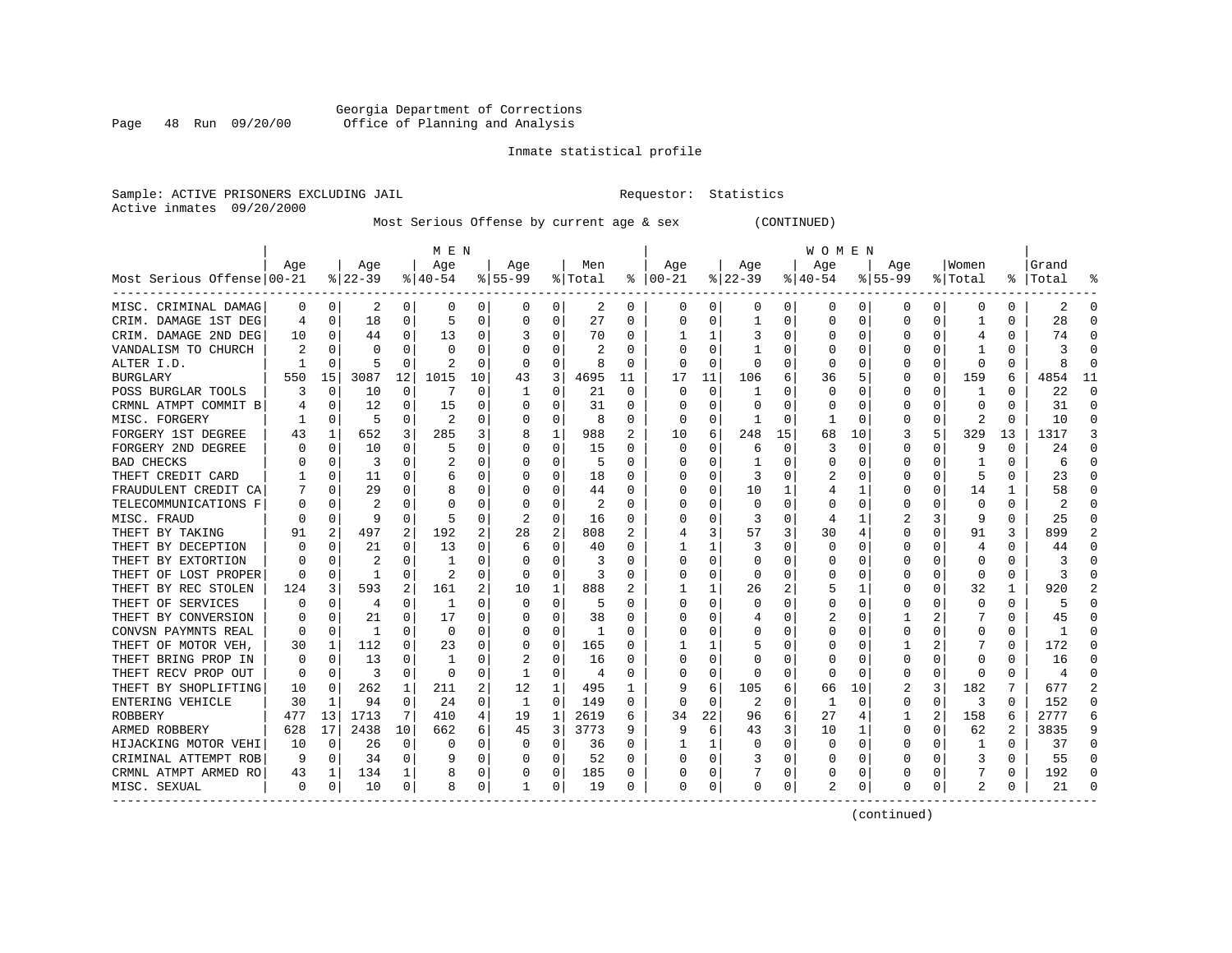# Georgia Department of Corrections Page 48 Run 09/20/00 Office of Planning and Analysis

# Inmate statistical profile

Sample: ACTIVE PRISONERS EXCLUDING JAIL **Requestor:** Statistics Active inmates 09/20/2000

Most Serious Offense by current age & sex (CONTINUED)

|                            |     |             |                |              | M E N     |          |          |          |         |          |               |          |              |    | W O M E N |             |             |          |                         |          |           |          |
|----------------------------|-----|-------------|----------------|--------------|-----------|----------|----------|----------|---------|----------|---------------|----------|--------------|----|-----------|-------------|-------------|----------|-------------------------|----------|-----------|----------|
|                            | Age |             | Age            |              | Age       |          | Age      |          | Men     |          | Age           |          | Age          |    | Aqe       |             | Age         |          | Women                   |          | Grand     |          |
| Most Serious Offense 00-21 |     |             | $8 22-39$      |              | $8 40-54$ |          | $ 55-99$ |          | % Total |          | $8   00 - 21$ |          | $ 22-39$     |    | $ 40-54 $ |             | $8155 - 99$ |          | % Total                 |          | %   Total |          |
| MISC. CRIMINAL DAMAG       | 0   | 0           | 2              | 0            | 0         | 0        | 0        | 0        | 2       | 0        | 0             | 0        | 0            | 0  | 0         | 0           | 0           | 0        | 0                       | 0        | 2         | $\Omega$ |
| CRIM. DAMAGE 1ST DEG       | 4   | 0           | 18             | 0            | 5         | 0        | 0        | 0        | 27      | 0        | 0             | 0        | $\mathbf{1}$ | 0  | $\Omega$  | 0           | 0           | O        |                         | 0        | 28        |          |
| CRIM. DAMAGE 2ND DEG       | 10  | $\Omega$    | 44             | 0            | 13        | $\Omega$ |          | 0        | 70      | $\Omega$ |               | 1        | 3            | 0  |           | $\Omega$    | 0           | O        | 4                       | $\Omega$ | 74        |          |
| VANDALISM TO CHURCH        |     | $\Omega$    | $\Omega$       | U            | $\Omega$  | $\Omega$ |          | $\Omega$ | 2       | $\Omega$ |               | 0        | -1           | 0  |           | $\Omega$    | U           | 0        |                         | 0        |           |          |
| ALTER I.D.                 |     | $\Omega$    | 5              | $\Omega$     | 2         | $\Omega$ | $\Omega$ | $\Omega$ | 8       | 0        |               | $\Omega$ | $\Omega$     | 0  |           | $\Omega$    | 0           | $\Omega$ | $\Omega$                | O        |           |          |
| <b>BURGLARY</b>            | 550 | 15          | 3087           | 12           | 1015      | 10       | 43       | 3        | 4695    | 11       | 17            | 11       | 106          | 6  | 36        | 5           | 0           | $\Omega$ | 159                     | 6        | 4854      | 11       |
| POSS BURGLAR TOOLS         | 3   | 0           | 10             | $\Omega$     |           | $\Omega$ | 1        | 0        | 21      | $\Omega$ | $\Omega$      | $\Omega$ | -1           | 0  | $\Omega$  | 0           | 0           | 0        | -1                      | 0        | 22        | ∩        |
| CRMNL ATMPT COMMIT B       |     | 0           | 12             | $\Omega$     | 15        | 0        | O        | 0        | 31      | $\Omega$ | <sup>0</sup>  | 0        | O            | U  | O         | 0           | 0           | $\Omega$ | $\Omega$                | $\Omega$ | 31        | $\Omega$ |
| MISC. FORGERY              |     | $\mathbf 0$ | 5              | $\Omega$     | 2         | 0        | 0        | 0        | 8       | $\Omega$ | $\Omega$      | $\Omega$ | -1           | 0  |           | 0           | 0           | $\Omega$ | 2                       | 0        | 10        | $\Omega$ |
| FORGERY 1ST DEGREE         | 43  | 1           | 652            | 3            | 285       | 3        |          | 1        | 988     | 2        | 10            | 6        | 248          | 15 | 68        | 10          | 3           | 5        | 329                     | 13       | 1317      | 3        |
| FORGERY 2ND DEGREE         |     | $\Omega$    | 10             | O            | 5         | O        | O        | $\Omega$ | 15      | O        | $\Omega$      | U        | 6            | O  | 3         | $\Omega$    | $\Omega$    | O        | q                       | $\Omega$ | 24        |          |
| <b>BAD CHECKS</b>          |     | $\Omega$    | 3              | U            |           | 0        | O        | $\Omega$ | 5       | O        |               | 0        | -1           | U  |           | 0           | U           | O        |                         | O        | 6         |          |
| THEFT CREDIT CARD          |     | $\Omega$    | 11             | $\Omega$     | 6         | $\Omega$ |          | $\Omega$ | 18      | 0        |               | $\Omega$ | 3            | O  | 2         | $\Omega$    | U           | $\Omega$ | 5                       | 0        | 23        |          |
| FRAUDULENT CREDIT CA       |     | 0           | 29             | 0            | 8         | $\Omega$ |          | 0        | 44      | 0        |               | $\Omega$ | 10           | 1  |           | 1           | U           | $\Omega$ | 14                      | 1        | 58        |          |
| TELECOMMUNICATIONS F       |     | $\mathbf 0$ | $\overline{c}$ | O            | C         | 0        | O        | 0        | 2       | O        |               | $\Omega$ | $\mathbf 0$  | O  |           | $\mathbf 0$ | $\Omega$    | $\Omega$ | $\mathbf 0$             | $\Omega$ |           |          |
| MISC. FRAUD                |     | 0           | 9              | $\Omega$     | 5         | $\Omega$ |          | 0        | 16      | $\Omega$ |               | 0        | 3            | 0  | 4         | 1           |             | 3        | <b>q</b>                | 0        | 25        |          |
| THEFT BY TAKING            | 91  | 2           | 497            | 2            | 192       | 2        | 28       | 2        | 808     | 2        |               | 3        | 57           | 3  | 30        | 4           | 0           | 0        | 91                      | 3        | 899       | 2        |
| THEFT BY DECEPTION         |     | 0           | 21             | O            | 13        | 0        | 6        | 0        | 40      | O        |               |          | 3            | 0  | 0         | 0           | 0           | 0        | 4                       | O        | 44        |          |
| THEFT BY EXTORTION         |     | $\mathbf 0$ |                |              |           | 0        |          | 0        | 3       |          |               | 0        |              | 0  |           | 0           | 0           | O        | 0                       |          |           |          |
| THEFT OF LOST PROPER       |     | $\Omega$    | $\mathbf{1}$   | U            |           | $\Omega$ | $\Omega$ | $\Omega$ | 3       | O        |               | $\Omega$ | $\Omega$     | U  |           | 0           | U           | U        | $\Omega$                | $\Omega$ | -3        |          |
| THEFT BY REC STOLEN        | 124 | 3           | 593            | 2            | 161       | 2        | 10       | 1        | 888     |          |               | 1        | 26           | 2  |           | 1           | O           | 0        | 32                      | 1        | 920       |          |
| THEFT OF SERVICES          |     | 0           | 4              | 0            | -1        | 0        | 0        | 0        | 5       | O        | O             | $\Omega$ | O            | 0  |           | 0           | 0           | 0        | 0                       | 0        |           |          |
| THEFT BY CONVERSION        |     | 0           | 21             | 0            | 17        | 0        | 0        | 0        | 38      | 0        |               | $\Omega$ | 4            | 0  | 2         | 0           |             |          |                         | 0        | 45        |          |
| CONVSN PAYMNTS REAL        |     | 0           | $\mathbf{1}$   | U            | 0         | 0        |          | 0        |         | O        |               | 0        |              | 0  |           | 0           | 0           | O        | O                       | 0        | -1        |          |
| THEFT OF MOTOR VEH.        | 30  | 1           | 112            | 0            | 23        | 0        | O        | 0        | 165     | 0        |               | 1        |              | 0  |           | 0           | 1           | 2        |                         | $\Omega$ | 172       |          |
| THEFT BRING PROP IN        | 0   | 0           | 13             | $\Omega$     | 1         | 0        |          | 0        | 16      | 0        | <sup>0</sup>  | 0        | 0            | 0  | O         | 0           | 0           | 0        | 0                       | 0        | 16        | ∩        |
| THEFT RECV PROP OUT        | 0   | 0           | 3              | 0            | 0         | 0        | 1        | 0        | 4       | 0        |               | 0        | 0            | 0  | 0         | 0           | 0           | 0        | 0                       | O        |           |          |
| THEFT BY SHOPLIFTING       | 10  | 0           | 262            | $\mathbf{1}$ | 211       | 2        | 12       | 1        | 495     |          | 9             | 6        | 105          | 6  | 66        | 10          | 2           | 3        | 182                     |          | 677       |          |
| ENTERING VEHICLE           | 30  | 1           | 94             | $\Omega$     | 24        | $\Omega$ | 1        | $\Omega$ | 149     | 0        | $\Omega$      | O        |              | U  |           | $\Omega$    | 0           | 0        | 3                       | 0        | 152       | ∩        |
| <b>ROBBERY</b>             | 477 | 13          | 1713           | 7            | 410       | 4        | 19       | 1        | 2619    | 6        | 34            | 22       | 96           | 6  | 27        | 4           | 1           | 2        | 158                     | 6        | 2777      |          |
| ARMED ROBBERY              | 628 | 17          | 2438           | 10           | 662       | 6        | 45       | 3        | 3773    | 9        | 9             | 6        | 43           | 3  | 10        | 1           | 0           | 0        | 62                      | 2        | 3835      |          |
| HIJACKING MOTOR VEHI       | 10  | 0           | 26             | 0            | $\Omega$  | 0        | 0        | 0        | 36      | 0        |               | 1        | $\Omega$     | 0  | 0         | 0           | 0           | 0        | 1                       | 0        | 37        |          |
| CRIMINAL ATTEMPT ROB       | 9   | 0           | 34             | $\Omega$     | g         | 0        |          | 0        | 52      | O        |               | 0        |              | 0  |           | 0           | 0           | $\Omega$ |                         | $\Omega$ | 55        |          |
| CRMNL ATMPT ARMED RO       | 43  | 1           | 134            | $\mathbf 1$  | 8         | 0        | 0        | 0        | 185     | 0        |               | 0        |              | 0  | U         | 0           | U           | O        |                         | 0        | 192       | ∩        |
| MISC. SEXUAL               | 0   | 0           | 10             | 0            | 8         | 0        | 1        | 0        | 19      | 0        | $\Omega$      | 0        | $\Omega$     | 0  | 2         | 0           | O           | 0        | $\overline{\mathbf{c}}$ | 0        | 21        |          |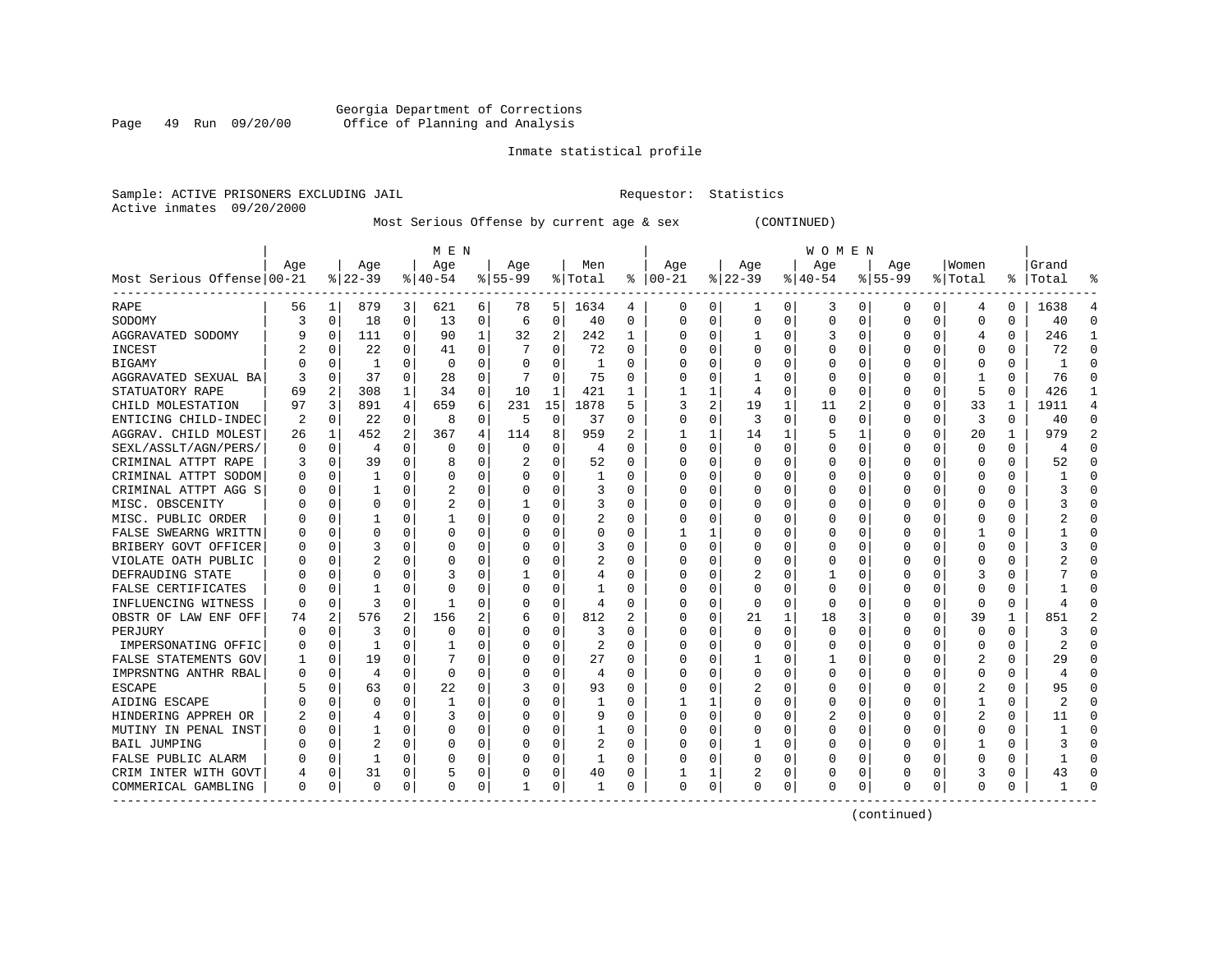# Georgia Department of Corrections Page 49 Run 09/20/00 Office of Planning and Analysis

# Inmate statistical profile

|                           | Sample: ACTIVE PRISONERS EXCLUDING JAIL | Requestor: Statistics |  |
|---------------------------|-----------------------------------------|-----------------------|--|
| Active inmates 09/20/2000 |                                         |                       |  |

Most Serious Offense by current age & sex (CONTINUED)

|                            |          |             |              |             | M E N       |          |           |             |                |          |              |          |          |          | W O M E N |             |             |          |              |              |                |                |
|----------------------------|----------|-------------|--------------|-------------|-------------|----------|-----------|-------------|----------------|----------|--------------|----------|----------|----------|-----------|-------------|-------------|----------|--------------|--------------|----------------|----------------|
|                            | Age      |             | Age          |             | Age         |          | Age       |             | Men            |          | Age          |          | Age      |          | Age       |             | Age         |          | Women        |              | Grand          |                |
| Most Serious Offense 00-21 |          |             | $8 22-39$    |             | $8140 - 54$ |          | $8 55-99$ |             | % Total        | ႜ        | $ 00-21$     |          | $ 22-39$ |          | $ 40-54$  |             | $8155 - 99$ |          | % Total      |              | %   Total      |                |
| RAPE                       | 56       | 1           | 879          | 3           | 621         | 6        | 78        | 5           | 1634           | 4        | 0            | 0        | 1        | 0        | 3         | 0           | 0           | 0        | 4            | 0            | 1638           | 4              |
| SODOMY                     | 3        | $\mathbf 0$ | 18           | 0           | 13          | 0        | 6         | 0           | 40             | 0        | $\Omega$     | 0        | 0        | 0        | $\Omega$  | $\mathbf 0$ | $\Omega$    | $\Omega$ | 0            | $\Omega$     | 40             | $\Omega$       |
| AGGRAVATED SODOMY          |          | 0           | 111          | 0           | 90          | 1        | 32        | 2           | 242            | 1        |              | 0        | 1        | 0        | 3         | $\Omega$    | O           | O        | 4            | $\Omega$     | 246            | -1             |
| INCEST                     |          | $\Omega$    | 22           | $\Omega$    | 41          | $\Omega$ |           | $\Omega$    | 72             | $\Omega$ |              | $\Omega$ | $\Omega$ | $\Omega$ | C         | $\Omega$    | O           | $\Omega$ | $\Omega$     | 0            | 72             | $\Omega$       |
| <b>BIGAMY</b>              |          | 0           | -1           | 0           | $\mathbf 0$ | 0        | O         | 0           | 1              | 0        |              | $\Omega$ |          | 0        |           | 0           | 0           | $\Omega$ | $\mathbf 0$  | 0            |                | $\Omega$       |
| AGGRAVATED SEXUAL BA       |          | $\mathbf 0$ | 37           | 0           | 28          | 0        |           | $\mathbf 0$ | 75             | 0        |              | 0        | 1        | 0        |           | $\mathbf 0$ | 0           | 0        | $\mathbf{1}$ | $\Omega$     | 76             | $\cap$         |
| STATUATORY RAPE            | 69       | 2           | 308          | $\mathbf 1$ | 34          | 0        | 10        | 1           | 421            | 1        |              | 1        | 4        | 0        | $\Omega$  | 0           | 0           | 0        | 5            | $\Omega$     | 426            | -1             |
| CHILD MOLESTATION          | 97       | 3           | 891          | 4           | 659         | 6        | 231       | 15          | 1878           | 5        | 3            | 2        | 19       | 1        | 11        | 2           | 0           | 0        | 33           | $\mathbf{1}$ | 1911           | $\overline{4}$ |
| ENTICING CHILD-INDEC       | 2        | 0           | 22           | 0           | 8           | 0        | 5         | 0           | 37             | 0        | 0            | 0        | 3        | 0        | O         | 0           | 0           | 0        | 3            | 0            | 40             | $\Omega$       |
| AGGRAV. CHILD MOLEST       | 26       | 1           | 452          | 2           | 367         | 4        | 114       | 8           | 959            | 2        |              |          | 14       | 1        |           | 1           | 0           | 0        | 20           |              | 979            | $\overline{2}$ |
| SEXL/ASSLT/AGN/PERS/       | $\Omega$ | 0           | 4            | U           | $\Omega$    | 0        | O         | $\Omega$    | $\overline{4}$ | O        | $\cap$       | 0        | $\Omega$ | U        |           | $\Omega$    | U           | U        | $\Omega$     | 0            | $\overline{4}$ | ∩              |
| CRIMINAL ATTPT RAPE        |          | $\Omega$    | 39           | $\Omega$    | 8           | $\Omega$ |           | $\Omega$    | 52             | O        | ∩            | $\Omega$ | $\Omega$ | 0        | C         | $\Omega$    | U           | 0        | $\Omega$     | 0            | 52             | ∩              |
| CRIMINAL ATTPT SODOM       |          | 0           | 1            | $\Omega$    | $\Omega$    | 0        | O         | $\Omega$    | 1              | O        |              | $\Omega$ | $\Omega$ | 0        |           | 0           | U           | $\Omega$ | 0            | 0            |                |                |
| CRIMINAL ATTPT AGG S       |          | $\mathbf 0$ | 1            | 0           | 2           | 0        |           | $\mathbf 0$ | 3              | 0        |              | 0        | 0        | 0        |           | $\mathbf 0$ | 0           | $\Omega$ | 0            | $\Omega$     |                |                |
| MISC. OBSCENITY            |          | $\mathbf 0$ | O            | U           | 2           | 0        |           | 0           | 3              | O        |              | $\Omega$ | 0        | 0        | C         | 0           | U           | 0        | 0            | 0            |                | $\cap$         |
| MISC. PUBLIC ORDER         |          | 0           | 1            | U           | 1           | 0        | O         | $\Omega$    | 2              | $\Omega$ |              | 0        | 0        | 0        | $\Omega$  | 0           | 0           | 0        | 0            | $\Omega$     |                | ∩              |
| FALSE SWEARNG WRITTN       |          | 0           | 0            | 0           | $\Omega$    | 0        | O         | 0           | 0              | $\Omega$ |              | 1        | $\Omega$ | 0        | $\Omega$  | 0           | 0           | 0        |              | 0            |                | ∩              |
| BRIBERY GOVT OFFICER       |          | 0           | 3            | U           | $\Omega$    | 0        | O         | $\Omega$    | 3              | 0        |              | 0        | 0        | 0        | C         | 0           | 0           | 0        | 0            | 0            |                |                |
| VIOLATE OATH PUBLIC        |          | $\mathbf 0$ |              | U           | C           | 0        | O         | $\Omega$    | 2              | 0        | ∩            | U        | $\Omega$ | 0        | O         | 0           | 0           | U        | O            | O            |                |                |
| DEFRAUDING STATE           |          | $\Omega$    | O            | U           | З           | $\Omega$ |           | 0           | 4              | $\Omega$ |              | $\Omega$ | 2        | 0        |           | $\Omega$    | U           | U        | 3            | 0            |                |                |
| FALSE CERTIFICATES         |          | $\Omega$    |              | U           | $\Omega$    | 0        | O         | 0           |                | O        |              | $\Omega$ | $\Omega$ | 0        | O         | 0           | 0           | 0        | $\Omega$     | O            |                |                |
| INFLUENCING WITNESS        |          | $\Omega$    | 3            | $\Omega$    | -1          | 0        | O         | 0           | $\overline{4}$ | 0        |              | $\Omega$ | $\Omega$ | 0        | O         | 0           | 0           | $\Omega$ | $\Omega$     | 0            |                |                |
| OBSTR OF LAW ENF OFF       | 74       | 2           | 576          | 2           | 156         | 2        | 6         | $\mathbf 0$ | 812            | 2        |              | 0        | 21       | 1        | 18        | 3           | 0           | 0        | 39           | 1            | 851            |                |
| PERJURY                    |          | 0           | 3            | 0           | 0           | 0        | O         | 0           | 3              | O        | 0            | 0        | 0        | 0        | O         | 0           | 0           | O        | 0            | $\Omega$     |                | $\Omega$       |
| IMPERSONATING OFFIC        |          | 0           | 1            | U           | -1          | 0        | O         | 0           | 2              | $\Omega$ | ∩            | 0        | $\Omega$ | 0        | C         | 0           | 0           | 0        | $\Omega$     | $\Omega$     | 2              | ∩              |
| FALSE STATEMENTS GOV       |          | 0           | 19           | 0           |             | $\Omega$ | O         | 0           | 27             | $\Omega$ |              | 0        |          | 0        |           | 0           | 0           | 0        | 2            | 0            | 29             | ∩              |
| IMPRSNTNG ANTHR RBAL       |          | 0           | 4            | 0           | $\Omega$    | 0        |           | 0           | $\overline{4}$ | 0        |              | 0        | 0        | 0        |           | 0           | 0           | O        | 0            | 0            |                |                |
| <b>ESCAPE</b>              |          | $\mathbf 0$ | 63           | O           | 22          | $\Omega$ |           | $\Omega$    | 93             | O        |              | O        |          | 0        |           | $\mathbf 0$ | $\Omega$    | $\Omega$ | 2            | $\Omega$     | 95             |                |
| AIDING ESCAPE              |          | $\Omega$    | $\Omega$     | U           | -1          | 0        | O         | O           | 1              | O        |              | 1        | $\Omega$ | 0        | $\Omega$  | $\Omega$    | U           | U        | -1           | 0            | 2              |                |
| HINDERING APPREH OR        |          | $\Omega$    | 4            | 0           | 3           | 0        | O         | $\Omega$    | 9              | $\Omega$ | <sup>0</sup> | $\Omega$ | $\Omega$ | 0        |           | $\Omega$    | 0           | 0        | 2            | 0            | 11             | ∩              |
| MUTINY IN PENAL INST       |          | 0           | 1            | 0           | $\Omega$    | 0        | 0         | $\Omega$    | 1              | 0        |              | 0        | $\Omega$ | 0        | C         | 0           | 0           | 0        | $\Omega$     | 0            |                |                |
| <b>BAIL JUMPING</b>        |          | $\mathbf 0$ | 2            | 0           | C           | 0        |           | 0           | 2              | 0        |              | $\Omega$ | 1        | 0        |           | 0           | 0           | 0        |              | 0            |                | ∩              |
| FALSE PUBLIC ALARM         |          | $\Omega$    | $\mathbf{1}$ | O           | C           | $\Omega$ |           | 0           | 1              | $\Omega$ |              | $\Omega$ | $\Omega$ | O        | C         | $\mathbf 0$ | $\Omega$    | $\Omega$ | $\Omega$     | $\Omega$     |                | $\cap$         |
| CRIM INTER WITH GOVT       | 4        | $\mathbf 0$ | 31           | 0           | 5           | 0        | O         | 0           | 40             | 0        |              | 1        | 2        | 0        | U         | 0           | U           | $\Omega$ | 3            | 0            | 43             | $\cap$         |
| COMMERICAL GAMBLING        | $\Omega$ | 0           | $\Omega$     | 0           | $\Omega$    | 0        |           | 0           | 1              | 0        | $\Omega$     | 0        | $\Omega$ | 0        | $\Omega$  | $\mathbf 0$ | $\Omega$    | 0        | $\Omega$     | 0            |                |                |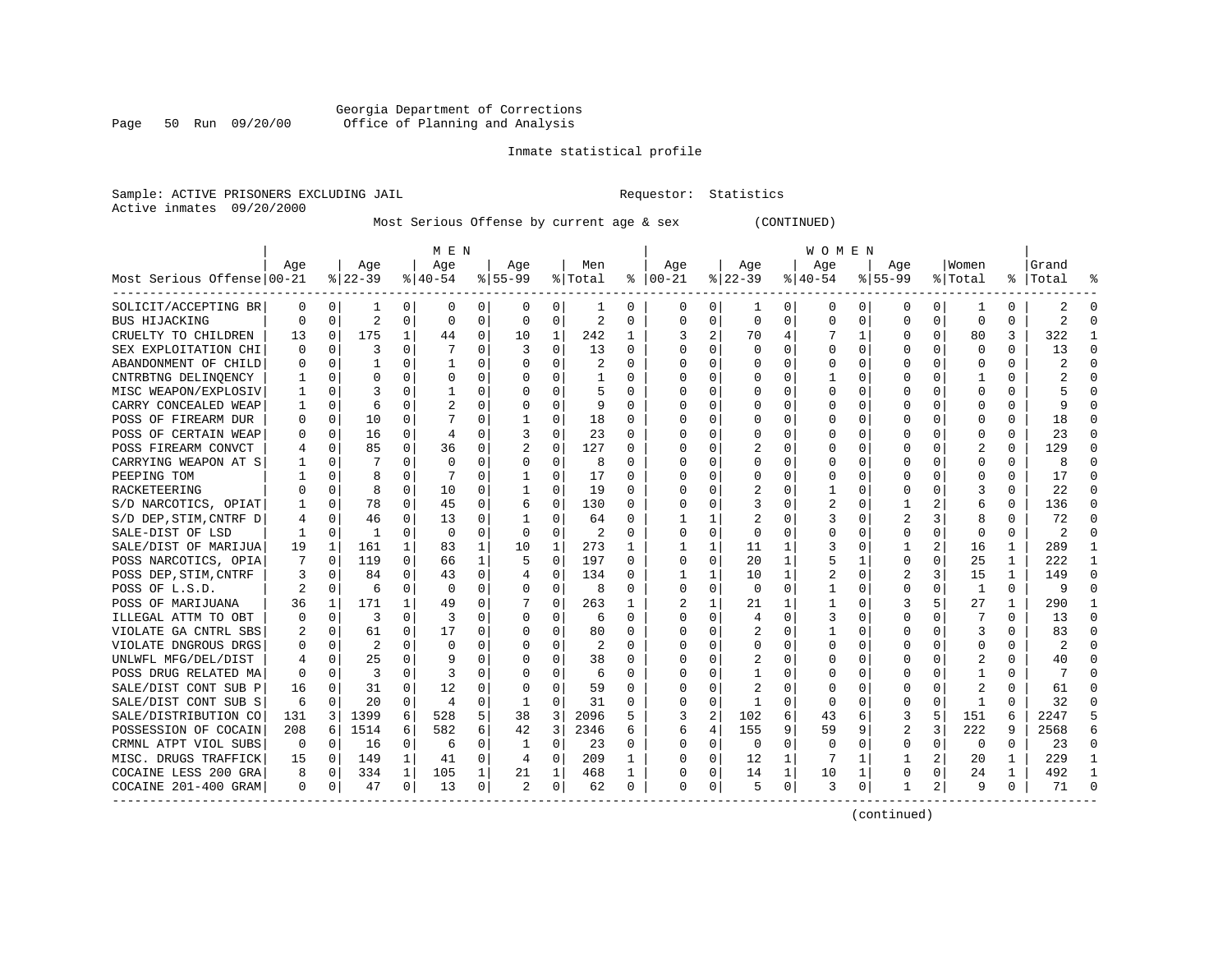# Georgia Department of Corrections<br>Page 50 Run 09/20/00 office of Planning and Analysis Page 50 Run 09/20/00 Office of Planning and Analysis

# Inmate statistical profile

Sample: ACTIVE PRISONERS EXCLUDING JAIL **Requestor:** Statistics Active inmates 09/20/2000

Most Serious Offense by current age & sex (CONTINUED)

|                            |          |             |                |              | M E N          |          |                |             |                |          |              |              |          |              | W O M E N |             |                |          |              |             |           |              |
|----------------------------|----------|-------------|----------------|--------------|----------------|----------|----------------|-------------|----------------|----------|--------------|--------------|----------|--------------|-----------|-------------|----------------|----------|--------------|-------------|-----------|--------------|
|                            | Age      |             | Age            |              | Age            |          | Age            |             | Men            |          | Age          |              | Age      |              | Age       |             | Aqe            |          | Women        |             | Grand     |              |
| Most Serious Offense 00-21 |          |             | $8 22-39$      |              | $8 40-54$      |          | $8 55-99$      |             | % Total        | ႜ        | $ 00-21$     |              | $ 22-39$ |              | $ 40-54$  |             | $8155 - 99$    |          | % Total      |             | %   Total |              |
| SOLICIT/ACCEPTING BR       | $\Omega$ | 0           | 1              | 0            | 0              | 0        | 0              | 0           | -1             | 0        | 0            | 0            | 1        | 0            | 0         | 0           | 0              | $\Omega$ | -1           | $\Omega$    |           | ∩            |
| BUS HIJACKING              | $\Omega$ | $\Omega$    | $\overline{2}$ | $\Omega$     | $\Omega$       | $\Omega$ | $\Omega$       | $\Omega$    | $\mathfrak{D}$ | $\Omega$ | <sup>0</sup> | 0            | $\Omega$ | $\Omega$     | $\Omega$  | $\Omega$    | 0              | $\Omega$ | $\Omega$     | $\Omega$    | 2         | $\cap$       |
| CRUELTY TO CHILDREN        | 13       | 0           | 175            | $\mathbf{1}$ | 44             | 0        | 10             | 1           | 242            | 1        | 3            | 2            | 70       | 4            |           | 1           | O              | $\Omega$ | 80           | 3           | 322       |              |
| SEX EXPLOITATION CHI       | O        | 0           | 3              | 0            |                | $\Omega$ | 3              | $\Omega$    | 13             | 0        | <sup>0</sup> | 0            | $\Omega$ | $\Omega$     | $\Omega$  | $\Omega$    | 0              | $\Omega$ | $\Omega$     | $\Omega$    | 13        | ∩            |
| ABANDONMENT OF CHILD       |          | 0           | 1              | 0            | -1             | 0        |                | $\Omega$    | 2              | 0        |              | 0            | 0        | 0            |           | 0           | 0              | $\Omega$ | 0            | $\Omega$    | 2         |              |
| CNTRBTNG DELINOENCY        |          | $\mathbf 0$ | $\Omega$       | O            | $\Omega$       | 0        |                | $\Omega$    |                | O        |              | $\Omega$     |          | 0            |           | $\mathbf 0$ | 0              | 0        |              | 0           |           |              |
| MISC WEAPON/EXPLOSIV       |          | 0           | 3              | U            | -1             | 0        | U              | 0           | 5              | $\Omega$ | ∩            | 0            | U        | 0            | $\Omega$  | 0           | U              | 0        | <sup>0</sup> | $\Omega$    |           | ∩            |
| CARRY CONCEALED WEAP       |          | 0           | 6              | O            | $\overline{2}$ | 0        | O              | 0           | 9              | 0        | n            | 0            | 0        | 0            | O         | 0           | 0              | 0        | 0            | 0           | q         | $\cap$       |
| POSS OF FIREARM DUR        | O        | 0           | 10             | 0            |                | $\Omega$ |                | 0           | 18             | $\Omega$ | <sup>0</sup> | 0            | $\Omega$ | 0            | C         | 0           | 0              | 0        | 0            | O           | 18        | ∩            |
| POSS OF CERTAIN WEAP       |          | 0           | 16             | 0            | 4              | 0        | 3              | $\Omega$    | 23             | 0        |              |              | 0        | 0            |           | 0           | C              | O        | 0            |             | 23        |              |
| POSS FIREARM CONVCT        |          | 0           | 85             | 0            | 36             | $\Omega$ |                | $\Omega$    | 127            | $\Omega$ | <sup>0</sup> | U            |          | 0            |           | $\Omega$    | 0              |          |              | 0           | 129       | ∩            |
| CARRYING WEAPON AT S       |          | $\Omega$    |                | U            | $\Omega$       | $\Omega$ | 0              | $\Omega$    | 8              | $\Omega$ | <sup>0</sup> | 0            | $\Omega$ | 0            |           | $\Omega$    | 0              | 0        | $\Omega$     | $\Omega$    | 8         |              |
| PEEPING TOM                |          | $\Omega$    | 8              | 0            |                | O        |                | $\Omega$    | 17             | $\Omega$ |              | 0            | $\Omega$ | 0            |           | $\Omega$    | U              | $\Omega$ | <sup>0</sup> | $\Omega$    | 17        | ∩            |
| RACKETEERING               |          | 0           | 8              | 0            | 10             | 0        |                | 0           | 19             | 0        |              | 0            | 2        | 0            |           | 0           | 0              | 0        | 3            | $\Omega$    | 22        |              |
| S/D NARCOTICS, OPIAT       |          | 0           | 78             | 0            | 45             | $\Omega$ | 6              | 0           | 130            | O        | $\Omega$     | $\Omega$     |          | O            |           | $\mathbf 0$ | 1              | 2        | 6            | $\Omega$    | 136       |              |
| S/D DEP, STIM, CNTRF D     | 4        | 0           | 46             | 0            | 13             | $\Omega$ | 1              | 0           | 64             | $\Omega$ |              | 1            |          | 0            | 3         | 0           | $\overline{2}$ | 3        | 8            | $\Omega$    | 72        | ∩            |
| SALE-DIST OF LSD           | -1       | 0           | -1             | $\Omega$     | $\Omega$       | 0        | $\Omega$       | 0           | 2              | $\Omega$ | ∩            | 0            | $\Omega$ | 0            | 0         | 0           | 0              | $\Omega$ | $\Omega$     | $\Omega$    | 2         | $\cap$       |
| SALE/DIST OF MARIJUA       | 19       | 1           | 161            | $\mathbf{1}$ | 83             | 1        | 10             | 1           | 273            | 1        |              | 1            | 11       | 1            | 3         | 0           |                | 2        | 16           | 1           | 289       | -1           |
| POSS NARCOTICS, OPIA       |          | 0           | 119            | 0            | 66             | 1        | 5              | 0           | 197            | 0        | 0            | 0            | 20       | 1            |           | 1           | 0              | O        | 25           |             | 222       | -1           |
| POSS DEP, STIM, CNTRF      | 3        | 0           | 84             | U            | 43             | 0        | 4              | 0           | 134            | 0        |              | 1            | 10       | 1            |           | 0           |                |          | 15           | 1           | 149       | ∩            |
| POSS OF L.S.D.             |          | $\Omega$    | 6              | U            | $\Omega$       | $\Omega$ | O              | $\Omega$    | 8              | $\Omega$ | <sup>0</sup> | 0            | $\Omega$ | 0            |           | $\Omega$    | 0              | 0        | -1           | $\Omega$    | q         |              |
| POSS OF MARIJUANA          | 36       | 1           | 171            | $\mathbf{1}$ | 49             | $\Omega$ |                | $\Omega$    | 263            | 1        | 2            | $\mathbf{1}$ | 21       | $\mathbf{1}$ |           | $\Omega$    | 3              |          | 27           | 1           | 290       |              |
| ILLEGAL ATTM TO OBT        |          | 0           | 3              | $\Omega$     | 3              | $\Omega$ | O              | $\Omega$    | 6              | $\Omega$ | <sup>0</sup> | 0            | 4        | 0            | 3         | 0           | $\Omega$       | 0        |              | $\Omega$    | 13        | $\Omega$     |
| VIOLATE GA CNTRL SBS       |          | 0           | 61             | 0            | 17             | 0        |                | 0           | 80             | O        |              | $\Omega$     | 2        | 0            |           | $\mathbf 0$ | $\Omega$       | $\Omega$ | 3            | $\Omega$    | 83        |              |
| VIOLATE DNGROUS DRGS       |          | $\mathbf 0$ | $\overline{c}$ | U            | $\Omega$       | O        | O              | $\Omega$    | 2              | $\Omega$ |              | $\Omega$     |          | U            | U         | $\mathbf 0$ | U              | U        | <sup>0</sup> | $\Omega$    |           | $\Omega$     |
| UNLWFL MFG/DEL/DIST        | 4        | 0           | 25             | $\Omega$     | 9              | 0        | O              | 0           | 38             | 0        | ∩            | 0            | 2        | 0            |           | 0           | 0              | 0        |              | 0           | 40        | ∩            |
| POSS DRUG RELATED MA       | 0        | 0           | 3              | 0            | 3              | 0        | O              | 0           | 6              | 0        | <sup>0</sup> | 0            |          | 0            |           | 0           | 0              | 0        |              | O           |           | ∩            |
| SALE/DIST CONT SUB P       | 16       | $\Omega$    | 31             | 0            | 12             | 0        | 0              | $\Omega$    | 59             | 0        | O            | 0            | 2        | 0            | 0         | 0           | 0              | 0        | 2            | O           | 61        |              |
| SALE/DIST CONT SUB S       | 6        | $\Omega$    | 20             | 0            | $\overline{4}$ | $\Omega$ | 1              | $\Omega$    | 31             | O        | <sup>0</sup> | $\Omega$     | -1       | 0            | O         | 0           | 0              | O        | -1           | ∩           | 32        |              |
| SALE/DISTRIBUTION CO       | 131      | 3           | 1399           | 6            | 528            | 5        | 38             | 3           | 2096           | 5        | 3            | 2            | 102      | 6            | 43        | 6           | 3              | 5        | 151          | 6           | 2247      |              |
| POSSESSION OF COCAIN       | 208      | 6           | 1514           | 6            | 582            | 6        | 42             | 3           | 2346           | 6        | 6            | 4            | 155      | 9            | 59        | 9           | 2              | 3        | 222          | 9           | 2568      | б            |
| CRMNL ATPT VIOL SUBS       | 0        | 0           | 16             | 0            | 6              | $\Omega$ | 1              | $\mathbf 0$ | 23             | $\Omega$ | <sup>0</sup> | $\Omega$     | $\Omega$ | $\Omega$     | $\Omega$  | 0           | 0              | $\Omega$ | $\Omega$     | $\Omega$    | 23        | $\Omega$     |
| MISC. DRUGS TRAFFICK       | 15       | 0           | 149            | $\mathbf{1}$ | 41             | 0        | 4              | $\mathbf 0$ | 209            | 1        | O            | $\Omega$     | 12       | 1            |           | 1           | 1              | 2        | 20           | 1           | 229       |              |
| COCAINE LESS 200 GRA       | 8        | 0           | 334            | $\mathbf{1}$ | 105            | 1        | 21             | 1           | 468            | 1        | 0            | 0            | 14       | $\mathbf{1}$ | 10        | 1           | $\Omega$       | $\Omega$ | 24           | $\mathbf 1$ | 492       | $\mathbf{1}$ |
| COCAINE 201-400 GRAM       | $\Omega$ | 0           | 47             | 0            | 13             | 0        | $\mathfrak{D}$ | 0           | 62             | 0        | $\Omega$     | $\mathbf{0}$ | 5        | 0            | 3         | 0           | 1              | 2        | 9            | 0           | 71        | ∩            |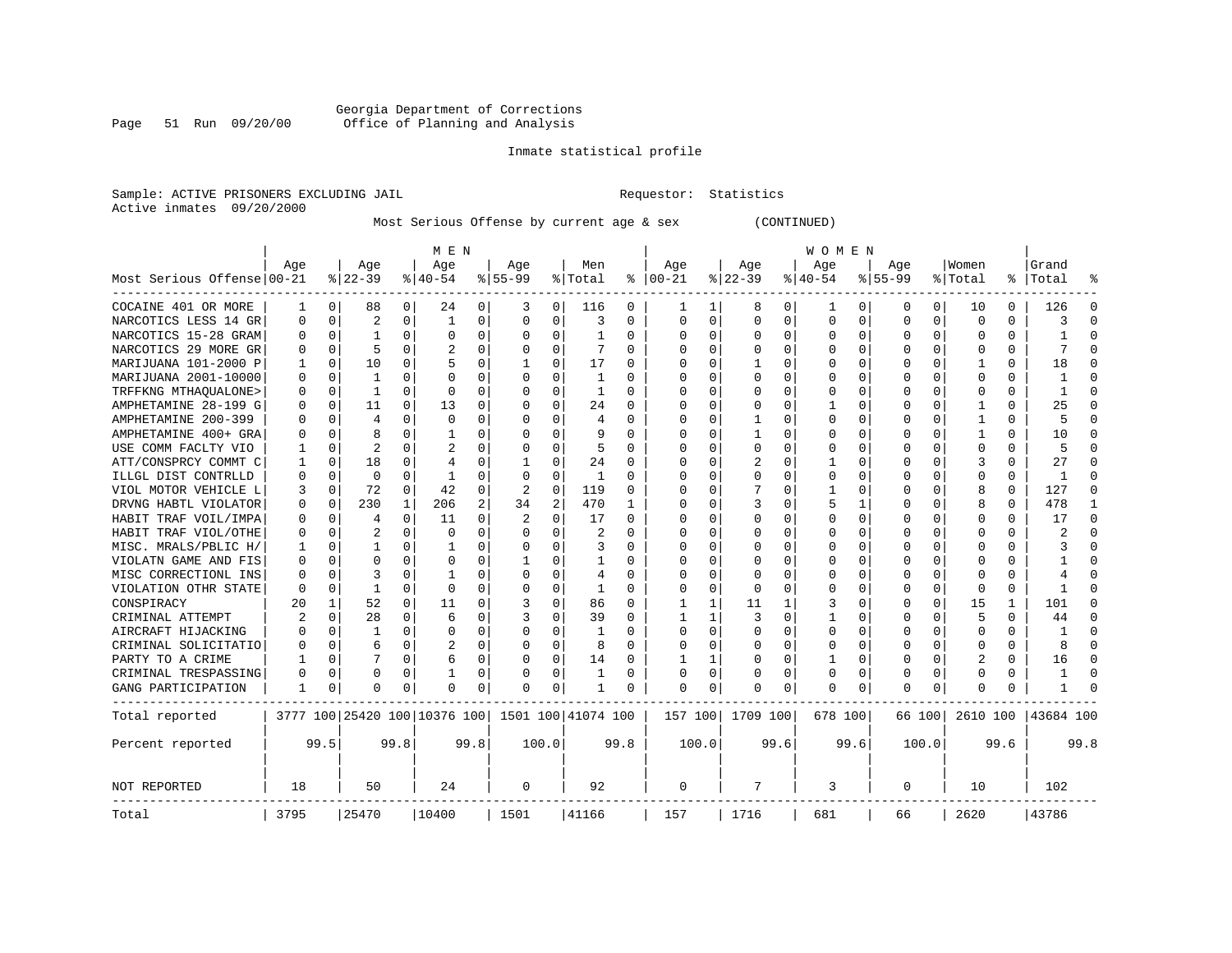# Georgia Department of Corrections<br>Page 51 Run 09/20/00 Office of Planning and Analysis Page 51 Run 09/20/00 Office of Planning and Analysis

# Inmate statistical profile

|                           | Sample: ACTIVE PRISONERS EXCLUDING JAIL | Requestor: Statistics |  |
|---------------------------|-----------------------------------------|-----------------------|--|
| Active inmates 09/20/2000 |                                         |                       |  |

Most Serious Offense by current age & sex (CONTINUED)

|                            | M E N    |              |                |              |                              |                |                |                |                    |          |             |          |          |          | W O M E N |          |              |          |              |          |           |              |
|----------------------------|----------|--------------|----------------|--------------|------------------------------|----------------|----------------|----------------|--------------------|----------|-------------|----------|----------|----------|-----------|----------|--------------|----------|--------------|----------|-----------|--------------|
|                            | Age      |              | Age            |              | Age                          |                | Age            |                | Men                |          | Age         |          | Age      |          | Age       |          | Age          |          | Women        |          | Grand     |              |
| Most Serious Offense 00-21 |          |              | $ 22-39$       |              | $ 40-54 $                    |                | $8 55-99$      |                | % Total            | ႜ        | $ 00-21$    |          | $ 22-39$ |          | $ 40-54$  |          | $8 55-99$    |          | % Total      | ႜ        | Total     |              |
| COCAINE 401 OR MORE        | 1        | 0            | 88             | 0            | 24                           | 0              | 3              | 0              | 116                | 0        | 1           | 1        | 8        | 0        | 1         | 0        | 0            | 0        | 10           | 0        | 126       | O            |
| NARCOTICS LESS 14 GR       | 0        | 0            | $\overline{a}$ | 0            | 1                            | 0              | $\Omega$       | $\mathbf 0$    | 3                  | 0        | 0           | 0        | $\Omega$ | 0        | 0         | 0        | 0            | $\Omega$ | $\Omega$     | $\Omega$ | 3         | <sup>0</sup> |
| NARCOTICS 15-28 GRAM       | 0        | $\mathbf 0$  | 1              | $\Omega$     | $\mathbf 0$                  | 0              | $\Omega$       | $\mathbf 0$    | 1                  | 0        | $\Omega$    | 0        | 0        | 0        | 0         | 0        | <sup>0</sup> | $\Omega$ | 0            | $\Omega$ | 1         | $\Omega$     |
| NARCOTICS 29 MORE GR       | $\Omega$ | 0            | 5              | $\Omega$     | 2                            | 0              | $\Omega$       | $\Omega$       | 7                  | $\Omega$ | $\Omega$    | $\Omega$ | $\Omega$ | $\Omega$ | O         | $\Omega$ | <sup>0</sup> | $\Omega$ | O            | 0        | 7         | <sup>0</sup> |
| MARIJUANA 101-2000 P       | 1        | 0            | 10             | 0            | 5                            | 0              |                | $\Omega$       | 17                 | 0        | $\Omega$    | 0        |          | $\Omega$ | O         | $\Omega$ | O            | 0        | -1           | U        | 18        | O            |
| MARIJUANA 2001-10000       | $\Omega$ | $\Omega$     | 1              | 0            | $\Omega$                     | O              | $\Omega$       | $\Omega$       | 1                  | O        | $\Omega$    | 0        | $\Omega$ | $\Omega$ | U         | $\Omega$ | <sup>0</sup> | 0        | $\Omega$     | O        |           | ſ            |
| TRFFKNG MTHAQUALONE>       | 0        | 0            | 1              | 0            | $\Omega$                     | 0              | $\Omega$       | $\Omega$       | -1                 | 0        | $\Omega$    | 0        | $\Omega$ | $\Omega$ | O         | $\Omega$ | O            | $\Omega$ | O            | 0        | 1         | ∩            |
| AMPHETAMINE 28-199 G       | 0        | 0            | 11             | $\Omega$     | 13                           | 0              | O              | $\Omega$       | 24                 | 0        | 0           | 0        | 0        | $\Omega$ | 1         | $\Omega$ | O            | $\Omega$ | -1           | U        | 25        | n            |
| AMPHETAMINE 200-399        | O        | 0            | 4              | $\Omega$     | $\Omega$                     | 0              |                | $\Omega$       | 4                  | $\Omega$ | $\Omega$    | 0        |          | $\Omega$ | 0         | $\Omega$ | <sup>0</sup> | $\Omega$ | 1            | $\Omega$ | 5         | ∩            |
| AMPHETAMINE 400+ GRA       | 0        | 0            | 8              | 0            | -1                           | 0              | ∩              | $\Omega$       | 9                  | $\Omega$ | $\Omega$    | 0        | 1        | $\Omega$ | 0         | $\Omega$ | n            | $\Omega$ | -1           | 0        | 10        | ∩            |
| USE COMM FACLTY VIO        | 1        | 0            | 2              | 0            | $\overline{c}$               | 0              |                | $\Omega$       | 5                  | 0        | $\Omega$    | 0        | $\Omega$ | $\Omega$ | 0         | O        |              | 0        | O            | U        | 5         | n            |
| ATT/CONSPRCY COMMT C       | 1        | $\Omega$     | 18             | 0            | 4                            | 0              |                | $\Omega$       | 24                 | O        | $\Omega$    | 0        |          | $\Omega$ | 1         | $\Omega$ | <sup>0</sup> | 0        | 3            | $\Omega$ | 27        | $\Omega$     |
| ILLGL DIST CONTRLLD        | 0        | 0            | $\Omega$       | $\Omega$     | -1                           | 0              | $\Omega$       | $\Omega$       | 1                  | 0        | $\Omega$    | 0        | $\Omega$ | $\Omega$ | 0         | $\Omega$ | O            | $\Omega$ | O            | $\Omega$ | -1        | <sup>0</sup> |
| VIOL MOTOR VEHICLE L       | 3        | 0            | 72             | 0            | 42                           | 0              | $\overline{2}$ | $\Omega$       | 119                | 0        | $\Omega$    | 0        |          | $\Omega$ | 1         | $\Omega$ | <sup>0</sup> | $\Omega$ | 8            | $\Omega$ | 127       | <sup>0</sup> |
| DRVNG HABTL VIOLATOR       | 0        | 0            | 230            | $\mathbf{1}$ | 206                          | $\overline{a}$ | 34             | $\overline{2}$ | 470                | -1       | $\Omega$    | $\Omega$ | 3        | $\Omega$ | 5         | -1       | <sup>0</sup> | $\Omega$ | 8            | 0        | 478       | -1           |
| HABIT TRAF VOIL/IMPA       | 0        | 0            | 4              | $\Omega$     | 11                           | 0              | 2              | $\Omega$       | 17                 | $\Omega$ | $\Omega$    | 0        | O        | $\Omega$ | 0         | 0        | O            | 0        | O            | 0        | 17        | $\Omega$     |
| HABIT TRAF VIOL/OTHE       | 0        | 0            |                | 0            | $\Omega$                     | 0              |                | $\Omega$       | 2                  | U        | $\Omega$    | 0        | O        | $\Omega$ | O         | O        | ∩            | 0        | O            | U        | 2         | ∩            |
| MISC. MRALS/PBLIC H/       | 1        | $\Omega$     | 1              | 0            | -1                           | 0              | O              | $\Omega$       | 3                  | 0        | $\Omega$    | 0        | $\Omega$ | $\Omega$ | O         | O        | ∩            | 0        | U            | 0        | 3         | ∩            |
| VIOLATN GAME AND FIS       | 0        | 0            | O              | 0            | $\Omega$                     | 0              |                | $\Omega$       | 1                  | 0        | 0           | 0        | O        | $\Omega$ | 0         | $\Omega$ | O            | $\Omega$ | O            | 0        |           | O            |
| MISC CORRECTIONL INS       | 0        | $\mathbf 0$  | 3              | $\Omega$     | $\mathbf{1}$                 | 0              |                | $\Omega$       | 4                  | $\Omega$ | $\Omega$    | 0        | $\Omega$ | $\Omega$ | 0         | $\Omega$ | <sup>0</sup> | $\Omega$ | O            | $\Omega$ | 4         | <sup>0</sup> |
| VIOLATION OTHR STATE       | 0        | 0            | 1              | 0            | $\Omega$                     | 0              | $\Omega$       | $\Omega$       | 1                  | $\Omega$ | $\Omega$    | 0        | $\Omega$ | $\Omega$ | 0         | O        | O            | $\Omega$ | <sup>0</sup> | 0        | -1        | $\Omega$     |
| CONSPIRACY                 | 20       | 1            | 52             | 0            | 11                           | 0              | 3              | $\Omega$       | 86                 | 0        | 1           | 1        | 11       | 1        | 3         | $\Omega$ | <sup>0</sup> | 0        | 15           | 1        | 101       | <sup>0</sup> |
| CRIMINAL ATTEMPT           | 2        | $\Omega$     | 28             | 0            | 6                            | U              | 3              | $\Omega$       | 39                 | O        |             |          | 3        | $\Omega$ |           | C        | ∩            | 0        | 5            | $\Omega$ | 44        | ∩            |
| AIRCRAFT HIJACKING         | O        | $\Omega$     | 1              | 0            | $\Omega$                     | 0              | $\Omega$       | $\Omega$       | -1                 | 0        | $\Omega$    | $\Omega$ | $\Omega$ | $\Omega$ | 0         | $\Omega$ | <sup>0</sup> | $\Omega$ | O            | 0        | -1        | ∩            |
| CRIMINAL SOLICITATIO       | 0        | 0            | 6              | $\Omega$     | 2                            | 0              | $\Omega$       | $\Omega$       | 8                  | 0        | $\Omega$    | 0        | 0        | $\Omega$ | 0         | $\Omega$ | 0            | $\Omega$ | O            | 0        | 8         | ∩            |
| PARTY TO A CRIME           |          | $\Omega$     | 7              | $\Omega$     | 6                            | 0              | ∩              | $\Omega$       | 14                 | $\Omega$ |             | 1        | $\Omega$ | $\Omega$ |           | $\Omega$ | <sup>0</sup> | $\Omega$ | 2            | 0        | 16        | $\Omega$     |
| CRIMINAL TRESPASSING       | 0        | 0            | $\Omega$       | 0            |                              | 0              | $\Omega$       | 0              | 1                  | 0        | $\Omega$    | 0        | O        | $\Omega$ | 0         | 0        | <sup>0</sup> | $\Omega$ | O            | 0        | 1         | $\Omega$     |
| GANG PARTICIPATION         | 1        | 0            | 0              | 0            | 0                            | 0              | $\Omega$       | 0              | 1                  | 0        | 0           | 0        | 0        | 0        | 0         | 0        | 0            | 0        | O            | 0        |           | C            |
| Total reported             |          |              |                |              | 3777 100 25420 100 10376 100 |                |                |                | 1501 100 41074 100 |          | 157 100     |          | 1709 100 |          | 678 100   |          | 66 100       |          | 2610 100     |          | 43684 100 |              |
| Percent reported           |          | 99.5<br>99.8 |                |              | 99.8                         |                | 100.0          |                | 99.8               |          | 100.0       |          | 99.6     |          | 99.6      |          | 100.0        |          | 99.6         |          | 99.8      |              |
| NOT REPORTED               | 18       |              | 50             |              | 24                           |                | 0              |                | 92                 |          | $\mathbf 0$ |          | 7        |          | 3         |          | $\Omega$     |          | 10           |          | 102       |              |
| Total                      | 3795     |              | 25470          |              | 10400                        |                | 1501           |                | 41166              |          | 157         |          | 1716     |          | 681       |          | 66           |          | 2620         |          | 43786     |              |